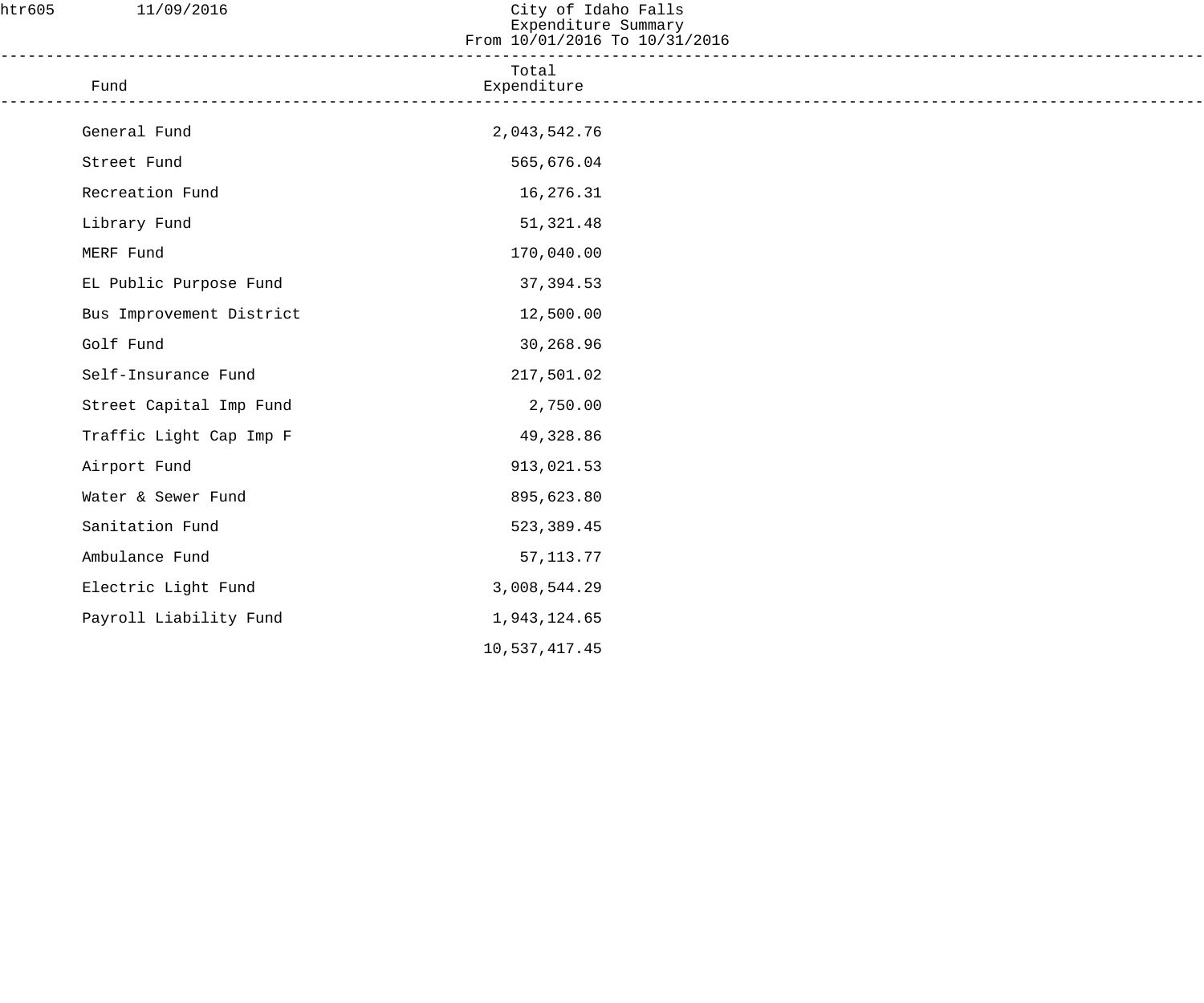| htr605 | 11/09/2016               | City of Idaho Falls<br>Expenditure Summary<br>From 10/01/2016 To 10/31/2016 |  |
|--------|--------------------------|-----------------------------------------------------------------------------|--|
|        | Fund                     | Total<br>Expenditure                                                        |  |
|        | General Fund             | 2,043,542.76                                                                |  |
|        | Street Fund              | 565,676.04                                                                  |  |
|        | Recreation Fund          | 16,276.31                                                                   |  |
|        | Library Fund             | 51,321.48                                                                   |  |
|        | MERF Fund                | 170,040.00                                                                  |  |
|        | EL Public Purpose Fund   | 37,394.53                                                                   |  |
|        | Bus Improvement District | 12,500.00                                                                   |  |
|        | Golf Fund                | 30,268.96                                                                   |  |
|        | Self-Insurance Fund      | 217,501.02                                                                  |  |
|        | Street Capital Imp Fund  | 2,750.00                                                                    |  |
|        | Traffic Light Cap Imp F  | 49,328.86                                                                   |  |
|        | Airport Fund             | 913,021.53                                                                  |  |
|        | Water & Sewer Fund       | 895,623.80                                                                  |  |
|        | Sanitation Fund          | 523, 389.45                                                                 |  |
|        | Ambulance Fund           | 57, 113. 77                                                                 |  |
|        | Electric Light Fund      | 3,008,544.29                                                                |  |
|        | Payroll Liability Fund   | 1,943,124.65                                                                |  |
|        |                          | 10,537,417.45                                                               |  |
|        |                          |                                                                             |  |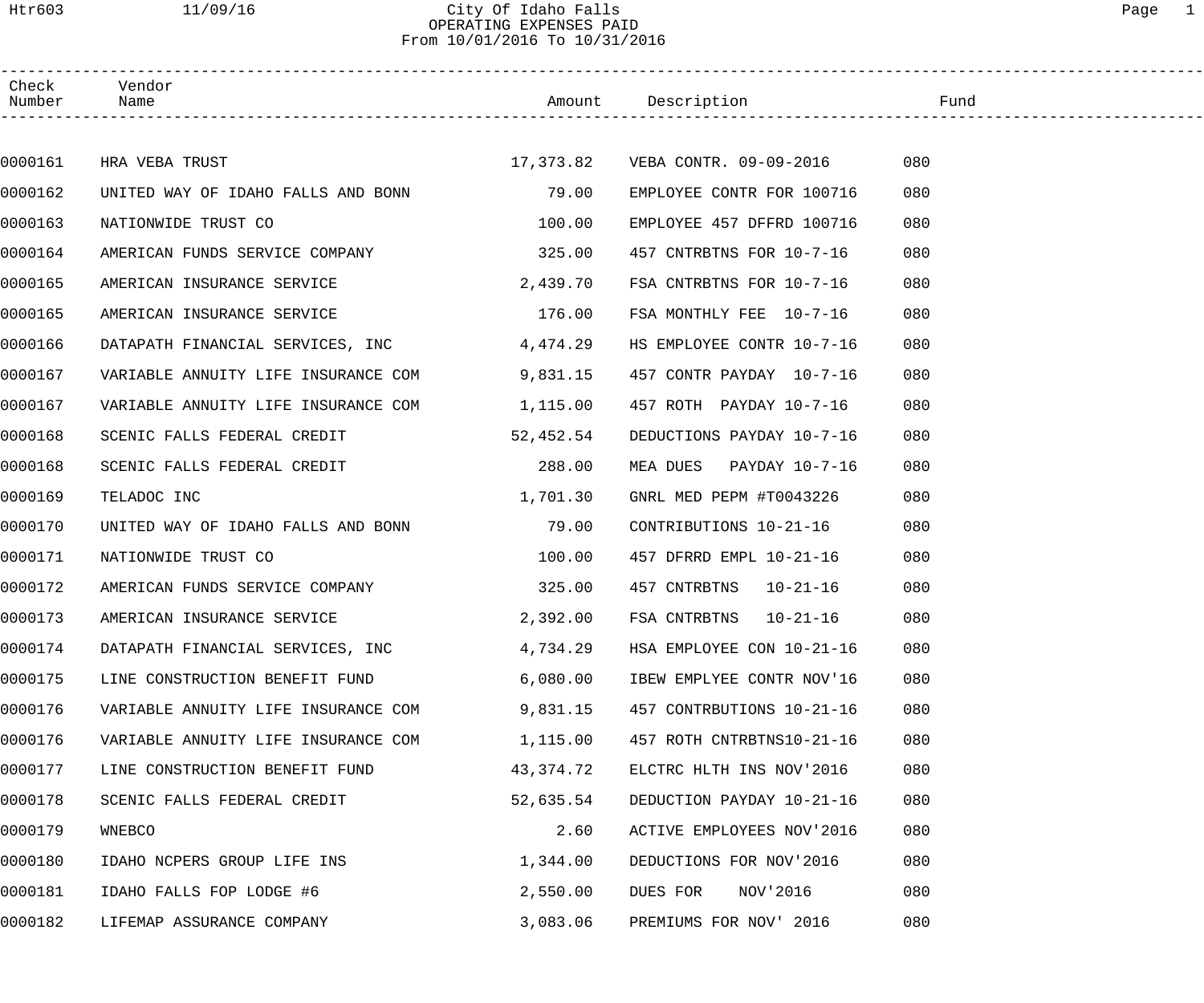### Htr603 11/09/16 City Of Idaho Falls Page 1 OPERATING EXPENSES PAID From 10/01/2016 To 10/31/2016

| Check<br>Number | Vendor<br>Name                               |           |                                     |     |
|-----------------|----------------------------------------------|-----------|-------------------------------------|-----|
|                 |                                              |           |                                     |     |
| 0000161         | HRA VEBA TRUST                               |           | 17,373.82    VEBA CONTR. 09-09-2016 | 080 |
| 0000162         | UNITED WAY OF IDAHO FALLS AND BONN 79.00     |           | EMPLOYEE CONTR FOR 100716           | 080 |
| 0000163         | NATIONWIDE TRUST CO                          | 100.00    | EMPLOYEE 457 DFFRD 100716           | 080 |
| 0000164         | AMERICAN FUNDS SERVICE COMPANY 325.00        |           | 457 CNTRBTNS FOR 10-7-16            | 080 |
| 0000165         | AMERICAN INSURANCE SERVICE                   | 2,439.70  | FSA CNTRBTNS FOR 10-7-16            | 080 |
| 0000165         | AMERICAN INSURANCE SERVICE                   | 176.00    | FSA MONTHLY FEE 10-7-16             | 080 |
| 0000166         | DATAPATH FINANCIAL SERVICES, INC 4,474.29    |           | HS EMPLOYEE CONTR 10-7-16           | 080 |
| 0000167         | VARIABLE ANNUITY LIFE INSURANCE COM 9,831.15 |           | 457 CONTR PAYDAY 10-7-16            | 080 |
| 0000167         | VARIABLE ANNUITY LIFE INSURANCE COM 1,115.00 |           | 457 ROTH PAYDAY 10-7-16             | 080 |
| 0000168         | SCENIC FALLS FEDERAL CREDIT                  | 52,452.54 | DEDUCTIONS PAYDAY 10-7-16           | 080 |
| 0000168         | SCENIC FALLS FEDERAL CREDIT                  | 288.00    | MEA DUES PAYDAY 10-7-16             | 080 |
| 0000169         | TELADOC INC                                  | 1,701.30  | GNRL MED PEPM #T0043226             | 080 |
| 0000170         | UNITED WAY OF IDAHO FALLS AND BONN 79.00     |           | CONTRIBUTIONS 10-21-16              | 080 |
| 0000171         | NATIONWIDE TRUST CO                          | 100.00    | 457 DFRRD EMPL 10-21-16             | 080 |
| 0000172         | AMERICAN FUNDS SERVICE COMPANY 325.00        |           |                                     | 080 |
| 0000173         | AMERICAN INSURANCE SERVICE                   | 2,392.00  | FSA CNTRBTNS 10-21-16               | 080 |
| 0000174         | DATAPATH FINANCIAL SERVICES, INC             | 4,734.29  | HSA EMPLOYEE CON 10-21-16           | 080 |
| 0000175         | LINE CONSTRUCTION BENEFIT FUND               | 6,080.00  | IBEW EMPLYEE CONTR NOV'16           | 080 |
| 0000176         | VARIABLE ANNUITY LIFE INSURANCE COM          | 9,831.15  | 457 CONTRBUTIONS 10-21-16           | 080 |
| 0000176         | VARIABLE ANNUITY LIFE INSURANCE COM          | 1,115.00  | 457 ROTH CNTRBTNS10-21-16           | 080 |
| 0000177         | LINE CONSTRUCTION BENEFIT FUND               | 43,374.72 | ELCTRC HLTH INS NOV'2016            | 080 |
| 0000178         | SCENIC FALLS FEDERAL CREDIT                  | 52,635.54 | DEDUCTION PAYDAY 10-21-16           | 080 |
| 0000179         | WNEBCO                                       | 2.60      | ACTIVE EMPLOYEES NOV'2016           | 080 |
| 0000180         | IDAHO NCPERS GROUP LIFE INS                  | 1,344.00  | DEDUCTIONS FOR NOV'2016             | 080 |
| 0000181         | IDAHO FALLS FOP LODGE #6                     | 2,550.00  | NOV'2016<br>DUES FOR                | 080 |
| 0000182         | LIFEMAP ASSURANCE COMPANY                    | 3,083.06  | PREMIUMS FOR NOV' 2016              | 080 |
|                 |                                              |           |                                     |     |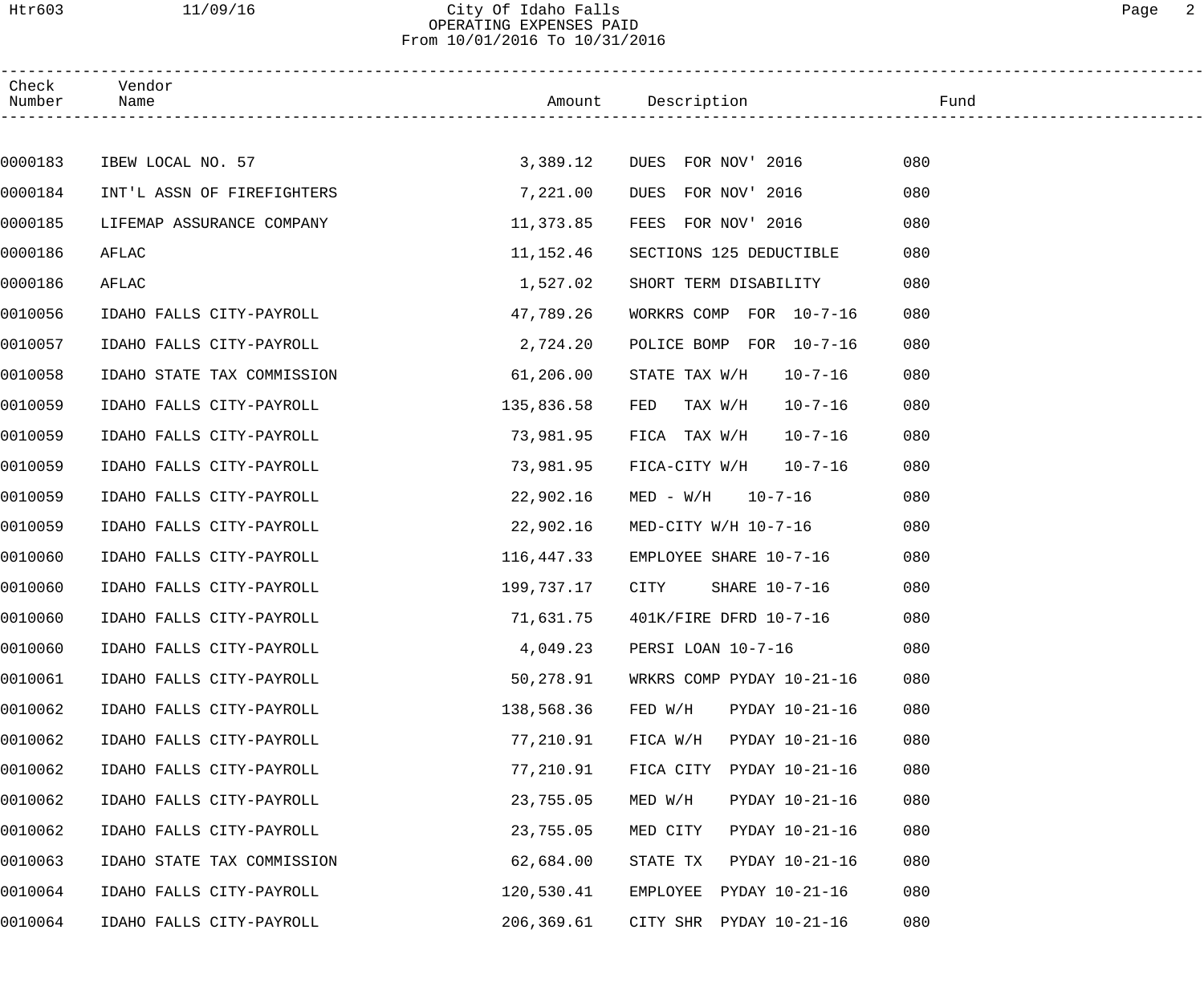# Htr603 11/09/16 City Of Idaho Falls 2007 Communications and the Page 2 City Of Idaho Falls<br>OPERATING EXPENSES PAID From 10/01/2016 To 10/31/2016

| Check<br>Number | Vendor<br>Name             |            |                                 | Fund |
|-----------------|----------------------------|------------|---------------------------------|------|
|                 |                            |            |                                 |      |
| 0000183         | IBEW LOCAL NO. 57          | 3,389.12   | DUES FOR NOV' 2016              | 080  |
| 0000184         | INT'L ASSN OF FIREFIGHTERS | 7,221.00   | FOR NOV' 2016<br>DUES           | 080  |
| 0000185         | LIFEMAP ASSURANCE COMPANY  | 11,373.85  | FOR NOV' 2016<br>FEES           | 080  |
| 0000186         | AFLAC                      | 11,152.46  | SECTIONS 125 DEDUCTIBLE         | 080  |
| 0000186         | AFLAC                      | 1,527.02   | SHORT TERM DISABILITY           | 080  |
| 0010056         | IDAHO FALLS CITY-PAYROLL   | 47,789.26  | WORKRS COMP FOR 10-7-16         | 080  |
| 0010057         | IDAHO FALLS CITY-PAYROLL   | 2,724.20   | POLICE BOMP FOR 10-7-16         | 080  |
| 0010058         | IDAHO STATE TAX COMMISSION | 61,206.00  | STATE TAX W/H<br>$10 - 7 - 16$  | 080  |
| 0010059         | IDAHO FALLS CITY-PAYROLL   | 135,836.58 | FED<br>TAX W/H<br>$10 - 7 - 16$ | 080  |
| 0010059         | IDAHO FALLS CITY-PAYROLL   | 73,981.95  | FICA TAX W/H<br>$10 - 7 - 16$   | 080  |
| 0010059         | IDAHO FALLS CITY-PAYROLL   | 73,981.95  | FICA-CITY W/H<br>$10 - 7 - 16$  | 080  |
| 0010059         | IDAHO FALLS CITY-PAYROLL   | 22,902.16  | $MED - W/H$ 10-7-16             | 080  |
| 0010059         | IDAHO FALLS CITY-PAYROLL   | 22,902.16  | MED-CITY W/H 10-7-16            | 080  |
| 0010060         | IDAHO FALLS CITY-PAYROLL   | 116,447.33 | EMPLOYEE SHARE 10-7-16          | 080  |
| 0010060         | IDAHO FALLS CITY-PAYROLL   | 199,737.17 | CITY<br>SHARE 10-7-16           | 080  |
| 0010060         | IDAHO FALLS CITY-PAYROLL   | 71,631.75  | 401K/FIRE DFRD 10-7-16          | 080  |
| 0010060         | IDAHO FALLS CITY-PAYROLL   | 4,049.23   | PERSI LOAN 10-7-16              | 080  |
| 0010061         | IDAHO FALLS CITY-PAYROLL   | 50,278.91  | WRKRS COMP PYDAY 10-21-16       | 080  |
| 0010062         | IDAHO FALLS CITY-PAYROLL   | 138,568.36 | PYDAY 10-21-16<br>FED W/H       | 080  |
| 0010062         | IDAHO FALLS CITY-PAYROLL   | 77,210.91  | FICA W/H<br>PYDAY 10-21-16      | 080  |
| 0010062         | IDAHO FALLS CITY-PAYROLL   | 77,210.91  | PYDAY 10-21-16<br>FICA CITY     | 080  |
| 0010062         | IDAHO FALLS CITY-PAYROLL   | 23,755.05  | MED W/H<br>PYDAY 10-21-16       | 080  |
| 0010062         | IDAHO FALLS CITY-PAYROLL   | 23,755.05  | MED CITY<br>PYDAY 10-21-16      | 080  |
| 0010063         | IDAHO STATE TAX COMMISSION | 62,684.00  | PYDAY 10-21-16<br>STATE TX      | 080  |
| 0010064         | IDAHO FALLS CITY-PAYROLL   | 120,530.41 | EMPLOYEE<br>PYDAY 10-21-16      | 080  |
| 0010064         | IDAHO FALLS CITY-PAYROLL   | 206,369.61 | CITY SHR PYDAY 10-21-16         | 080  |
|                 |                            |            |                                 |      |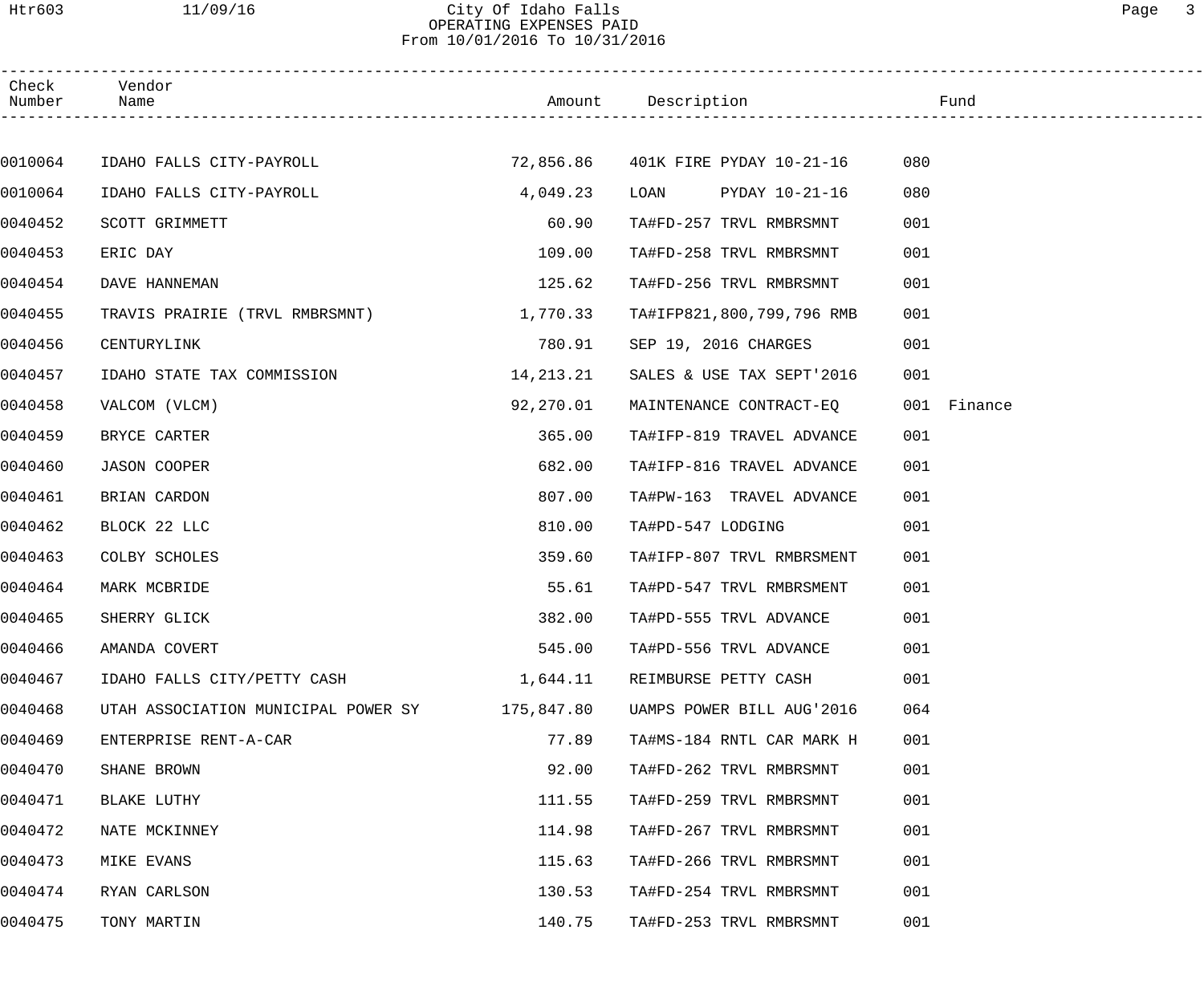### Htr603 11/09/16 City Of Idaho Falls Page 3 OPERATING EXPENSES PAID From 10/01/2016 To 10/31/2016

| Check<br>Number | Vendor<br>Name                      |            | Amount Description                   | Fund        |  |
|-----------------|-------------------------------------|------------|--------------------------------------|-------------|--|
|                 |                                     |            |                                      |             |  |
| 0010064         | IDAHO FALLS CITY-PAYROLL            |            | 72,856.86   401K FIRE PYDAY 10-21-16 | 080         |  |
| 0010064         | IDAHO FALLS CITY-PAYROLL            | 4,049.23   | LOAN PYDAY 10-21-16                  | 080         |  |
| 0040452         | SCOTT GRIMMETT                      | 60.90      | TA#FD-257 TRVL RMBRSMNT              | 001         |  |
| 0040453         | ERIC DAY                            | 109.00     | TA#FD-258 TRVL RMBRSMNT              | 001         |  |
| 0040454         | DAVE HANNEMAN                       | 125.62     | TA#FD-256 TRVL RMBRSMNT              | 001         |  |
| 0040455         | TRAVIS PRAIRIE (TRVL RMBRSMNT)      | 1,770.33   | TA#IFP821,800,799,796 RMB            | 001         |  |
| 0040456         | CENTURYLINK                         | 780.91     | SEP 19, 2016 CHARGES                 | 001         |  |
| 0040457         | IDAHO STATE TAX COMMISSION          | 14,213.21  | SALES & USE TAX SEPT'2016            | 001         |  |
| 0040458         | VALCOM (VLCM)                       | 92,270.01  | MAINTENANCE CONTRACT-EQ              | 001 Finance |  |
| 0040459         | BRYCE CARTER                        | 365.00     | TA#IFP-819 TRAVEL ADVANCE            | 001         |  |
| 0040460         | <b>JASON COOPER</b>                 | 682.00     | TA#IFP-816 TRAVEL ADVANCE            | 001         |  |
| 0040461         | BRIAN CARDON                        | 807.00     | TA#PW-163 TRAVEL ADVANCE             | 001         |  |
| 0040462         | BLOCK 22 LLC                        | 810.00     | TA#PD-547 LODGING                    | 001         |  |
| 0040463         | COLBY SCHOLES                       | 359.60     | TA#IFP-807 TRVL RMBRSMENT            | 001         |  |
| 0040464         | MARK MCBRIDE                        | 55.61      | TA#PD-547 TRVL RMBRSMENT             | 001         |  |
| 0040465         | SHERRY GLICK                        | 382.00     | TA#PD-555 TRVL ADVANCE               | 001         |  |
| 0040466         | AMANDA COVERT                       | 545.00     | TA#PD-556 TRVL ADVANCE               | 001         |  |
| 0040467         | IDAHO FALLS CITY/PETTY CASH         | 1,644.11   | REIMBURSE PETTY CASH                 | 001         |  |
| 0040468         | UTAH ASSOCIATION MUNICIPAL POWER SY | 175,847.80 | UAMPS POWER BILL AUG'2016            | 064         |  |
| 0040469         | ENTERPRISE RENT-A-CAR               | 77.89      | TA#MS-184 RNTL CAR MARK H            | 001         |  |
| 0040470         | SHANE BROWN                         | 92.00      | TA#FD-262 TRVL RMBRSMNT              | 001         |  |
| 0040471         | BLAKE LUTHY                         | 111.55     | TA#FD-259 TRVL RMBRSMNT              | 001         |  |
| 0040472         | NATE MCKINNEY                       | 114.98     | TA#FD-267 TRVL RMBRSMNT              | 001         |  |
| 0040473         | MIKE EVANS                          | 115.63     | TA#FD-266 TRVL RMBRSMNT              | 001         |  |
| 0040474         | RYAN CARLSON                        | 130.53     | TA#FD-254 TRVL RMBRSMNT              | 001         |  |
| 0040475         | TONY MARTIN                         | 140.75     | TA#FD-253 TRVL RMBRSMNT              | 001         |  |
|                 |                                     |            |                                      |             |  |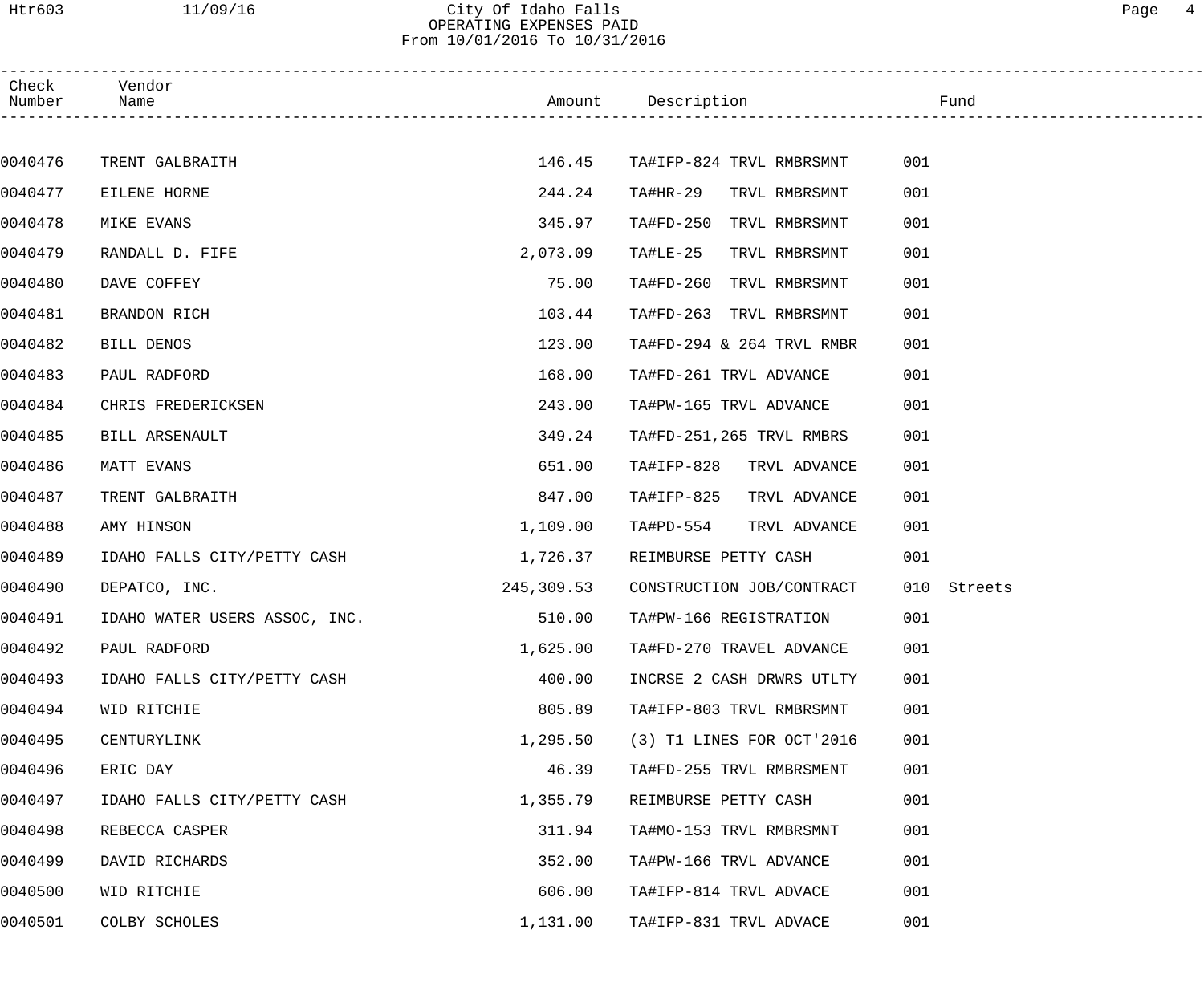Htr603 11/09/16 City Of Idaho Falls Page 4 OPERATING EXPENSES PAID

From 10/01/2016 To 10/31/2016

| Check<br>Number | Vendor<br>Name                |            | Example 2011 Manual Description 2012 and 2012 and 2012 and 2012 and 2012 and 2012 and 2012 and 2012 and 2012 and |                |
|-----------------|-------------------------------|------------|------------------------------------------------------------------------------------------------------------------|----------------|
|                 |                               |            |                                                                                                                  |                |
| 0040476         | TRENT GALBRAITH               | 146.45     | TA#IFP-824 TRVL RMBRSMNT                                                                                         | 001            |
| 0040477         | EILENE HORNE                  | 244.24     | TA#HR-29 TRVL RMBRSMNT                                                                                           | 001            |
| 0040478         | MIKE EVANS                    | 345.97     | TA#FD-250 TRVL RMBRSMNT                                                                                          | 001            |
| 0040479         | RANDALL D. FIFE               | 2,073.09   | TA#LE-25<br>TRVL RMBRSMNT                                                                                        | 001            |
| 0040480         | DAVE COFFEY                   | 75.00      | TA#FD-260 TRVL RMBRSMNT                                                                                          | 001            |
| 0040481         | BRANDON RICH                  | 103.44     | TA#FD-263 TRVL RMBRSMNT                                                                                          | 001            |
| 0040482         | BILL DENOS                    | 123.00     | TA#FD-294 & 264 TRVL RMBR                                                                                        | 001            |
| 0040483         | PAUL RADFORD                  | 168.00     | TA#FD-261 TRVL ADVANCE                                                                                           | 001            |
| 0040484         | CHRIS FREDERICKSEN            | 243.00     | TA#PW-165 TRVL ADVANCE                                                                                           | 001            |
| 0040485         | BILL ARSENAULT                | 349.24     | TA#FD-251,265 TRVL RMBRS                                                                                         | 001            |
| 0040486         | MATT EVANS                    | 651.00     | TA#IFP-828 TRVL ADVANCE                                                                                          | 001            |
| 0040487         | TRENT GALBRAITH               | 847.00     | TA#IFP-825<br>TRVL ADVANCE                                                                                       | 001            |
| 0040488         | AMY HINSON                    | 1,109.00   | TA#PD-554<br>TRVL ADVANCE                                                                                        | 001            |
| 0040489         | IDAHO FALLS CITY/PETTY CASH   | 1,726.37   | REIMBURSE PETTY CASH                                                                                             | 001            |
| 0040490         | DEPATCO, INC.                 | 245,309.53 | CONSTRUCTION JOB/CONTRACT                                                                                        | 010<br>Streets |
| 0040491         | IDAHO WATER USERS ASSOC, INC. | 510.00     | TA#PW-166 REGISTRATION                                                                                           | 001            |
| 0040492         | PAUL RADFORD                  | 1,625.00   | TA#FD-270 TRAVEL ADVANCE                                                                                         | 001            |
| 0040493         | IDAHO FALLS CITY/PETTY CASH   | 400.00     | INCRSE 2 CASH DRWRS UTLTY                                                                                        | 001            |
| 0040494         | WID RITCHIE                   | 805.89     | TA#IFP-803 TRVL RMBRSMNT                                                                                         | 001            |
| 0040495         | CENTURYLINK                   | 1,295.50   | (3) T1 LINES FOR OCT'2016                                                                                        | 001            |
| 0040496         | ERIC DAY                      | 46.39      | TA#FD-255 TRVL RMBRSMENT                                                                                         | 001            |
| 0040497         | IDAHO FALLS CITY/PETTY CASH   | 1,355.79   | REIMBURSE PETTY CASH                                                                                             | 001            |
| 0040498         | REBECCA CASPER                | 311.94     | TA#MO-153 TRVL RMBRSMNT                                                                                          | 001            |
| 0040499         | DAVID RICHARDS                | 352.00     | TA#PW-166 TRVL ADVANCE                                                                                           | 001            |
| 0040500         | WID RITCHIE                   | 606.00     | TA#IFP-814 TRVL ADVACE                                                                                           | 001            |
| 0040501         | COLBY SCHOLES                 | 1,131.00   | TA#IFP-831 TRVL ADVACE                                                                                           | 001            |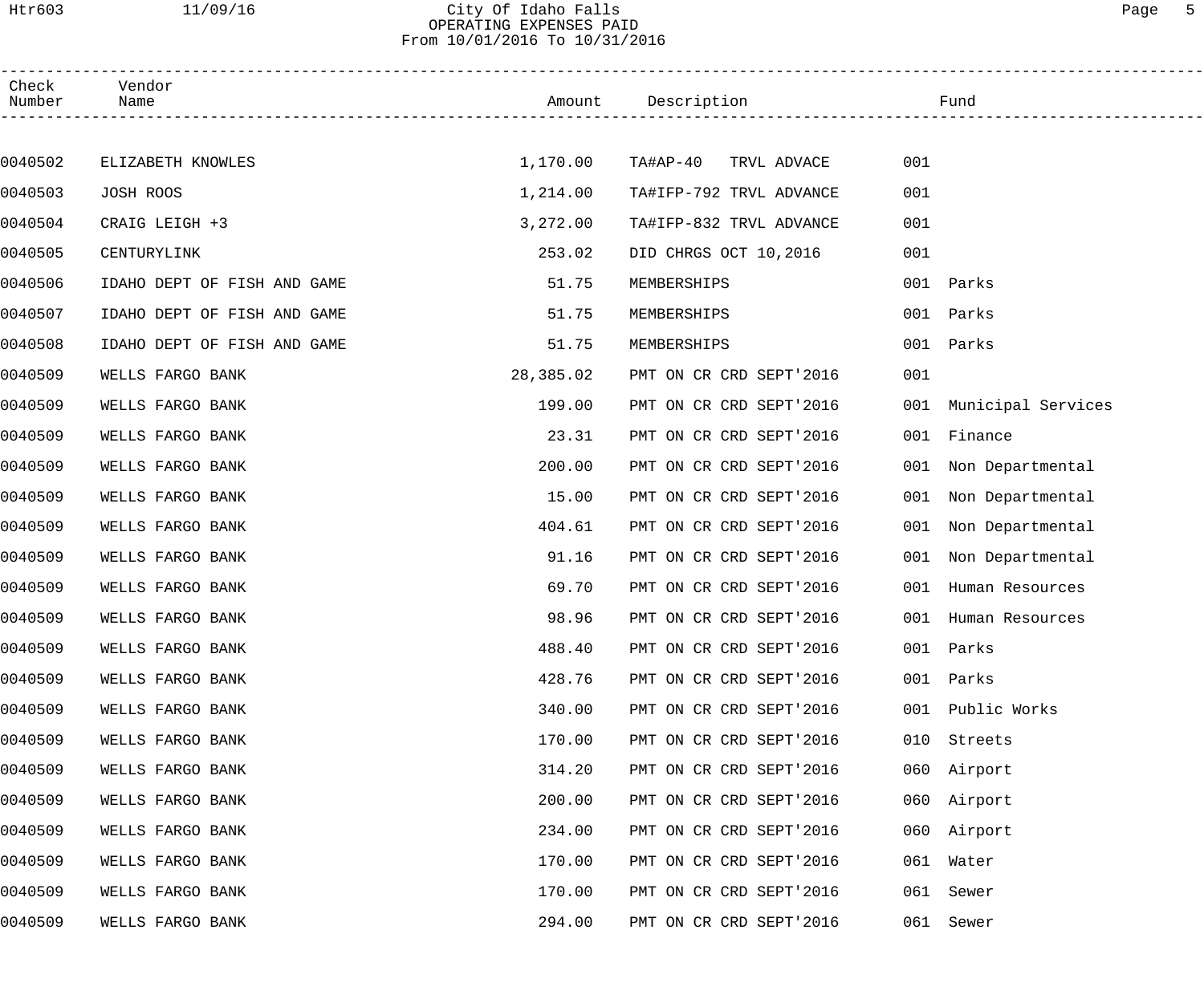Htr603 11/09/16 City Of Idaho Falls Page 5 OPERATING EXPENSES PAID

From 10/01/2016 To 10/31/2016

| Check<br>Number | Vendor<br>Name              |           | Amount Description      | Fund                    |  |
|-----------------|-----------------------------|-----------|-------------------------|-------------------------|--|
|                 |                             |           |                         |                         |  |
| 0040502         | ELIZABETH KNOWLES           | 1,170.00  | TA#AP-40 TRVL ADVACE    | 001                     |  |
| 0040503         | JOSH ROOS                   | 1,214.00  | TA#IFP-792 TRVL ADVANCE | 001                     |  |
| 0040504         | CRAIG LEIGH +3              | 3,272.00  | TA#IFP-832 TRVL ADVANCE | 001                     |  |
| 0040505         | CENTURYLINK                 | 253.02    | DID CHRGS OCT 10,2016   | 001                     |  |
| 0040506         | IDAHO DEPT OF FISH AND GAME | 51.75     | MEMBERSHIPS             | 001 Parks               |  |
| 0040507         | IDAHO DEPT OF FISH AND GAME | 51.75     | MEMBERSHIPS             | 001 Parks               |  |
| 0040508         | IDAHO DEPT OF FISH AND GAME | 51.75     | MEMBERSHIPS             | 001 Parks               |  |
| 0040509         | WELLS FARGO BANK            | 28,385.02 | PMT ON CR CRD SEPT'2016 | 001                     |  |
| 0040509         | WELLS FARGO BANK            | 199.00    | PMT ON CR CRD SEPT'2016 | 001 Municipal Services  |  |
| 0040509         | WELLS FARGO BANK            | 23.31     | PMT ON CR CRD SEPT'2016 | 001<br>Finance          |  |
| 0040509         | WELLS FARGO BANK            | 200.00    | PMT ON CR CRD SEPT'2016 | 001 Non Departmental    |  |
| 0040509         | WELLS FARGO BANK            | 15.00     | PMT ON CR CRD SEPT'2016 | 001<br>Non Departmental |  |
| 0040509         | WELLS FARGO BANK            | 404.61    | PMT ON CR CRD SEPT'2016 | 001<br>Non Departmental |  |
| 0040509         | WELLS FARGO BANK            | 91.16     | PMT ON CR CRD SEPT'2016 | 001 Non Departmental    |  |
| 0040509         | WELLS FARGO BANK            | 69.70     | PMT ON CR CRD SEPT'2016 | 001<br>Human Resources  |  |
| 0040509         | WELLS FARGO BANK            | 98.96     | PMT ON CR CRD SEPT'2016 | 001 Human Resources     |  |
| 0040509         | WELLS FARGO BANK            | 488.40    | PMT ON CR CRD SEPT'2016 | 001 Parks               |  |
| 0040509         | WELLS FARGO BANK            | 428.76    | PMT ON CR CRD SEPT'2016 | 001<br>Parks            |  |
| 0040509         | WELLS FARGO BANK            | 340.00    | PMT ON CR CRD SEPT'2016 | Public Works<br>001     |  |
| 0040509         | WELLS FARGO BANK            | 170.00    | PMT ON CR CRD SEPT'2016 | Streets<br>010          |  |
| 0040509         | WELLS FARGO BANK            | 314.20    | PMT ON CR CRD SEPT'2016 | 060 Airport             |  |
| 0040509         | WELLS FARGO BANK            | 200.00    | PMT ON CR CRD SEPT'2016 | 060 Airport             |  |
| 0040509         | WELLS FARGO BANK            | 234.00    | PMT ON CR CRD SEPT'2016 | 060 Airport             |  |
| 0040509         | WELLS FARGO BANK            | 170.00    | PMT ON CR CRD SEPT'2016 | 061 Water               |  |
| 0040509         | WELLS FARGO BANK            | 170.00    | PMT ON CR CRD SEPT'2016 | 061 Sewer               |  |
| 0040509         | WELLS FARGO BANK            | 294.00    | PMT ON CR CRD SEPT'2016 | 061 Sewer               |  |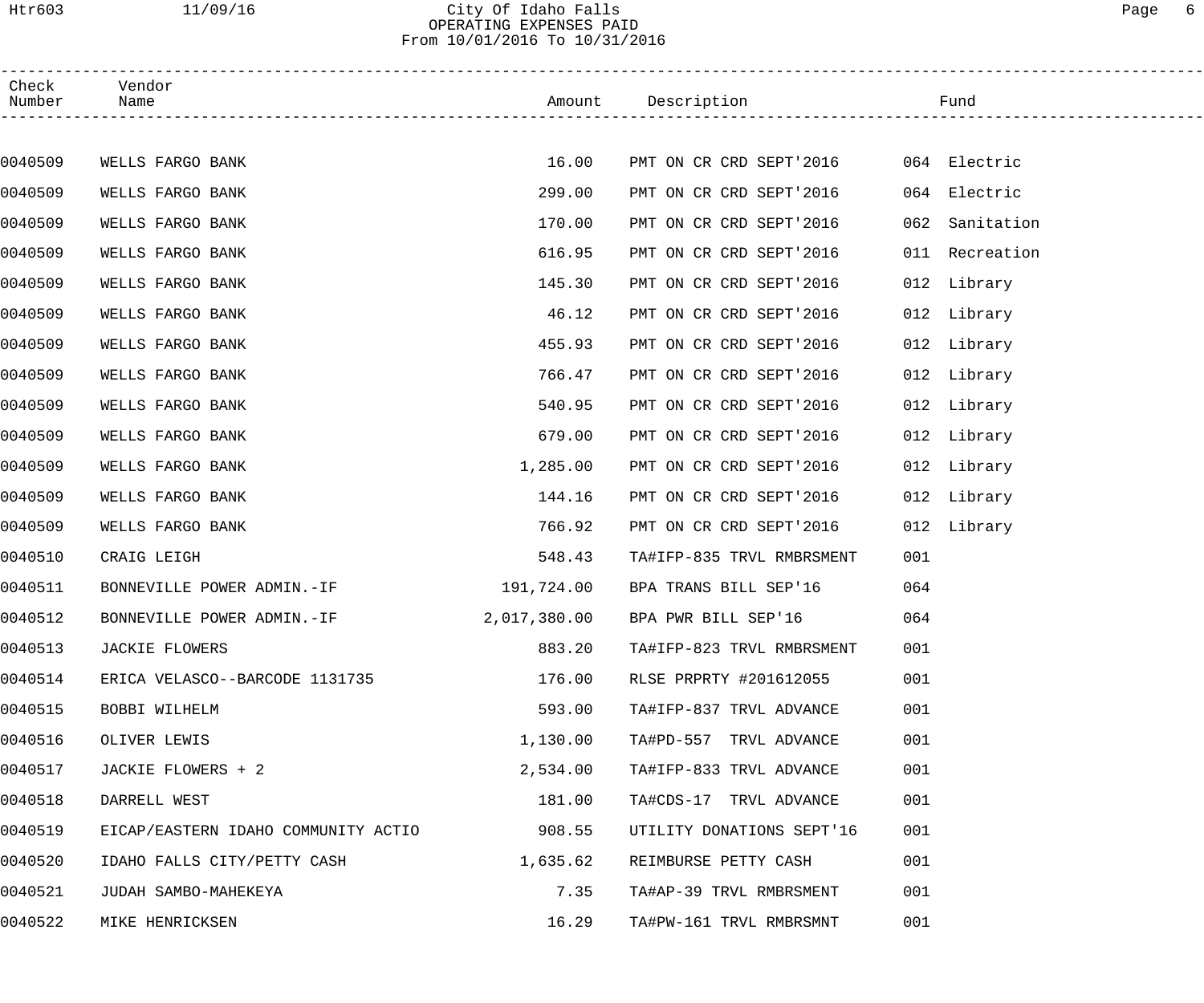### Htr603 11/09/16 City Of Idaho Falls Page 6 OPERATING EXPENSES PAID From 10/01/2016 To 10/31/2016

| Check<br>Number | Vendor<br>Name                      |            | Amount Description                   | Fund              |  |
|-----------------|-------------------------------------|------------|--------------------------------------|-------------------|--|
|                 |                                     |            |                                      |                   |  |
| 0040509         | WELLS FARGO BANK                    | 16.00      | PMT ON CR CRD SEPT'2016 064 Electric |                   |  |
| 0040509         | WELLS FARGO BANK                    | 299.00     | PMT ON CR CRD SEPT'2016              | 064 Electric      |  |
| 0040509         | WELLS FARGO BANK                    | 170.00     | PMT ON CR CRD SEPT'2016              | 062<br>Sanitation |  |
| 0040509         | WELLS FARGO BANK                    | 616.95     | PMT ON CR CRD SEPT'2016              | 011 Recreation    |  |
| 0040509         | WELLS FARGO BANK                    | 145.30     | PMT ON CR CRD SEPT'2016              | 012 Library       |  |
| 0040509         | WELLS FARGO BANK                    | 46.12      | PMT ON CR CRD SEPT'2016              | 012 Library       |  |
| 0040509         | WELLS FARGO BANK                    | 455.93     | PMT ON CR CRD SEPT'2016              | 012 Library       |  |
| 0040509         | WELLS FARGO BANK                    | 766.47     | PMT ON CR CRD SEPT'2016              | 012 Library       |  |
| 0040509         | WELLS FARGO BANK                    | 540.95     | PMT ON CR CRD SEPT'2016              | 012 Library       |  |
| 0040509         | WELLS FARGO BANK                    | 679.00     | PMT ON CR CRD SEPT'2016              | 012 Library       |  |
| 0040509         | WELLS FARGO BANK                    | 1,285.00   | PMT ON CR CRD SEPT'2016              | 012 Library       |  |
| 0040509         | WELLS FARGO BANK                    | 144.16     | PMT ON CR CRD SEPT'2016              | 012 Library       |  |
| 0040509         | WELLS FARGO BANK                    | 766.92     | PMT ON CR CRD SEPT'2016              | 012 Library       |  |
| 0040510         | CRAIG LEIGH                         | 548.43     | TA#IFP-835 TRVL RMBRSMENT            | 001               |  |
| 0040511         | BONNEVILLE POWER ADMIN.-IF          | 191,724.00 | BPA TRANS BILL SEP'16                | 064               |  |
| 0040512         | BONNEVILLE POWER ADMIN.-IF          |            | 2,017,380.00 BPA PWR BILL SEP'16     | 064               |  |
| 0040513         | <b>JACKIE FLOWERS</b>               | 883.20     | TA#IFP-823 TRVL RMBRSMENT            | 001               |  |
| 0040514         | ERICA VELASCO--BARCODE 1131735      | 176.00     | RLSE PRPRTY #201612055               | 001               |  |
| 0040515         | BOBBI WILHELM                       | 593.00     | TA#IFP-837 TRVL ADVANCE              | 001               |  |
| 0040516         | OLIVER LEWIS                        | 1,130.00   | TA#PD-557 TRVL ADVANCE               | 001               |  |
| 0040517         | JACKIE FLOWERS + 2                  | 2,534.00   | TA#IFP-833 TRVL ADVANCE              | 001               |  |
| 0040518         | DARRELL WEST                        | 181.00     | TA#CDS-17 TRVL ADVANCE               | 001               |  |
| 0040519         | EICAP/EASTERN IDAHO COMMUNITY ACTIO | 908.55     | UTILITY DONATIONS SEPT'16            | 001               |  |
| 0040520         | IDAHO FALLS CITY/PETTY CASH         | 1,635.62   | REIMBURSE PETTY CASH                 | 001               |  |
| 0040521         | JUDAH SAMBO-MAHEKEYA                | 7.35       | TA#AP-39 TRVL RMBRSMENT              | 001               |  |
| 0040522         | MIKE HENRICKSEN                     | 16.29      | TA#PW-161 TRVL RMBRSMNT              | 001               |  |
|                 |                                     |            |                                      |                   |  |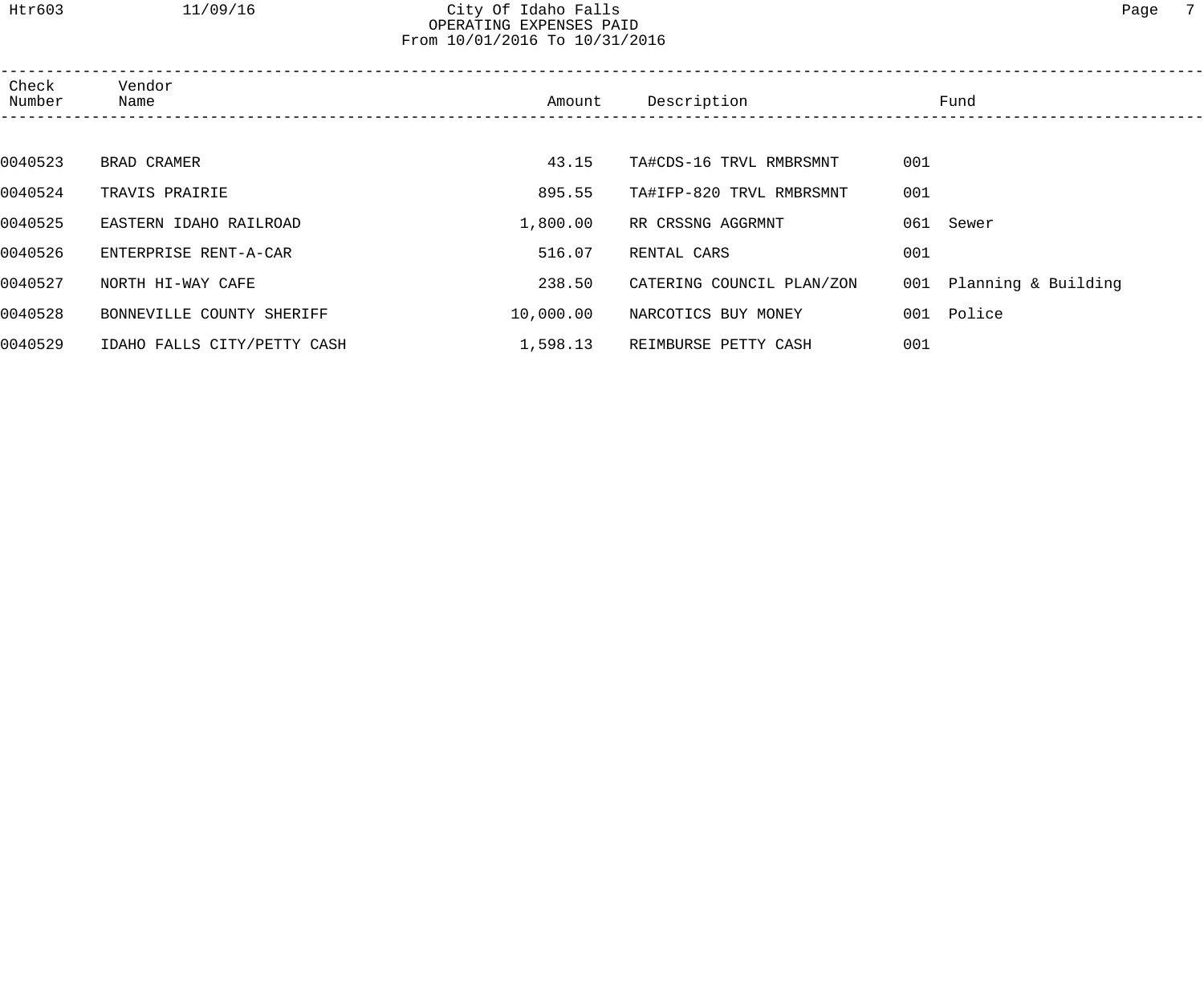Htr603 11/09/16 City Of Idaho Falls Page 7 OPERATING EXPENSES PAID

From 10/01/2016 To 10/31/2016

| Check<br>Number | Vendor<br>Name              | Amount    | Description               | Fund                    |  |
|-----------------|-----------------------------|-----------|---------------------------|-------------------------|--|
|                 |                             |           |                           |                         |  |
| 0040523         | BRAD CRAMER                 | 43.15     | TA#CDS-16 TRVL RMBRSMNT   | 001                     |  |
| 0040524         | TRAVIS PRAIRIE              | 895.55    | TA#IFP-820 TRVL RMBRSMNT  | 001                     |  |
| 0040525         | EASTERN IDAHO RAILROAD      | 1,800.00  | RR CRSSNG AGGRMNT         | 061 Sewer               |  |
| 0040526         | ENTERPRISE RENT-A-CAR       | 516.07    | RENTAL CARS               | 001                     |  |
| 0040527         | NORTH HI-WAY CAFE           | 238.50    | CATERING COUNCIL PLAN/ZON | 001 Planning & Building |  |
| 0040528         | BONNEVILLE COUNTY SHERIFF   | 10,000.00 | NARCOTICS BUY MONEY       | 001 Police              |  |
| 0040529         | IDAHO FALLS CITY/PETTY CASH | 1,598.13  | REIMBURSE PETTY CASH      | 001                     |  |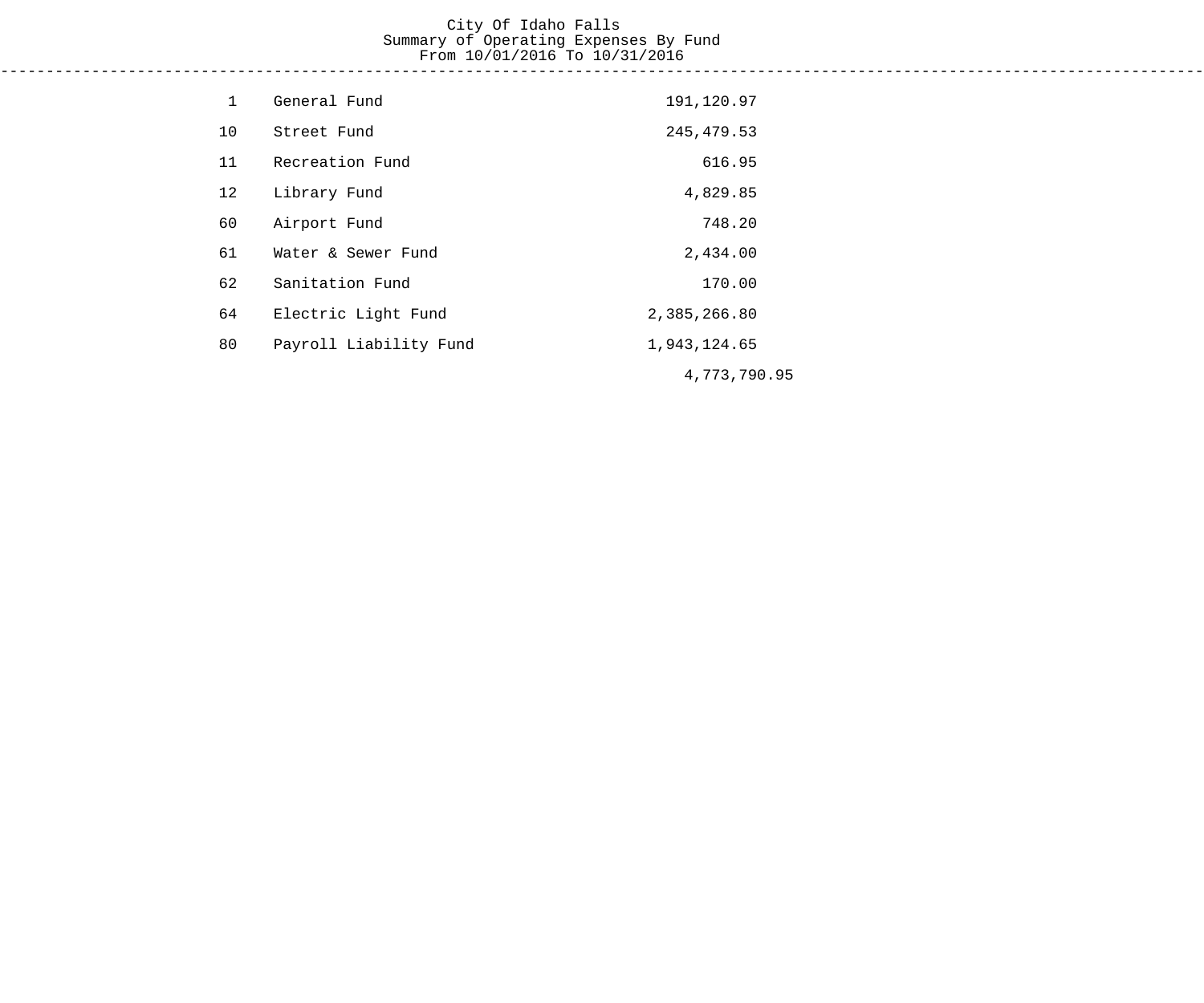### City Of Idaho Falls Summary of Operating Expenses By Fund From 10/01/2016 To 10/31/2016 ------------------------------------------------------------------------------------------------------------------------------------

| $\mathbf{1}$ | General Fund           | 191,120.97   |
|--------------|------------------------|--------------|
| 10           | Street Fund            | 245, 479.53  |
| 11           | Recreation Fund        | 616.95       |
| 12           | Library Fund           | 4,829.85     |
| 60           | Airport Fund           | 748.20       |
| 61           | Water & Sewer Fund     | 2,434.00     |
| 62           | Sanitation Fund        | 170.00       |
| 64           | Electric Light Fund    | 2,385,266.80 |
| 80           | Payroll Liability Fund | 1,943,124.65 |
|              |                        | 4,773,790.95 |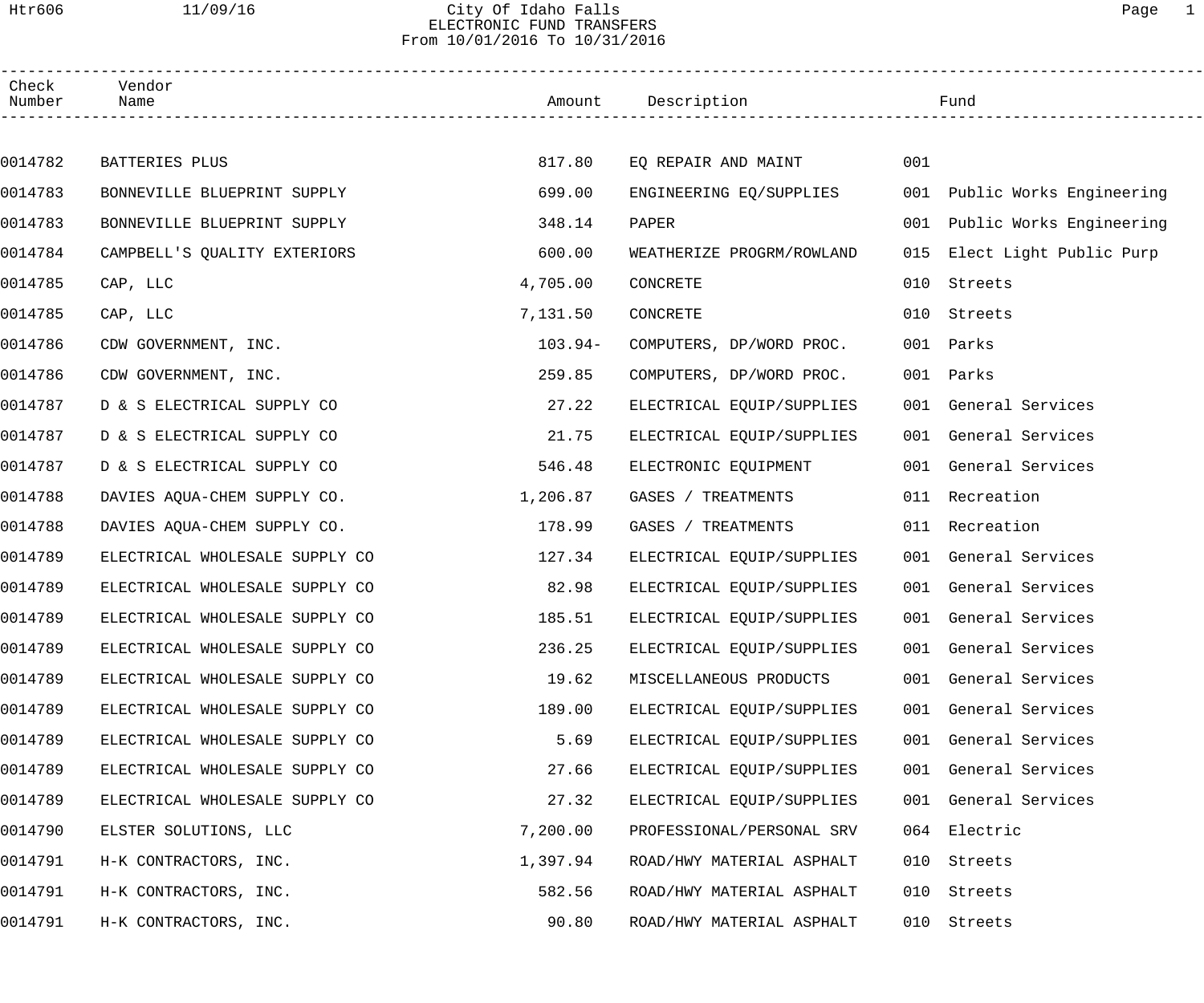### Htr606 11/09/16 City Of Idaho Falls Page 1 ELECTRONIC FUND TRANSFERS From 10/01/2016 To 10/31/2016

| Check<br>Number | Vendor<br>Name                 |           | Amount Description        |     | Fund                         |
|-----------------|--------------------------------|-----------|---------------------------|-----|------------------------------|
|                 |                                |           |                           |     |                              |
| 0014782         | BATTERIES PLUS                 | 817.80    | EQ REPAIR AND MAINT       | 001 |                              |
| 0014783         | BONNEVILLE BLUEPRINT SUPPLY    | 699.00    | ENGINEERING EO/SUPPLIES   |     | 001 Public Works Engineering |
| 0014783         | BONNEVILLE BLUEPRINT SUPPLY    | 348.14    | PAPER                     |     | 001 Public Works Engineering |
| 0014784         | CAMPBELL'S QUALITY EXTERIORS   | 600.00    | WEATHERIZE PROGRM/ROWLAND | 015 | Elect Light Public Purp      |
| 0014785         | CAP, LLC                       | 4,705.00  | CONCRETE                  | 010 | Streets                      |
| 0014785         | CAP, LLC                       | 7,131.50  | CONCRETE                  | 010 | Streets                      |
| 0014786         | CDW GOVERNMENT, INC.           | $103.94-$ | COMPUTERS, DP/WORD PROC.  | 001 | Parks                        |
| 0014786         | CDW GOVERNMENT, INC.           | 259.85    | COMPUTERS, DP/WORD PROC.  | 001 | Parks                        |
| 0014787         | D & S ELECTRICAL SUPPLY CO     | 27.22     | ELECTRICAL EQUIP/SUPPLIES |     | 001 General Services         |
| 0014787         | D & S ELECTRICAL SUPPLY CO     | 21.75     | ELECTRICAL EQUIP/SUPPLIES |     | 001 General Services         |
| 0014787         | D & S ELECTRICAL SUPPLY CO     | 546.48    | ELECTRONIC EQUIPMENT      |     | 001 General Services         |
| 0014788         | DAVIES AQUA-CHEM SUPPLY CO.    | 1,206.87  | GASES / TREATMENTS        |     | 011 Recreation               |
| 0014788         | DAVIES AQUA-CHEM SUPPLY CO.    | 178.99    | GASES / TREATMENTS        |     | 011 Recreation               |
| 0014789         | ELECTRICAL WHOLESALE SUPPLY CO | 127.34    | ELECTRICAL EQUIP/SUPPLIES |     | 001 General Services         |
| 0014789         | ELECTRICAL WHOLESALE SUPPLY CO | 82.98     | ELECTRICAL EQUIP/SUPPLIES |     | 001 General Services         |
| 0014789         | ELECTRICAL WHOLESALE SUPPLY CO | 185.51    | ELECTRICAL EQUIP/SUPPLIES |     | 001 General Services         |
| 0014789         | ELECTRICAL WHOLESALE SUPPLY CO | 236.25    | ELECTRICAL EQUIP/SUPPLIES |     | 001 General Services         |
| 0014789         | ELECTRICAL WHOLESALE SUPPLY CO | 19.62     | MISCELLANEOUS PRODUCTS    |     | 001 General Services         |
| 0014789         | ELECTRICAL WHOLESALE SUPPLY CO | 189.00    | ELECTRICAL EQUIP/SUPPLIES |     | 001 General Services         |
| 0014789         | ELECTRICAL WHOLESALE SUPPLY CO | 5.69      | ELECTRICAL EQUIP/SUPPLIES |     | 001 General Services         |
| 0014789         | ELECTRICAL WHOLESALE SUPPLY CO | 27.66     | ELECTRICAL EQUIP/SUPPLIES |     | 001 General Services         |
| 0014789         | ELECTRICAL WHOLESALE SUPPLY CO | 27.32     | ELECTRICAL EQUIP/SUPPLIES |     | 001 General Services         |
| 0014790         | ELSTER SOLUTIONS, LLC          | 7,200.00  | PROFESSIONAL/PERSONAL SRV |     | 064 Electric                 |
| 0014791         | H-K CONTRACTORS, INC.          | 1,397.94  | ROAD/HWY MATERIAL ASPHALT | 010 | Streets                      |
| 0014791         | H-K CONTRACTORS, INC.          | 582.56    | ROAD/HWY MATERIAL ASPHALT | 010 | Streets                      |
| 0014791         | H-K CONTRACTORS, INC.          | 90.80     | ROAD/HWY MATERIAL ASPHALT | 010 | Streets                      |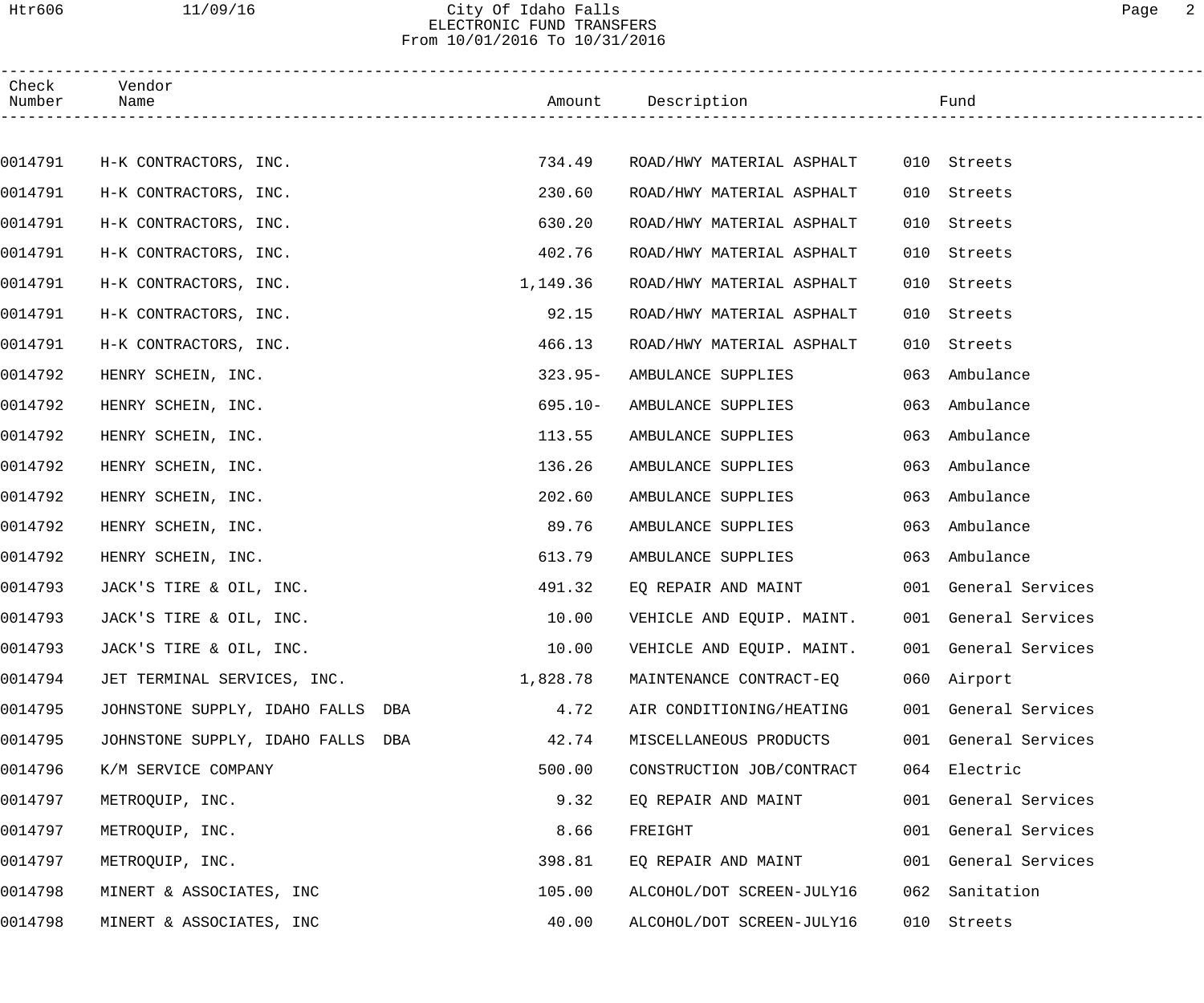### Htr606 11/09/16 City Of Idaho Falls Page 2 ELECTRONIC FUND TRANSFERS From 10/01/2016 To 10/31/2016

| Check<br>Number | Vendor<br>Name                    |            | Amount Description        |     | Fund                 |  |
|-----------------|-----------------------------------|------------|---------------------------|-----|----------------------|--|
|                 |                                   |            |                           |     |                      |  |
| 0014791         | H-K CONTRACTORS, INC.             | 734.49     | ROAD/HWY MATERIAL ASPHALT |     | 010 Streets          |  |
| 0014791         | H-K CONTRACTORS, INC.             | 230.60     | ROAD/HWY MATERIAL ASPHALT | 010 | Streets              |  |
| 0014791         | H-K CONTRACTORS, INC.             | 630.20     | ROAD/HWY MATERIAL ASPHALT | 010 | Streets              |  |
| 0014791         | H-K CONTRACTORS, INC.             | 402.76     | ROAD/HWY MATERIAL ASPHALT | 010 | Streets              |  |
| 0014791         | H-K CONTRACTORS, INC.             | 1,149.36   | ROAD/HWY MATERIAL ASPHALT | 010 | Streets              |  |
| 0014791         | H-K CONTRACTORS, INC.             | 92.15      | ROAD/HWY MATERIAL ASPHALT | 010 | Streets              |  |
| 0014791         | H-K CONTRACTORS, INC.             | 466.13     | ROAD/HWY MATERIAL ASPHALT | 010 | Streets              |  |
| 0014792         | HENRY SCHEIN, INC.                | $323.95-$  | AMBULANCE SUPPLIES        | 063 | Ambulance            |  |
| 0014792         | HENRY SCHEIN, INC.                | $695.10 -$ | AMBULANCE SUPPLIES        | 063 | Ambulance            |  |
| 0014792         | HENRY SCHEIN, INC.                | 113.55     | AMBULANCE SUPPLIES        | 063 | Ambulance            |  |
| 0014792         | HENRY SCHEIN, INC.                | 136.26     | AMBULANCE SUPPLIES        | 063 | Ambulance            |  |
| 0014792         | HENRY SCHEIN, INC.                | 202.60     | AMBULANCE SUPPLIES        | 063 | Ambulance            |  |
| 0014792         | HENRY SCHEIN, INC.                | 89.76      | AMBULANCE SUPPLIES        | 063 | Ambulance            |  |
| 0014792         | HENRY SCHEIN, INC.                | 613.79     | AMBULANCE SUPPLIES        |     | 063 Ambulance        |  |
| 0014793         | JACK'S TIRE & OIL, INC.           | 491.32     | EO REPAIR AND MAINT       |     | 001 General Services |  |
| 0014793         | JACK'S TIRE & OIL, INC.           | 10.00      | VEHICLE AND EQUIP. MAINT. |     | 001 General Services |  |
| 0014793         | JACK'S TIRE & OIL, INC.           | 10.00      | VEHICLE AND EQUIP. MAINT. |     | 001 General Services |  |
| 0014794         | JET TERMINAL SERVICES, INC.       | 1,828.78   | MAINTENANCE CONTRACT-EQ   |     | 060 Airport          |  |
| 0014795         | JOHNSTONE SUPPLY, IDAHO FALLS DBA | 4.72       | AIR CONDITIONING/HEATING  |     | 001 General Services |  |
| 0014795         | JOHNSTONE SUPPLY, IDAHO FALLS DBA | 42.74      | MISCELLANEOUS PRODUCTS    |     | 001 General Services |  |
| 0014796         | K/M SERVICE COMPANY               | 500.00     | CONSTRUCTION JOB/CONTRACT |     | 064 Electric         |  |
| 0014797         | METROQUIP, INC.                   | 9.32       | EQ REPAIR AND MAINT       |     | 001 General Services |  |
| 0014797         | METROQUIP, INC.                   | 8.66       | FREIGHT                   |     | 001 General Services |  |
| 0014797         | METROQUIP, INC.                   | 398.81     | EQ REPAIR AND MAINT       |     | 001 General Services |  |
| 0014798         | MINERT & ASSOCIATES, INC          | 105.00     | ALCOHOL/DOT SCREEN-JULY16 | 062 | Sanitation           |  |
| 0014798         | MINERT & ASSOCIATES, INC          | 40.00      | ALCOHOL/DOT SCREEN-JULY16 |     | 010 Streets          |  |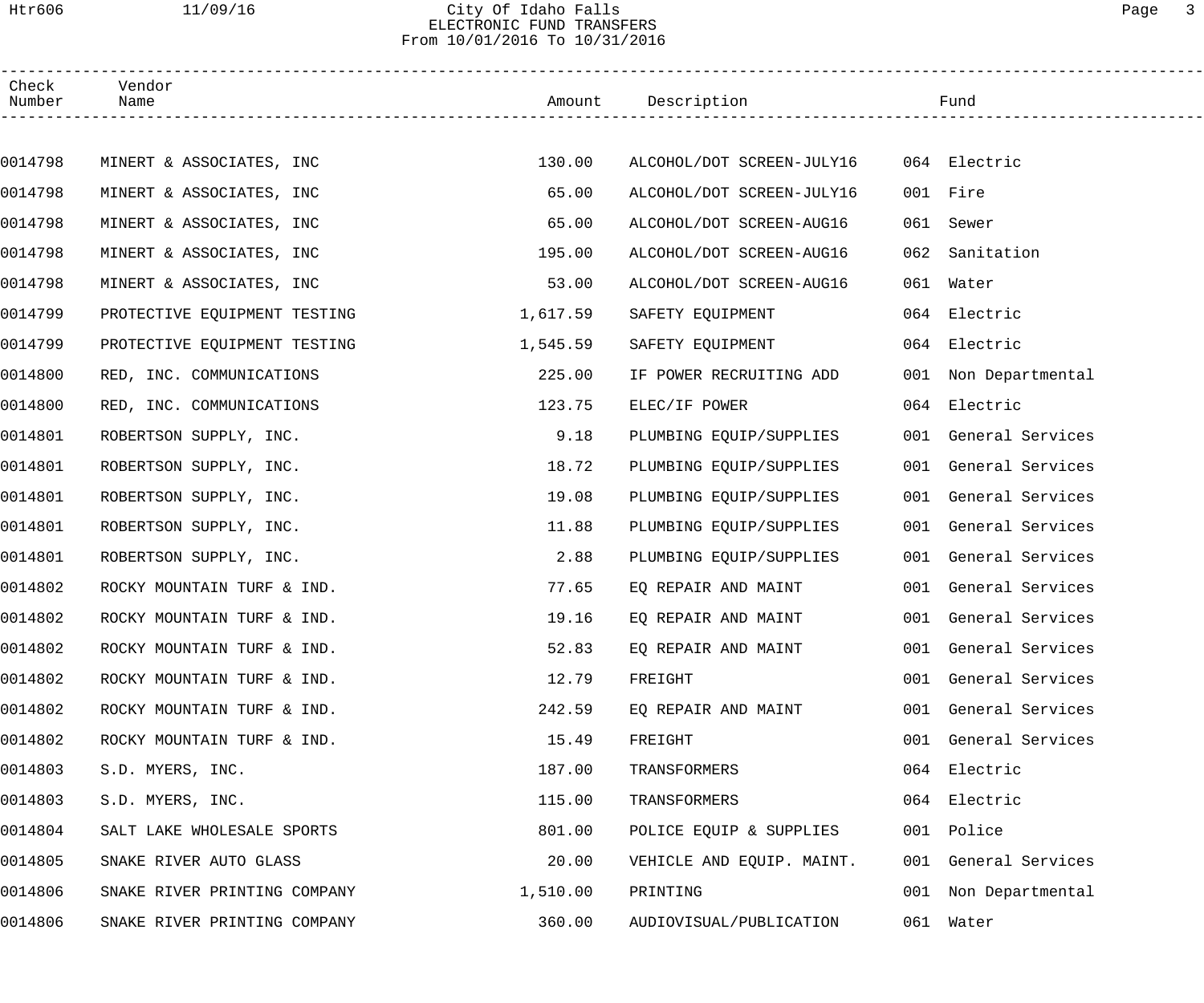### Htr606 11/09/16 City Of Idaho Falls Page 3 ELECTRONIC FUND TRANSFERS From 10/01/2016 To 10/31/2016

| Check<br>Number | Vendor<br>Name               |          | Amount Description        |     | Fund                 |  |
|-----------------|------------------------------|----------|---------------------------|-----|----------------------|--|
|                 |                              |          |                           |     |                      |  |
| 0014798         | MINERT & ASSOCIATES, INC     | 130.00   | ALCOHOL/DOT SCREEN-JULY16 |     | 064 Electric         |  |
| 0014798         | MINERT & ASSOCIATES, INC     | 65.00    | ALCOHOL/DOT SCREEN-JULY16 |     | 001 Fire             |  |
| 0014798         | MINERT & ASSOCIATES, INC     | 65.00    | ALCOHOL/DOT SCREEN-AUG16  | 061 | Sewer                |  |
| 0014798         | MINERT & ASSOCIATES, INC     | 195.00   | ALCOHOL/DOT SCREEN-AUG16  | 062 | Sanitation           |  |
| 0014798         | MINERT & ASSOCIATES, INC     | 53.00    | ALCOHOL/DOT SCREEN-AUG16  |     | 061 Water            |  |
| 0014799         | PROTECTIVE EQUIPMENT TESTING | 1,617.59 | SAFETY EQUIPMENT          |     | 064 Electric         |  |
| 0014799         | PROTECTIVE EQUIPMENT TESTING | 1,545.59 | SAFETY EQUIPMENT          |     | 064 Electric         |  |
| 0014800         | RED, INC. COMMUNICATIONS     | 225.00   | IF POWER RECRUITING ADD   |     | 001 Non Departmental |  |
| 0014800         | RED, INC. COMMUNICATIONS     | 123.75   | ELEC/IF POWER             |     | 064 Electric         |  |
| 0014801         | ROBERTSON SUPPLY, INC.       | 9.18     | PLUMBING EQUIP/SUPPLIES   |     | 001 General Services |  |
| 0014801         | ROBERTSON SUPPLY, INC.       | 18.72    | PLUMBING EQUIP/SUPPLIES   |     | 001 General Services |  |
| 0014801         | ROBERTSON SUPPLY, INC.       | 19.08    | PLUMBING EQUIP/SUPPLIES   |     | 001 General Services |  |
| 0014801         | ROBERTSON SUPPLY, INC.       | 11.88    | PLUMBING EQUIP/SUPPLIES   |     | 001 General Services |  |
| 0014801         | ROBERTSON SUPPLY, INC.       | 2.88     | PLUMBING EQUIP/SUPPLIES   |     | 001 General Services |  |
| 0014802         | ROCKY MOUNTAIN TURF & IND.   | 77.65    | EQ REPAIR AND MAINT       |     | 001 General Services |  |
| 0014802         | ROCKY MOUNTAIN TURF & IND.   | 19.16    | EQ REPAIR AND MAINT       |     | 001 General Services |  |
| 0014802         | ROCKY MOUNTAIN TURF & IND.   | 52.83    | EQ REPAIR AND MAINT       |     | 001 General Services |  |
| 0014802         | ROCKY MOUNTAIN TURF & IND.   | 12.79    | FREIGHT                   |     | 001 General Services |  |
| 0014802         | ROCKY MOUNTAIN TURF & IND.   | 242.59   | EQ REPAIR AND MAINT       |     | 001 General Services |  |
| 0014802         | ROCKY MOUNTAIN TURF & IND.   | 15.49    | FREIGHT                   |     | 001 General Services |  |
| 0014803         | S.D. MYERS, INC.             | 187.00   | TRANSFORMERS              |     | 064 Electric         |  |
| 0014803         | S.D. MYERS, INC.             | 115.00   | TRANSFORMERS              |     | 064 Electric         |  |
| 0014804         | SALT LAKE WHOLESALE SPORTS   | 801.00   | POLICE EQUIP & SUPPLIES   |     | 001 Police           |  |
| 0014805         | SNAKE RIVER AUTO GLASS       | 20.00    | VEHICLE AND EQUIP. MAINT. |     | 001 General Services |  |
| 0014806         | SNAKE RIVER PRINTING COMPANY | 1,510.00 | PRINTING                  |     | 001 Non Departmental |  |
| 0014806         | SNAKE RIVER PRINTING COMPANY | 360.00   | AUDIOVISUAL/PUBLICATION   |     | 061 Water            |  |
|                 |                              |          |                           |     |                      |  |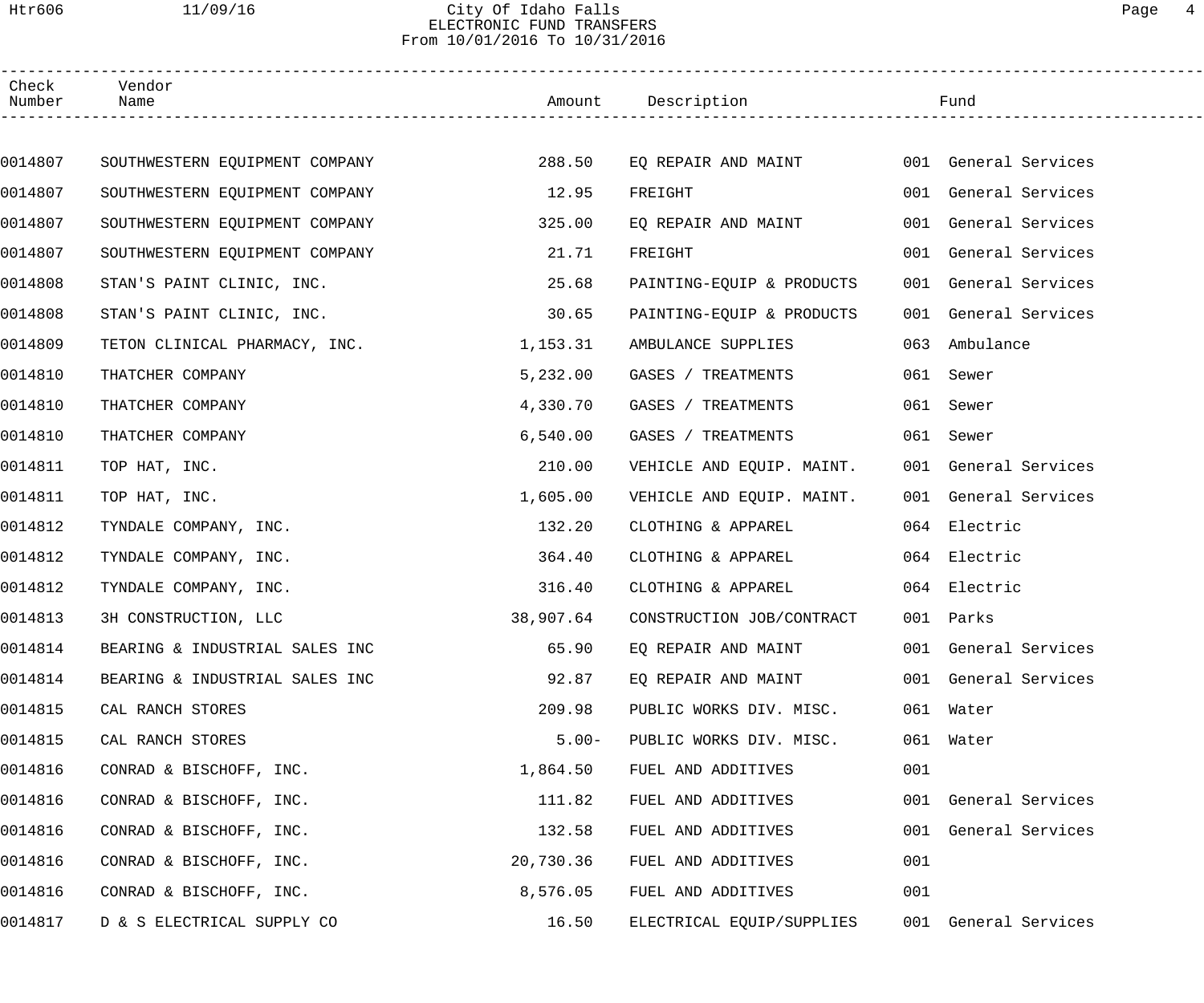### Htr606 11/09/16 City Of Idaho Falls Page 4 ELECTRONIC FUND TRANSFERS From 10/01/2016 To 10/31/2016

| Check<br>Number | Vendor<br>Name                 |           | Amount Description        |     | Fund                 |  |
|-----------------|--------------------------------|-----------|---------------------------|-----|----------------------|--|
|                 |                                |           |                           |     |                      |  |
| 0014807         | SOUTHWESTERN EQUIPMENT COMPANY | 288.50    | EQ REPAIR AND MAINT       |     | 001 General Services |  |
| 0014807         | SOUTHWESTERN EQUIPMENT COMPANY | 12.95     | FREIGHT                   |     | 001 General Services |  |
| 0014807         | SOUTHWESTERN EQUIPMENT COMPANY | 325.00    | EQ REPAIR AND MAINT       |     | 001 General Services |  |
| 0014807         | SOUTHWESTERN EQUIPMENT COMPANY | 21.71     | FREIGHT                   |     | 001 General Services |  |
| 0014808         | STAN'S PAINT CLINIC, INC.      | 25.68     | PAINTING-EQUIP & PRODUCTS |     | 001 General Services |  |
| 0014808         | STAN'S PAINT CLINIC, INC.      | 30.65     | PAINTING-EQUIP & PRODUCTS |     | 001 General Services |  |
| 0014809         | TETON CLINICAL PHARMACY, INC.  | 1,153.31  | AMBULANCE SUPPLIES        | 063 | Ambulance            |  |
| 0014810         | THATCHER COMPANY               | 5,232.00  | GASES / TREATMENTS        |     | 061 Sewer            |  |
| 0014810         | THATCHER COMPANY               | 4,330.70  | GASES / TREATMENTS        |     | 061 Sewer            |  |
| 0014810         | THATCHER COMPANY               | 6,540.00  | GASES / TREATMENTS        |     | 061 Sewer            |  |
| 0014811         | TOP HAT, INC.                  | 210.00    | VEHICLE AND EQUIP. MAINT. |     | 001 General Services |  |
| 0014811         | TOP HAT, INC.                  | 1,605.00  | VEHICLE AND EQUIP. MAINT. |     | 001 General Services |  |
| 0014812         | TYNDALE COMPANY, INC.          | 132.20    | CLOTHING & APPAREL        |     | 064 Electric         |  |
| 0014812         | TYNDALE COMPANY, INC.          | 364.40    | CLOTHING & APPAREL        |     | 064 Electric         |  |
| 0014812         | TYNDALE COMPANY, INC.          | 316.40    | CLOTHING & APPAREL        |     | 064 Electric         |  |
| 0014813         | 3H CONSTRUCTION, LLC           | 38,907.64 | CONSTRUCTION JOB/CONTRACT |     | 001 Parks            |  |
| 0014814         | BEARING & INDUSTRIAL SALES INC | 65.90     | EQ REPAIR AND MAINT       |     | 001 General Services |  |
| 0014814         | BEARING & INDUSTRIAL SALES INC | 92.87     | EQ REPAIR AND MAINT       |     | 001 General Services |  |
| 0014815         | CAL RANCH STORES               | 209.98    | PUBLIC WORKS DIV. MISC.   |     | 061 Water            |  |
| 0014815         | CAL RANCH STORES               | $5.00 -$  | PUBLIC WORKS DIV. MISC.   |     | 061 Water            |  |
| 0014816         | CONRAD & BISCHOFF, INC.        | 1,864.50  | FUEL AND ADDITIVES        | 001 |                      |  |
| 0014816         | CONRAD & BISCHOFF, INC.        | 111.82    | FUEL AND ADDITIVES        |     | 001 General Services |  |
| 0014816         | CONRAD & BISCHOFF, INC.        | 132.58    | FUEL AND ADDITIVES        |     | 001 General Services |  |
| 0014816         | CONRAD & BISCHOFF, INC.        | 20,730.36 | FUEL AND ADDITIVES        | 001 |                      |  |
| 0014816         | CONRAD & BISCHOFF, INC.        | 8,576.05  | FUEL AND ADDITIVES        | 001 |                      |  |
| 0014817         | D & S ELECTRICAL SUPPLY CO     | 16.50     | ELECTRICAL EQUIP/SUPPLIES |     | 001 General Services |  |
|                 |                                |           |                           |     |                      |  |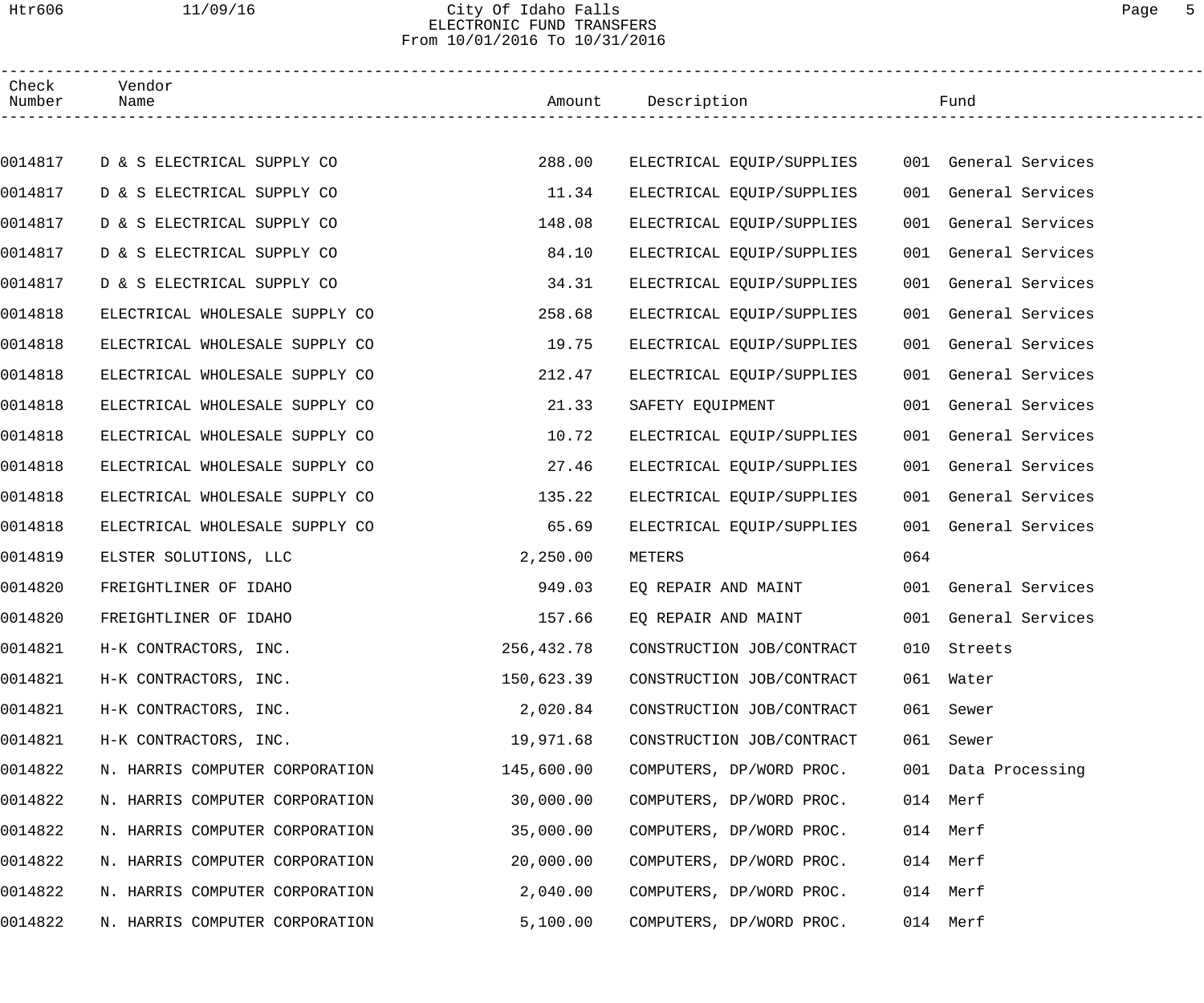### Htr606 11/09/16 City Of Idaho Falls Page 5 ELECTRONIC FUND TRANSFERS From 10/01/2016 To 10/31/2016

| Check<br>Number | Vendor<br>Name                 |            | Amount Description        | Fund                    |  |
|-----------------|--------------------------------|------------|---------------------------|-------------------------|--|
|                 |                                |            |                           |                         |  |
| 0014817         | D & S ELECTRICAL SUPPLY CO     | 288.00     | ELECTRICAL EQUIP/SUPPLIES | 001 General Services    |  |
| 0014817         | D & S ELECTRICAL SUPPLY CO     | 11.34      | ELECTRICAL EQUIP/SUPPLIES | 001 General Services    |  |
| 0014817         | D & S ELECTRICAL SUPPLY CO     | 148.08     | ELECTRICAL EQUIP/SUPPLIES | General Services<br>001 |  |
| 0014817         | D & S ELECTRICAL SUPPLY CO     | 84.10      | ELECTRICAL EQUIP/SUPPLIES | General Services<br>001 |  |
| 0014817         | D & S ELECTRICAL SUPPLY CO     | 34.31      | ELECTRICAL EQUIP/SUPPLIES | General Services<br>001 |  |
| 0014818         | ELECTRICAL WHOLESALE SUPPLY CO | 258.68     | ELECTRICAL EQUIP/SUPPLIES | General Services<br>001 |  |
| 0014818         | ELECTRICAL WHOLESALE SUPPLY CO | 19.75      | ELECTRICAL EQUIP/SUPPLIES | General Services<br>001 |  |
| 0014818         | ELECTRICAL WHOLESALE SUPPLY CO | 212.47     | ELECTRICAL EQUIP/SUPPLIES | General Services<br>001 |  |
| 0014818         | ELECTRICAL WHOLESALE SUPPLY CO | 21.33      | SAFETY EQUIPMENT          | General Services<br>001 |  |
| 0014818         | ELECTRICAL WHOLESALE SUPPLY CO | 10.72      | ELECTRICAL EQUIP/SUPPLIES | 001 General Services    |  |
| 0014818         | ELECTRICAL WHOLESALE SUPPLY CO | 27.46      | ELECTRICAL EQUIP/SUPPLIES | General Services<br>001 |  |
| 0014818         | ELECTRICAL WHOLESALE SUPPLY CO | 135.22     | ELECTRICAL EQUIP/SUPPLIES | General Services<br>001 |  |
| 0014818         | ELECTRICAL WHOLESALE SUPPLY CO | 65.69      | ELECTRICAL EQUIP/SUPPLIES | General Services<br>001 |  |
| 0014819         | ELSTER SOLUTIONS, LLC          | 2,250.00   | METERS                    | 064                     |  |
| 0014820         | FREIGHTLINER OF IDAHO          | 949.03     | EQ REPAIR AND MAINT       | 001 General Services    |  |
| 0014820         | FREIGHTLINER OF IDAHO          | 157.66     | EO REPAIR AND MAINT       | 001 General Services    |  |
| 0014821         | H-K CONTRACTORS, INC.          | 256,432.78 | CONSTRUCTION JOB/CONTRACT | 010 Streets             |  |
| 0014821         | H-K CONTRACTORS, INC.          | 150,623.39 | CONSTRUCTION JOB/CONTRACT | 061 Water               |  |
| 0014821         | H-K CONTRACTORS, INC.          | 2,020.84   | CONSTRUCTION JOB/CONTRACT | 061<br>Sewer            |  |
| 0014821         | H-K CONTRACTORS, INC.          | 19,971.68  | CONSTRUCTION JOB/CONTRACT | 061<br>Sewer            |  |
| 0014822         | N. HARRIS COMPUTER CORPORATION | 145,600.00 | COMPUTERS, DP/WORD PROC.  | 001 Data Processing     |  |
| 0014822         | N. HARRIS COMPUTER CORPORATION | 30,000.00  | COMPUTERS, DP/WORD PROC.  | 014 Merf                |  |
| 0014822         | N. HARRIS COMPUTER CORPORATION | 35,000.00  | COMPUTERS, DP/WORD PROC.  | 014 Merf                |  |
| 0014822         | N. HARRIS COMPUTER CORPORATION | 20,000.00  | COMPUTERS, DP/WORD PROC.  | 014 Merf                |  |
| 0014822         | N. HARRIS COMPUTER CORPORATION | 2,040.00   | COMPUTERS, DP/WORD PROC.  | 014 Merf                |  |
| 0014822         | N. HARRIS COMPUTER CORPORATION | 5,100.00   | COMPUTERS, DP/WORD PROC.  | 014 Merf                |  |
|                 |                                |            |                           |                         |  |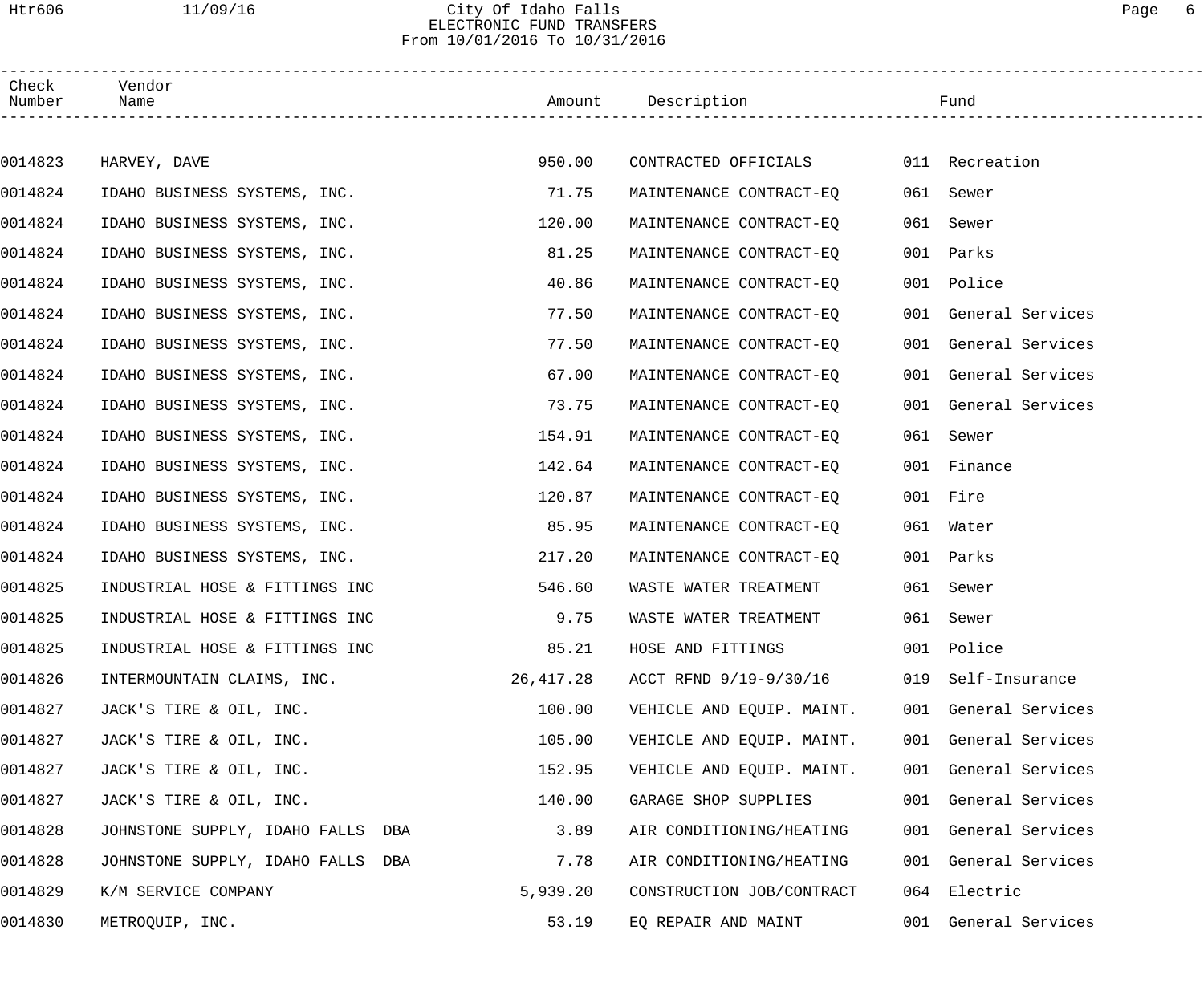### Htr606 11/09/16 City Of Idaho Falls Page 6 ELECTRONIC FUND TRANSFERS From 10/01/2016 To 10/31/2016

| Check<br>Number | Vendor<br>Name                    |           | Amount Description        |     | Fund                 |
|-----------------|-----------------------------------|-----------|---------------------------|-----|----------------------|
|                 |                                   |           |                           |     |                      |
| 0014823         | HARVEY, DAVE                      | 950.00    | CONTRACTED OFFICIALS      |     | 011 Recreation       |
| 0014824         | IDAHO BUSINESS SYSTEMS, INC.      | 71.75     | MAINTENANCE CONTRACT-EQ   |     | 061 Sewer            |
| 0014824         | IDAHO BUSINESS SYSTEMS, INC.      | 120.00    | MAINTENANCE CONTRACT-EO   | 061 | Sewer                |
| 0014824         | IDAHO BUSINESS SYSTEMS, INC.      | 81.25     | MAINTENANCE CONTRACT-EQ   |     | 001 Parks            |
| 0014824         | IDAHO BUSINESS SYSTEMS, INC.      | 40.86     | MAINTENANCE CONTRACT-EQ   |     | 001 Police           |
| 0014824         | IDAHO BUSINESS SYSTEMS, INC.      | 77.50     | MAINTENANCE CONTRACT-EQ   |     | 001 General Services |
| 0014824         | IDAHO BUSINESS SYSTEMS, INC.      | 77.50     | MAINTENANCE CONTRACT-EQ   |     | 001 General Services |
| 0014824         | IDAHO BUSINESS SYSTEMS, INC.      | 67.00     | MAINTENANCE CONTRACT-EQ   |     | 001 General Services |
| 0014824         | IDAHO BUSINESS SYSTEMS, INC.      | 73.75     | MAINTENANCE CONTRACT-EQ   |     | 001 General Services |
| 0014824         | IDAHO BUSINESS SYSTEMS, INC.      | 154.91    | MAINTENANCE CONTRACT-EQ   |     | 061 Sewer            |
| 0014824         | IDAHO BUSINESS SYSTEMS, INC.      | 142.64    | MAINTENANCE CONTRACT-EO   |     | 001 Finance          |
| 0014824         | IDAHO BUSINESS SYSTEMS, INC.      | 120.87    | MAINTENANCE CONTRACT-EQ   |     | 001 Fire             |
| 0014824         | IDAHO BUSINESS SYSTEMS, INC.      | 85.95     | MAINTENANCE CONTRACT-EQ   |     | 061 Water            |
| 0014824         | IDAHO BUSINESS SYSTEMS, INC.      | 217.20    | MAINTENANCE CONTRACT-EQ   |     | 001 Parks            |
| 0014825         | INDUSTRIAL HOSE & FITTINGS INC    | 546.60    | WASTE WATER TREATMENT     |     | 061 Sewer            |
| 0014825         | INDUSTRIAL HOSE & FITTINGS INC    | 9.75      | WASTE WATER TREATMENT     |     | 061 Sewer            |
| 0014825         | INDUSTRIAL HOSE & FITTINGS INC    | 85.21     | HOSE AND FITTINGS         |     | 001 Police           |
| 0014826         | INTERMOUNTAIN CLAIMS, INC.        | 26,417.28 | ACCT RFND 9/19-9/30/16    |     | 019 Self-Insurance   |
| 0014827         | JACK'S TIRE & OIL, INC.           | 100.00    | VEHICLE AND EQUIP. MAINT. |     | 001 General Services |
| 0014827         | JACK'S TIRE & OIL, INC.           | 105.00    | VEHICLE AND EQUIP. MAINT. |     | 001 General Services |
| 0014827         | JACK'S TIRE & OIL, INC.           | 152.95    | VEHICLE AND EQUIP. MAINT. |     | 001 General Services |
| 0014827         | JACK'S TIRE & OIL, INC.           | 140.00    | GARAGE SHOP SUPPLIES      |     | 001 General Services |
| 0014828         | JOHNSTONE SUPPLY, IDAHO FALLS DBA | 3.89      | AIR CONDITIONING/HEATING  |     | 001 General Services |
| 0014828         | JOHNSTONE SUPPLY, IDAHO FALLS DBA | 7.78      | AIR CONDITIONING/HEATING  |     | 001 General Services |
| 0014829         | K/M SERVICE COMPANY               | 5,939.20  | CONSTRUCTION JOB/CONTRACT |     | 064 Electric         |
| 0014830         | METROQUIP, INC.                   | 53.19     | EQ REPAIR AND MAINT       |     | 001 General Services |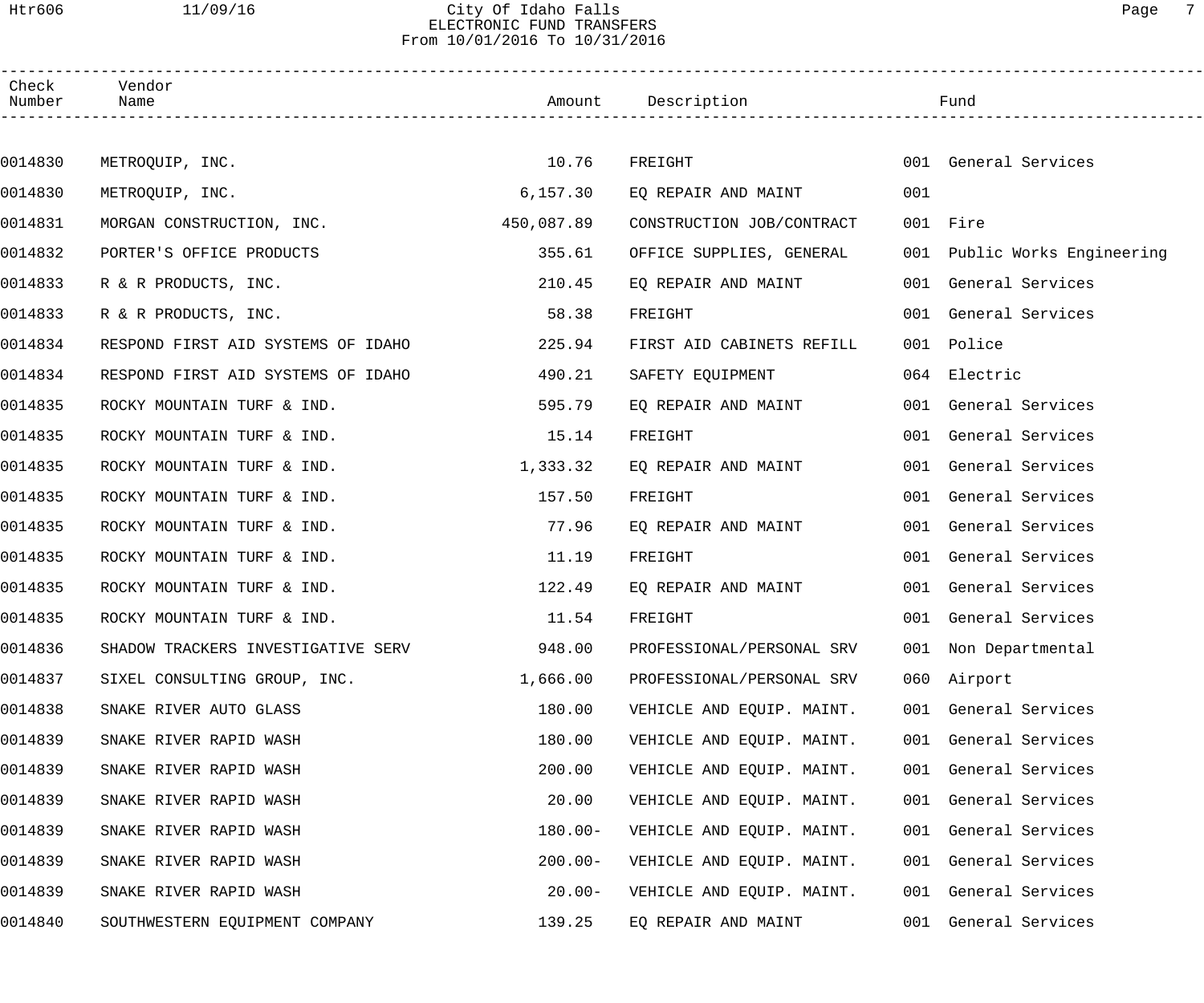### Htr606 11/09/16 City Of Idaho Falls Page 7 ELECTRONIC FUND TRANSFERS From 10/01/2016 To 10/31/2016

| Check<br>Number | Vendor<br>Name                     |            | Amount Description        |     | Fund                         |
|-----------------|------------------------------------|------------|---------------------------|-----|------------------------------|
|                 |                                    |            |                           |     |                              |
| 0014830         | METROQUIP, INC.                    | 10.76      | FREIGHT                   |     | 001 General Services         |
| 0014830         | METROQUIP, INC.                    | 6,157.30   | EQ REPAIR AND MAINT       | 001 |                              |
| 0014831         | MORGAN CONSTRUCTION, INC.          | 450,087.89 | CONSTRUCTION JOB/CONTRACT |     | 001 Fire                     |
| 0014832         | PORTER'S OFFICE PRODUCTS           | 355.61     | OFFICE SUPPLIES, GENERAL  |     | 001 Public Works Engineering |
| 0014833         | R & R PRODUCTS, INC.               | 210.45     | EQ REPAIR AND MAINT       |     | 001 General Services         |
| 0014833         | R & R PRODUCTS, INC.               | 58.38      | FREIGHT                   |     | 001 General Services         |
| 0014834         | RESPOND FIRST AID SYSTEMS OF IDAHO | 225.94     | FIRST AID CABINETS REFILL |     | 001 Police                   |
| 0014834         | RESPOND FIRST AID SYSTEMS OF IDAHO | 490.21     | SAFETY EQUIPMENT          |     | 064 Electric                 |
| 0014835         | ROCKY MOUNTAIN TURF & IND.         | 595.79     | EQ REPAIR AND MAINT       |     | 001 General Services         |
| 0014835         | ROCKY MOUNTAIN TURF & IND.         | 15.14      | FREIGHT                   |     | 001 General Services         |
| 0014835         | ROCKY MOUNTAIN TURF & IND.         | 1,333.32   | EQ REPAIR AND MAINT       |     | 001 General Services         |
| 0014835         | ROCKY MOUNTAIN TURF & IND.         | 157.50     | FREIGHT                   |     | 001 General Services         |
| 0014835         | ROCKY MOUNTAIN TURF & IND.         | 77.96      | EQ REPAIR AND MAINT       |     | 001 General Services         |
| 0014835         | ROCKY MOUNTAIN TURF & IND.         | 11.19      | FREIGHT                   |     | 001 General Services         |
| 0014835         | ROCKY MOUNTAIN TURF & IND.         | 122.49     | EQ REPAIR AND MAINT       |     | 001 General Services         |
| 0014835         | ROCKY MOUNTAIN TURF & IND.         | 11.54      | FREIGHT                   |     | 001 General Services         |
| 0014836         | SHADOW TRACKERS INVESTIGATIVE SERV | 948.00     | PROFESSIONAL/PERSONAL SRV |     | 001 Non Departmental         |
| 0014837         | SIXEL CONSULTING GROUP, INC.       | 1,666.00   | PROFESSIONAL/PERSONAL SRV |     | 060 Airport                  |
| 0014838         | SNAKE RIVER AUTO GLASS             | 180.00     | VEHICLE AND EQUIP. MAINT. |     | 001 General Services         |
| 0014839         | SNAKE RIVER RAPID WASH             | 180.00     | VEHICLE AND EQUIP. MAINT. |     | 001 General Services         |
| 0014839         | SNAKE RIVER RAPID WASH             | 200.00     | VEHICLE AND EQUIP. MAINT. |     | 001 General Services         |
| 0014839         | SNAKE RIVER RAPID WASH             | 20.00      | VEHICLE AND EQUIP. MAINT. |     | 001 General Services         |
| 0014839         | SNAKE RIVER RAPID WASH             | $180.00 -$ | VEHICLE AND EQUIP. MAINT. |     | 001 General Services         |
| 0014839         | SNAKE RIVER RAPID WASH             | $200.00 -$ | VEHICLE AND EQUIP. MAINT. |     | 001 General Services         |
| 0014839         | SNAKE RIVER RAPID WASH             | $20.00 -$  | VEHICLE AND EQUIP. MAINT. |     | 001 General Services         |
| 0014840         | SOUTHWESTERN EQUIPMENT COMPANY     | 139.25     | EQ REPAIR AND MAINT       |     | 001 General Services         |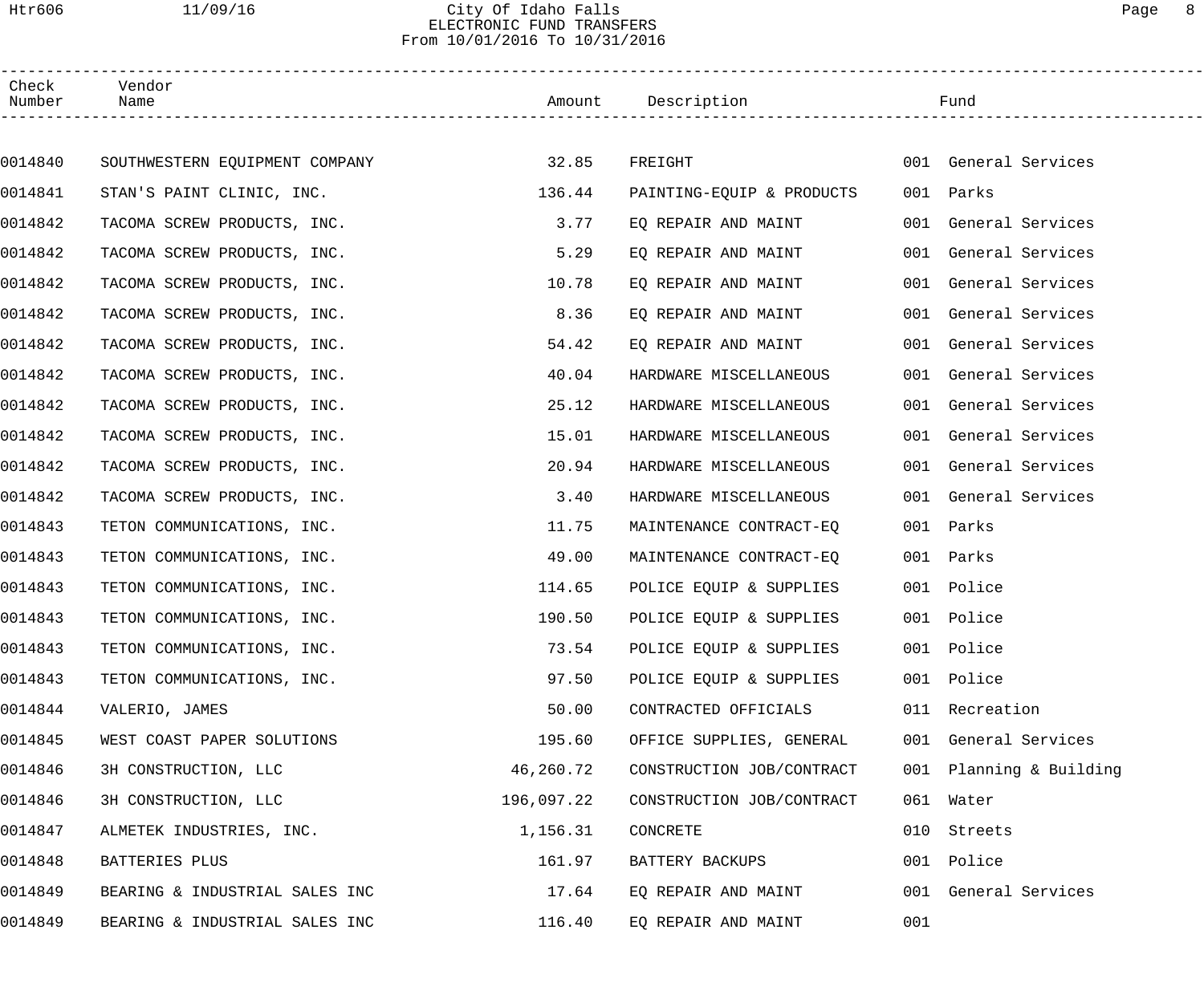Htr606 11/09/16 City Of Idaho Falls Page 8

## ELECTRONIC FUND TRANSFERS From 10/01/2016 To 10/31/2016

| Check<br>Number | Vendor<br>Name                 |            | Amount Description        |     | Fund                    |  |
|-----------------|--------------------------------|------------|---------------------------|-----|-------------------------|--|
|                 |                                |            |                           |     |                         |  |
| 0014840         | SOUTHWESTERN EQUIPMENT COMPANY | 32.85      | FREIGHT                   |     | 001 General Services    |  |
| 0014841         | STAN'S PAINT CLINIC, INC.      | 136.44     | PAINTING-EQUIP & PRODUCTS |     | 001 Parks               |  |
| 0014842         | TACOMA SCREW PRODUCTS, INC.    | 3.77       | EO REPAIR AND MAINT       |     | 001 General Services    |  |
| 0014842         | TACOMA SCREW PRODUCTS, INC.    | 5.29       | EQ REPAIR AND MAINT       |     | 001 General Services    |  |
| 0014842         | TACOMA SCREW PRODUCTS, INC.    | 10.78      | EQ REPAIR AND MAINT       | 001 | General Services        |  |
| 0014842         | TACOMA SCREW PRODUCTS, INC.    | 8.36       | EO REPAIR AND MAINT       | 001 | General Services        |  |
| 0014842         | TACOMA SCREW PRODUCTS, INC.    | 54.42      | EQ REPAIR AND MAINT       | 001 | General Services        |  |
| 0014842         | TACOMA SCREW PRODUCTS, INC.    | 40.04      | HARDWARE MISCELLANEOUS    | 001 | General Services        |  |
| 0014842         | TACOMA SCREW PRODUCTS, INC.    | 25.12      | HARDWARE MISCELLANEOUS    | 001 | General Services        |  |
| 0014842         | TACOMA SCREW PRODUCTS, INC.    | 15.01      | HARDWARE MISCELLANEOUS    | 001 | General Services        |  |
| 0014842         | TACOMA SCREW PRODUCTS, INC.    | 20.94      | HARDWARE MISCELLANEOUS    |     | 001 General Services    |  |
| 0014842         | TACOMA SCREW PRODUCTS, INC.    | 3.40       | HARDWARE MISCELLANEOUS    | 001 | General Services        |  |
| 0014843         | TETON COMMUNICATIONS, INC.     | 11.75      | MAINTENANCE CONTRACT-EQ   |     | 001 Parks               |  |
| 0014843         | TETON COMMUNICATIONS, INC.     | 49.00      | MAINTENANCE CONTRACT-EQ   |     | 001 Parks               |  |
| 0014843         | TETON COMMUNICATIONS, INC.     | 114.65     | POLICE EQUIP & SUPPLIES   |     | 001 Police              |  |
| 0014843         | TETON COMMUNICATIONS, INC.     | 190.50     | POLICE EQUIP & SUPPLIES   |     | 001 Police              |  |
| 0014843         | TETON COMMUNICATIONS, INC.     | 73.54      | POLICE EQUIP & SUPPLIES   |     | 001 Police              |  |
| 0014843         | TETON COMMUNICATIONS, INC.     | 97.50      | POLICE EQUIP & SUPPLIES   |     | 001 Police              |  |
| 0014844         | VALERIO, JAMES                 | 50.00      | CONTRACTED OFFICIALS      |     | 011 Recreation          |  |
| 0014845         | WEST COAST PAPER SOLUTIONS     | 195.60     | OFFICE SUPPLIES, GENERAL  |     | 001 General Services    |  |
| 0014846         | 3H CONSTRUCTION, LLC           | 46,260.72  | CONSTRUCTION JOB/CONTRACT |     | 001 Planning & Building |  |
| 0014846         | 3H CONSTRUCTION, LLC           | 196,097.22 | CONSTRUCTION JOB/CONTRACT |     | 061 Water               |  |
| 0014847         | ALMETEK INDUSTRIES, INC.       | 1,156.31   | CONCRETE                  | 010 | Streets                 |  |
| 0014848         | BATTERIES PLUS                 | 161.97     | BATTERY BACKUPS           |     | 001 Police              |  |
| 0014849         | BEARING & INDUSTRIAL SALES INC | 17.64      | EQ REPAIR AND MAINT       | 001 | General Services        |  |
| 0014849         | BEARING & INDUSTRIAL SALES INC | 116.40     | EQ REPAIR AND MAINT       | 001 |                         |  |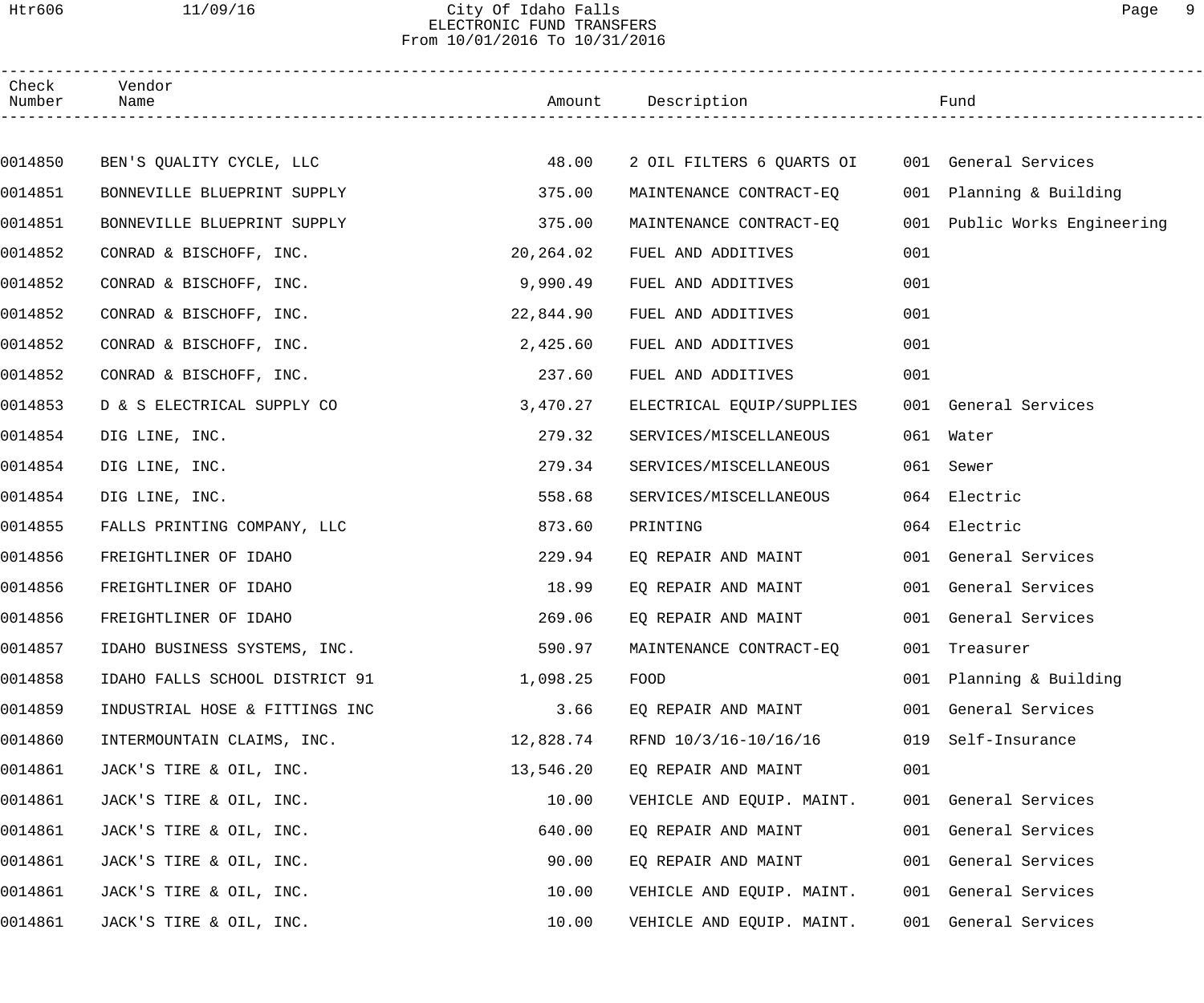### Htr606 11/09/16 City Of Idaho Falls Page 9 ELECTRONIC FUND TRANSFERS From 10/01/2016 To 10/31/2016

| Check<br>Number | Vendor<br>Name                 |           | Amount Description        |     | Fund                     |  |
|-----------------|--------------------------------|-----------|---------------------------|-----|--------------------------|--|
|                 |                                |           |                           |     |                          |  |
| 0014850         | BEN'S QUALITY CYCLE, LLC       | 48.00     | 2 OIL FILTERS 6 QUARTS OI |     | 001 General Services     |  |
| 0014851         | BONNEVILLE BLUEPRINT SUPPLY    | 375.00    | MAINTENANCE CONTRACT-EO   |     | 001 Planning & Building  |  |
| 0014851         | BONNEVILLE BLUEPRINT SUPPLY    | 375.00    | MAINTENANCE CONTRACT-EQ   | 001 | Public Works Engineering |  |
| 0014852         | CONRAD & BISCHOFF, INC.        | 20,264.02 | FUEL AND ADDITIVES        | 001 |                          |  |
| 0014852         | CONRAD & BISCHOFF, INC.        | 9,990.49  | FUEL AND ADDITIVES        | 001 |                          |  |
| 0014852         | CONRAD & BISCHOFF, INC.        | 22,844.90 | FUEL AND ADDITIVES        | 001 |                          |  |
| 0014852         | CONRAD & BISCHOFF, INC.        | 2,425.60  | FUEL AND ADDITIVES        | 001 |                          |  |
| 0014852         | CONRAD & BISCHOFF, INC.        | 237.60    | FUEL AND ADDITIVES        | 001 |                          |  |
| 0014853         | D & S ELECTRICAL SUPPLY CO     | 3,470.27  | ELECTRICAL EQUIP/SUPPLIES |     | 001 General Services     |  |
| 0014854         | DIG LINE, INC.                 | 279.32    | SERVICES/MISCELLANEOUS    |     | 061 Water                |  |
| 0014854         | DIG LINE, INC.                 | 279.34    | SERVICES/MISCELLANEOUS    |     | 061 Sewer                |  |
| 0014854         | DIG LINE, INC.                 | 558.68    | SERVICES/MISCELLANEOUS    |     | 064 Electric             |  |
| 0014855         | FALLS PRINTING COMPANY, LLC    | 873.60    | PRINTING                  |     | 064 Electric             |  |
| 0014856         | FREIGHTLINER OF IDAHO          | 229.94    | EQ REPAIR AND MAINT       |     | 001 General Services     |  |
| 0014856         | FREIGHTLINER OF IDAHO          | 18.99     | EQ REPAIR AND MAINT       |     | 001 General Services     |  |
| 0014856         | FREIGHTLINER OF IDAHO          | 269.06    | EO REPAIR AND MAINT       |     | 001 General Services     |  |
| 0014857         | IDAHO BUSINESS SYSTEMS, INC.   | 590.97    | MAINTENANCE CONTRACT-EQ   |     | 001 Treasurer            |  |
| 0014858         | IDAHO FALLS SCHOOL DISTRICT 91 | 1,098.25  | FOOD                      | 001 | Planning & Building      |  |
| 0014859         | INDUSTRIAL HOSE & FITTINGS INC | 3.66      | EQ REPAIR AND MAINT       | 001 | General Services         |  |
| 0014860         | INTERMOUNTAIN CLAIMS, INC.     | 12,828.74 | RFND 10/3/16-10/16/16     | 019 | Self-Insurance           |  |
| 0014861         | JACK'S TIRE & OIL, INC.        | 13,546.20 | EQ REPAIR AND MAINT       | 001 |                          |  |
| 0014861         | JACK'S TIRE & OIL, INC.        | 10.00     | VEHICLE AND EQUIP. MAINT. |     | 001 General Services     |  |
| 0014861         | JACK'S TIRE & OIL, INC.        | 640.00    | EQ REPAIR AND MAINT       |     | 001 General Services     |  |
| 0014861         | JACK'S TIRE & OIL, INC.        | 90.00     | EQ REPAIR AND MAINT       |     | 001 General Services     |  |
| 0014861         | JACK'S TIRE & OIL, INC.        | 10.00     | VEHICLE AND EQUIP. MAINT. |     | 001 General Services     |  |
| 0014861         | JACK'S TIRE & OIL, INC.        | 10.00     | VEHICLE AND EQUIP. MAINT. |     | 001 General Services     |  |
|                 |                                |           |                           |     |                          |  |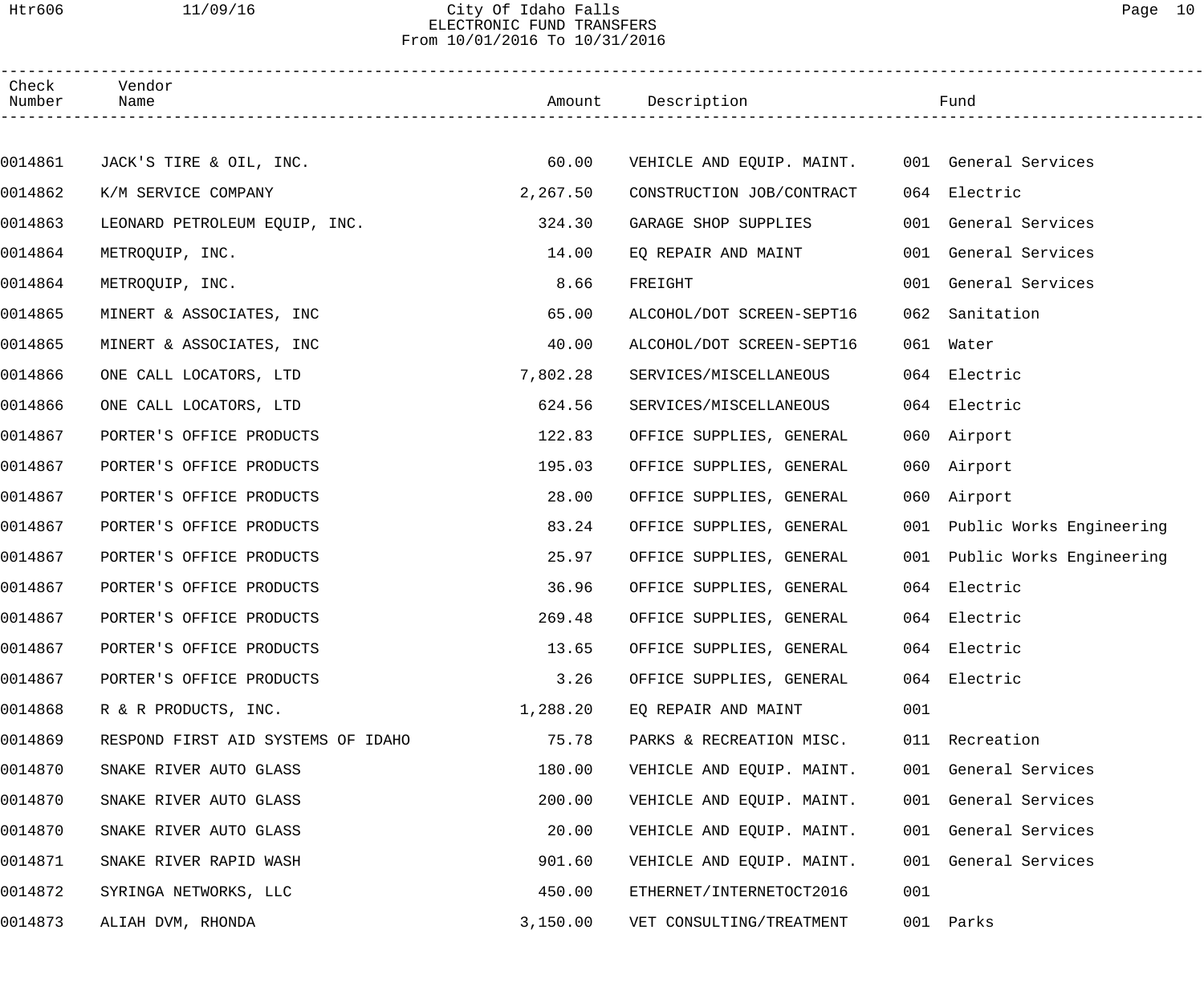### Htr606 11/09/16 City Of Idaho Falls Page 10 ELECTRONIC FUND TRANSFERS From 10/01/2016 To 10/31/2016

| Check<br>Number | Vendor<br>Name                     |          | Amount Description                             |     | Fund                         |
|-----------------|------------------------------------|----------|------------------------------------------------|-----|------------------------------|
|                 |                                    |          |                                                |     |                              |
| 0014861         | JACK'S TIRE & OIL, INC.            | 60.00    | VEHICLE AND EQUIP. MAINT. 001 General Services |     |                              |
| 0014862         | K/M SERVICE COMPANY                | 2,267.50 | CONSTRUCTION JOB/CONTRACT                      |     | 064 Electric                 |
| 0014863         | LEONARD PETROLEUM EQUIP, INC.      | 324.30   | GARAGE SHOP SUPPLIES                           |     | 001 General Services         |
| 0014864         | METROQUIP, INC.                    | 14.00    | EQ REPAIR AND MAINT                            |     | 001 General Services         |
| 0014864         | METROQUIP, INC.                    | 8.66     | FREIGHT                                        |     | 001 General Services         |
| 0014865         | MINERT & ASSOCIATES, INC           | 65.00    | ALCOHOL/DOT SCREEN-SEPT16                      |     | 062 Sanitation               |
| 0014865         | MINERT & ASSOCIATES, INC           | 40.00    | ALCOHOL/DOT SCREEN-SEPT16                      |     | 061 Water                    |
| 0014866         | ONE CALL LOCATORS, LTD             | 7,802.28 | SERVICES/MISCELLANEOUS                         |     | 064 Electric                 |
| 0014866         | ONE CALL LOCATORS, LTD             | 624.56   | SERVICES/MISCELLANEOUS                         |     | 064 Electric                 |
| 0014867         | PORTER'S OFFICE PRODUCTS           | 122.83   | OFFICE SUPPLIES, GENERAL                       |     | 060 Airport                  |
| 0014867         | PORTER'S OFFICE PRODUCTS           | 195.03   | OFFICE SUPPLIES, GENERAL                       |     | 060 Airport                  |
| 0014867         | PORTER'S OFFICE PRODUCTS           | 28.00    | OFFICE SUPPLIES, GENERAL                       |     | 060 Airport                  |
| 0014867         | PORTER'S OFFICE PRODUCTS           | 83.24    | OFFICE SUPPLIES, GENERAL                       |     | 001 Public Works Engineering |
| 0014867         | PORTER'S OFFICE PRODUCTS           | 25.97    | OFFICE SUPPLIES, GENERAL                       |     | 001 Public Works Engineering |
| 0014867         | PORTER'S OFFICE PRODUCTS           | 36.96    | OFFICE SUPPLIES, GENERAL                       |     | 064 Electric                 |
| 0014867         | PORTER'S OFFICE PRODUCTS           | 269.48   | OFFICE SUPPLIES, GENERAL                       |     | 064 Electric                 |
| 0014867         | PORTER'S OFFICE PRODUCTS           | 13.65    | OFFICE SUPPLIES, GENERAL                       |     | 064 Electric                 |
| 0014867         | PORTER'S OFFICE PRODUCTS           | 3.26     | OFFICE SUPPLIES, GENERAL                       |     | 064 Electric                 |
| 0014868         | R & R PRODUCTS, INC.               | 1,288.20 | EO REPAIR AND MAINT                            | 001 |                              |
| 0014869         | RESPOND FIRST AID SYSTEMS OF IDAHO | 75.78    | PARKS & RECREATION MISC.                       |     | 011 Recreation               |
| 0014870         | SNAKE RIVER AUTO GLASS             | 180.00   | VEHICLE AND EQUIP. MAINT.                      |     | 001 General Services         |
| 0014870         | SNAKE RIVER AUTO GLASS             | 200.00   | VEHICLE AND EQUIP. MAINT.                      |     | 001 General Services         |
| 0014870         | SNAKE RIVER AUTO GLASS             | 20.00    | VEHICLE AND EQUIP. MAINT.                      |     | 001 General Services         |
| 0014871         | SNAKE RIVER RAPID WASH             | 901.60   | VEHICLE AND EQUIP. MAINT.                      | 001 | General Services             |
| 0014872         | SYRINGA NETWORKS, LLC              | 450.00   | ETHERNET/INTERNETOCT2016                       | 001 |                              |
| 0014873         | ALIAH DVM, RHONDA                  | 3,150.00 | VET CONSULTING/TREATMENT                       |     | 001 Parks                    |
|                 |                                    |          |                                                |     |                              |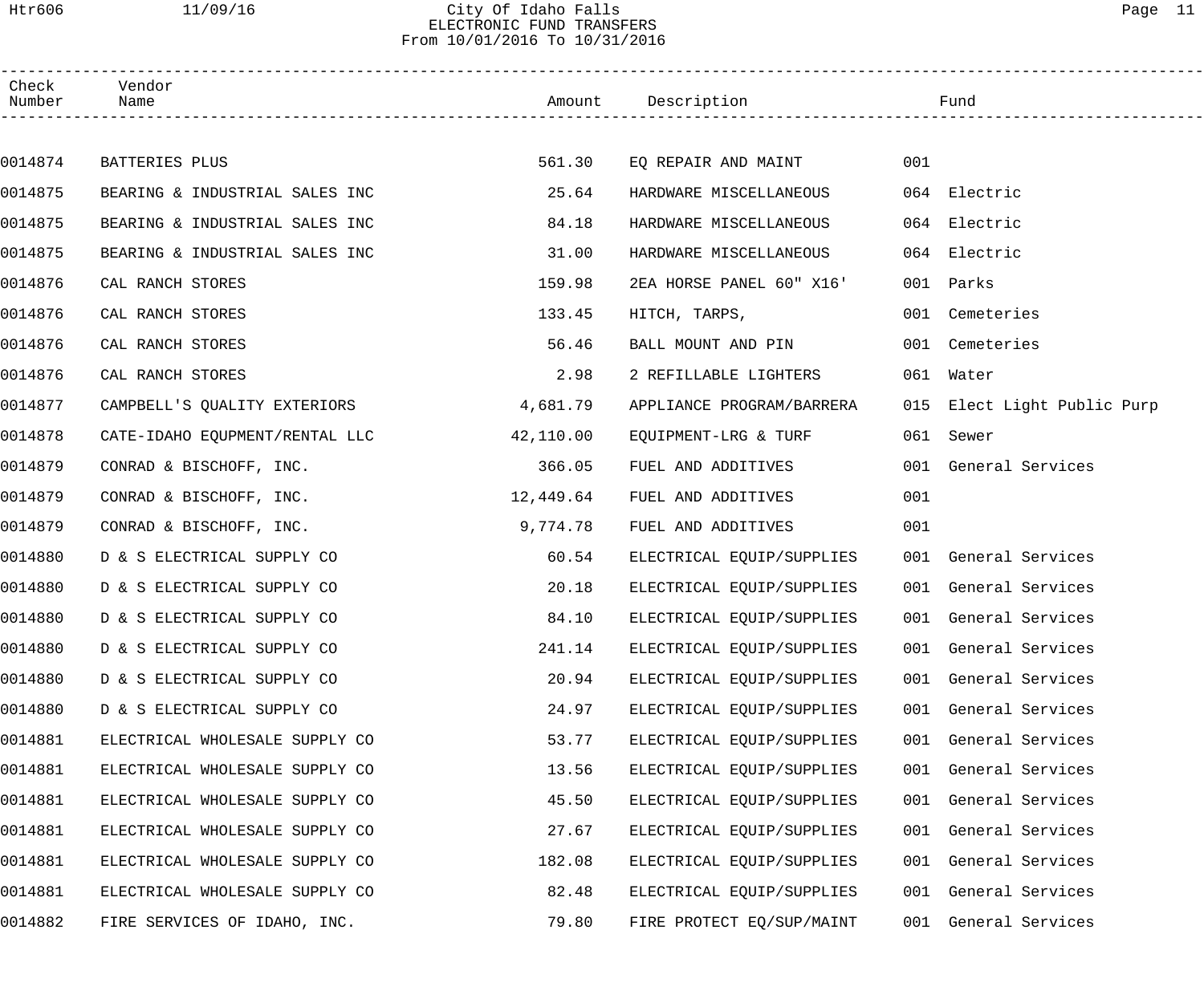### Htr606 11/09/16 City Of Idaho Falls Page 11 ELECTRONIC FUND TRANSFERS From 10/01/2016 To 10/31/2016

| Check<br>Number | Vendor<br>Name                 |           | Amount Description        |     | Fund                        |  |
|-----------------|--------------------------------|-----------|---------------------------|-----|-----------------------------|--|
|                 |                                |           |                           |     |                             |  |
| 0014874         | BATTERIES PLUS                 | 561.30    | EQ REPAIR AND MAINT       | 001 |                             |  |
| 0014875         | BEARING & INDUSTRIAL SALES INC | 25.64     | HARDWARE MISCELLANEOUS    |     | 064 Electric                |  |
| 0014875         | BEARING & INDUSTRIAL SALES INC | 84.18     | HARDWARE MISCELLANEOUS    | 064 | Electric                    |  |
| 0014875         | BEARING & INDUSTRIAL SALES INC | 31.00     | HARDWARE MISCELLANEOUS    | 064 | Electric                    |  |
| 0014876         | CAL RANCH STORES               | 159.98    | 2EA HORSE PANEL 60" X16'  | 001 | Parks                       |  |
| 0014876         | CAL RANCH STORES               | 133.45    | HITCH, TARPS,             | 001 | Cemeteries                  |  |
| 0014876         | CAL RANCH STORES               | 56.46     | BALL MOUNT AND PIN        | 001 | Cemeteries                  |  |
| 0014876         | CAL RANCH STORES               | 2.98      | 2 REFILLABLE LIGHTERS     | 061 | Water                       |  |
| 0014877         | CAMPBELL'S QUALITY EXTERIORS   | 4,681.79  | APPLIANCE PROGRAM/BARRERA |     | 015 Elect Light Public Purp |  |
| 0014878         | CATE-IDAHO EQUPMENT/RENTAL LLC | 42,110.00 | EQUIPMENT-LRG & TURF      |     | 061 Sewer                   |  |
| 0014879         | CONRAD & BISCHOFF, INC.        | 366.05    | FUEL AND ADDITIVES        |     | 001 General Services        |  |
| 0014879         | CONRAD & BISCHOFF, INC.        | 12,449.64 | FUEL AND ADDITIVES        | 001 |                             |  |
| 0014879         | CONRAD & BISCHOFF, INC.        | 9,774.78  | FUEL AND ADDITIVES        | 001 |                             |  |
| 0014880         | D & S ELECTRICAL SUPPLY CO     | 60.54     | ELECTRICAL EQUIP/SUPPLIES |     | 001 General Services        |  |
| 0014880         | D & S ELECTRICAL SUPPLY CO     | 20.18     | ELECTRICAL EQUIP/SUPPLIES |     | 001 General Services        |  |
| 0014880         | D & S ELECTRICAL SUPPLY CO     | 84.10     | ELECTRICAL EQUIP/SUPPLIES |     | 001 General Services        |  |
| 0014880         | D & S ELECTRICAL SUPPLY CO     | 241.14    | ELECTRICAL EQUIP/SUPPLIES |     | 001 General Services        |  |
| 0014880         | D & S ELECTRICAL SUPPLY CO     | 20.94     | ELECTRICAL EQUIP/SUPPLIES |     | 001 General Services        |  |
| 0014880         | D & S ELECTRICAL SUPPLY CO     | 24.97     | ELECTRICAL EQUIP/SUPPLIES | 001 | General Services            |  |
| 0014881         | ELECTRICAL WHOLESALE SUPPLY CO | 53.77     | ELECTRICAL EQUIP/SUPPLIES | 001 | General Services            |  |
| 0014881         | ELECTRICAL WHOLESALE SUPPLY CO | 13.56     | ELECTRICAL EQUIP/SUPPLIES |     | 001 General Services        |  |
| 0014881         | ELECTRICAL WHOLESALE SUPPLY CO | 45.50     | ELECTRICAL EQUIP/SUPPLIES | 001 | General Services            |  |
| 0014881         | ELECTRICAL WHOLESALE SUPPLY CO | 27.67     | ELECTRICAL EQUIP/SUPPLIES | 001 | General Services            |  |
| 0014881         | ELECTRICAL WHOLESALE SUPPLY CO | 182.08    | ELECTRICAL EQUIP/SUPPLIES | 001 | General Services            |  |
| 0014881         | ELECTRICAL WHOLESALE SUPPLY CO | 82.48     | ELECTRICAL EQUIP/SUPPLIES |     | 001 General Services        |  |
| 0014882         | FIRE SERVICES OF IDAHO, INC.   | 79.80     | FIRE PROTECT EQ/SUP/MAINT | 001 | General Services            |  |
|                 |                                |           |                           |     |                             |  |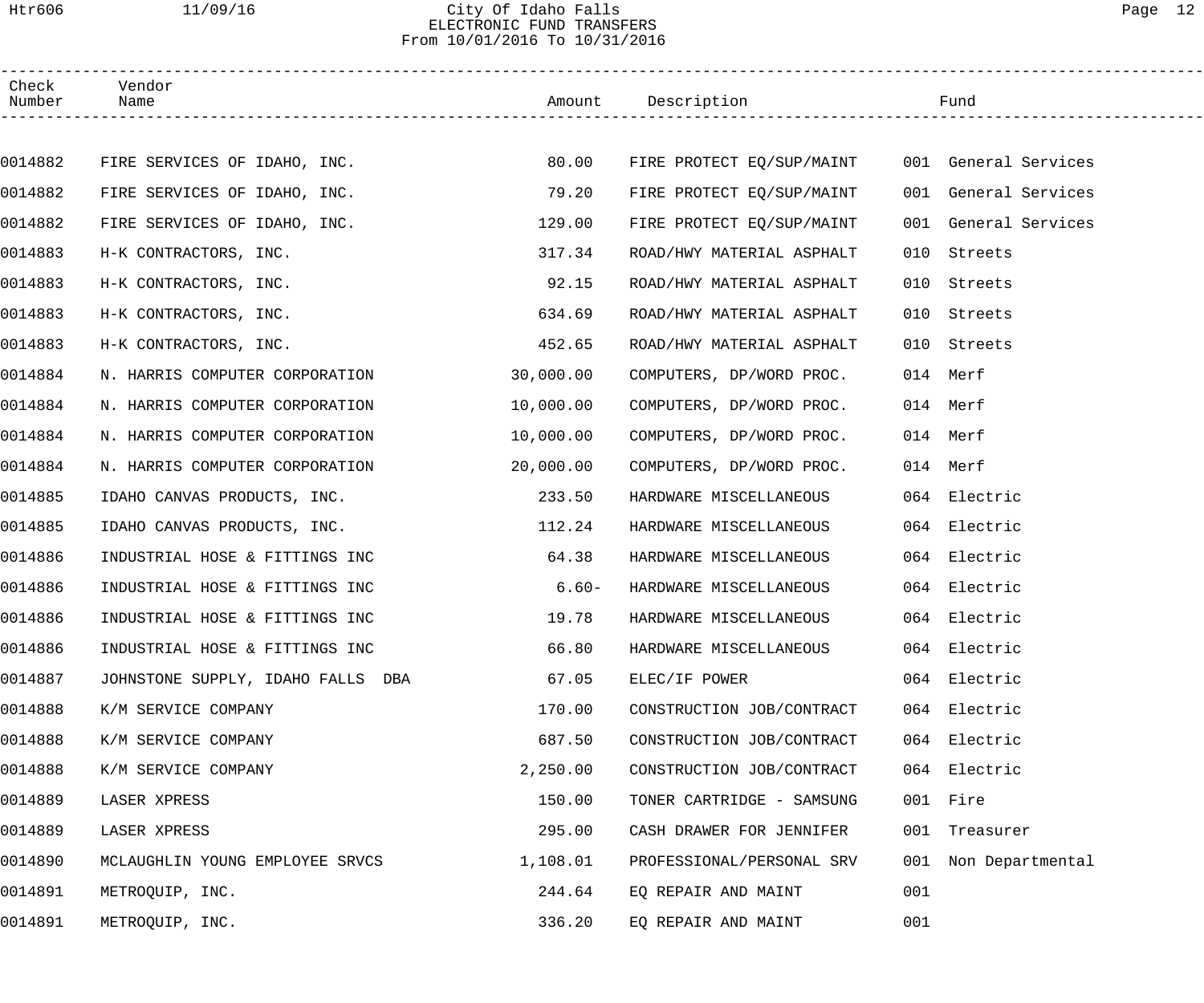### Htr606 11/09/16 City Of Idaho Falls Page 12 ELECTRONIC FUND TRANSFERS From 10/01/2016 To 10/31/2016

| Check<br>Number | Vendor<br>Name                    |           | Amount Description        |     | Fund                 |
|-----------------|-----------------------------------|-----------|---------------------------|-----|----------------------|
|                 |                                   |           |                           |     |                      |
| 0014882         | FIRE SERVICES OF IDAHO, INC.      | 80.00     | FIRE PROTECT EQ/SUP/MAINT |     | 001 General Services |
| 0014882         | FIRE SERVICES OF IDAHO, INC.      | 79.20     | FIRE PROTECT EQ/SUP/MAINT |     | 001 General Services |
| 0014882         | FIRE SERVICES OF IDAHO, INC.      | 129.00    | FIRE PROTECT EQ/SUP/MAINT |     | 001 General Services |
| 0014883         | H-K CONTRACTORS, INC.             | 317.34    | ROAD/HWY MATERIAL ASPHALT | 010 | Streets              |
| 0014883         | H-K CONTRACTORS, INC.             | 92.15     | ROAD/HWY MATERIAL ASPHALT | 010 | Streets              |
| 0014883         | H-K CONTRACTORS, INC.             | 634.69    | ROAD/HWY MATERIAL ASPHALT | 010 | Streets              |
| 0014883         | H-K CONTRACTORS, INC.             | 452.65    | ROAD/HWY MATERIAL ASPHALT | 010 | Streets              |
| 0014884         | N. HARRIS COMPUTER CORPORATION    | 30,000.00 | COMPUTERS, DP/WORD PROC.  |     | 014 Merf             |
| 0014884         | N. HARRIS COMPUTER CORPORATION    | 10,000.00 | COMPUTERS, DP/WORD PROC.  |     | 014 Merf             |
| 0014884         | N. HARRIS COMPUTER CORPORATION    | 10,000.00 | COMPUTERS, DP/WORD PROC.  |     | 014 Merf             |
| 0014884         | N. HARRIS COMPUTER CORPORATION    | 20,000.00 | COMPUTERS, DP/WORD PROC.  |     | 014 Merf             |
| 0014885         | IDAHO CANVAS PRODUCTS, INC.       | 233.50    | HARDWARE MISCELLANEOUS    |     | 064 Electric         |
| 0014885         | IDAHO CANVAS PRODUCTS, INC.       | 112.24    | HARDWARE MISCELLANEOUS    |     | 064 Electric         |
| 0014886         | INDUSTRIAL HOSE & FITTINGS INC    | 64.38     | HARDWARE MISCELLANEOUS    |     | 064 Electric         |
| 0014886         | INDUSTRIAL HOSE & FITTINGS INC    | $6.60-$   | HARDWARE MISCELLANEOUS    |     | 064 Electric         |
| 0014886         | INDUSTRIAL HOSE & FITTINGS INC    | 19.78     | HARDWARE MISCELLANEOUS    |     | 064 Electric         |
| 0014886         | INDUSTRIAL HOSE & FITTINGS INC    | 66.80     | HARDWARE MISCELLANEOUS    |     | 064 Electric         |
| 0014887         | JOHNSTONE SUPPLY, IDAHO FALLS DBA | 67.05     | ELEC/IF POWER             |     | 064 Electric         |
| 0014888         | K/M SERVICE COMPANY               | 170.00    | CONSTRUCTION JOB/CONTRACT |     | 064 Electric         |
| 0014888         | K/M SERVICE COMPANY               | 687.50    | CONSTRUCTION JOB/CONTRACT |     | 064 Electric         |
| 0014888         | K/M SERVICE COMPANY               | 2,250.00  | CONSTRUCTION JOB/CONTRACT |     | 064 Electric         |
| 0014889         | LASER XPRESS                      | 150.00    | TONER CARTRIDGE - SAMSUNG |     | 001 Fire             |
| 0014889         | LASER XPRESS                      | 295.00    | CASH DRAWER FOR JENNIFER  |     | 001 Treasurer        |
| 0014890         | MCLAUGHLIN YOUNG EMPLOYEE SRVCS   | 1,108.01  | PROFESSIONAL/PERSONAL SRV |     | 001 Non Departmental |
| 0014891         | METROQUIP, INC.                   | 244.64    | EQ REPAIR AND MAINT       | 001 |                      |
| 0014891         | METROQUIP, INC.                   | 336.20    | EQ REPAIR AND MAINT       | 001 |                      |
|                 |                                   |           |                           |     |                      |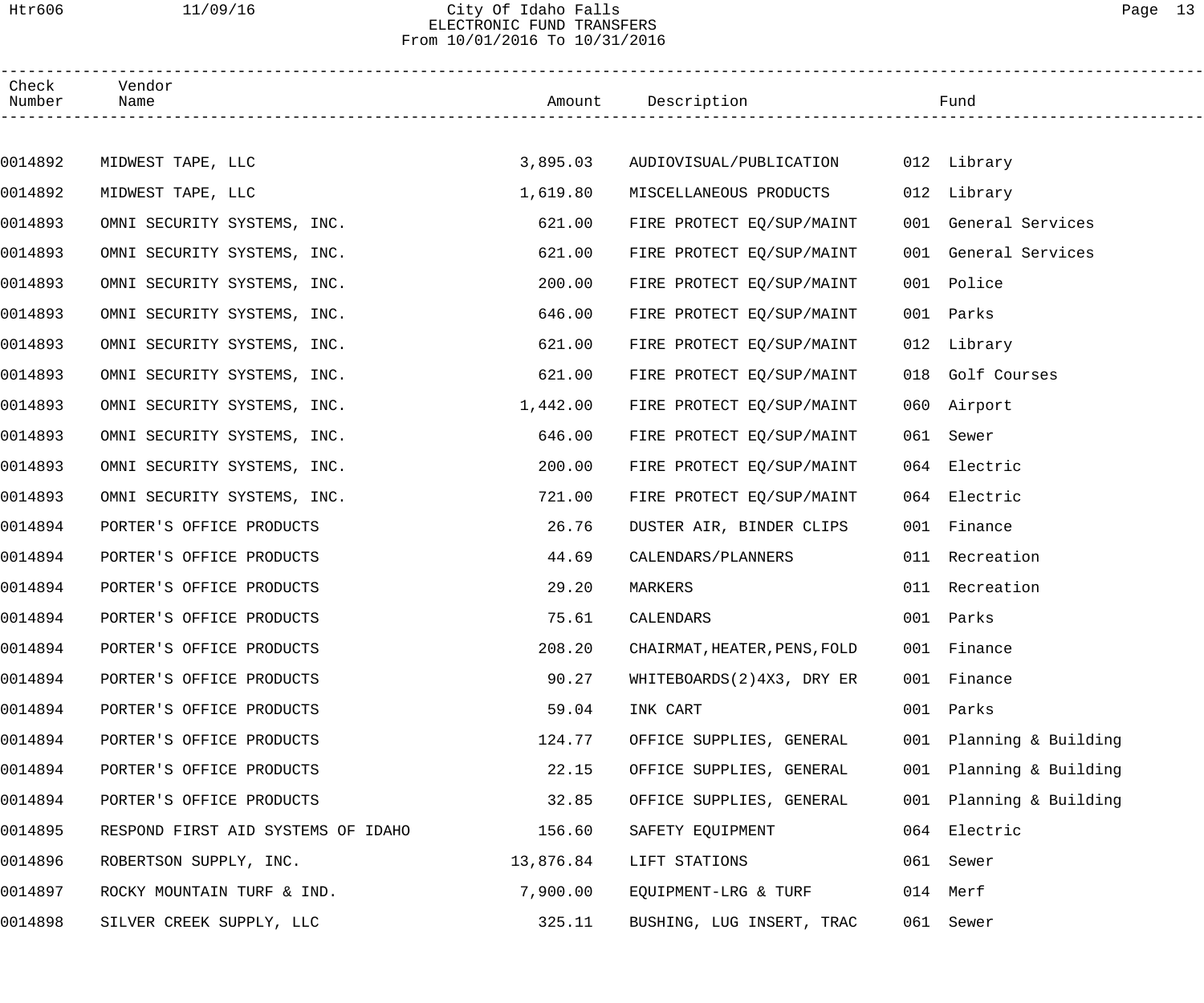## Htr606 11/09/16 City Of Idaho Falls Page 13 ELECTRONIC FUND TRANSFERS From 10/01/2016 To 10/31/2016

| Check<br>Number | Vendor<br>Name                     |           | Amount Description           |     | Fund                 |  |
|-----------------|------------------------------------|-----------|------------------------------|-----|----------------------|--|
|                 |                                    |           |                              |     |                      |  |
| 0014892         | MIDWEST TAPE, LLC                  | 3,895.03  | AUDIOVISUAL/PUBLICATION      |     | 012 Library          |  |
| 0014892         | MIDWEST TAPE, LLC                  | 1,619.80  | MISCELLANEOUS PRODUCTS       |     | 012 Library          |  |
| 0014893         | OMNI SECURITY SYSTEMS, INC.        | 621.00    | FIRE PROTECT EQ/SUP/MAINT    |     | 001 General Services |  |
| 0014893         | OMNI SECURITY SYSTEMS, INC.        | 621.00    | FIRE PROTECT EO/SUP/MAINT    |     | 001 General Services |  |
| 0014893         | OMNI SECURITY SYSTEMS, INC.        | 200.00    | FIRE PROTECT EQ/SUP/MAINT    |     | 001 Police           |  |
| 0014893         | OMNI SECURITY SYSTEMS, INC.        | 646.00    | FIRE PROTECT EQ/SUP/MAINT    |     | 001 Parks            |  |
| 0014893         | OMNI SECURITY SYSTEMS, INC.        | 621.00    | FIRE PROTECT EO/SUP/MAINT    |     | 012 Library          |  |
| 0014893         | OMNI SECURITY SYSTEMS, INC.        | 621.00    | FIRE PROTECT EQ/SUP/MAINT    |     | 018 Golf Courses     |  |
| 0014893         | OMNI SECURITY SYSTEMS, INC.        | 1,442.00  | FIRE PROTECT EQ/SUP/MAINT    |     | 060 Airport          |  |
| 0014893         | OMNI SECURITY SYSTEMS, INC.        | 646.00    | FIRE PROTECT EQ/SUP/MAINT    |     | 061 Sewer            |  |
| 0014893         | OMNI SECURITY SYSTEMS, INC.        | 200.00    | FIRE PROTECT EQ/SUP/MAINT    |     | 064 Electric         |  |
| 0014893         | OMNI SECURITY SYSTEMS, INC.        | 721.00    | FIRE PROTECT EQ/SUP/MAINT    |     | 064 Electric         |  |
| 0014894         | PORTER'S OFFICE PRODUCTS           | 26.76     | DUSTER AIR, BINDER CLIPS     |     | 001 Finance          |  |
| 0014894         | PORTER'S OFFICE PRODUCTS           | 44.69     | CALENDARS/PLANNERS           |     | 011 Recreation       |  |
| 0014894         | PORTER'S OFFICE PRODUCTS           | 29.20     | MARKERS                      |     | 011 Recreation       |  |
| 0014894         | PORTER'S OFFICE PRODUCTS           | 75.61     | CALENDARS                    |     | 001 Parks            |  |
| 0014894         | PORTER'S OFFICE PRODUCTS           | 208.20    | CHAIRMAT, HEATER, PENS, FOLD |     | 001 Finance          |  |
| 0014894         | PORTER'S OFFICE PRODUCTS           | 90.27     | WHITEBOARDS(2)4X3, DRY ER    |     | 001 Finance          |  |
| 0014894         | PORTER'S OFFICE PRODUCTS           | 59.04     | INK CART                     | 001 | Parks                |  |
| 0014894         | PORTER'S OFFICE PRODUCTS           | 124.77    | OFFICE SUPPLIES, GENERAL     | 001 | Planning & Building  |  |
| 0014894         | PORTER'S OFFICE PRODUCTS           | 22.15     | OFFICE SUPPLIES, GENERAL     | 001 | Planning & Building  |  |
| 0014894         | PORTER'S OFFICE PRODUCTS           | 32.85     | OFFICE SUPPLIES, GENERAL     | 001 | Planning & Building  |  |
| 0014895         | RESPOND FIRST AID SYSTEMS OF IDAHO | 156.60    | SAFETY EQUIPMENT             | 064 | Electric             |  |
| 0014896         | ROBERTSON SUPPLY, INC.             | 13,876.84 | LIFT STATIONS                | 061 | Sewer                |  |
| 0014897         | ROCKY MOUNTAIN TURF & IND.         | 7,900.00  | EQUIPMENT-LRG & TURF         |     | 014 Merf             |  |
| 0014898         | SILVER CREEK SUPPLY, LLC           | 325.11    | BUSHING, LUG INSERT, TRAC    |     | 061 Sewer            |  |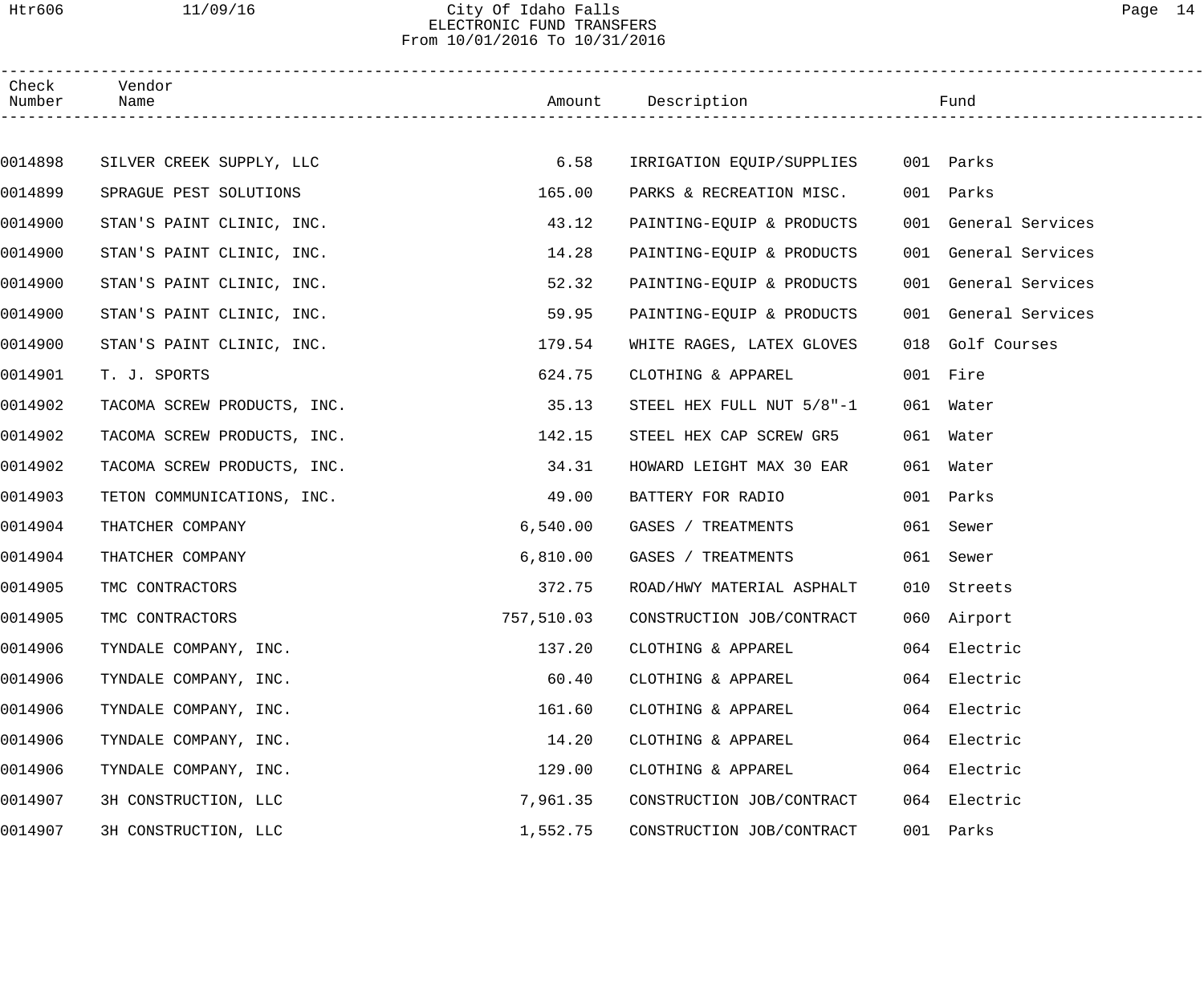### Htr606 11/09/16 City Of Idaho Falls Page 14 ELECTRONIC FUND TRANSFERS From 10/01/2016 To 10/31/2016

| Check<br>Number | Vendor<br>Name              |            | Amount Description        | Fund                 |
|-----------------|-----------------------------|------------|---------------------------|----------------------|
|                 |                             |            |                           |                      |
| 0014898         | SILVER CREEK SUPPLY, LLC    | 6.58       | IRRIGATION EQUIP/SUPPLIES | 001 Parks            |
| 0014899         | SPRAGUE PEST SOLUTIONS      | 165.00     | PARKS & RECREATION MISC.  | 001 Parks            |
| 0014900         | STAN'S PAINT CLINIC, INC.   | 43.12      | PAINTING-EQUIP & PRODUCTS | 001 General Services |
| 0014900         | STAN'S PAINT CLINIC, INC.   | 14.28      | PAINTING-EQUIP & PRODUCTS | 001 General Services |
| 0014900         | STAN'S PAINT CLINIC, INC.   | 52.32      | PAINTING-EQUIP & PRODUCTS | 001 General Services |
| 0014900         | STAN'S PAINT CLINIC, INC.   | 59.95      | PAINTING-EQUIP & PRODUCTS | 001 General Services |
| 0014900         | STAN'S PAINT CLINIC, INC.   | 179.54     | WHITE RAGES, LATEX GLOVES | 018 Golf Courses     |
| 0014901         | T. J. SPORTS                | 624.75     | CLOTHING & APPAREL        | 001 Fire             |
| 0014902         | TACOMA SCREW PRODUCTS, INC. | 35.13      | STEEL HEX FULL NUT 5/8"-1 | 061 Water            |
| 0014902         | TACOMA SCREW PRODUCTS, INC. | 142.15     | STEEL HEX CAP SCREW GR5   | 061 Water            |
| 0014902         | TACOMA SCREW PRODUCTS, INC. | 34.31      | HOWARD LEIGHT MAX 30 EAR  | 061 Water            |
| 0014903         | TETON COMMUNICATIONS, INC.  | 49.00      | BATTERY FOR RADIO         | 001 Parks            |
| 0014904         | THATCHER COMPANY            | 6,540.00   | GASES / TREATMENTS        | 061 Sewer            |
| 0014904         | THATCHER COMPANY            | 6,810.00   | GASES / TREATMENTS        | 061 Sewer            |
| 0014905         | TMC CONTRACTORS             | 372.75     | ROAD/HWY MATERIAL ASPHALT | 010 Streets          |
| 0014905         | TMC CONTRACTORS             | 757,510.03 | CONSTRUCTION JOB/CONTRACT | 060 Airport          |
| 0014906         | TYNDALE COMPANY, INC.       | 137.20     | CLOTHING & APPAREL        | 064 Electric         |
| 0014906         | TYNDALE COMPANY, INC.       | 60.40      | CLOTHING & APPAREL        | 064 Electric         |
| 0014906         | TYNDALE COMPANY, INC.       | 161.60     | CLOTHING & APPAREL        | 064 Electric         |
| 0014906         | TYNDALE COMPANY, INC.       | 14.20      | CLOTHING & APPAREL        | 064 Electric         |
| 0014906         | TYNDALE COMPANY, INC.       | 129.00     | CLOTHING & APPAREL        | 064 Electric         |
| 0014907         | 3H CONSTRUCTION, LLC        | 7,961.35   | CONSTRUCTION JOB/CONTRACT | 064 Electric         |
| 0014907         | 3H CONSTRUCTION, LLC        | 1,552.75   | CONSTRUCTION JOB/CONTRACT | 001 Parks            |
|                 |                             |            |                           |                      |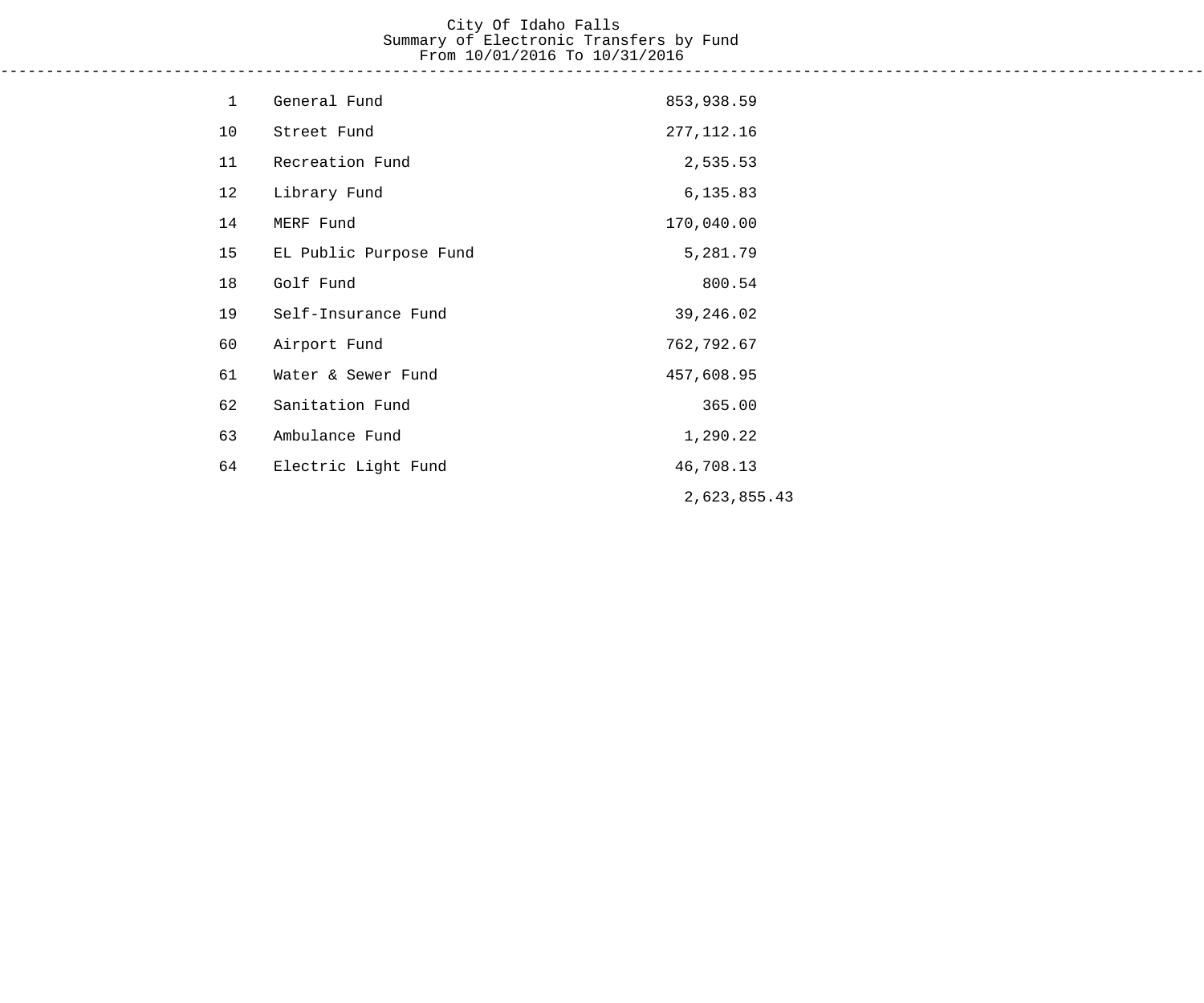## City Of Idaho Falls Summary of Electronic Transfers by Fund From 10/01/2016 To 10/31/2016

------------------------------------------------------------------------------------------------------------------------------------

| $\mathbf{1}$ | General Fund           | 853,938.59   |
|--------------|------------------------|--------------|
| 10           | Street Fund            | 277, 112. 16 |
| 11           | Recreation Fund        | 2,535.53     |
| 12           | Library Fund           | 6,135.83     |
| 14           | MERF Fund              | 170,040.00   |
| 15           | EL Public Purpose Fund | 5,281.79     |
| 18           | Golf Fund              | 800.54       |
| 19           | Self-Insurance Fund    | 39,246.02    |
| 60           | Airport Fund           | 762,792.67   |
| 61           | Water & Sewer Fund     | 457,608.95   |
| 62           | Sanitation Fund        | 365.00       |
| 63           | Ambulance Fund         | 1,290.22     |
| 64           | Electric Light Fund    | 46,708.13    |
|              |                        | 2,623,855.43 |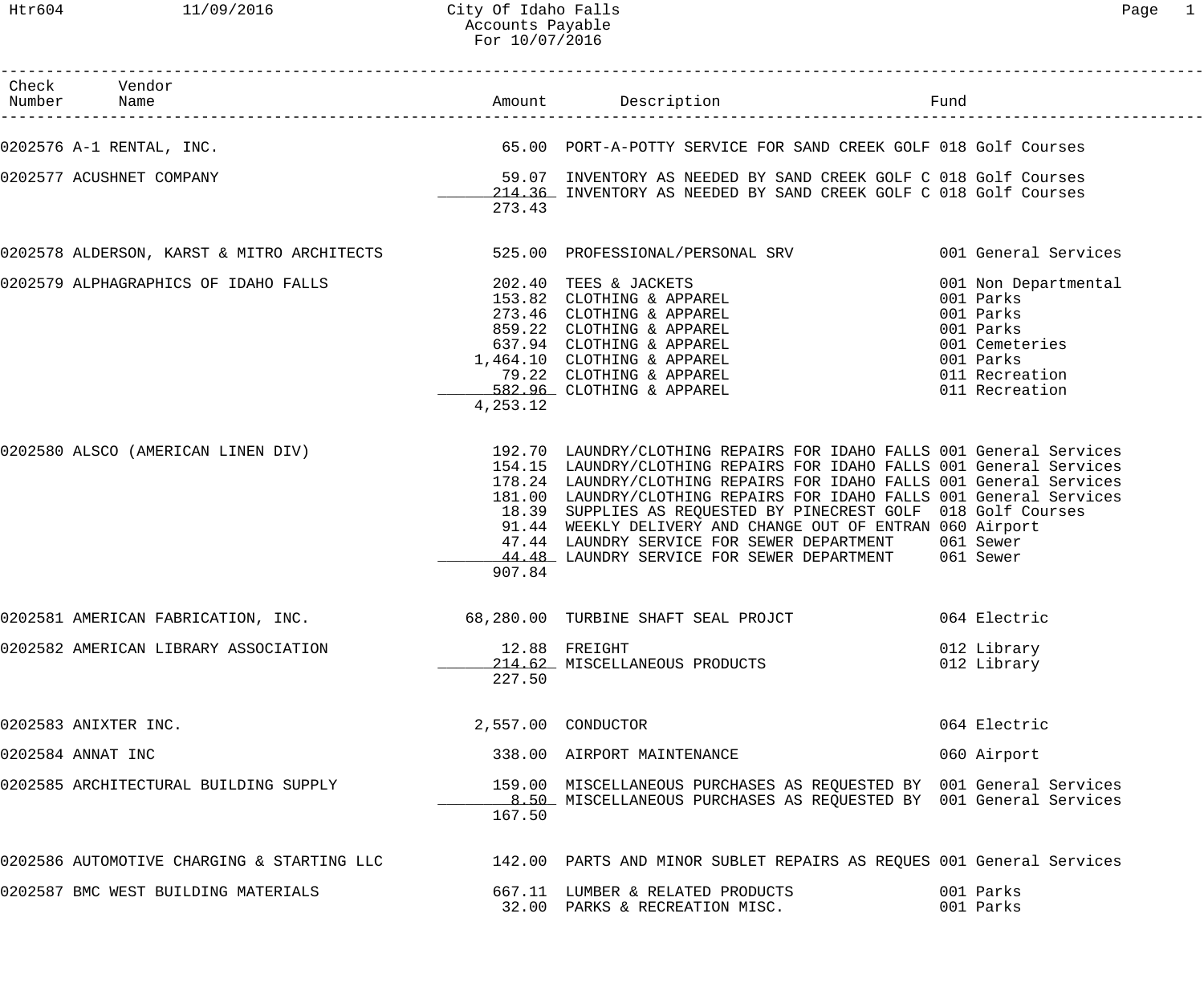| Check Vendor<br>Number Name                                                                                     |          |                                                                                                                                                                                                                                                                                                                                                                                                                                                                                                                                              | Fund                       |
|-----------------------------------------------------------------------------------------------------------------|----------|----------------------------------------------------------------------------------------------------------------------------------------------------------------------------------------------------------------------------------------------------------------------------------------------------------------------------------------------------------------------------------------------------------------------------------------------------------------------------------------------------------------------------------------------|----------------------------|
| 0202576 A-1 RENTAL, INC.                                                                                        |          | 65.00 PORT-A-POTTY SERVICE FOR SAND CREEK GOLF 018 Golf Courses                                                                                                                                                                                                                                                                                                                                                                                                                                                                              |                            |
| 0202577 ACUSHNET COMPANY                                                                                        | 273.43   | 59.07 INVENTORY AS NEEDED BY SAND CREEK GOLF C 018 Golf Courses<br>214.36 INVENTORY AS NEEDED BY SAND CREEK GOLF C 018 Golf Courses                                                                                                                                                                                                                                                                                                                                                                                                          |                            |
| 0202578 ALDERSON, KARST & MITRO ARCHITECTS 525.00 PROFESSIONAL/PERSONAL SRV 6001 General Services               |          |                                                                                                                                                                                                                                                                                                                                                                                                                                                                                                                                              |                            |
| 0202579 ALPHAGRAPHICS OF IDAHO FALLS                                                                            | 4,253.12 | 202.40 TEES & JACKETS<br>202.40 TEES & JACKETS<br>153.82 CLOTHING & APPAREL<br>273.46 CLOTHING & APPAREL<br>859.22 CLOTHING & APPAREL<br>637.94 CLOTHING & APPAREL<br>1,464.10 CLOTHING & APPAREL<br>79.22 CLOTHING & APPAREL<br>79.22 CLOTHING & APPAREL<br>1001 Parks                                                                                                                                                                                                                                                                      | 001 Non Departmental       |
| 0202580 ALSCO (AMERICAN LINEN DIV)                                                                              | 907.84   | 192.70 LAUNDRY/CLOTHING REPAIRS FOR IDAHO FALLS 001 General Services<br>154.15 LAUNDRY/CLOTHING REPAIRS FOR IDAHO FALLS 001 General Services<br>178.24 LAUNDRY/CLOTHING REPAIRS FOR IDAHO FALLS 001 General Services<br>181.00 LAUNDRY/CLOTHING REPAIRS FOR IDAHO FALLS 001 General Services<br>18.39 SUPPLIES AS REQUESTED BY PINECREST GOLF 018 Golf Courses<br>91.44 WEEKLY DELIVERY AND CHANGE OUT OF ENTRAN 060 Airport<br>47.44 LAUNDRY SERVICE FOR SEWER DEPARTMENT 061 Sewer<br>44.48 LAUNDRY SERVICE FOR SEWER DEPARTMENT 061 Sewer |                            |
| 0202581 AMERICAN FABRICATION, INC.                                                                              |          | 68,280.00 TURBINE SHAFT SEAL PROJCT                                                                                                                                                                                                                                                                                                                                                                                                                                                                                                          | 064 Electric               |
| 0202582 AMERICAN LIBRARY ASSOCIATION                                                                            | 227.50   | 12.88 FREIGHT<br>214.62 MISCELLANEOUS PRODUCTS                                                                                                                                                                                                                                                                                                                                                                                                                                                                                               | 012 Library<br>012 Library |
| 0202583 ANIXTER INC.                                                                                            |          | 2,557.00 CONDUCTOR                                                                                                                                                                                                                                                                                                                                                                                                                                                                                                                           | 064 Electric               |
| 0202584 ANNAT INC                                                                                               |          | 338.00 AIRPORT MAINTENANCE                                                                                                                                                                                                                                                                                                                                                                                                                                                                                                                   | 060 Airport                |
| 0202585 ARCHITECTURAL BUILDING SUPPLY                                                                           | 167.50   | 159.00 MISCELLANEOUS PURCHASES AS REQUESTED BY 001 General Services<br>8.50 MISCELLANEOUS PURCHASES AS REQUESTED BY 001 General Services                                                                                                                                                                                                                                                                                                                                                                                                     |                            |
| 0202586 AUTOMOTIVE CHARGING & STARTING LLC 142.00 PARTS AND MINOR SUBLET REPAIRS AS REQUES 001 General Services |          |                                                                                                                                                                                                                                                                                                                                                                                                                                                                                                                                              |                            |
| 0202587 BMC WEST BUILDING MATERIALS                                                                             |          | 667.11 LUMBER & RELATED PRODUCTS<br>32.00 PARKS & RECREATION MISC.                                                                                                                                                                                                                                                                                                                                                                                                                                                                           | 001 Parks<br>001 Parks     |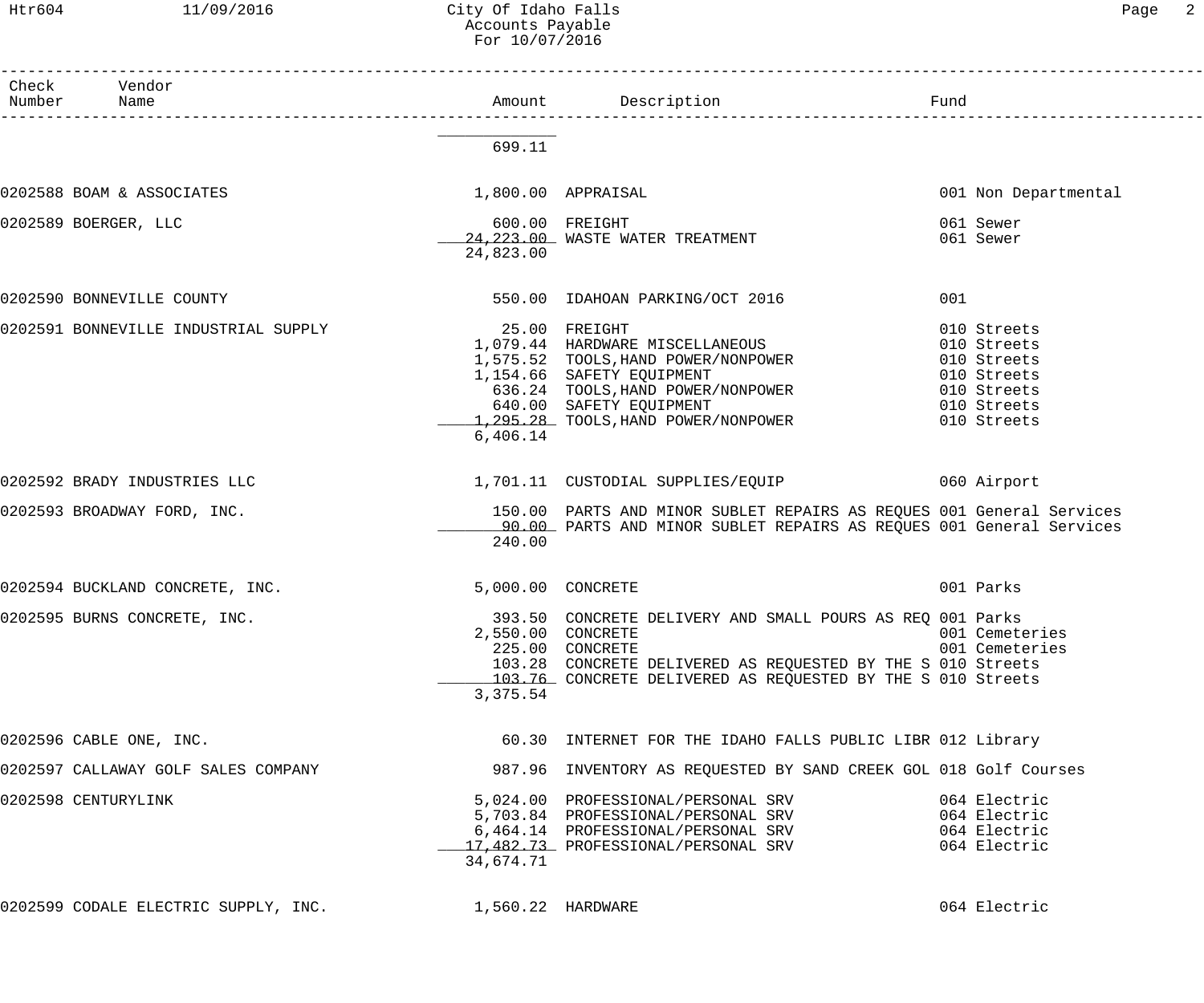# Accounts Payable

| Htr604          | 11/09/2016                           | City Of Idaho Falls<br>Accounts Payable<br>For 10/07/2016 |                                                                                                                                                                                                                                 | Page<br>$\overline{2}$                                                                                |  |
|-----------------|--------------------------------------|-----------------------------------------------------------|---------------------------------------------------------------------------------------------------------------------------------------------------------------------------------------------------------------------------------|-------------------------------------------------------------------------------------------------------|--|
| Check<br>Number | Vendor<br>Name                       |                                                           |                                                                                                                                                                                                                                 |                                                                                                       |  |
|                 |                                      | 699.11                                                    |                                                                                                                                                                                                                                 |                                                                                                       |  |
|                 | 0202588 BOAM & ASSOCIATES            |                                                           | 1,800.00 APPRAISAL                                                                                                                                                                                                              | 001 Non Departmental                                                                                  |  |
|                 | 0202589 BOERGER, LLC                 | 24,823.00                                                 | 600.00 FREIGHT<br>24, 223.00 WASTE WATER TREATMENT                                                                                                                                                                              | 061 Sewer<br>061 Sewer                                                                                |  |
|                 | 0202590 BONNEVILLE COUNTY            |                                                           | 550.00 IDAHOAN PARKING/OCT 2016                                                                                                                                                                                                 | 001                                                                                                   |  |
|                 | 0202591 BONNEVILLE INDUSTRIAL SUPPLY | 6,406.14                                                  | 25.00 FREIGHT<br>1,079.44 HARDWARE MISCELLANEOUS<br>1,575.52 TOOLS, HAND POWER/NONPOWER<br>1,154.66 SAFETY EQUIPMENT<br>636.24 TOOLS, HAND POWER/NONPOWER<br>640.00 SAFETY EQUIPMENT<br>1,295.28 TOOLS, HAND POWER/NONPOWER     | 010 Streets<br>010 Streets<br>010 Streets<br>010 Streets<br>010 Streets<br>010 Streets<br>010 Streets |  |
|                 | 0202592 BRADY INDUSTRIES LLC         |                                                           | 1,701.11 CUSTODIAL SUPPLIES/EQUIP                                                                                                                                                                                               | 060 Airport                                                                                           |  |
|                 | 0202593 BROADWAY FORD, INC.          | 240.00                                                    | 150.00 PARTS AND MINOR SUBLET REPAIRS AS REQUES 001 General Services<br>90.00 PARTS AND MINOR SUBLET REPAIRS AS REQUES 001 General Services                                                                                     |                                                                                                       |  |
|                 | 0202594 BUCKLAND CONCRETE, INC.      |                                                           | 5,000.00 CONCRETE                                                                                                                                                                                                               | 001 Parks                                                                                             |  |
|                 | 0202595 BURNS CONCRETE, INC.         | 3,375.54                                                  | 393.50 CONCRETE DELIVERY AND SMALL POURS AS REQ 001 Parks<br>2,550.00 CONCRETE<br>225.00 CONCRETE<br>103.28 CONCRETE DELIVERED AS REQUESTED BY THE S 010 Streets<br>103.76 CONCRETE DELIVERED AS REQUESTED BY THE S 010 Streets | 001 Cemeteries<br>001 Cemeteries                                                                      |  |
|                 | 0202596 CABLE ONE, INC.              |                                                           | 60.30 INTERNET FOR THE IDAHO FALLS PUBLIC LIBR 012 Library                                                                                                                                                                      |                                                                                                       |  |
|                 | 0202597 CALLAWAY GOLF SALES COMPANY  |                                                           | 987.96 INVENTORY AS REQUESTED BY SAND CREEK GOL 018 Golf Courses                                                                                                                                                                |                                                                                                       |  |
|                 | 0202598 CENTURYLINK                  | 34,674.71                                                 | 5,024.00 PROFESSIONAL/PERSONAL SRV<br>5,703.84 PROFESSIONAL/PERSONAL SRV<br>6,464.14 PROFESSIONAL/PERSONAL SRV<br>17,482.73 PROFESSIONAL/PERSONAL SRV                                                                           | 064 Electric<br>064 Electric<br>064 Electric<br>064 Electric                                          |  |
|                 | 0202599 CODALE ELECTRIC SUPPLY, INC. | 1,560.22 HARDWARE                                         |                                                                                                                                                                                                                                 | 064 Electric                                                                                          |  |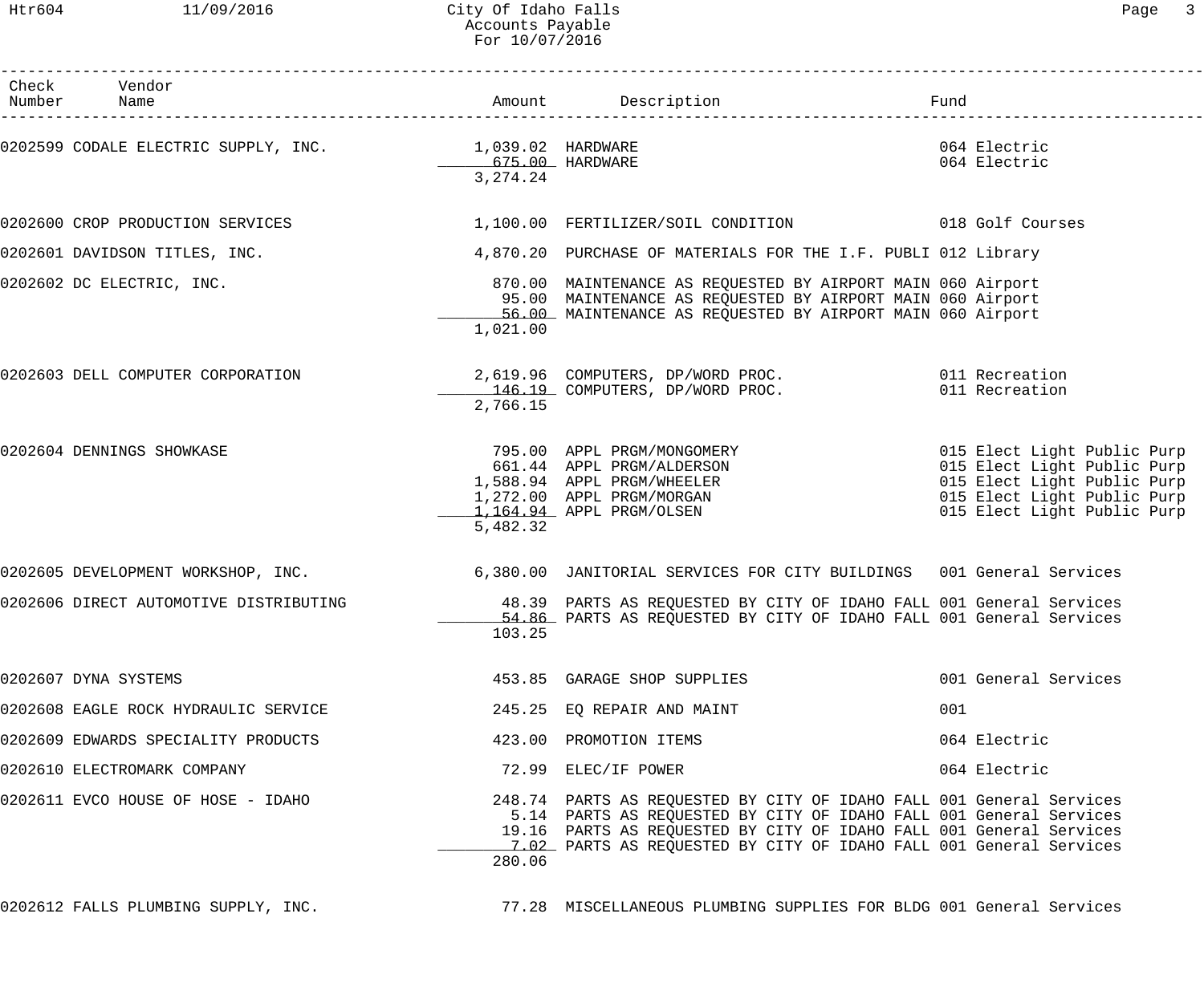## Htr604 11/09/2016 City Of Idaho Falls 2006 City Of Idaho Falls Accounts Payable For 10/07/2016

| Check Vendor                                           |                                        |                                                                                                                                                                                                                                                                                         |                                                                                                                          |
|--------------------------------------------------------|----------------------------------------|-----------------------------------------------------------------------------------------------------------------------------------------------------------------------------------------------------------------------------------------------------------------------------------------|--------------------------------------------------------------------------------------------------------------------------|
| Number Name                                            |                                        | Amount Description                                                                                                                                                                                                                                                                      | Fund                                                                                                                     |
| 0202599 CODALE ELECTRIC SUPPLY, INC. 1,039.02 HARDWARE | _________675.00 HARDWARE<br>3, 274. 24 |                                                                                                                                                                                                                                                                                         | 064 Electric<br>064 Electric                                                                                             |
| 0202600 CROP PRODUCTION SERVICES                       |                                        | 1,100.00 FERTILIZER/SOIL CONDITION 018 Golf Courses                                                                                                                                                                                                                                     |                                                                                                                          |
| 0202601 DAVIDSON TITLES, INC.                          |                                        | 4,870.20 PURCHASE OF MATERIALS FOR THE I.F. PUBLI 012 Library                                                                                                                                                                                                                           |                                                                                                                          |
| 0202602 DC ELECTRIC, INC.                              | 1,021.00                               | 870.00 MAINTENANCE AS REQUESTED BY AIRPORT MAIN 060 Airport<br>95.00 MAINTENANCE AS REQUESTED BY AIRPORT MAIN 060 Airport<br>56.00 MAINTENANCE AS REQUESTED BY AIRPORT MAIN 060 Airport                                                                                                 |                                                                                                                          |
| 0202603 DELL COMPUTER CORPORATION                      | 2,766.15                               | 2,619.96 COMPUTERS, DP/WORD PROC. 011 Recreation<br>146.19 COMPUTERS, DP/WORD PROC. 011 Recreation                                                                                                                                                                                      |                                                                                                                          |
| 0202604 DENNINGS SHOWKASE                              | 5,482.32                               | 795.00 APPL PRGM/MONGOMERY 6015 Elect Light Public Purp<br>661.44 APPL PRGM/ALDERSON<br>1,588.94 APPL PRGM/WHEELER<br>1,272.00 APPL PRGM/MORGAN<br>1,164.94 APPL PRGM/OLSEN                                                                                                             | 015 Elect Light Public Purp<br>015 Elect Light Public Purp<br>015 Elect Light Public Purp<br>015 Elect Light Public Purp |
|                                                        |                                        | 0202605 DEVELOPMENT WORKSHOP, INC. 6,380.00 JANITORIAL SERVICES FOR CITY BUILDINGS 001 General Services                                                                                                                                                                                 |                                                                                                                          |
| 0202606 DIRECT AUTOMOTIVE DISTRIBUTING                 | 103.25                                 | 48.39 PARTS AS REQUESTED BY CITY OF IDAHO FALL 001 General Services<br>54.86 PARTS AS REQUESTED BY CITY OF IDAHO FALL 001 General Services                                                                                                                                              |                                                                                                                          |
| 0202607 DYNA SYSTEMS                                   |                                        | 453.85 GARAGE SHOP SUPPLIES                                                                                                                                                                                                                                                             | 001 General Services                                                                                                     |
| 0202608 EAGLE ROCK HYDRAULIC SERVICE                   |                                        | 245.25 EO REPAIR AND MAINT                                                                                                                                                                                                                                                              | 001                                                                                                                      |
| 0202609 EDWARDS SPECIALITY PRODUCTS                    |                                        | 423.00 PROMOTION ITEMS                                                                                                                                                                                                                                                                  | 064 Electric                                                                                                             |
| 0202610 ELECTROMARK COMPANY                            |                                        | 72.99 ELEC/IF POWER                                                                                                                                                                                                                                                                     | 064 Electric                                                                                                             |
| 0202611 EVCO HOUSE OF HOSE - IDAHO                     | 280.06                                 | 248.74 PARTS AS REQUESTED BY CITY OF IDAHO FALL 001 General Services<br>5.14 PARTS AS REQUESTED BY CITY OF IDAHO FALL 001 General Services<br>19.16 PARTS AS REQUESTED BY CITY OF IDAHO FALL 001 General Services<br>7.02 PARTS AS REQUESTED BY CITY OF IDAHO FALL 001 General Services |                                                                                                                          |

0202612 FALLS PLUMBING SUPPLY, INC.  $\qquad \qquad$  77.28 MISCELLANEOUS PLUMBING SUPPLIES FOR BLDG 001 General Services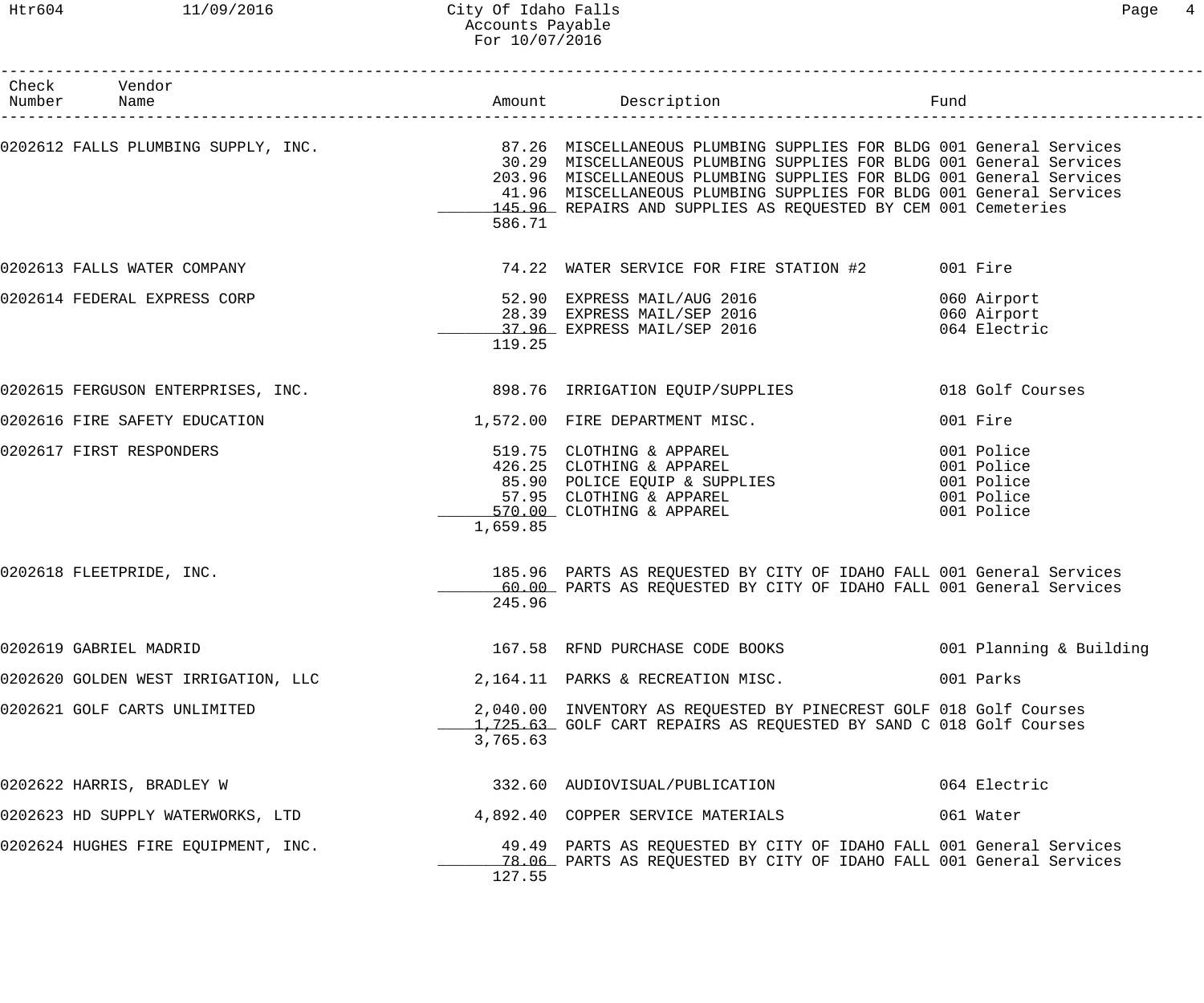### Htr604 11/09/2016 City Of Idaho Falls Page 4 Accounts Payable For 10/07/2016

| Check Vendor<br>Number Name         |          |                                                                                                                                                                                                                                                                                                                                                                                                 |                                                                    |
|-------------------------------------|----------|-------------------------------------------------------------------------------------------------------------------------------------------------------------------------------------------------------------------------------------------------------------------------------------------------------------------------------------------------------------------------------------------------|--------------------------------------------------------------------|
|                                     |          |                                                                                                                                                                                                                                                                                                                                                                                                 |                                                                    |
|                                     | 586.71   | 0202612 FALLS PLUMBING SUPPLY, INC. 37.26 MISCELLANEOUS PLUMBING SUPPLIES FOR BLDG 001 General Services<br>30.29 MISCELLANEOUS PLUMBING SUPPLIES FOR BLDG 001 General Services<br>203.96 MISCELLANEOUS PLUMBING SUPPLIES FOR BLDG 001 General Services<br>41.96 MISCELLANEOUS PLUMBING SUPPLIES FOR BLDG 001 General Services<br>145.96 REPAIRS AND SUPPLIES AS REQUESTED BY CEM 001 Cemeteries |                                                                    |
| 0202613 FALLS WATER COMPANY         |          | 74.22 WATER SERVICE FOR FIRE STATION #2 001 Fire                                                                                                                                                                                                                                                                                                                                                |                                                                    |
| 0202614 FEDERAL EXPRESS CORP        | 119.25   | 52.90 EXPRESS MAIL/AUG 2016<br>28.39 EXPRESS MAIL/SEP 2016<br>37.96 EXPRESS MAIL/SEP 2016                                                                                                                                                                                                                                                                                                       | 060 Airport<br>060 Airport<br>064 Electric                         |
|                                     |          | 0202615 FERGUSON ENTERPRISES, INC. 398.76 IRRIGATION EQUIP/SUPPLIES                                                                                                                                                                                                                                                                                                                             | 018 Golf Courses                                                   |
| 0202616 FIRE SAFETY EDUCATION       |          | 1,572.00 FIRE DEPARTMENT MISC.                                                                                                                                                                                                                                                                                                                                                                  | 001 Fire                                                           |
| 0202617 FIRST RESPONDERS            | 1,659.85 | 519.75 CLOTHING & APPAREL<br>426.25 CLOTHING & APPAREL<br>85.90 POLICE EQUIP & SUPPLIES<br>57.95 CLOTHING & APPAREL<br>570.00 CLOTHING & APPAREL                                                                                                                                                                                                                                                | 001 Police<br>001 Police<br>001 Police<br>001 Police<br>001 Police |
| 0202618 FLEETPRIDE, INC.            | 245.96   | 185.96 PARTS AS REQUESTED BY CITY OF IDAHO FALL 001 General Services<br>60.00 PARTS AS REQUESTED BY CITY OF IDAHO FALL 001 General Services                                                                                                                                                                                                                                                     |                                                                    |
| 0202619 GABRIEL MADRID              |          | 167.58 RFND PURCHASE CODE BOOKS                                                                                                                                                                                                                                                                                                                                                                 | 001 Planning & Building                                            |
| 0202620 GOLDEN WEST IRRIGATION, LLC |          | 2,164.11 PARKS & RECREATION MISC.                                                                                                                                                                                                                                                                                                                                                               | 001 Parks                                                          |
| 0202621 GOLF CARTS UNLIMITED        | 3,765.63 | 2,040.00 INVENTORY AS REQUESTED BY PINECREST GOLF 018 Golf Courses<br>1,725.63 GOLF CART REPAIRS AS REQUESTED BY SAND C 018 Golf Courses                                                                                                                                                                                                                                                        |                                                                    |
| 0202622 HARRIS, BRADLEY W           |          | 332.60 AUDIOVISUAL/PUBLICATION                                                                                                                                                                                                                                                                                                                                                                  | 064 Electric                                                       |
| 0202623 HD SUPPLY WATERWORKS, LTD   |          | 4,892.40 COPPER SERVICE MATERIALS                                                                                                                                                                                                                                                                                                                                                               | 061 Water                                                          |
| 0202624 HUGHES FIRE EQUIPMENT, INC. | 127.55   | 49.49 PARTS AS REQUESTED BY CITY OF IDAHO FALL 001 General Services<br>78.06 PARTS AS REQUESTED BY CITY OF IDAHO FALL 001 General Services                                                                                                                                                                                                                                                      |                                                                    |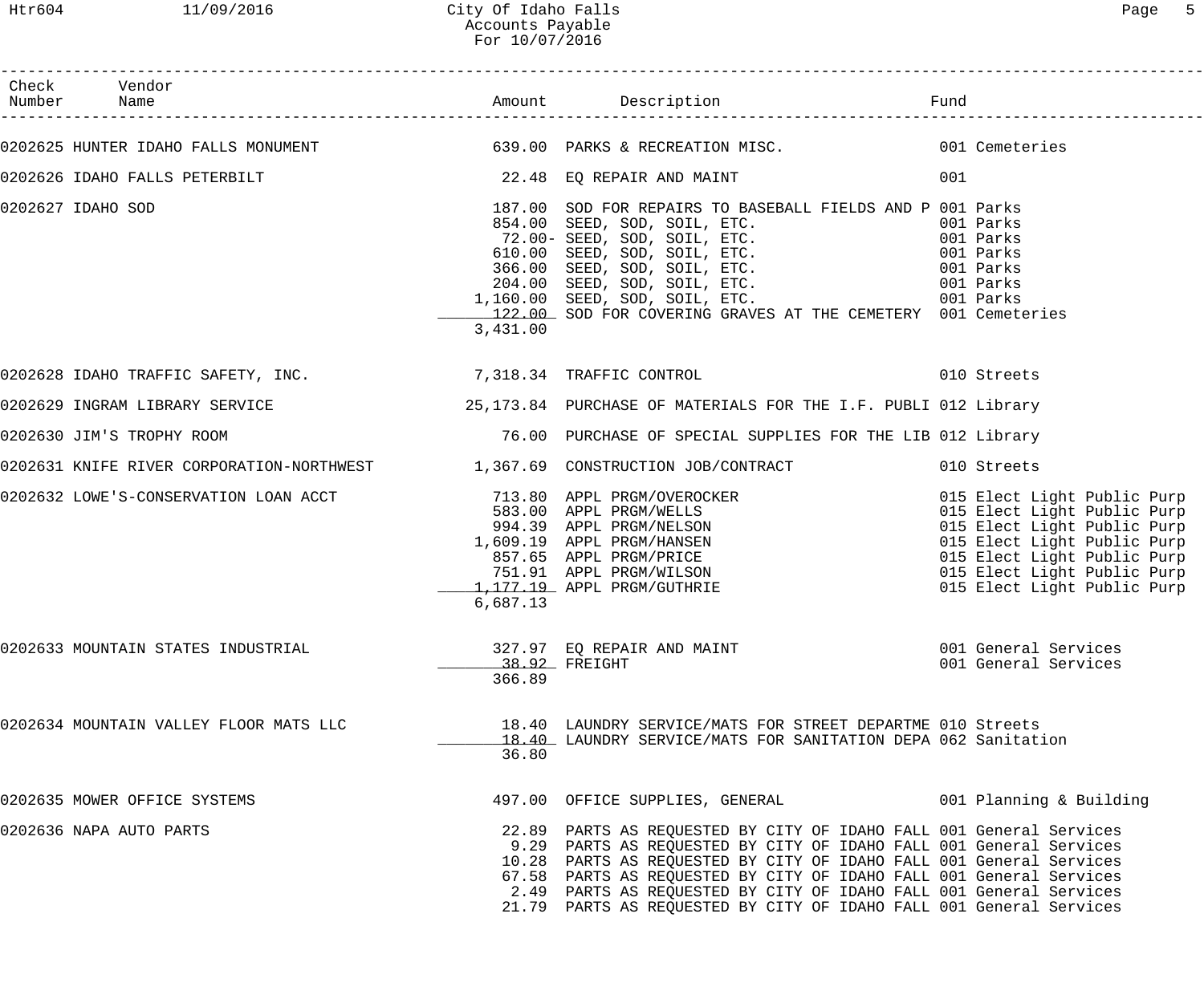| Check Vendor<br>Number Name                                                  |          |                                                                                                                                                                                                                                                                                                                                                                                                                                      |     |                                                                                                                                                                                                                       |
|------------------------------------------------------------------------------|----------|--------------------------------------------------------------------------------------------------------------------------------------------------------------------------------------------------------------------------------------------------------------------------------------------------------------------------------------------------------------------------------------------------------------------------------------|-----|-----------------------------------------------------------------------------------------------------------------------------------------------------------------------------------------------------------------------|
|                                                                              |          |                                                                                                                                                                                                                                                                                                                                                                                                                                      |     |                                                                                                                                                                                                                       |
|                                                                              |          | 0202625 HUNTER IDAHO FALLS MONUMENT (639.00 PARKS & RECREATION MISC. THE MOST CEMELETIES                                                                                                                                                                                                                                                                                                                                             |     |                                                                                                                                                                                                                       |
| 0202626 IDAHO FALLS PETERBILT (22.48 EQ REPAIR AND MAINT                     |          |                                                                                                                                                                                                                                                                                                                                                                                                                                      | 001 |                                                                                                                                                                                                                       |
| 0202627 IDAHO SOD                                                            | 3,431.00 | 187.00 SOD FOR REPAIRS TO BASEBALL FIELDS AND P 001 Parks<br>854.00 SEED, SOD, SOIL, ETC. 001 Parks<br>72.00- SEED, SOD, SOIL, ETC. 001 Parks<br>610.00 SEED, SOD, SOIL, ETC. 001 Parks<br>366.00 SEED, SOD, SOIL, ETC. 001 Parks<br>204.00 SEED, SOD, SOIL, ETC. 001 Parks<br>1,160.00 SEED, SOD, SO<br>122.00 SOD FOR COVERING GRAVES AT THE CEMETERY 001 Cemeteries                                                               |     |                                                                                                                                                                                                                       |
|                                                                              |          | 0202628 IDAHO TRAFFIC SAFETY, INC. 2010 7,318.34 TRAFFIC CONTROL 2000 10 Streets                                                                                                                                                                                                                                                                                                                                                     |     |                                                                                                                                                                                                                       |
|                                                                              |          | 0202629 INGRAM LIBRARY SERVICE THE SERVICE 25,173.84 PURCHASE OF MATERIALS FOR THE I.F. PUBLI 012 Library                                                                                                                                                                                                                                                                                                                            |     |                                                                                                                                                                                                                       |
| 0202630 JIM'S TROPHY ROOM                                                    |          | 76.00 PURCHASE OF SPECIAL SUPPLIES FOR THE LIB 012 Library                                                                                                                                                                                                                                                                                                                                                                           |     |                                                                                                                                                                                                                       |
| 0202631 KNIFE RIVER CORPORATION-NORTHWEST 1,367.69 CONSTRUCTION JOB/CONTRACT |          |                                                                                                                                                                                                                                                                                                                                                                                                                                      |     | 010 Streets                                                                                                                                                                                                           |
|                                                                              | 6,687.13 | 0202632 LOWE'S-CONSERVATION LOAN ACCT<br>$\begin{array}{r}713.80\\583.00\\994.39\\1,609.19\\857.65\end{array}$ APPL PRGM/WELLS<br>$\begin{array}{r}713.80\\994.39\\{\rm APPL} \text{ PRGM/WELSON}\\1,609.19\\857.65\end{array}$<br>APPL PRGM/HANSEN<br>$\begin{array}{r}887.65\\751.91\\{\rm APPL} \text{ PRGM/PHICE}\\7$                                                                                                            |     | 015 Elect Light Public Purp<br>015 Elect Light Public Purp<br>015 Elect Light Public Purp<br>015 Elect Light Public Purp<br>015 Elect Light Public Purp<br>015 Elect Light Public Purp<br>015 Elect Light Public Purp |
| 0202633 MOUNTAIN STATES INDUSTRIAL                                           | 366.89   | 327.97 EQ REPAIR AND MAINT<br>38.92 FREIGHT                                                                                                                                                                                                                                                                                                                                                                                          |     | 001 General Services<br>001 General Services                                                                                                                                                                          |
| 0202634 MOUNTAIN VALLEY FLOOR MATS LLC                                       | 36.80    | 18.40 LAUNDRY SERVICE/MATS FOR STREET DEPARTME 010 Streets<br>18.40 LAUNDRY SERVICE/MATS FOR SANITATION DEPA 062 Sanitation                                                                                                                                                                                                                                                                                                          |     |                                                                                                                                                                                                                       |
| 0202635 MOWER OFFICE SYSTEMS                                                 |          | 497.00 OFFICE SUPPLIES, GENERAL 6001 Planning & Building                                                                                                                                                                                                                                                                                                                                                                             |     |                                                                                                                                                                                                                       |
| 0202636 NAPA AUTO PARTS                                                      |          | 22.89 PARTS AS REQUESTED BY CITY OF IDAHO FALL 001 General Services<br>9.29 PARTS AS REQUESTED BY CITY OF IDAHO FALL 001 General Services<br>10.28 PARTS AS REQUESTED BY CITY OF IDAHO FALL 001 General Services<br>67.58 PARTS AS REQUESTED BY CITY OF IDAHO FALL 001 General Services<br>2.49 PARTS AS REQUESTED BY CITY OF IDAHO FALL 001 General Services<br>21.79 PARTS AS REQUESTED BY CITY OF IDAHO FALL 001 General Services |     |                                                                                                                                                                                                                       |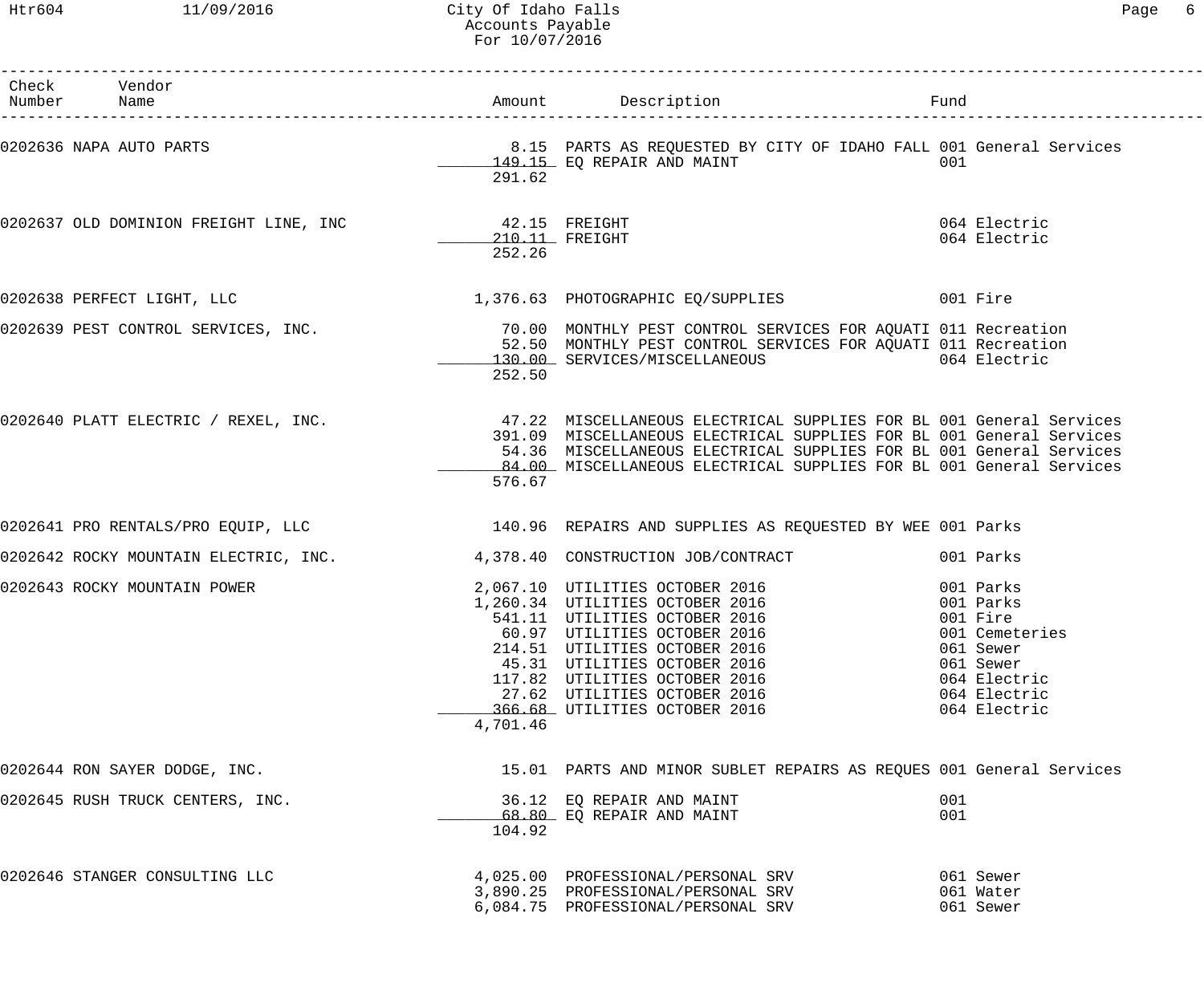Htr604 11/09/2016 City Of Idaho Falls Page 6 Accounts Payable For 10/07/2016

| Check Vendor<br>Number Name                          |                          |                                                                                                                                                                                                                                                                                                                                     |                                                                                          |
|------------------------------------------------------|--------------------------|-------------------------------------------------------------------------------------------------------------------------------------------------------------------------------------------------------------------------------------------------------------------------------------------------------------------------------------|------------------------------------------------------------------------------------------|
| 0202636 NAPA AUTO PARTS                              | 291.62                   | 8.15 PARTS AS REQUESTED BY CITY OF IDAHO FALL 001 General Services<br>149.15 EQ REPAIR AND MAINT                                                                                                                                                                                                                                    | 001                                                                                      |
| 0202637 OLD DOMINION FREIGHT LINE, INC 42.15 FREIGHT | 210.11 FREIGHT<br>252.26 |                                                                                                                                                                                                                                                                                                                                     | 064 Electric<br>064 Electric                                                             |
| 0202638 PERFECT LIGHT, LLC                           |                          | 1,376.63 PHOTOGRAPHIC EQ/SUPPLIES 001 Fire                                                                                                                                                                                                                                                                                          |                                                                                          |
|                                                      | 252.50                   | 0202639 PEST CONTROL SERVICES, INC. THE REAR MONTHLY PEST CONTROL SERVICES FOR AQUATI 011 Recreation<br>52.50 MONTHLY PEST CONTROL SERVICES FOR AQUATI 011 Recreation<br>130.00 SERVICES/MISCELLANEOUS 064 Electric                                                                                                                 |                                                                                          |
|                                                      | 576.67                   | 0202640 PLATT ELECTRIC / REXEL, INC. 47.22 MISCELLANEOUS ELECTRICAL SUPPLIES FOR BL 001 General Services<br>391.09 MISCELLANEOUS ELECTRICAL SUPPLIES FOR BL 001 General Services<br>54.36 MISCELLANEOUS ELECTRICAL SUPPLIES FOR BL 001 General Services<br>_84.00_ MISCELLANEOUS ELECTRICAL SUPPLIES FOR BL 001 General Services    |                                                                                          |
|                                                      |                          | 0202641 PRO RENTALS/PRO EQUIP, LLC 140.96 REPAIRS AND SUPPLIES AS REQUESTED BY WEE 001 Parks                                                                                                                                                                                                                                        |                                                                                          |
|                                                      |                          | 0202642 ROCKY MOUNTAIN ELECTRIC, INC. 4,378.40 CONSTRUCTION JOB/CONTRACT                                                                                                                                                                                                                                                            | 001 Parks                                                                                |
| 0202643 ROCKY MOUNTAIN POWER                         | 4,701.46                 | 2,067.10 UTILITIES OCTOBER 2016 001 Parks<br>1,260.34 UTILITIES OCTOBER 2016 001 Parks<br>541.11 UTILITIES OCTOBER 2016 001 Fire<br>60.97 UTILITIES OCTOBER 2016<br>214.51 UTILITIES OCTOBER 2016<br>45.31 UTILITIES OCTOBER 2016<br>117.82 UTILITIES OCTOBER 2016<br>27.62 UTILITIES OCTOBER 2016<br>366.68 UTILITIES OCTOBER 2016 | 001 Cemeteries<br>061 Sewer<br>061 Sewer<br>064 Electric<br>064 Electric<br>064 Electric |
| 0202644 RON SAYER DODGE, INC.                        |                          | 15.01 PARTS AND MINOR SUBLET REPAIRS AS REQUES 001 General Services                                                                                                                                                                                                                                                                 |                                                                                          |
| 0202645 RUSH TRUCK CENTERS, INC.                     | 104.92                   | 36.12 EQ REPAIR AND MAINT<br>68.80 EQ REPAIR AND MAINT                                                                                                                                                                                                                                                                              | 001<br>001                                                                               |
| 0202646 STANGER CONSULTING LLC                       |                          | 4,025.00 PROFESSIONAL/PERSONAL SRV<br>3,890.25 PROFESSIONAL/PERSONAL SRV<br>6,084.75 PROFESSIONAL/PERSONAL SRV                                                                                                                                                                                                                      | 061 Sewer<br>061 Water<br>061 Sewer                                                      |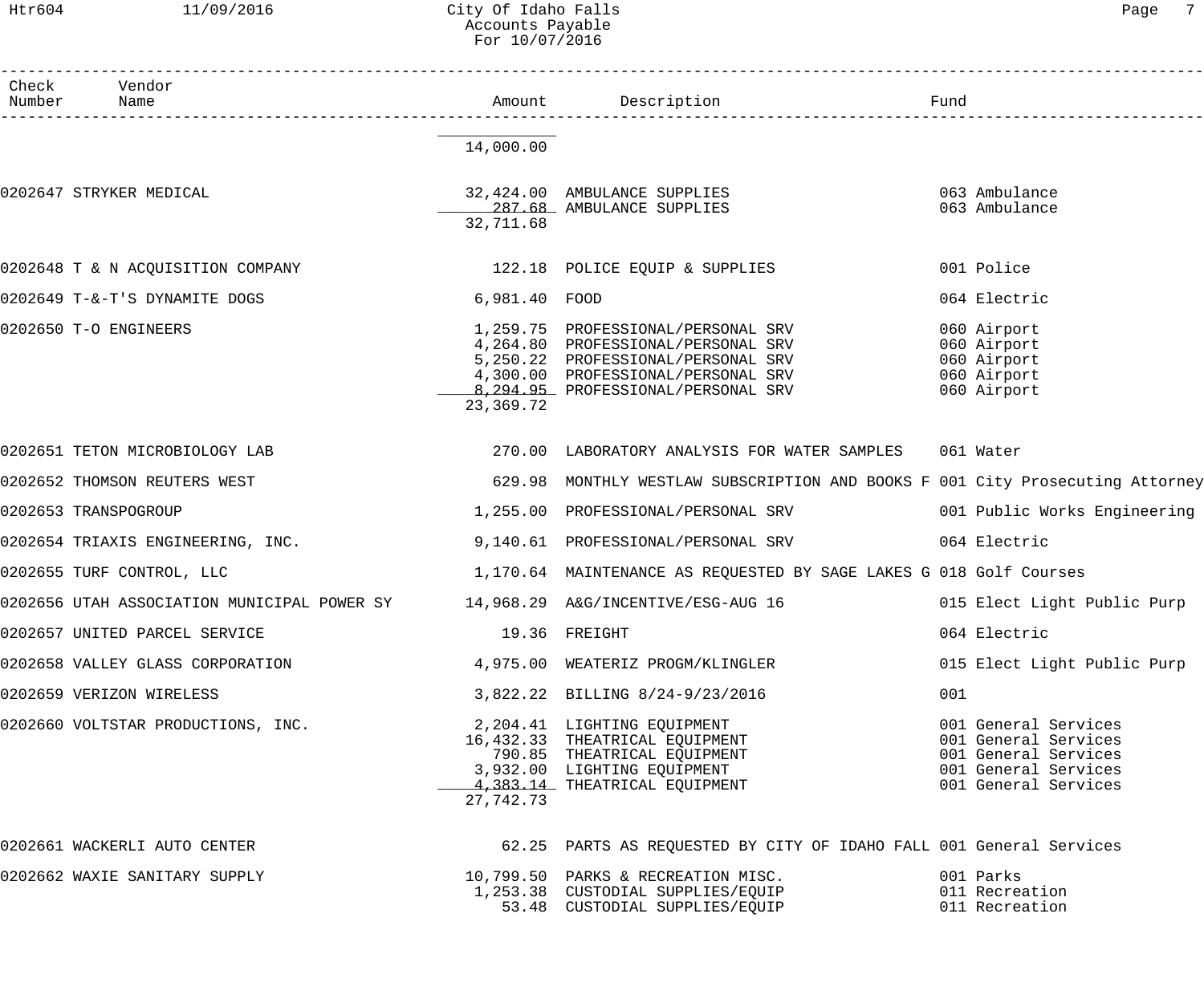### Htr604 11/09/2016 City Of Idaho Falls Page 7 Accounts Payable For 10/07/2016

| Check Vendor<br>Number Name<br>14,000.00<br>32,424.00 AMBULANCE SUPPLIES<br>0202647 STRYKER MEDICAL<br>063 Ambulance<br>287.68 AMBULANCE SUPPLIES<br>063 Ambulance<br>32,711.68<br>0202648 T & N ACQUISITION COMPANY 122.18 POLICE EQUIP & SUPPLIES<br>001 Police<br>0202649 T-&-T'S DYNAMITE DOGS<br>064 Electric<br>6,981.40 FOOD<br>0202650 T-O ENGINEERS<br>1,259.75 PROFESSIONAL/PERSONAL SRV<br>060 Airport<br>1,259.75 PROFESSIONAL/PERSONAL SRV<br>4,264.80 PROFESSIONAL/PERSONAL SRV<br>5,250.22 PROFESSIONAL/PERSONAL SRV<br>4,300.00 PROFESSIONAL/PERSONAL SRV<br>060 Airport<br>060 Airport<br>060 Airport<br>060 Airport<br>8,294.95 PROFESSIONAL/PERSONAL SRV<br>23,369.72<br>0202651 TETON MICROBIOLOGY LAB<br>270.00 LABORATORY ANALYSIS FOR WATER SAMPLES<br>061 Water<br>629.98 MONTHLY WESTLAW SUBSCRIPTION AND BOOKS F 001 City Prosecuting Attorney<br>0202652 THOMSON REUTERS WEST<br>1,255.00 PROFESSIONAL/PERSONAL SRV 001 Public Works Engineering<br>0202653 TRANSPOGROUP<br>0202654 TRIAXIS ENGINEERING, INC.<br>064 Electric<br>9,140.61 PROFESSIONAL/PERSONAL SRV<br>0202655 TURF CONTROL, LLC<br>1,170.64 MAINTENANCE AS REQUESTED BY SAGE LAKES G 018 Golf Courses<br>0202656 UTAH ASSOCIATION MUNICIPAL POWER SY 14,968.29 A&G/INCENTIVE/ESG-AUG 16 015 Elect Light Public Purp<br>0202657 UNITED PARCEL SERVICE<br>19.36 FREIGHT<br>064 Electric<br>0202658 VALLEY GLASS CORPORATION<br>4,975.00 WEATERIZ PROGM/KLINGLER<br>0202659 VERIZON WIRELESS<br>001<br>0202660 VOLTSTAR PRODUCTIONS, INC.<br>%,822.22 BILLING %,<br>2,204.41 LIGHTING EQUIPMENT<br>16,432.33 THEATRICAL EQUIPMENT<br>790.85 THEATRICAL EQUIPMENT<br>770.85 THEATRICAL EQUIPMENT<br>27,742.73<br>0202661 WACKERLI AUTO CENTER<br>62.25 PARTS AS REQUESTED BY CITY OF IDAHO FALL 001 General Services |  |  |                                                                                                                      |  |
|--------------------------------------------------------------------------------------------------------------------------------------------------------------------------------------------------------------------------------------------------------------------------------------------------------------------------------------------------------------------------------------------------------------------------------------------------------------------------------------------------------------------------------------------------------------------------------------------------------------------------------------------------------------------------------------------------------------------------------------------------------------------------------------------------------------------------------------------------------------------------------------------------------------------------------------------------------------------------------------------------------------------------------------------------------------------------------------------------------------------------------------------------------------------------------------------------------------------------------------------------------------------------------------------------------------------------------------------------------------------------------------------------------------------------------------------------------------------------------------------------------------------------------------------------------------------------------------------------------------------------------------------------------------------------------------------------------------------------------------------------------------------------------------------------------------|--|--|----------------------------------------------------------------------------------------------------------------------|--|
|                                                                                                                                                                                                                                                                                                                                                                                                                                                                                                                                                                                                                                                                                                                                                                                                                                                                                                                                                                                                                                                                                                                                                                                                                                                                                                                                                                                                                                                                                                                                                                                                                                                                                                                                                                                                              |  |  |                                                                                                                      |  |
|                                                                                                                                                                                                                                                                                                                                                                                                                                                                                                                                                                                                                                                                                                                                                                                                                                                                                                                                                                                                                                                                                                                                                                                                                                                                                                                                                                                                                                                                                                                                                                                                                                                                                                                                                                                                              |  |  |                                                                                                                      |  |
|                                                                                                                                                                                                                                                                                                                                                                                                                                                                                                                                                                                                                                                                                                                                                                                                                                                                                                                                                                                                                                                                                                                                                                                                                                                                                                                                                                                                                                                                                                                                                                                                                                                                                                                                                                                                              |  |  |                                                                                                                      |  |
|                                                                                                                                                                                                                                                                                                                                                                                                                                                                                                                                                                                                                                                                                                                                                                                                                                                                                                                                                                                                                                                                                                                                                                                                                                                                                                                                                                                                                                                                                                                                                                                                                                                                                                                                                                                                              |  |  |                                                                                                                      |  |
|                                                                                                                                                                                                                                                                                                                                                                                                                                                                                                                                                                                                                                                                                                                                                                                                                                                                                                                                                                                                                                                                                                                                                                                                                                                                                                                                                                                                                                                                                                                                                                                                                                                                                                                                                                                                              |  |  |                                                                                                                      |  |
|                                                                                                                                                                                                                                                                                                                                                                                                                                                                                                                                                                                                                                                                                                                                                                                                                                                                                                                                                                                                                                                                                                                                                                                                                                                                                                                                                                                                                                                                                                                                                                                                                                                                                                                                                                                                              |  |  |                                                                                                                      |  |
|                                                                                                                                                                                                                                                                                                                                                                                                                                                                                                                                                                                                                                                                                                                                                                                                                                                                                                                                                                                                                                                                                                                                                                                                                                                                                                                                                                                                                                                                                                                                                                                                                                                                                                                                                                                                              |  |  |                                                                                                                      |  |
|                                                                                                                                                                                                                                                                                                                                                                                                                                                                                                                                                                                                                                                                                                                                                                                                                                                                                                                                                                                                                                                                                                                                                                                                                                                                                                                                                                                                                                                                                                                                                                                                                                                                                                                                                                                                              |  |  |                                                                                                                      |  |
|                                                                                                                                                                                                                                                                                                                                                                                                                                                                                                                                                                                                                                                                                                                                                                                                                                                                                                                                                                                                                                                                                                                                                                                                                                                                                                                                                                                                                                                                                                                                                                                                                                                                                                                                                                                                              |  |  |                                                                                                                      |  |
|                                                                                                                                                                                                                                                                                                                                                                                                                                                                                                                                                                                                                                                                                                                                                                                                                                                                                                                                                                                                                                                                                                                                                                                                                                                                                                                                                                                                                                                                                                                                                                                                                                                                                                                                                                                                              |  |  |                                                                                                                      |  |
|                                                                                                                                                                                                                                                                                                                                                                                                                                                                                                                                                                                                                                                                                                                                                                                                                                                                                                                                                                                                                                                                                                                                                                                                                                                                                                                                                                                                                                                                                                                                                                                                                                                                                                                                                                                                              |  |  |                                                                                                                      |  |
|                                                                                                                                                                                                                                                                                                                                                                                                                                                                                                                                                                                                                                                                                                                                                                                                                                                                                                                                                                                                                                                                                                                                                                                                                                                                                                                                                                                                                                                                                                                                                                                                                                                                                                                                                                                                              |  |  |                                                                                                                      |  |
|                                                                                                                                                                                                                                                                                                                                                                                                                                                                                                                                                                                                                                                                                                                                                                                                                                                                                                                                                                                                                                                                                                                                                                                                                                                                                                                                                                                                                                                                                                                                                                                                                                                                                                                                                                                                              |  |  |                                                                                                                      |  |
|                                                                                                                                                                                                                                                                                                                                                                                                                                                                                                                                                                                                                                                                                                                                                                                                                                                                                                                                                                                                                                                                                                                                                                                                                                                                                                                                                                                                                                                                                                                                                                                                                                                                                                                                                                                                              |  |  | 015 Elect Light Public Purp                                                                                          |  |
|                                                                                                                                                                                                                                                                                                                                                                                                                                                                                                                                                                                                                                                                                                                                                                                                                                                                                                                                                                                                                                                                                                                                                                                                                                                                                                                                                                                                                                                                                                                                                                                                                                                                                                                                                                                                              |  |  |                                                                                                                      |  |
|                                                                                                                                                                                                                                                                                                                                                                                                                                                                                                                                                                                                                                                                                                                                                                                                                                                                                                                                                                                                                                                                                                                                                                                                                                                                                                                                                                                                                                                                                                                                                                                                                                                                                                                                                                                                              |  |  | 001 General Services<br>001 General Services<br>001 General Services<br>001 General Services<br>001 General Services |  |
|                                                                                                                                                                                                                                                                                                                                                                                                                                                                                                                                                                                                                                                                                                                                                                                                                                                                                                                                                                                                                                                                                                                                                                                                                                                                                                                                                                                                                                                                                                                                                                                                                                                                                                                                                                                                              |  |  |                                                                                                                      |  |
| 001 Parks<br>0202662 WAXIE SANITARY SUPPLY<br>10,799.50 PARKS & RECREATION MISC.<br>1,253.38 CUSTODIAL SUPPLIES/EQUIP<br>011 Recreation<br>53.48 CUSTODIAL SUPPLIES/EQUIP<br>011 Recreation                                                                                                                                                                                                                                                                                                                                                                                                                                                                                                                                                                                                                                                                                                                                                                                                                                                                                                                                                                                                                                                                                                                                                                                                                                                                                                                                                                                                                                                                                                                                                                                                                  |  |  |                                                                                                                      |  |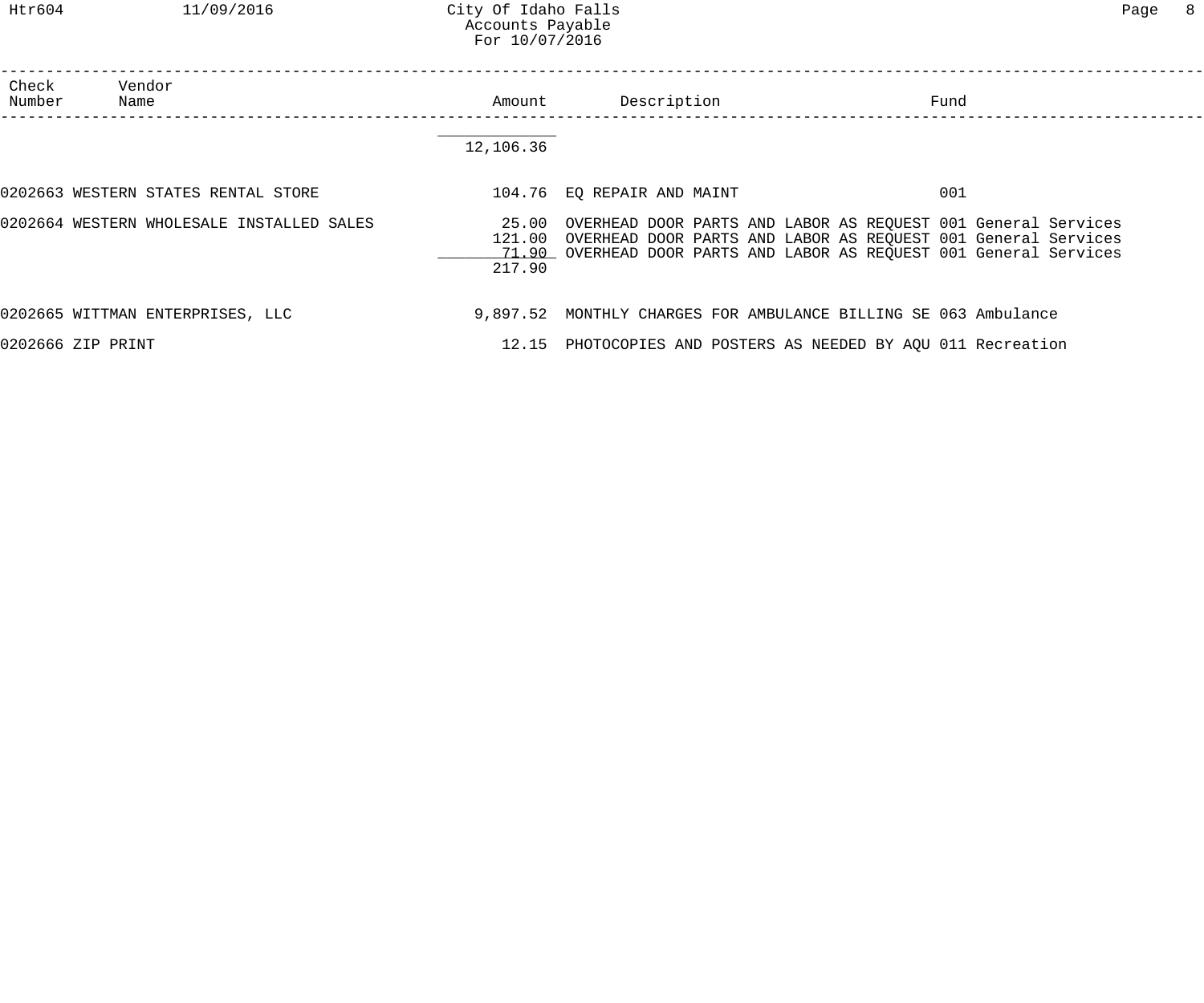| ำลα∙ |  |
|------|--|
|------|--|

| Check<br>Number   | Vendor<br>Name                            | Amount           | Description                | Fund                                                                                                                                                                                                        |  |
|-------------------|-------------------------------------------|------------------|----------------------------|-------------------------------------------------------------------------------------------------------------------------------------------------------------------------------------------------------------|--|
|                   |                                           | 12,106.36        |                            |                                                                                                                                                                                                             |  |
|                   | 0202663 WESTERN STATES RENTAL STORE       |                  | 104.76 EQ REPAIR AND MAINT | 001                                                                                                                                                                                                         |  |
|                   | 0202664 WESTERN WHOLESALE INSTALLED SALES | 121.00<br>217.90 |                            | 25.00 OVERHEAD DOOR PARTS AND LABOR AS REQUEST 001 General Services<br>OVERHEAD DOOR PARTS AND LABOR AS REQUEST 001 General Services<br>71.90 OVERHEAD DOOR PARTS AND LABOR AS REQUEST 001 General Services |  |
|                   | 0202665 WITTMAN ENTERPRISES, LLC          |                  |                            | 9,897.52 MONTHLY CHARGES FOR AMBULANCE BILLING SE 063 Ambulance                                                                                                                                             |  |
| 0202666 ZIP PRINT |                                           |                  |                            | 12.15 PHOTOCOPIES AND POSTERS AS NEEDED BY AQU 011 Recreation                                                                                                                                               |  |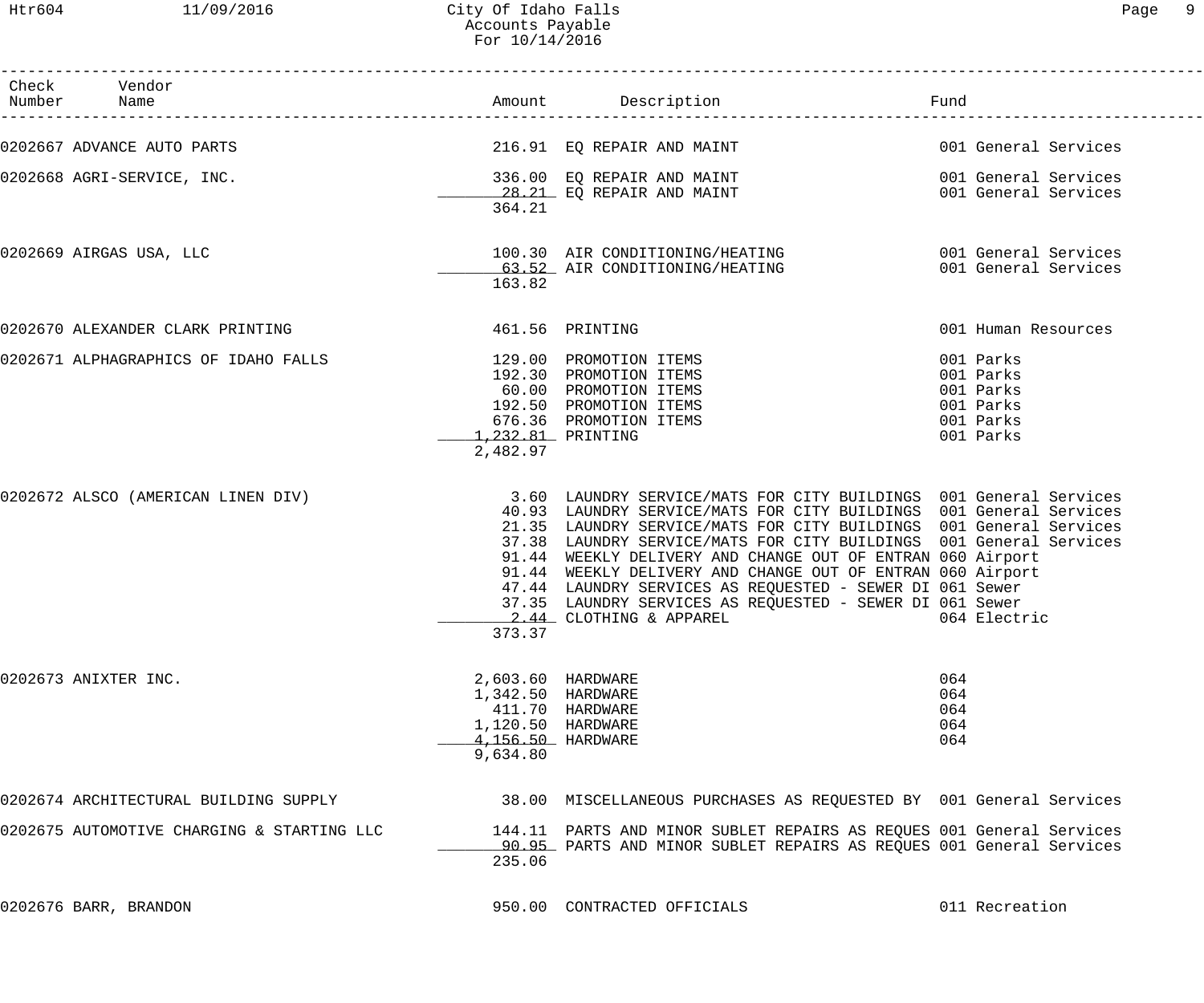### Htr604 11/09/2016 City Of Idaho Falls Page 9 Accounts Payable For 10/14/2016

| Check Vendor<br>Number Name                |                                                                                              |                                                                                                                                                                                                                                                                                                                                                                                                                                                                                                                                                                    | Fund                                                                       |
|--------------------------------------------|----------------------------------------------------------------------------------------------|--------------------------------------------------------------------------------------------------------------------------------------------------------------------------------------------------------------------------------------------------------------------------------------------------------------------------------------------------------------------------------------------------------------------------------------------------------------------------------------------------------------------------------------------------------------------|----------------------------------------------------------------------------|
| 0202667 ADVANCE AUTO PARTS                 |                                                                                              | 216.91 EQ REPAIR AND MAINT                                                                                                                                                                                                                                                                                                                                                                                                                                                                                                                                         | 001 General Services                                                       |
| 0202668 AGRI-SERVICE, INC.                 | 364.21                                                                                       | 336.00 EQ REPAIR AND MAINT<br>28.21 EQ REPAIR AND MAINT                                                                                                                                                                                                                                                                                                                                                                                                                                                                                                            | 001 General Services<br>001 General Services                               |
| 0202669 AIRGAS USA, LLC                    | 163.82                                                                                       | 63.52 AIR CONDITIONING/HEATING                                                                                                                                                                                                                                                                                                                                                                                                                                                                                                                                     | 001 General Services                                                       |
| 0202670 ALEXANDER CLARK PRINTING           | 461.56 PRINTING                                                                              |                                                                                                                                                                                                                                                                                                                                                                                                                                                                                                                                                                    | 001 Human Resources                                                        |
| 0202671 ALPHAGRAPHICS OF IDAHO FALLS       | 1,232.81 PRINTING<br>2,482.97                                                                | 129.00 PROMOTION ITEMS<br>192.30 PROMOTION ITEMS<br>60.00 PROMOTION ITEMS<br>192.50 PROMOTION ITEMS<br>676.36 PROMOTION ITEMS                                                                                                                                                                                                                                                                                                                                                                                                                                      | 001 Parks<br>001 Parks<br>001 Parks<br>001 Parks<br>001 Parks<br>001 Parks |
| 0202672 ALSCO (AMERICAN LINEN DIV)         | 373.37                                                                                       | 3.60 LAUNDRY SERVICE/MATS FOR CITY BUILDINGS 001 General Services<br>40.93 LAUNDRY SERVICE/MATS FOR CITY BUILDINGS 001 General Services<br>21.35 LAUNDRY SERVICE/MATS FOR CITY BUILDINGS 001 General Services<br>37.38 LAUNDRY SERVICE/MATS FOR CITY BUILDINGS 001 General Services<br>91.44 WEEKLY DELIVERY AND CHANGE OUT OF ENTRAN 060 Airport<br>91.44 WEEKLY DELIVERY AND CHANGE OUT OF ENTRAN 060 Airport<br>47.44 LAUNDRY SERVICES AS REQUESTED - SEWER DI 061 Sewer<br>37.35 LAUNDRY SERVICES AS REQUESTED - SEWER DI 061 Sewer<br>2.44 CLOTHING & APPAREL | 064 Electric                                                               |
| 0202673 ANIXTER INC.                       | 2,603.60 HARDWARE<br>1,342.50 HARDWARE<br>1,120.50 HARDWARE<br>4,156.50 HARDWARE<br>9,634.80 | 411.70 HARDWARE                                                                                                                                                                                                                                                                                                                                                                                                                                                                                                                                                    | 064<br>064<br>064<br>064<br>064                                            |
| 0202674 ARCHITECTURAL BUILDING SUPPLY      |                                                                                              | 38.00 MISCELLANEOUS PURCHASES AS REQUESTED BY 001 General Services                                                                                                                                                                                                                                                                                                                                                                                                                                                                                                 |                                                                            |
| 0202675 AUTOMOTIVE CHARGING & STARTING LLC | 235.06                                                                                       | 144.11 PARTS AND MINOR SUBLET REPAIRS AS REQUES 001 General Services<br>90.95 PARTS AND MINOR SUBLET REPAIRS AS REQUES 001 General Services                                                                                                                                                                                                                                                                                                                                                                                                                        |                                                                            |
| 0202676 BARR, BRANDON                      |                                                                                              | 950.00 CONTRACTED OFFICIALS                                                                                                                                                                                                                                                                                                                                                                                                                                                                                                                                        | 011 Recreation                                                             |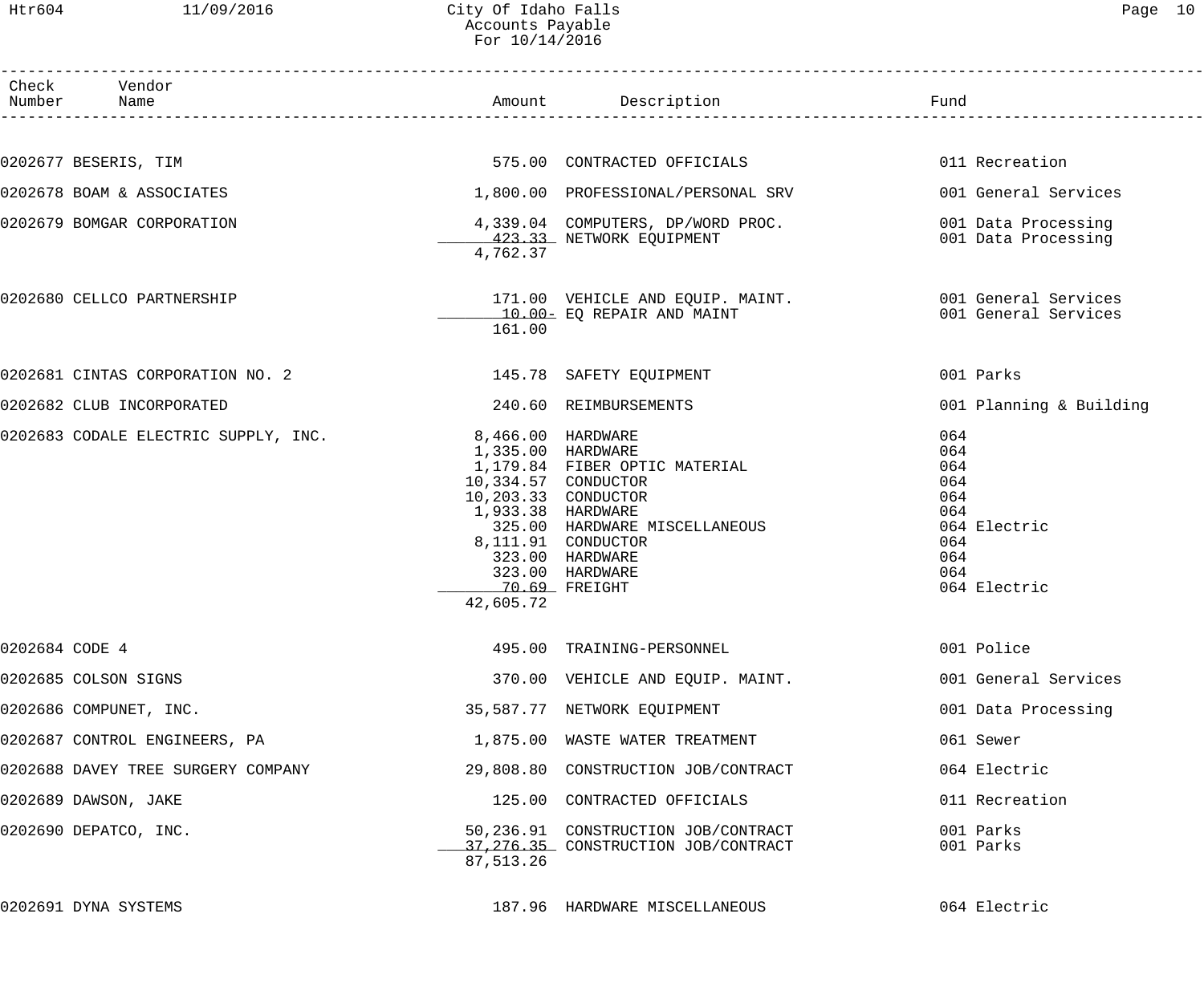### Htr604 11/09/2016 City Of Idaho Falls Page 10 Accounts Payable For 10/14/2016

| Check Vendor<br>Number Name |                                      |                                                                                             | Amount Description                                                                                                                                                     | Fund                                                                                        |
|-----------------------------|--------------------------------------|---------------------------------------------------------------------------------------------|------------------------------------------------------------------------------------------------------------------------------------------------------------------------|---------------------------------------------------------------------------------------------|
|                             |                                      |                                                                                             |                                                                                                                                                                        |                                                                                             |
| 0202677 BESERIS, TIM        |                                      |                                                                                             | 575.00 CONTRACTED OFFICIALS                                                                                                                                            | 011 Recreation                                                                              |
|                             | 0202678 BOAM & ASSOCIATES            |                                                                                             | 1,800.00 PROFESSIONAL/PERSONAL SRV                                                                                                                                     | 001 General Services                                                                        |
|                             | 0202679 BOMGAR CORPORATION           | 4,762.37                                                                                    | 4,339.04 COMPUTERS, DP/WORD PROC.<br>423.33 NETWORK EQUIPMENT                                                                                                          | 001 Data Processing<br>001 Data Processing                                                  |
|                             | 0202680 CELLCO PARTNERSHIP           | 161.00                                                                                      | 171.00 VEHICLE AND EQUIP. MAINT. 420 001 General Services<br>$\frac{10.00-}{\sqrt{10000}}$ EQ REPAIR AND MAINT                                                         | 001 General Services                                                                        |
|                             | 0202681 CINTAS CORPORATION NO. 2     |                                                                                             | 145.78 SAFETY EQUIPMENT                                                                                                                                                | 001 Parks                                                                                   |
|                             | 0202682 CLUB INCORPORATED            |                                                                                             | 240.60 REIMBURSEMENTS                                                                                                                                                  | 001 Planning & Building                                                                     |
|                             | 0202683 CODALE ELECTRIC SUPPLY, INC. | 1,335.00 HARDWARE<br>10,334.57 CONDUCTOR<br>1,933.38 HARDWARE<br>70.69 FREIGHT<br>42,605.72 | 8,466.00 HARDWARE<br>1,179.84 FIBER OPTIC MATERIAL<br>10,203.33 CONDUCTOR<br>325.00 HARDWARE MISCELLANEOUS<br>8,111.91 CONDUCTOR<br>323.00 HARDWARE<br>323.00 HARDWARE | 064<br>064<br>064<br>064<br>064<br>064<br>064 Electric<br>064<br>064<br>064<br>064 Electric |
| 0202684 CODE 4              |                                      |                                                                                             | 495.00 TRAINING-PERSONNEL                                                                                                                                              | 001 Police                                                                                  |
| 0202685 COLSON SIGNS        |                                      |                                                                                             | 370.00 VEHICLE AND EQUIP. MAINT.                                                                                                                                       | 001 General Services                                                                        |
| 0202686 COMPUNET, INC.      |                                      |                                                                                             | 35,587.77 NETWORK EQUIPMENT                                                                                                                                            | 001 Data Processing                                                                         |
|                             | 0202687 CONTROL ENGINEERS, PA        |                                                                                             | 1,875.00 WASTE WATER TREATMENT                                                                                                                                         | 061 Sewer                                                                                   |
|                             | 0202688 DAVEY TREE SURGERY COMPANY   |                                                                                             | 29,808.80 CONSTRUCTION JOB/CONTRACT                                                                                                                                    | 064 Electric                                                                                |
| 0202689 DAWSON, JAKE        |                                      |                                                                                             | 125.00 CONTRACTED OFFICIALS                                                                                                                                            | 011 Recreation                                                                              |
| 0202690 DEPATCO, INC.       |                                      | 87,513.26                                                                                   | 50,236.91 CONSTRUCTION JOB/CONTRACT<br>37, 276.35 CONSTRUCTION JOB/CONTRACT                                                                                            | 001 Parks<br>001 Parks                                                                      |
| 0202691 DYNA SYSTEMS        |                                      |                                                                                             | 187.96 HARDWARE MISCELLANEOUS                                                                                                                                          | 064 Electric                                                                                |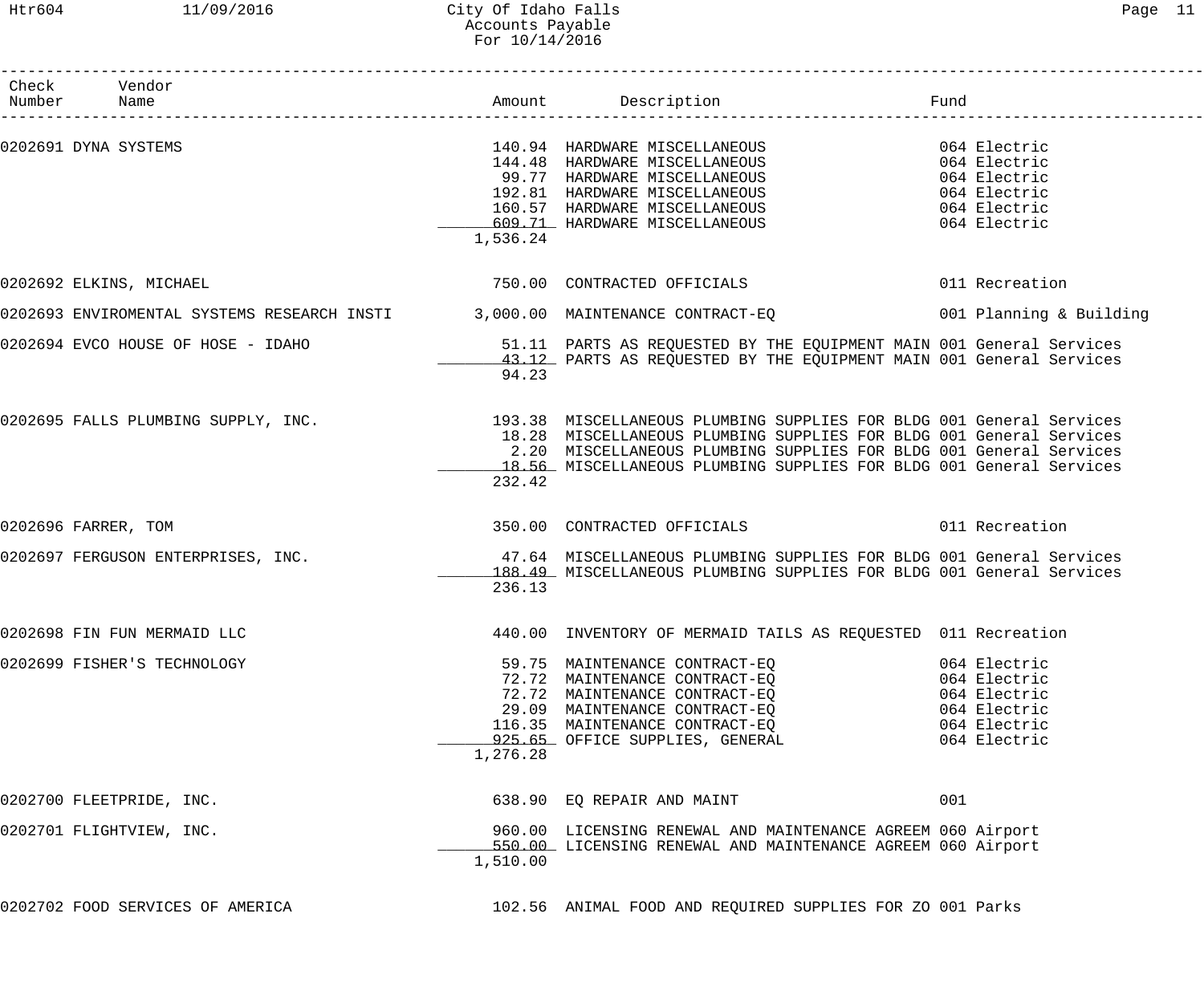### Htr604 11/09/2016 City Of Idaho Falls Page 11 Accounts Payable For 10/14/2016

| Check Vendor                       |          |                                                                                                                                                                                                                                              |      |              |
|------------------------------------|----------|----------------------------------------------------------------------------------------------------------------------------------------------------------------------------------------------------------------------------------------------|------|--------------|
| Number Name                        |          | Amount Description                                                                                                                                                                                                                           | Fund |              |
| 0202691 DYNA SYSTEMS               |          |                                                                                                                                                                                                                                              |      |              |
|                                    |          | 140.94 HARDWARE MISCELLANEOUS 064 Electric<br>144.48 HARDWARE MISCELLANEOUS 064 Electric<br>99.77 HARDWARE MISCELLANEOUS 064 Electric                                                                                                        |      |              |
|                                    |          |                                                                                                                                                                                                                                              |      |              |
|                                    |          | 192.81 HARDWARE MISCELLANEOUS 064 Electric                                                                                                                                                                                                   |      |              |
|                                    |          | 160.57 HARDWARE MISCELLANEOUS 064 Electric                                                                                                                                                                                                   |      |              |
|                                    |          | 609.71 HARDWARE MISCELLANEOUS 609.71 HARDWARE MISCELLANEOUS                                                                                                                                                                                  |      |              |
|                                    | 1,536.24 |                                                                                                                                                                                                                                              |      |              |
| 0202692 ELKINS, MICHAEL            |          | 750.00 CONTRACTED OFFICIALS 6011 Recreation                                                                                                                                                                                                  |      |              |
|                                    |          | 0202693 ENVIROMENTAL SYSTEMS RESEARCH INSTI 3,000.00 MAINTENANCE CONTRACT-EQ 600000000000000000000000000000000                                                                                                                               |      |              |
| 0202694 EVCO HOUSE OF HOSE - IDAHO |          | 51.11 PARTS AS REQUESTED BY THE EQUIPMENT MAIN 001 General Services                                                                                                                                                                          |      |              |
|                                    |          | 43.12 PARTS AS REQUESTED BY THE EQUIPMENT MAIN 001 General Services                                                                                                                                                                          |      |              |
|                                    | 94.23    |                                                                                                                                                                                                                                              |      |              |
|                                    |          | 0202695 FALLS PLUMBING SUPPLY, INC. 193.38 MISCELLANEOUS PLUMBING SUPPLIES FOR BLDG 001 General Services                                                                                                                                     |      |              |
|                                    |          | 18.28 MISCELLANEOUS PLUMBING SUPPLIES FOR BLDG 001 General Services                                                                                                                                                                          |      |              |
|                                    |          | 2.20 MISCELLANEOUS PLUMBING SUPPLIES FOR BLDG 001 General Services                                                                                                                                                                           |      |              |
|                                    |          | 18.56 MISCELLANEOUS PLUMBING SUPPLIES FOR BLDG 001 General Services                                                                                                                                                                          |      |              |
|                                    | 232.42   |                                                                                                                                                                                                                                              |      |              |
| 0202696 FARRER, TOM                |          |                                                                                                                                                                                                                                              |      |              |
| 0202697 FERGUSON ENTERPRISES, INC. |          | 47.64 MISCELLANEOUS PLUMBING SUPPLIES FOR BLDG 001 General Services                                                                                                                                                                          |      |              |
|                                    |          | 188.49 MISCELLANEOUS PLUMBING SUPPLIES FOR BLDG 001 General Services                                                                                                                                                                         |      |              |
|                                    | 236.13   |                                                                                                                                                                                                                                              |      |              |
| 0202698 FIN FUN MERMAID LLC        |          | 440.00 INVENTORY OF MERMAID TAILS AS REQUESTED 011 Recreation                                                                                                                                                                                |      |              |
| 0202699 FISHER'S TECHNOLOGY        |          | 59.75 MAINTENANCE CONTRACT-EQ                                                                                                                                                                                                                |      | 064 Electric |
|                                    |          |                                                                                                                                                                                                                                              |      |              |
|                                    |          | 39.73 MAINTENANCE CONTRACT-EQ<br>72.72 MAINTENANCE CONTRACT-EQ<br>29.09 MAINTENANCE CONTRACT-EQ<br>116.35 MAINTENANCE CONTRACT-EQ<br>116.35 MAINTENANCE CONTRACT-EQ<br>20.09 MAINTENANCE CONTRACT-EQ<br>20.09 MAINTENANCE CONTRACT-EQ<br>20. |      |              |
|                                    |          |                                                                                                                                                                                                                                              |      |              |
|                                    |          |                                                                                                                                                                                                                                              |      |              |
|                                    |          | 925.65 OFFICE SUPPLIES, GENERAL 6064 Electric                                                                                                                                                                                                |      |              |
|                                    | 1,276.28 |                                                                                                                                                                                                                                              |      |              |
| 0202700 FLEETPRIDE, INC.           |          | 638.90 EQ REPAIR AND MAINT                                                                                                                                                                                                                   | 001  |              |
| 0202701 FLIGHTVIEW, INC.           |          | 960.00 LICENSING RENEWAL AND MAINTENANCE AGREEM 060 Airport                                                                                                                                                                                  |      |              |
|                                    |          | 550.00 LICENSING RENEWAL AND MAINTENANCE AGREEM 060 Airport                                                                                                                                                                                  |      |              |
|                                    | 1,510.00 |                                                                                                                                                                                                                                              |      |              |
| 0202702 FOOD SERVICES OF AMERICA   |          | 102.56 ANIMAL FOOD AND REQUIRED SUPPLIES FOR ZO 001 Parks                                                                                                                                                                                    |      |              |
|                                    |          |                                                                                                                                                                                                                                              |      |              |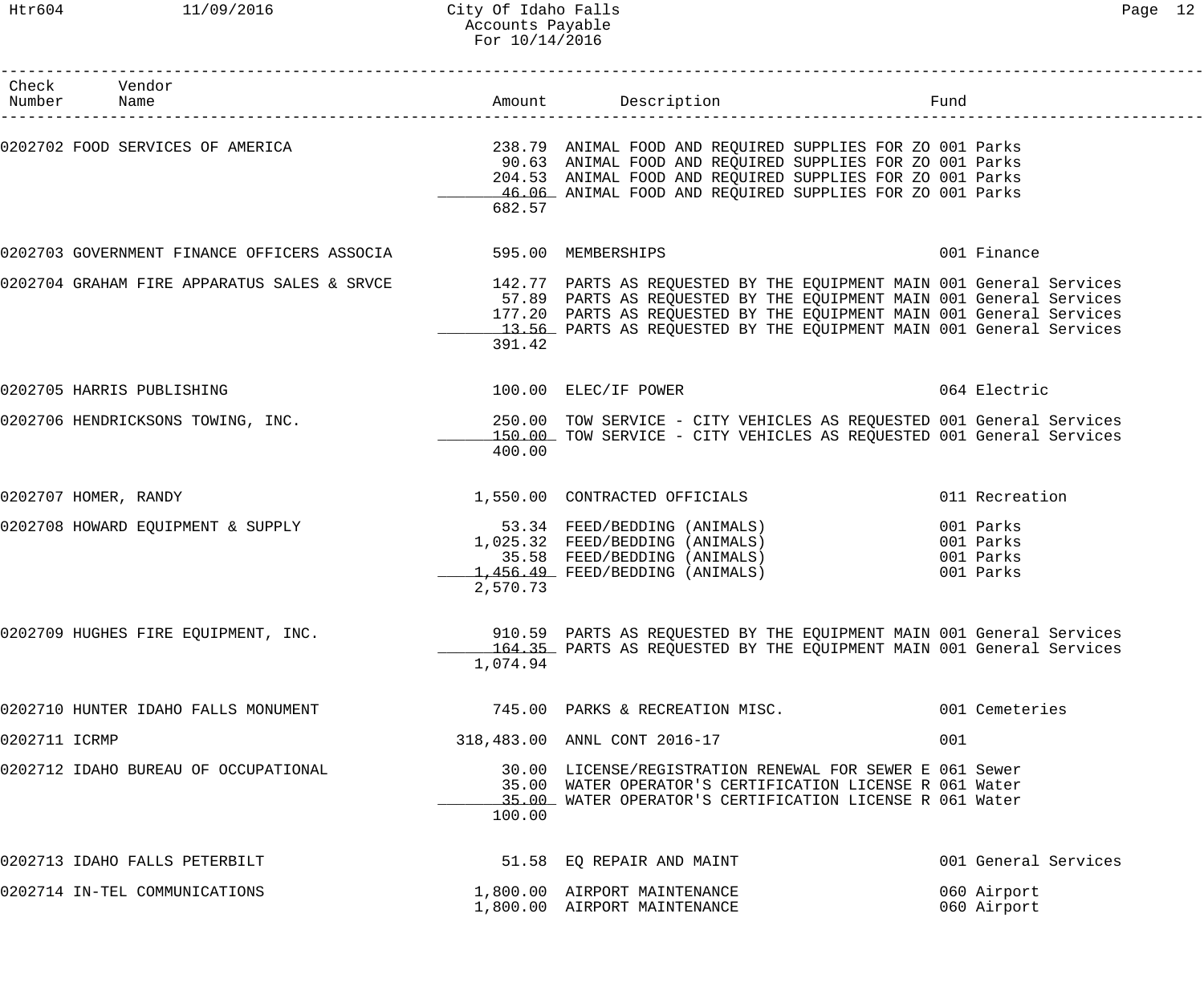|               | Check Vendor<br>Number Name                                    |          |                                                                                                                                                                                                                                                                                                                                        | Fund                                             |
|---------------|----------------------------------------------------------------|----------|----------------------------------------------------------------------------------------------------------------------------------------------------------------------------------------------------------------------------------------------------------------------------------------------------------------------------------------|--------------------------------------------------|
|               |                                                                | 682.57   | 0202702 FOOD SERVICES OF AMERICA THE RELEVIE SUBSEXTER 238.79 ANIMAL FOOD AND REQUIRED SUPPLIES FOR ZO 001 Parks<br>90.63 ANIMAL FOOD AND REQUIRED SUPPLIES FOR ZO 001 Parks<br>204.53 ANIMAL FOOD AND REQUIRED SUPPLIES FOR ZO 001 Parks<br>46.06 ANIMAL FOOD AND REQUIRED SUPPLIES FOR ZO 001 Parks                                  |                                                  |
|               | 0202703 GOVERNMENT FINANCE OFFICERS ASSOCIA 595.00 MEMBERSHIPS |          |                                                                                                                                                                                                                                                                                                                                        | 001 Finance                                      |
|               |                                                                | 391.42   | 0202704 GRAHAM FIRE APPARATUS SALES & SRVCE 142.77 PARTS AS REQUESTED BY THE EQUIPMENT MAIN 001 General Services<br>57.89 PARTS AS REQUESTED BY THE EQUIPMENT MAIN 001 General Services<br>177.20 PARTS AS REQUESTED BY THE EQUIPMENT MAIN 001 General Services<br>13.56 PARTS AS REQUESTED BY THE EQUIPMENT MAIN 001 General Services |                                                  |
|               | 0202705 HARRIS PUBLISHING                                      |          | 100.00 ELEC/IF POWER                                                                                                                                                                                                                                                                                                                   | 064 Electric                                     |
|               | 0202706 HENDRICKSONS TOWING, INC.                              | 400.00   | 250.00 TOW SERVICE - CITY VEHICLES AS REQUESTED 001 General Services<br>150.00 TOW SERVICE - CITY VEHICLES AS REQUESTED 001 General Services                                                                                                                                                                                           |                                                  |
|               | 0202707 HOMER, RANDY                                           |          | 1,550.00 CONTRACTED OFFICIALS                                                                                                                                                                                                                                                                                                          | 011 Recreation                                   |
|               | 0202708 HOWARD EQUIPMENT & SUPPLY                              | 2,570.73 | 53.34 FEED/BEDDING (ANIMALS)<br>1,025.32 FEED/BEDDING (ANIMALS)<br>35.58 FEED/BEDDING (ANIMALS)<br>1,456.49 FEED/BEDDING (ANIMALS)                                                                                                                                                                                                     | 001 Parks<br>001 Parks<br>001 Parks<br>001 Parks |
|               | 0202709 HUGHES FIRE EQUIPMENT, INC.                            | 1,074.94 | 910.59 PARTS AS REQUESTED BY THE EQUIPMENT MAIN 001 General Services<br>164.35 PARTS AS REQUESTED BY THE EQUIPMENT MAIN 001 General Services                                                                                                                                                                                           |                                                  |
|               | 0202710 HUNTER IDAHO FALLS MONUMENT                            |          | 745.00 PARKS & RECREATION MISC.                                                                                                                                                                                                                                                                                                        | 001 Cemeteries                                   |
| 0202711 ICRMP |                                                                |          | 318,483.00 ANNL CONT 2016-17                                                                                                                                                                                                                                                                                                           | 001                                              |
|               | 0202712 IDAHO BUREAU OF OCCUPATIONAL                           | 100.00   | 30.00 LICENSE/REGISTRATION RENEWAL FOR SEWER E 061 Sewer<br>35.00 WATER OPERATOR'S CERTIFICATION LICENSE R 061 Water<br>35.00 WATER OPERATOR'S CERTIFICATION LICENSE R 061 Water                                                                                                                                                       |                                                  |
|               | 0202713 IDAHO FALLS PETERBILT                                  |          | 51.58 EQ REPAIR AND MAINT                                                                                                                                                                                                                                                                                                              | 001 General Services                             |
|               | 0202714 IN-TEL COMMUNICATIONS                                  |          | 1,800.00 AIRPORT MAINTENANCE<br>1,800.00 AIRPORT MAINTENANCE                                                                                                                                                                                                                                                                           | 060 Airport<br>060 Airport                       |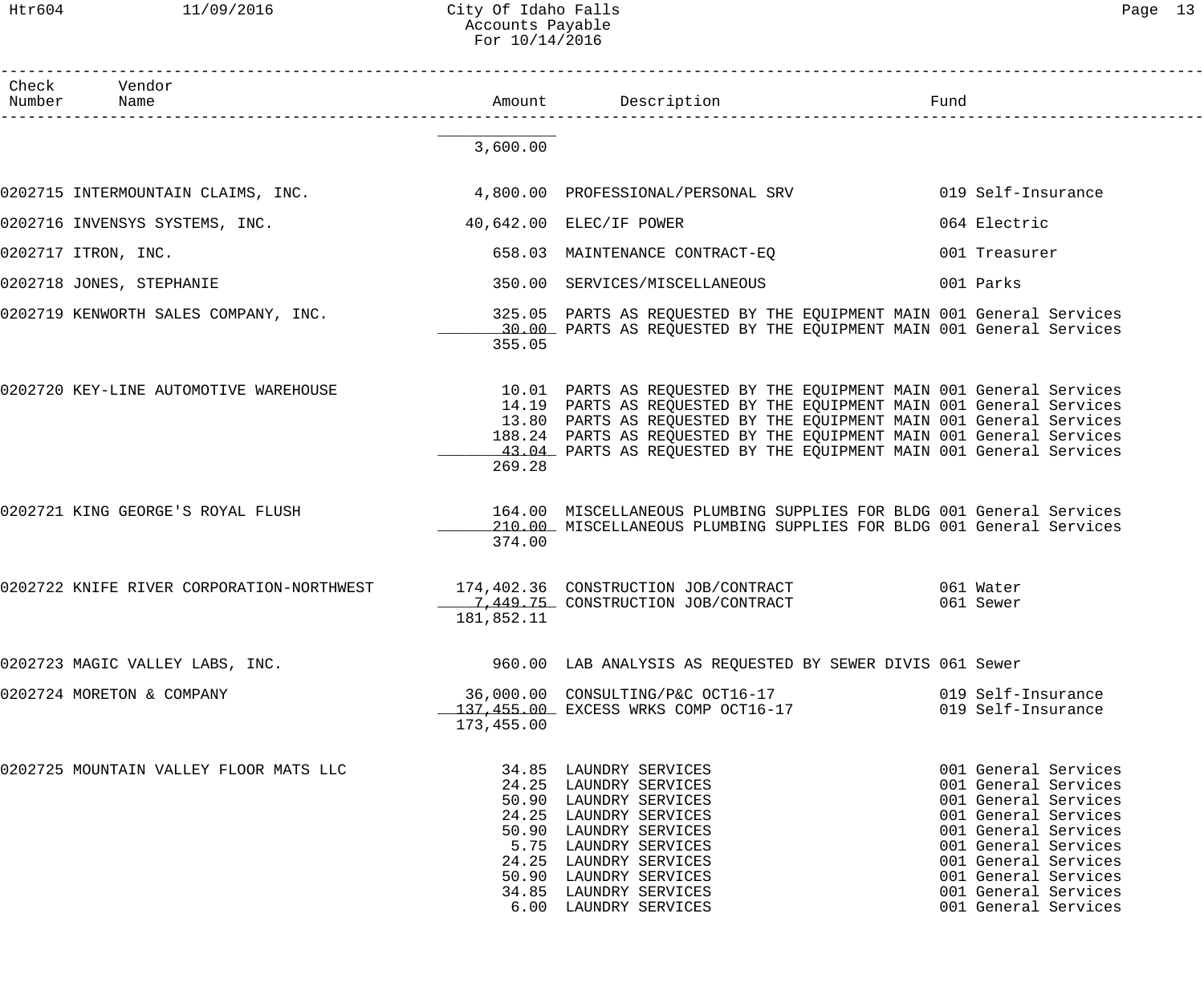Htr604 11/09/2016 City Of Idaho Falls Page 13 Accounts Payable For 10/14/2016

| C<br>_<br>⊣ |  |
|-------------|--|
|-------------|--|

| Check  | Vendor                                    |            |                                                                                                                                                                                                                                                                                                                                                                  |                                                                                                                                                                                                                                              |  |
|--------|-------------------------------------------|------------|------------------------------------------------------------------------------------------------------------------------------------------------------------------------------------------------------------------------------------------------------------------------------------------------------------------------------------------------------------------|----------------------------------------------------------------------------------------------------------------------------------------------------------------------------------------------------------------------------------------------|--|
| Number | Name                                      |            |                                                                                                                                                                                                                                                                                                                                                                  | Fund<br>1<br>--------------------------                                                                                                                                                                                                      |  |
|        |                                           | 3,600.00   |                                                                                                                                                                                                                                                                                                                                                                  |                                                                                                                                                                                                                                              |  |
|        | 0202715 INTERMOUNTAIN CLAIMS, INC.        |            | 4,800.00 PROFESSIONAL/PERSONAL SRV                                                                                                                                                                                                                                                                                                                               | 019 Self-Insurance                                                                                                                                                                                                                           |  |
|        | 0202716 INVENSYS SYSTEMS, INC.            |            | 40,642.00 ELEC/IF POWER                                                                                                                                                                                                                                                                                                                                          | 064 Electric                                                                                                                                                                                                                                 |  |
|        | 0202717 ITRON, INC.                       |            | 658.03 MAINTENANCE CONTRACT-EQ                                                                                                                                                                                                                                                                                                                                   | 001 Treasurer                                                                                                                                                                                                                                |  |
|        | 0202718 JONES, STEPHANIE                  |            | 350.00 SERVICES/MISCELLANEOUS                                                                                                                                                                                                                                                                                                                                    | 001 Parks                                                                                                                                                                                                                                    |  |
|        | 0202719 KENWORTH SALES COMPANY, INC.      | 355.05     | 325.05 PARTS AS REQUESTED BY THE EQUIPMENT MAIN 001 General Services<br>10.00 PARTS AS REQUESTED BY THE EQUIPMENT MAIN 001 General Services                                                                                                                                                                                                                      |                                                                                                                                                                                                                                              |  |
|        | 0202720 KEY-LINE AUTOMOTIVE WAREHOUSE     | 269.28     | 10.01 PARTS AS REQUESTED BY THE EQUIPMENT MAIN 001 General Services<br>14.19 PARTS AS REQUESTED BY THE EQUIPMENT MAIN 001 General Services<br>13.80 PARTS AS REQUESTED BY THE EQUIPMENT MAIN 001 General Services<br>188.24 PARTS AS REQUESTED BY THE EQUIPMENT MAIN 001 General Services<br>43.04 PARTS AS REQUESTED BY THE EQUIPMENT MAIN 001 General Services |                                                                                                                                                                                                                                              |  |
|        | 0202721 KING GEORGE'S ROYAL FLUSH         | 374.00     | 164.00 MISCELLANEOUS PLUMBING SUPPLIES FOR BLDG 001 General Services<br>210.00 MISCELLANEOUS PLUMBING SUPPLIES FOR BLDG 001 General Services                                                                                                                                                                                                                     |                                                                                                                                                                                                                                              |  |
|        | 0202722 KNIFE RIVER CORPORATION-NORTHWEST | 181,852.11 | 174,402.36 CONSTRUCTION JOB/CONTRACT 661 Water<br>1,449.75 CONSTRUCTION JOB/CONTRACT                                                                                                                                                                                                                                                                             | 061 Sewer                                                                                                                                                                                                                                    |  |
|        | 0202723 MAGIC VALLEY LABS, INC.           |            | 960.00 LAB ANALYSIS AS REQUESTED BY SEWER DIVIS 061 Sewer                                                                                                                                                                                                                                                                                                        |                                                                                                                                                                                                                                              |  |
|        | 0202724 MORETON & COMPANY                 | 173,455.00 |                                                                                                                                                                                                                                                                                                                                                                  | 019 Self-Insurance<br>019 Self-Insurance                                                                                                                                                                                                     |  |
|        | 0202725 MOUNTAIN VALLEY FLOOR MATS LLC    |            | 34.85 LAUNDRY SERVICES<br>24.25 LAUNDRY SERVICES<br>50.90 LAUNDRY SERVICES<br>24.25 LAUNDRY SERVICES<br>50.90 LAUNDRY SERVICES<br>5.75 LAUNDRY SERVICES<br>24.25 LAUNDRY SERVICES<br>50.90 LAUNDRY SERVICES<br>34.85 LAUNDRY SERVICES<br>6.00 LAUNDRY SERVICES                                                                                                   | 001 General Services<br>001 General Services<br>001 General Services<br>001 General Services<br>001 General Services<br>001 General Services<br>001 General Services<br>001 General Services<br>001 General Services<br>001 General Services |  |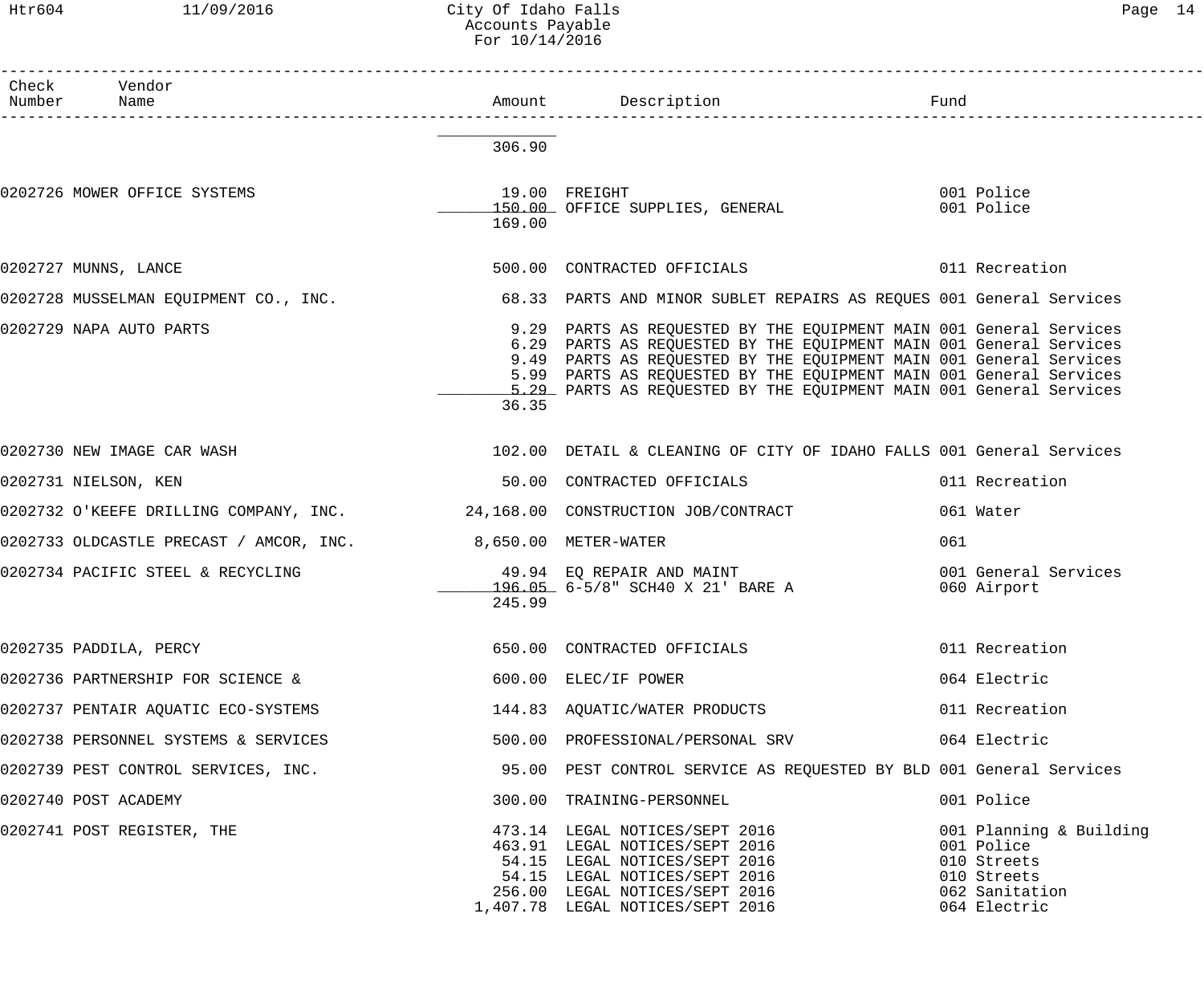### Htr604 11/09/2016 City Of Idaho Falls Page 14 Accounts Payable For 10/14/2016

| Check Vendor                                                 |        |                                                                                                                                                                                                                                                                                                                                                            |                                                                                                       |
|--------------------------------------------------------------|--------|------------------------------------------------------------------------------------------------------------------------------------------------------------------------------------------------------------------------------------------------------------------------------------------------------------------------------------------------------------|-------------------------------------------------------------------------------------------------------|
|                                                              | 306.90 |                                                                                                                                                                                                                                                                                                                                                            |                                                                                                       |
| 0202726 MOWER OFFICE SYSTEMS                                 | 169.00 | 19.00 FREIGHT 19.00 POLICHE<br>150.00 OFFICE SUPPLIES, GENERAL 150.00 Police                                                                                                                                                                                                                                                                               |                                                                                                       |
| 0202727 MUNNS, LANCE                                         |        |                                                                                                                                                                                                                                                                                                                                                            |                                                                                                       |
|                                                              |        | 0202728 MUSSELMAN EQUIPMENT CO., INC. 68.33 PARTS AND MINOR SUBLET REPAIRS AS REQUES 001 General Services                                                                                                                                                                                                                                                  |                                                                                                       |
| 0202729 NAPA AUTO PARTS                                      | 36.35  | 9.29 PARTS AS REQUESTED BY THE EQUIPMENT MAIN 001 General Services<br>6.29 PARTS AS REQUESTED BY THE EQUIPMENT MAIN 001 General Services<br>9.49 PARTS AS REQUESTED BY THE EQUIPMENT MAIN 001 General Services<br>5.99 PARTS AS REQUESTED BY THE EQUIPMENT MAIN 001 General Services<br>5.29 PARTS AS REOUESTED BY THE EOUIPMENT MAIN 001 General Services |                                                                                                       |
| 0202730 NEW IMAGE CAR WASH                                   |        | 102.00 DETAIL & CLEANING OF CITY OF IDAHO FALLS 001 General Services                                                                                                                                                                                                                                                                                       |                                                                                                       |
| 0202731 NIELSON, KEN                                         |        | 50.00 CONTRACTED OFFICIALS                                                                                                                                                                                                                                                                                                                                 | 011 Recreation                                                                                        |
|                                                              |        | 0202732 O'KEEFE DRILLING COMPANY, INC. 24,168.00 CONSTRUCTION JOB/CONTRACT                                                                                                                                                                                                                                                                                 | 061 Water                                                                                             |
| 0202733 OLDCASTLE PRECAST / AMCOR, INC. 3,650.00 METER-WATER |        |                                                                                                                                                                                                                                                                                                                                                            | 061                                                                                                   |
|                                                              | 245.99 | 0202734 PACIFIC STEEL & RECYCLING                             49.94  EQ REPAIR AND MAINT<br>196.05 6-5/8" SCH40 X 21' BARE A                                                                                                                                                                                                                               | 001 General Services<br>060 Airport                                                                   |
| 0202735 PADDILA, PERCY                                       |        | 650.00 CONTRACTED OFFICIALS                                                                                                                                                                                                                                                                                                                                | 011 Recreation                                                                                        |
| 0202736 PARTNERSHIP FOR SCIENCE &                            |        | 600.00 ELEC/IF POWER                                                                                                                                                                                                                                                                                                                                       | 064 Electric                                                                                          |
| 0202737 PENTAIR AQUATIC ECO-SYSTEMS                          |        | 144.83 AQUATIC/WATER PRODUCTS                                                                                                                                                                                                                                                                                                                              | 011 Recreation                                                                                        |
| 0202738 PERSONNEL SYSTEMS & SERVICES                         |        | 500.00 PROFESSIONAL/PERSONAL SRV                                                                                                                                                                                                                                                                                                                           | 064 Electric                                                                                          |
| 0202739 PEST CONTROL SERVICES, INC.                          |        | 95.00 PEST CONTROL SERVICE AS REQUESTED BY BLD 001 General Services                                                                                                                                                                                                                                                                                        |                                                                                                       |
| 0202740 POST ACADEMY                                         |        | 300.00 TRAINING-PERSONNEL                                                                                                                                                                                                                                                                                                                                  | 001 Police                                                                                            |
| 0202741 POST REGISTER, THE                                   |        | 473.14 LEGAL NOTICES/SEPT 2016<br>463.91 LEGAL NOTICES/SEPT 2016<br>54.15 LEGAL NOTICES/SEPT 2016<br>54.15 LEGAL NOTICES/SEPT 2016<br>256.00 LEGAL NOTICES/SEPT 2016<br>1,407.78 LEGAL NOTICES/SEPT 2016                                                                                                                                                   | 001 Planning & Building<br>001 Police<br>010 Streets<br>010 Streets<br>062 Sanitation<br>064 Electric |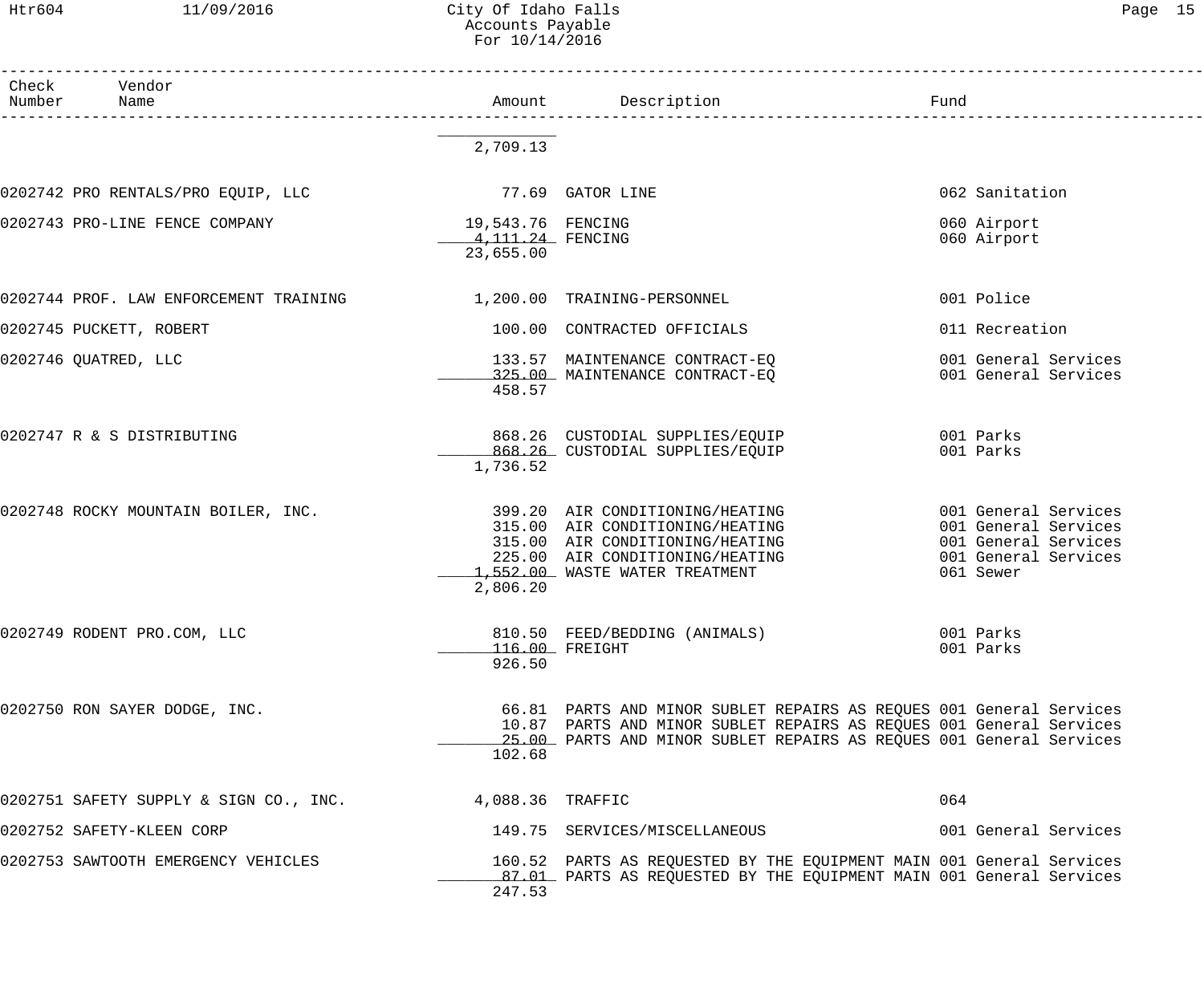Htr604 11/09/2016 City Of Idaho Falls 2006 15 Accounts Payable For 10/14/2016

| Check<br>Vendor<br>Number<br>Name                       | Amount                          | Description                                                                                                                                | Fund                                         |
|---------------------------------------------------------|---------------------------------|--------------------------------------------------------------------------------------------------------------------------------------------|----------------------------------------------|
|                                                         | 2,709.13                        |                                                                                                                                            |                                              |
|                                                         |                                 |                                                                                                                                            |                                              |
| 0202742 PRO RENTALS/PRO EQUIP, LLC                      |                                 | 77.69 GATOR LINE                                                                                                                           | 062 Sanitation                               |
| 0202743 PRO-LINE FENCE COMPANY                          | 19,543.76 FENCING               |                                                                                                                                            | 060 Airport                                  |
|                                                         | 4, 111, 24 FENCING<br>23,655.00 |                                                                                                                                            | 060 Airport                                  |
| 0202744 PROF. LAW ENFORCEMENT TRAINING                  |                                 | 1,200.00 TRAINING-PERSONNEL                                                                                                                | 001 Police                                   |
| 0202745 PUCKETT, ROBERT                                 |                                 | 100.00 CONTRACTED OFFICIALS                                                                                                                | 011 Recreation                               |
| 0202746 QUATRED, LLC                                    |                                 | 133.57 MAINTENANCE CONTRACT-EQ                                                                                                             | 001 General Services                         |
|                                                         | 458.57                          | 325.00 MAINTENANCE CONTRACT-EQ                                                                                                             | 001 General Services                         |
|                                                         |                                 |                                                                                                                                            |                                              |
| 0202747 R & S DISTRIBUTING                              |                                 | 868.26 CUSTODIAL SUPPLIES/EQUIP<br>868.26 CUSTODIAL SUPPLIES/EQUIP                                                                         | 001 Parks<br>001 Parks                       |
|                                                         | 1,736.52                        |                                                                                                                                            |                                              |
| 0202748 ROCKY MOUNTAIN BOILER, INC.                     |                                 | 399.20 AIR CONDITIONING/HEATING                                                                                                            | 001 General Services                         |
|                                                         |                                 | 315.00 AIR CONDITIONING/HEATING<br>315.00 AIR CONDITIONING/HEATING                                                                         | 001 General Services                         |
|                                                         |                                 | 225.00 AIR CONDITIONING/HEATING                                                                                                            | 001 General Services<br>001 General Services |
|                                                         | 2,806.20                        | 1,552.00 WASTE WATER TREATMENT                                                                                                             | 061 Sewer                                    |
|                                                         |                                 |                                                                                                                                            |                                              |
| 0202749 RODENT PRO.COM, LLC                             |                                 | 810.50 FEED/BEDDING (ANIMALS)                                                                                                              | 001 Parks                                    |
|                                                         | 926.50                          | 116.00 FREIGHT                                                                                                                             | 001 Parks                                    |
|                                                         |                                 |                                                                                                                                            |                                              |
| 0202750 RON SAYER DODGE, INC.                           |                                 | 66.81 PARTS AND MINOR SUBLET REPAIRS AS REQUES 001 General Services<br>10.87 PARTS AND MINOR SUBLET REPAIRS AS REQUES 001 General Services |                                              |
|                                                         |                                 | 25.00 PARTS AND MINOR SUBLET REPAIRS AS REQUES 001 General Services                                                                        |                                              |
|                                                         | 102.68                          |                                                                                                                                            |                                              |
| 0202751 SAFETY SUPPLY & SIGN CO., INC. 4,088.36 TRAFFIC |                                 |                                                                                                                                            | 064                                          |
| 0202752 SAFETY-KLEEN CORP                               |                                 | 149.75 SERVICES/MISCELLANEOUS                                                                                                              | 001 General Services                         |
| 0202753 SAWTOOTH EMERGENCY VEHICLES                     |                                 | 160.52 PARTS AS REQUESTED BY THE EQUIPMENT MAIN 001 General Services                                                                       |                                              |
|                                                         | 247.53                          | 87.01 PARTS AS REQUESTED BY THE EQUIPMENT MAIN 001 General Services                                                                        |                                              |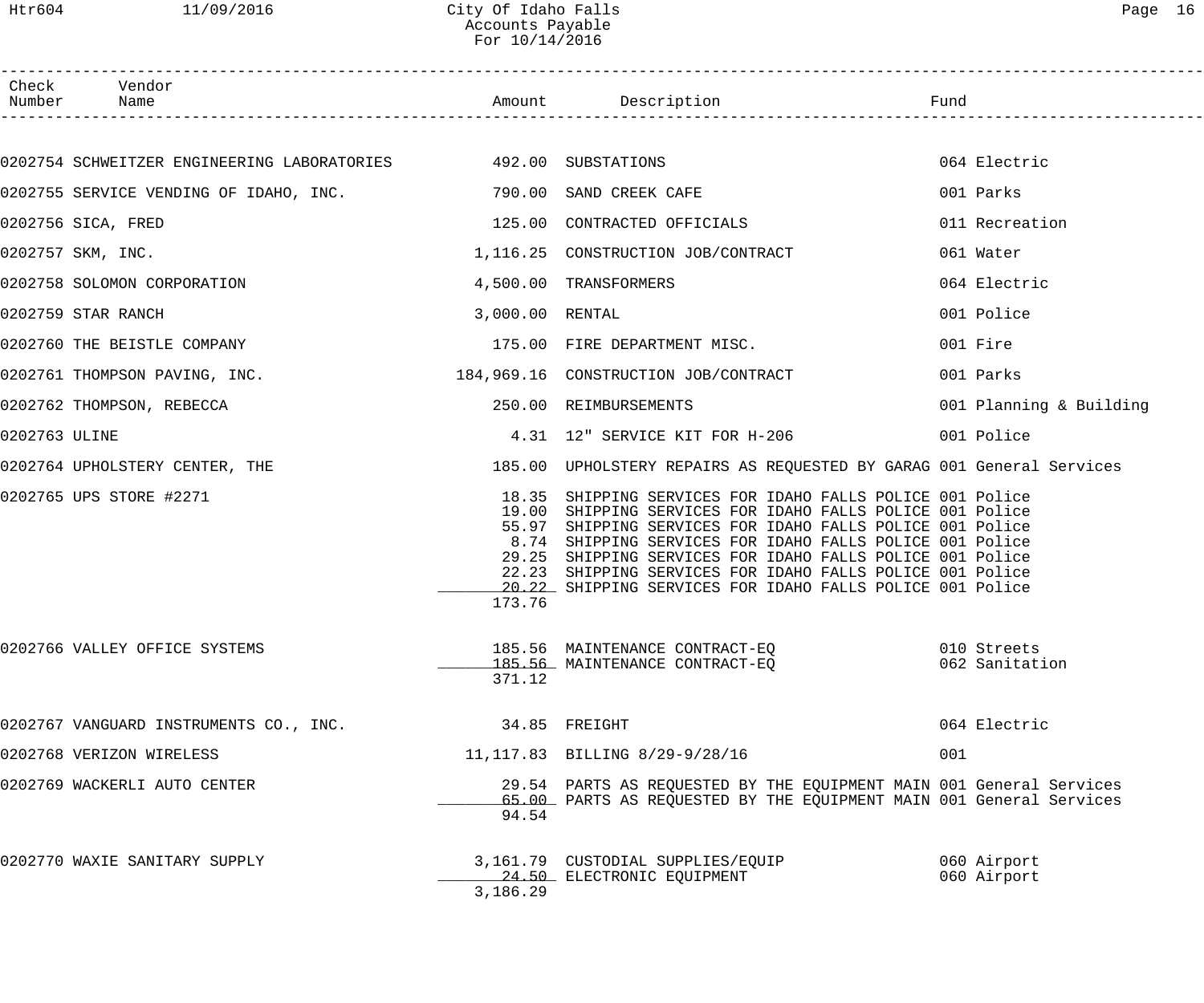Htr604 11/09/2016 City Of Idaho Falls Page 16 Accounts Payable For 10/14/2016

|               | Check Vendor<br>Number Name                                                      |                                                    |                                                                                                                                                                                                                                                                                                                                                                                                           |                               |
|---------------|----------------------------------------------------------------------------------|----------------------------------------------------|-----------------------------------------------------------------------------------------------------------------------------------------------------------------------------------------------------------------------------------------------------------------------------------------------------------------------------------------------------------------------------------------------------------|-------------------------------|
|               |                                                                                  |                                                    |                                                                                                                                                                                                                                                                                                                                                                                                           |                               |
|               | 0202754 SCHWEITZER ENGINEERING LABORATORIES 492.00 SUBSTATIONS                   |                                                    |                                                                                                                                                                                                                                                                                                                                                                                                           | 064 Electric                  |
|               | 0202755 SERVICE VENDING OF IDAHO, INC. 420 190.00 SAND CREEK CAFE                |                                                    |                                                                                                                                                                                                                                                                                                                                                                                                           | 001 Parks                     |
|               | 0202756 SICA, FRED                                                               |                                                    | 125.00 CONTRACTED OFFICIALS                                                                                                                                                                                                                                                                                                                                                                               | 011 Recreation                |
|               | 0202757 SKM, INC.                                                                |                                                    | 1,116.25 CONSTRUCTION JOB/CONTRACT                                                                                                                                                                                                                                                                                                                                                                        | 061 Water                     |
|               |                                                                                  |                                                    |                                                                                                                                                                                                                                                                                                                                                                                                           | 064 Electric                  |
|               | 0202759 STAR RANCH                                                               | 3,000.00 RENTAL                                    |                                                                                                                                                                                                                                                                                                                                                                                                           | 001 Police                    |
|               | 0202760 THE BEISTLE COMPANY THE SERVICE SERVICE SERVICE SERVICE SERVICE SERVICE. |                                                    |                                                                                                                                                                                                                                                                                                                                                                                                           | 001 Fire                      |
|               | 0202761 THOMPSON PAVING, INC.                                                    |                                                    | 184,969.16 CONSTRUCTION JOB/CONTRACT                                                                                                                                                                                                                                                                                                                                                                      | 001 Parks                     |
|               | 0202762 THOMPSON, REBECCA                                                        |                                                    | 250.00 REIMBURSEMENTS                                                                                                                                                                                                                                                                                                                                                                                     | 001 Planning & Building       |
| 0202763 ULINE |                                                                                  |                                                    | 4.31 12" SERVICE KIT FOR H-206 001 Police                                                                                                                                                                                                                                                                                                                                                                 |                               |
|               |                                                                                  |                                                    | 0202764 UPHOLSTERY CENTER, THE THE SERVICE SERVICE SERVICES OF UPHOLSTERY REPAIRS AS REQUESTED BY GARAG 001 General Services                                                                                                                                                                                                                                                                              |                               |
|               | 0202765 UPS STORE #2271                                                          | 18.35<br>19.00<br>55.97<br>8.74<br>29.25<br>173.76 | SHIPPING SERVICES FOR IDAHO FALLS POLICE 001 Police<br>SHIPPING SERVICES FOR IDAHO FALLS POLICE 001 Police<br>SHIPPING SERVICES FOR IDAHO FALLS POLICE 001 Police<br>SHIPPING SERVICES FOR IDAHO FALLS POLICE 001 Police<br>SHIPPING SERVICES FOR IDAHO FALLS POLICE 001 Police<br>22.23 SHIPPING SERVICES FOR IDAHO FALLS POLICE 001 Police<br>20.22 SHIPPING SERVICES FOR IDAHO FALLS POLICE 001 Police |                               |
|               | 0202766 VALLEY OFFICE SYSTEMS                                                    | 371.12                                             | 185.56 MAINTENANCE CONTRACT-EQ<br>185.56 MAINTENANCE CONTRACT-EQ                                                                                                                                                                                                                                                                                                                                          | 010 Streets<br>062 Sanitation |
|               | 0202767 VANGUARD INSTRUMENTS CO., INC.                                           |                                                    | 34.85 FREIGHT                                                                                                                                                                                                                                                                                                                                                                                             | 064 Electric                  |
|               | 0202768 VERIZON WIRELESS                                                         |                                                    | 11, 117.83 BILLING 8/29-9/28/16                                                                                                                                                                                                                                                                                                                                                                           | 001                           |
|               | 0202769 WACKERLI AUTO CENTER                                                     | 94.54                                              | 29.54 PARTS AS REQUESTED BY THE EQUIPMENT MAIN 001 General Services<br>65.00 PARTS AS REQUESTED BY THE EQUIPMENT MAIN 001 General Services                                                                                                                                                                                                                                                                |                               |
|               | 0202770 WAXIE SANITARY SUPPLY                                                    | 3,186.29                                           | 3,161.79 CUSTODIAL SUPPLIES/EQUIP<br>24.50 ELECTRONIC EQUIPMENT                                                                                                                                                                                                                                                                                                                                           | 060 Airport<br>060 Airport    |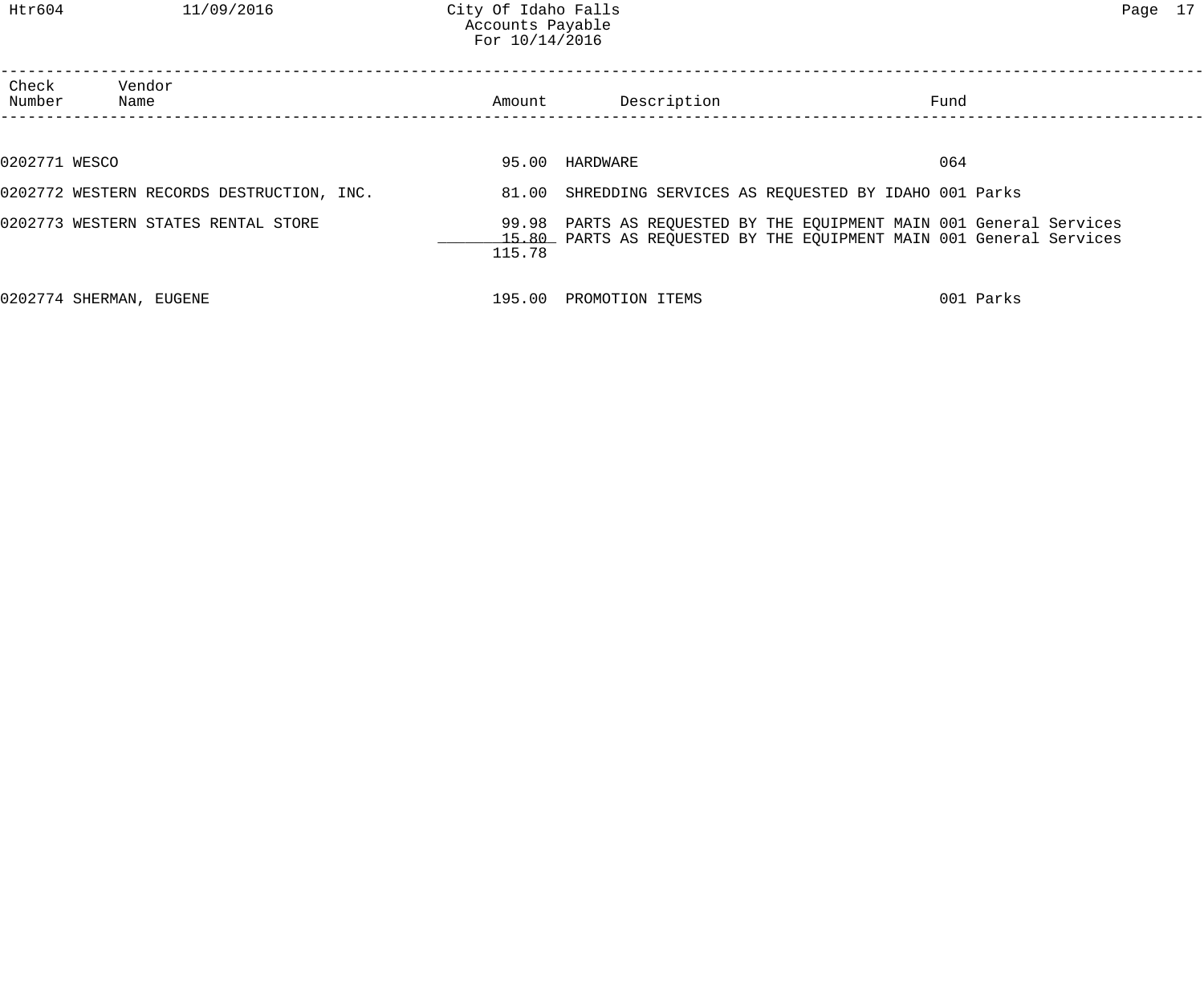| Check<br>Number | Vendor<br>Name                            | Amount | Description                                              | Fund                                                                                                                                       |
|-----------------|-------------------------------------------|--------|----------------------------------------------------------|--------------------------------------------------------------------------------------------------------------------------------------------|
|                 |                                           |        |                                                          |                                                                                                                                            |
| 0202771 WESCO   |                                           |        | 95.00 HARDWARE                                           | 064                                                                                                                                        |
|                 | 0202772 WESTERN RECORDS DESTRUCTION, INC. |        | 81.00 SHREDDING SERVICES AS REQUESTED BY IDAHO 001 Parks |                                                                                                                                            |
|                 | 0202773 WESTERN STATES RENTAL STORE       | 115.78 |                                                          | 99.98 PARTS AS REQUESTED BY THE EQUIPMENT MAIN 001 General Services<br>15.80 PARTS AS REQUESTED BY THE EQUIPMENT MAIN 001 General Services |
|                 | 0202774 SHERMAN, EUGENE                   |        | 195.00 PROMOTION ITEMS                                   | 001 Parks                                                                                                                                  |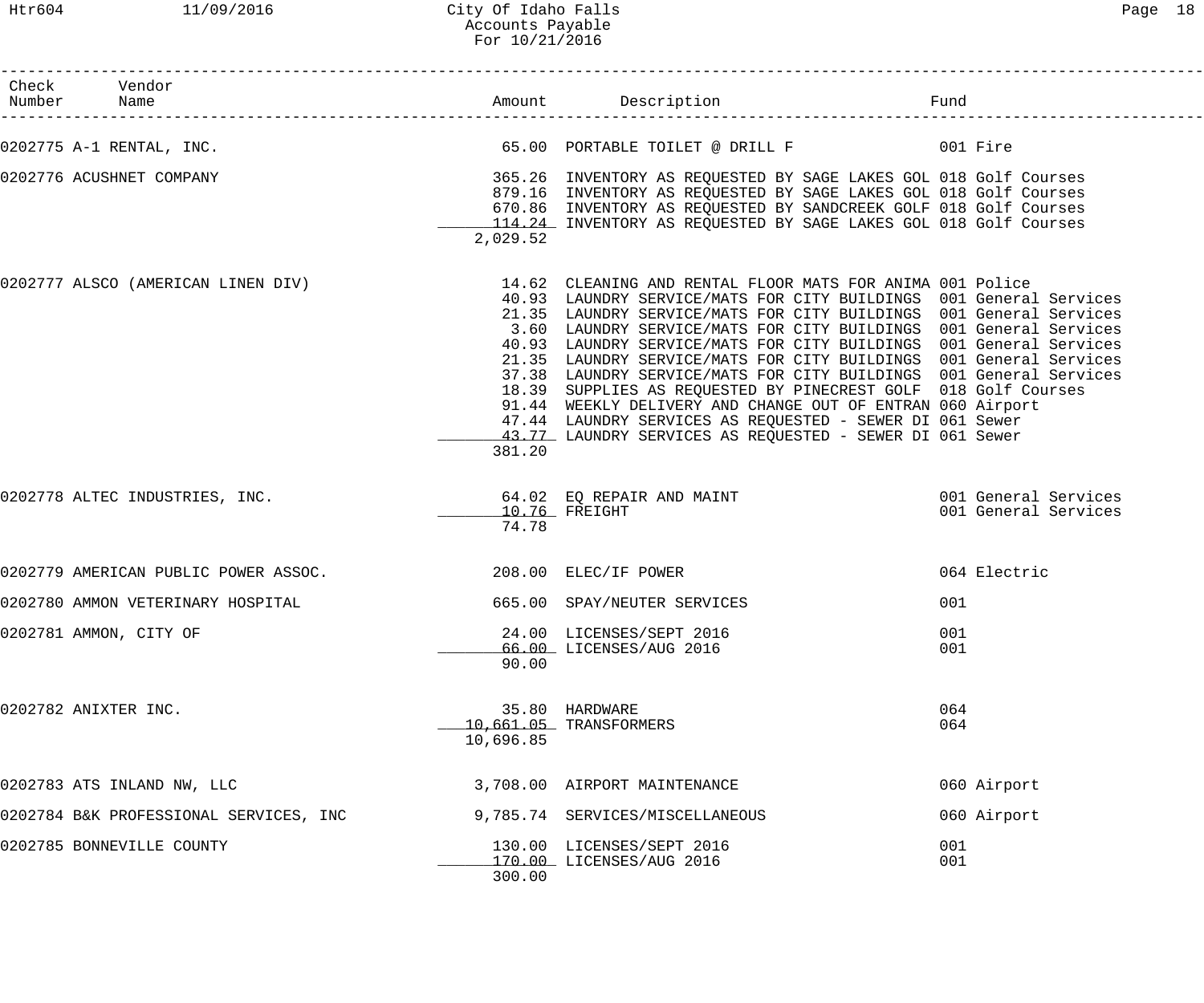| Check Vendor<br>Number Name            |           |                                                                                                                                                                                                                                                                                                                                                                                                                                                                                                                                                                                                                                                                                                                                                      | Fund                                         |
|----------------------------------------|-----------|------------------------------------------------------------------------------------------------------------------------------------------------------------------------------------------------------------------------------------------------------------------------------------------------------------------------------------------------------------------------------------------------------------------------------------------------------------------------------------------------------------------------------------------------------------------------------------------------------------------------------------------------------------------------------------------------------------------------------------------------------|----------------------------------------------|
| 0202775 A-1 RENTAL, INC.               |           |                                                                                                                                                                                                                                                                                                                                                                                                                                                                                                                                                                                                                                                                                                                                                      |                                              |
| 0202776 ACUSHNET COMPANY               | 2,029.52  | 365.26 INVENTORY AS REQUESTED BY SAGE LAKES GOL 018 Golf Courses<br>879.16 INVENTORY AS REQUESTED BY SAGE LAKES GOL 018 Golf Courses<br>670.86 INVENTORY AS REQUESTED BY SANDCREEK GOLF 018 Golf Courses<br>114.24 INVENTORY AS REQUESTED BY SAGE LAKES GOL 018 Golf Courses                                                                                                                                                                                                                                                                                                                                                                                                                                                                         |                                              |
| 0202777 ALSCO (AMERICAN LINEN DIV)     | 381.20    | 14.62 CLEANING AND RENTAL FLOOR MATS FOR ANIMA 001 Police<br>40.93 LAUNDRY SERVICE/MATS FOR CITY BUILDINGS 001 General Services<br>21.35 LAUNDRY SERVICE/MATS FOR CITY BUILDINGS 001 General Services<br>3.60 LAUNDRY SERVICE/MATS FOR CITY BUILDINGS 001 General Services<br>40.93 LAUNDRY SERVICE/MATS FOR CITY BUILDINGS 001 General Services<br>21.35 LAUNDRY SERVICE/MATS FOR CITY BUILDINGS 001 General Services<br>37.38 LAUNDRY SERVICE/MATS FOR CITY BUILDINGS 001 General Services<br>18.39 SUPPLIES AS REQUESTED BY PINECREST GOLF 018 Golf Courses<br>91.44 WEEKLY DELIVERY AND CHANGE OUT OF ENTRAN 060 Airport<br>47.44 LAUNDRY SERVICES AS REQUESTED - SEWER DI 061 Sewer<br>43.77 LAUNDRY SERVICES AS REQUESTED - SEWER DI 061 Sewer |                                              |
| 0202778 ALTEC INDUSTRIES, INC.         | 74.78     | 64.02 EQ REPAIR AND MAINT<br>$10.76$ FREIGHT                                                                                                                                                                                                                                                                                                                                                                                                                                                                                                                                                                                                                                                                                                         | 001 General Services<br>001 General Services |
| 0202779 AMERICAN PUBLIC POWER ASSOC.   |           | 208.00 ELEC/IF POWER                                                                                                                                                                                                                                                                                                                                                                                                                                                                                                                                                                                                                                                                                                                                 | 064 Electric                                 |
| 0202780 AMMON VETERINARY HOSPITAL      |           | 665.00 SPAY/NEUTER SERVICES                                                                                                                                                                                                                                                                                                                                                                                                                                                                                                                                                                                                                                                                                                                          | 001                                          |
| 0202781 AMMON, CITY OF                 | 90.00     | 24.00 LICENSES/SEPT 2016<br>66.00 LICENSES/AUG 2016                                                                                                                                                                                                                                                                                                                                                                                                                                                                                                                                                                                                                                                                                                  | 001<br>001                                   |
| 0202782 ANIXTER INC.                   | 10,696.85 | 35.80 HARDWARE<br>10,661.05 TRANSFORMERS                                                                                                                                                                                                                                                                                                                                                                                                                                                                                                                                                                                                                                                                                                             | 064<br>064                                   |
| 0202783 ATS INLAND NW, LLC             |           | 3,708.00 AIRPORT MAINTENANCE                                                                                                                                                                                                                                                                                                                                                                                                                                                                                                                                                                                                                                                                                                                         | 060 Airport                                  |
| 0202784 B&K PROFESSIONAL SERVICES, INC |           | 9,785.74 SERVICES/MISCELLANEOUS                                                                                                                                                                                                                                                                                                                                                                                                                                                                                                                                                                                                                                                                                                                      | 060 Airport                                  |
| 0202785 BONNEVILLE COUNTY              | 300.00    | 130.00 LICENSES/SEPT 2016<br>170.00 LICENSES/AUG 2016                                                                                                                                                                                                                                                                                                                                                                                                                                                                                                                                                                                                                                                                                                | 001<br>001                                   |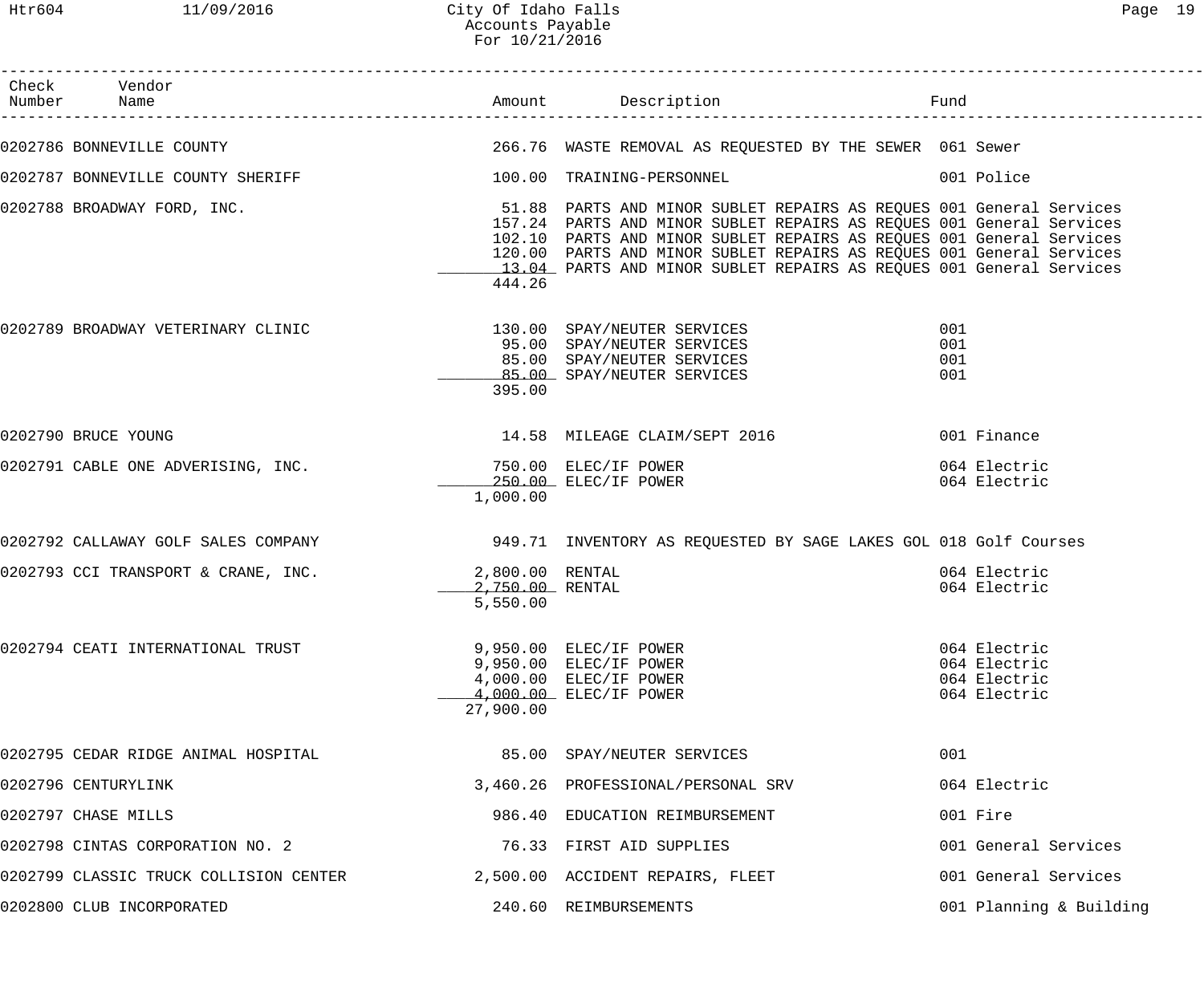| Check Vendor<br>Number Name                                                                                            |                                     | Amount Description                                                                                                                                                                                                                                                                          | Fund                                                         |
|------------------------------------------------------------------------------------------------------------------------|-------------------------------------|---------------------------------------------------------------------------------------------------------------------------------------------------------------------------------------------------------------------------------------------------------------------------------------------|--------------------------------------------------------------|
| 0202786 BONNEVILLE COUNTY THE SERVICE SERVICE 266.76 WASTE REMOVAL AS REQUESTED BY THE SEWER 061 Sewer                 |                                     |                                                                                                                                                                                                                                                                                             |                                                              |
|                                                                                                                        |                                     |                                                                                                                                                                                                                                                                                             | 001 Police                                                   |
| 0202788 BROADWAY FORD, INC. The Same State of the State of the Sun Minor Sublet Repairs AS REQUES 001 General Services | 444.26                              | 157.24 PARTS AND MINOR SUBLET REPAIRS AS REQUES 001 General Services<br>102.10 PARTS AND MINOR SUBLET REPAIRS AS REQUES 001 General Services<br>120.00 PARTS AND MINOR SUBLET REPAIRS AS REQUES 001 General Services<br>13.04 PARTS AND MINOR SUBLET REPAIRS AS REQUES 001 General Services |                                                              |
| 0202789 BROADWAY VETERINARY CLINIC                                                                                     | 395.00                              | 130.00 SPAY/NEUTER SERVICES<br>95.00 SPAY/NEUTER SERVICES<br>85.00 SPAY/NEUTER SERVICES<br>85.00 SPAY/NEUTER SERVICES                                                                                                                                                                       | 001<br>001<br>001<br>001                                     |
| 0202790 BRUCE YOUNG                                                                                                    |                                     |                                                                                                                                                                                                                                                                                             |                                                              |
| 0202791 CABLE ONE ADVERISING, INC.                                                                                     | 1,000.00                            | 750.00 ELEC/IF POWER<br>250.00 ELEC/IF POWER                                                                                                                                                                                                                                                | 064 Electric<br>064 Electric                                 |
| 0202792 CALLAWAY GOLF SALES COMPANY 1949.71 INVENTORY AS REQUESTED BY SAGE LAKES GOL 018 Golf Courses                  |                                     |                                                                                                                                                                                                                                                                                             |                                                              |
| 0202793 CCI TRANSPORT & CRANE, INC. 2,800.00 RENTAL                                                                    | _______ 2,750.00 RENTAL<br>5,550.00 |                                                                                                                                                                                                                                                                                             | 064 Electric<br>064 Electric                                 |
| 0202794 CEATI INTERNATIONAL TRUST                                                                                      | 27,900.00                           | 9,950.00 ELEC/IF POWER<br>9,950.00 ELEC/IF POWER<br>4,000.00 ELEC/IF POWER<br>4,000.00 ELEC/IF POWER                                                                                                                                                                                        | 064 Electric<br>064 Electric<br>064 Electric<br>064 Electric |
| 0202795 CEDAR RIDGE ANIMAL HOSPITAL                                                                                    |                                     | 85.00 SPAY/NEUTER SERVICES                                                                                                                                                                                                                                                                  | 001                                                          |
| 0202796 CENTURYLINK                                                                                                    |                                     | 3,460.26 PROFESSIONAL/PERSONAL SRV                                                                                                                                                                                                                                                          | 064 Electric                                                 |
| 0202797 CHASE MILLS                                                                                                    |                                     | 986.40 EDUCATION REIMBURSEMENT                                                                                                                                                                                                                                                              | 001 Fire                                                     |
| 0202798 CINTAS CORPORATION NO. 2                                                                                       |                                     | 76.33 FIRST AID SUPPLIES                                                                                                                                                                                                                                                                    | 001 General Services                                         |
| 0202799 CLASSIC TRUCK COLLISION CENTER                                                                                 |                                     | 2,500.00 ACCIDENT REPAIRS, FLEET                                                                                                                                                                                                                                                            | 001 General Services                                         |
| 0202800 CLUB INCORPORATED                                                                                              |                                     | 240.60 REIMBURSEMENTS                                                                                                                                                                                                                                                                       | 001 Planning & Building                                      |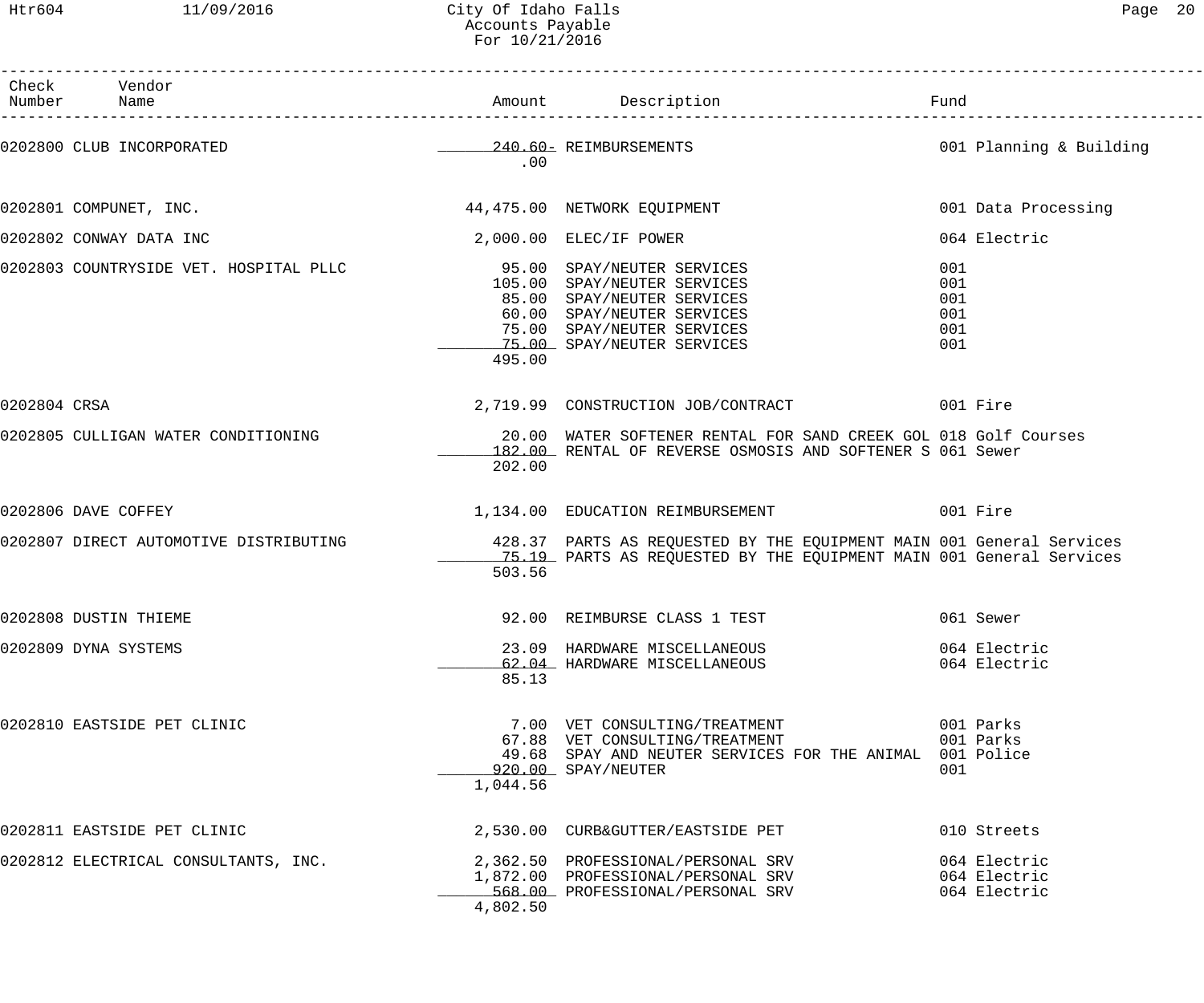| Раае |  |
|------|--|
|------|--|

|              | Check Vendor<br>Number Name                                                                                 |          | Amount Description                                                                                                                                  | Fund                                         |
|--------------|-------------------------------------------------------------------------------------------------------------|----------|-----------------------------------------------------------------------------------------------------------------------------------------------------|----------------------------------------------|
|              | 0202800 CLUB INCORPORATED                                                                                   | .00      | 240.60 REIMBURSEMENTS                                                                                                                               | 001 Planning & Building                      |
|              | 0202801 COMPUNET, INC.                                                                                      |          | 44,475.00 NETWORK EQUIPMENT                                                                                                                         | 001 Data Processing                          |
|              | 0202802 CONWAY DATA INC                                                                                     |          | $2,000.00$ ELEC/IF POWER                                                                                                                            | 064 Electric                                 |
|              | 0202803 COUNTRYSIDE VET. HOSPITAL PLLC 595.00 SPAY/NEUTER SERVICES                                          | 495.00   | 105.00 SPAY/NEUTER SERVICES<br>85.00 SPAY/NEUTER SERVICES<br>60.00 SPAY/NEUTER SERVICES<br>75.00 SPAY/NEUTER SERVICES<br>75.00 SPAY/NEUTER SERVICES | 001<br>001<br>001<br>001<br>001<br>001       |
| 0202804 CRSA |                                                                                                             |          | 2,719.99 CONSTRUCTION JOB/CONTRACT 001 Fire                                                                                                         |                                              |
|              | 0202805 CULLIGAN WATER CONDITIONING                                                                         | 202.00   | 20.00 WATER SOFTENER RENTAL FOR SAND CREEK GOL 018 Golf Courses<br>182.00 RENTAL OF REVERSE OSMOSIS AND SOFTENER S 061 Sewer                        |                                              |
|              | 0202806 DAVE COFFEY                                                                                         |          | 1,134.00 EDUCATION REIMBURSEMENT 6001 Fire                                                                                                          |                                              |
|              | 0202807 DIRECT AUTOMOTIVE DISTRIBUTING 428.37 PARTS AS REQUESTED BY THE EQUIPMENT MAIN 001 General Services | 503.56   | 75.19 PARTS AS REQUESTED BY THE EQUIPMENT MAIN 001 General Services                                                                                 |                                              |
|              | 0202808 DUSTIN THIEME                                                                                       |          | 92.00 REIMBURSE CLASS 1 TEST                                                                                                                        | 061 Sewer                                    |
|              | 0202809 DYNA SYSTEMS                                                                                        | 85.13    | 23.09 HARDWARE MISCELLANEOUS<br>62.04 HARDWARE MISCELLANEOUS                                                                                        | 064 Electric<br>064 Electric                 |
|              | 0202810 EASTSIDE PET CLINIC                                                                                 | 1,044.56 | 7.00 VET CONSULTING/TREATMENT<br>67.88 VET CONSULTING/TREATMENT<br>49.68 SPAY AND NEUTER SERVICES FOR THE ANIMAL 001 Police<br>920.00 SPAY/NEUTER   | 001 Parks<br>001 Parks<br>001                |
|              | 0202811 EASTSIDE PET CLINIC                                                                                 |          | 2,530.00 CURB&GUTTER/EASTSIDE PET                                                                                                                   | 010 Streets                                  |
|              | 0202812 ELECTRICAL CONSULTANTS, INC.                                                                        | 4,802.50 | 2,362.50 PROFESSIONAL/PERSONAL SRV<br>1,872.00 PROFESSIONAL/PERSONAL SRV<br>568.00 PROFESSIONAL/PERSONAL SRV                                        | 064 Electric<br>064 Electric<br>064 Electric |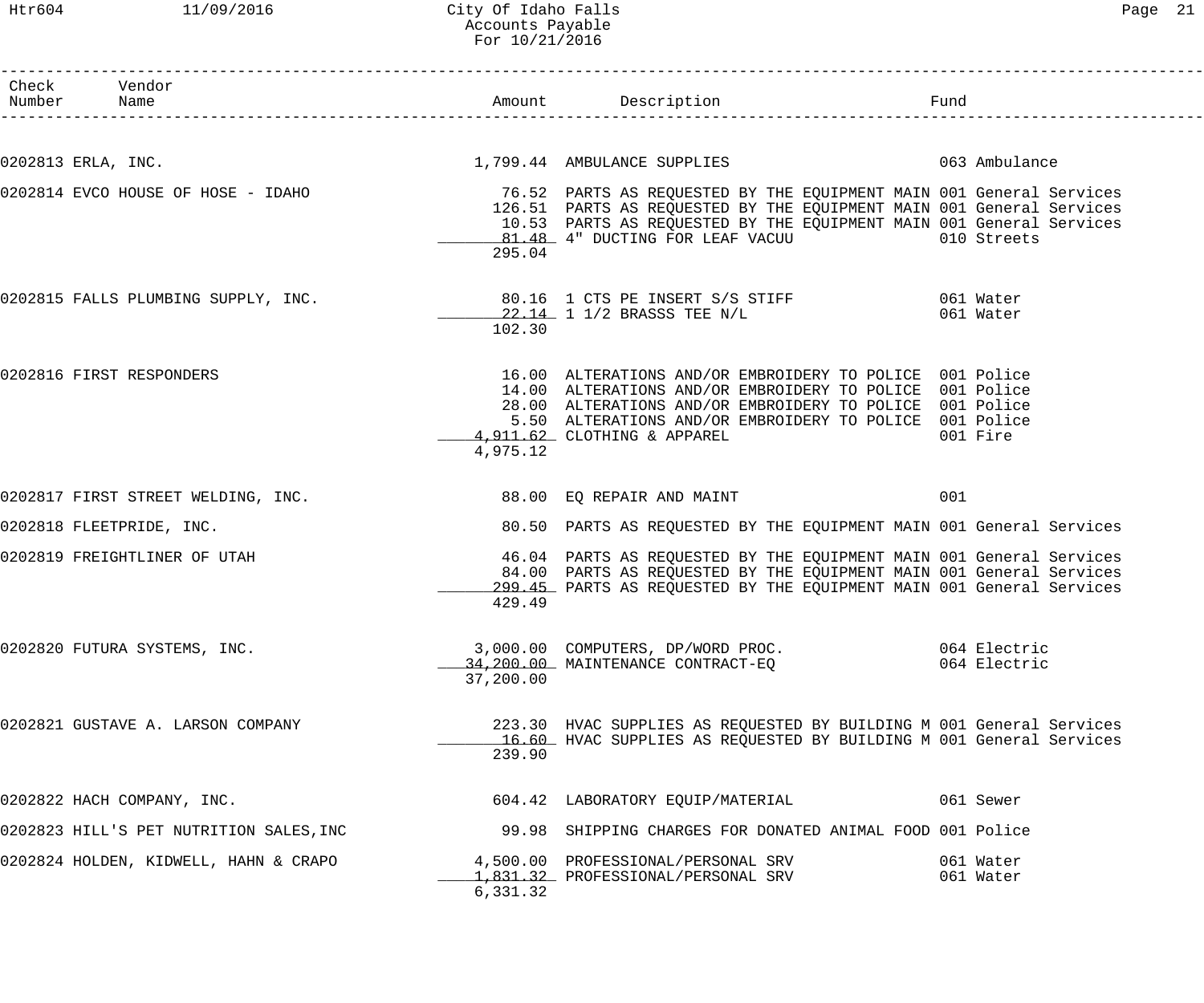### Htr604 11/09/2016 City Of Idaho Falls Page 21 Accounts Payable For 10/21/2016

| Check Vendor<br>Number Name             |           |                                                                                                                                                                                                                                                                            | Fund      |                              |
|-----------------------------------------|-----------|----------------------------------------------------------------------------------------------------------------------------------------------------------------------------------------------------------------------------------------------------------------------------|-----------|------------------------------|
| 0202813 ERLA, INC.                      |           | 1,799.44 AMBULANCE SUPPLIES 063 Ambulance                                                                                                                                                                                                                                  |           |                              |
| 0202814 EVCO HOUSE OF HOSE - IDAHO      | 295.04    | 76.52 PARTS AS REQUESTED BY THE EQUIPMENT MAIN 001 General Services<br>126.51 PARTS AS REQUESTED BY THE EQUIPMENT MAIN 001 General Services<br>10.53 PARTS AS REQUESTED BY THE EQUIPMENT MAIN 001 General Services<br>81.48 4" DUCTING FOR LEAF VACUU 010 Streets          |           |                              |
| 0202815 FALLS PLUMBING SUPPLY, INC.     | 102.30    | 22.14 1 1/2 BRASSS TEE N/L                                                                                                                                                                                                                                                 | 061 Water |                              |
| 0202816 FIRST RESPONDERS                | 4,975.12  | 16.00 ALTERATIONS AND/OR EMBROIDERY TO POLICE 001 Police<br>14.00 ALTERATIONS AND/OR EMBROIDERY TO POLICE 001 Police<br>28.00 ALTERATIONS AND/OR EMBROIDERY TO POLICE 001 Police<br>5.50 ALTERATIONS AND/OR EMBROIDERY TO POLICE 001 Police<br>4,911.62 CLOTHING & APPAREL | 001 Fire  |                              |
| 0202817 FIRST STREET WELDING, INC.      |           | 88.00 EQ REPAIR AND MAINT                                                                                                                                                                                                                                                  | 001       |                              |
| 0202818 FLEETPRIDE, INC.                |           | 80.50 PARTS AS REQUESTED BY THE EQUIPMENT MAIN 001 General Services                                                                                                                                                                                                        |           |                              |
| 0202819 FREIGHTLINER OF UTAH            | 429.49    | 46.04 PARTS AS REQUESTED BY THE EQUIPMENT MAIN 001 General Services<br>84.00 PARTS AS REQUESTED BY THE EQUIPMENT MAIN 001 General Services<br>299.45 PARTS AS REQUESTED BY THE EQUIPMENT MAIN 001 General Services                                                         |           |                              |
| 0202820 FUTURA SYSTEMS, INC.            | 37,200.00 | 3,000.00 COMPUTERS, DP/WORD PROC.<br>34,200.00 MAINTENANCE CONTRACT-EQ                                                                                                                                                                                                     |           | 064 Electric<br>064 Electric |
| 0202821 GUSTAVE A. LARSON COMPANY       | 239.90    | 223.30 HVAC SUPPLIES AS REQUESTED BY BUILDING M 001 General Services<br>16.60 HVAC SUPPLIES AS REOUESTED BY BUILDING M 001 General Services                                                                                                                                |           |                              |
| 0202822 HACH COMPANY, INC.              |           | 604.42 LABORATORY EQUIP/MATERIAL                                                                                                                                                                                                                                           | 061 Sewer |                              |
| 0202823 HILL'S PET NUTRITION SALES, INC |           | 99.98 SHIPPING CHARGES FOR DONATED ANIMAL FOOD 001 Police                                                                                                                                                                                                                  |           |                              |
| 0202824 HOLDEN, KIDWELL, HAHN & CRAPO   | 6,331.32  | 4,500.00 PROFESSIONAL/PERSONAL SRV<br>1,831.32 PROFESSIONAL/PERSONAL SRV                                                                                                                                                                                                   | 061 Water | 061 Water                    |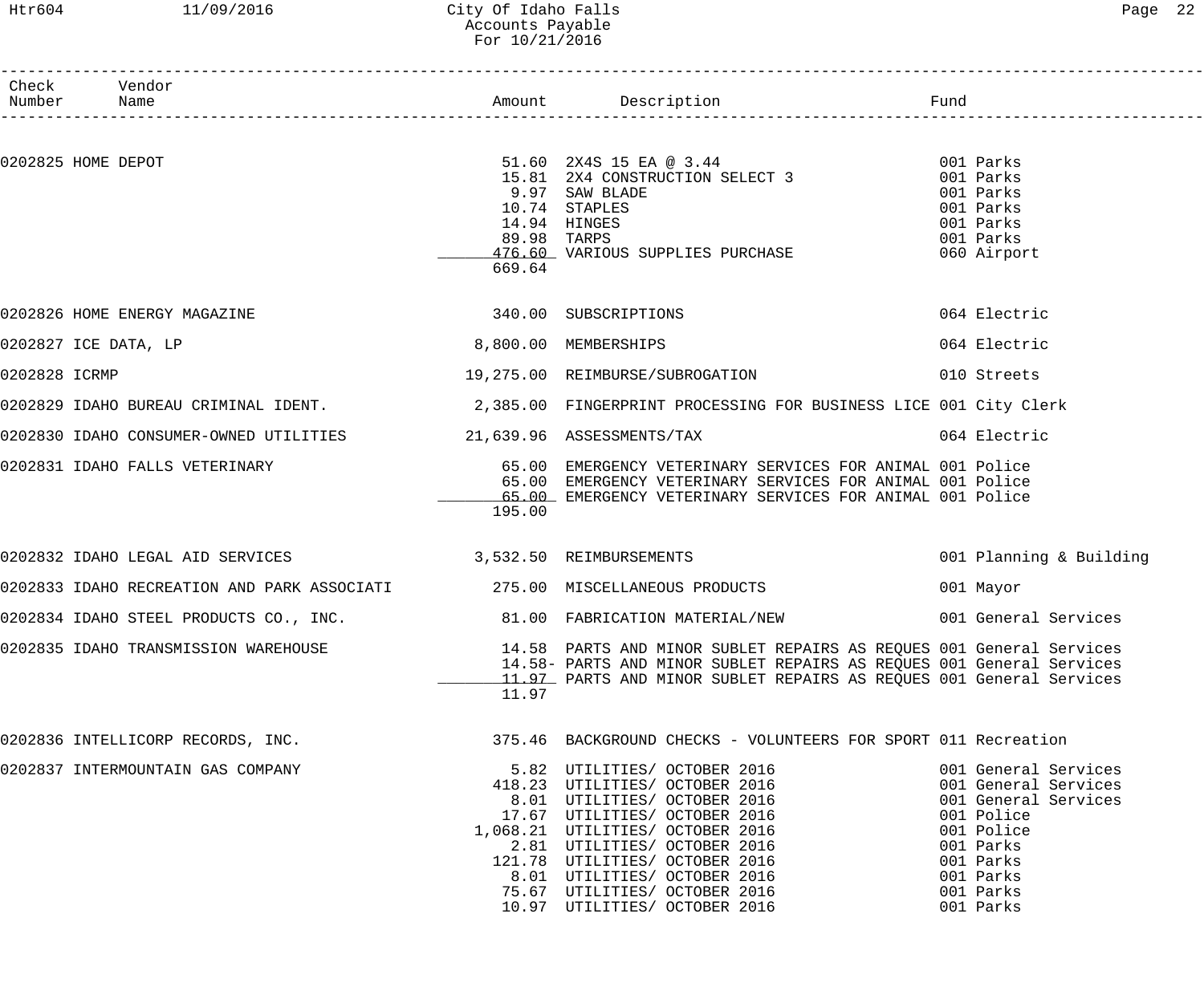### Htr604 11/09/2016 City Of Idaho Falls Page 22 Accounts Payable For 10/21/2016

|               | Check Vendor<br>Number Name       |                                                          |                       |                                                                                                                                                                                                                                                                                                                                         | Fund<br>___________________________                                                                                                                               |
|---------------|-----------------------------------|----------------------------------------------------------|-----------------------|-----------------------------------------------------------------------------------------------------------------------------------------------------------------------------------------------------------------------------------------------------------------------------------------------------------------------------------------|-------------------------------------------------------------------------------------------------------------------------------------------------------------------|
|               |                                   |                                                          |                       |                                                                                                                                                                                                                                                                                                                                         |                                                                                                                                                                   |
|               | 0202825 HOME DEPOT                |                                                          | 89.98 TARPS<br>669.64 | 51.60 2X4S 15 EA @ 3.44<br>15.81 2X4 CONSTRUCTION SELECT 3 001 Parks<br>9.97 SAW BLADE<br>10.74 STAPLES<br>14.94 HINGES<br>476.60 VARIOUS SUPPLIES PURCHASE                                                                                                                                                                             | 001 Parks<br>001 Parks<br>001 Parks<br>001 Parks<br>060 Airport                                                                                                   |
|               | 0202826 HOME ENERGY MAGAZINE      |                                                          |                       | 340.00 SUBSCRIPTIONS                                                                                                                                                                                                                                                                                                                    | 064 Electric                                                                                                                                                      |
|               | 0202827 ICE DATA, LP              |                                                          | 8,800.00 MEMBERSHIPS  |                                                                                                                                                                                                                                                                                                                                         | 064 Electric                                                                                                                                                      |
| 0202828 ICRMP |                                   |                                                          |                       | 19,275.00 REIMBURSE/SUBROGATION 6010 Streets                                                                                                                                                                                                                                                                                            |                                                                                                                                                                   |
|               |                                   |                                                          |                       | 0202829 IDAHO BUREAU CRIMINAL IDENT. 2,385.00 FINGERPRINT PROCESSING FOR BUSINESS LICE 001 City Clerk                                                                                                                                                                                                                                   |                                                                                                                                                                   |
|               |                                   |                                                          |                       | 0202830 IDAHO CONSUMER-OWNED UTILITIES 21,639.96 ASSESSMENTS/TAX                                                                                                                                                                                                                                                                        | 064 Electric                                                                                                                                                      |
|               |                                   | 0202831 IDAHO FALLS VETERINARY                           | 195.00                | 65.00 EMERGENCY VETERINARY SERVICES FOR ANIMAL 001 Police<br>65.00 EMERGENCY VETERINARY SERVICES FOR ANIMAL 001 Police<br>65.00 EMERGENCY VETERINARY SERVICES FOR ANIMAL 001 Police                                                                                                                                                     |                                                                                                                                                                   |
|               |                                   | 0202832 IDAHO LEGAL AID SERVICES 3,532.50 REIMBURSEMENTS |                       |                                                                                                                                                                                                                                                                                                                                         | 001 Planning & Building                                                                                                                                           |
|               |                                   |                                                          |                       |                                                                                                                                                                                                                                                                                                                                         | 001 Mayor                                                                                                                                                         |
|               |                                   |                                                          |                       | 0202834 IDAHO STEEL PRODUCTS CO., INC. 69 81.00 FABRICATION MATERIAL/NEW 6001 General Services                                                                                                                                                                                                                                          |                                                                                                                                                                   |
|               |                                   | 0202835 IDAHO TRANSMISSION WAREHOUSE                     | 11.97                 | 14.58 PARTS AND MINOR SUBLET REPAIRS AS REQUES 001 General Services<br>14.58- PARTS AND MINOR SUBLET REPAIRS AS REQUES 001 General Services<br>11.97 PARTS AND MINOR SUBLET REPAIRS AS REQUES 001 General Services                                                                                                                      |                                                                                                                                                                   |
|               |                                   |                                                          |                       | 0202836 INTELLICORP RECORDS, INC. THE STEAD MARKEROUND CHECKS - VOLUNTEERS FOR SPORT 011 Recreation                                                                                                                                                                                                                                     |                                                                                                                                                                   |
|               | 0202837 INTERMOUNTAIN GAS COMPANY |                                                          |                       | 5.82 UTILITIES/ OCTOBER 2016<br>418.23 UTILITIES/ OCTOBER 2016<br>8.01 UTILITIES/ OCTOBER 2016<br>17.67 UTILITIES/ OCTOBER 2016<br>1,068.21 UTILITIES/ OCTOBER 2016<br>2.81 UTILITIES/ OCTOBER 2016<br>121.78 UTILITIES/ OCTOBER 2016<br>8.01 UTILITIES/ OCTOBER 2016<br>75.67 UTILITIES/ OCTOBER 2016<br>10.97 UTILITIES/ OCTOBER 2016 | 001 General Services<br>001 General Services<br>001 General Services<br>001 Police<br>001 Police<br>001 Parks<br>001 Parks<br>001 Parks<br>001 Parks<br>001 Parks |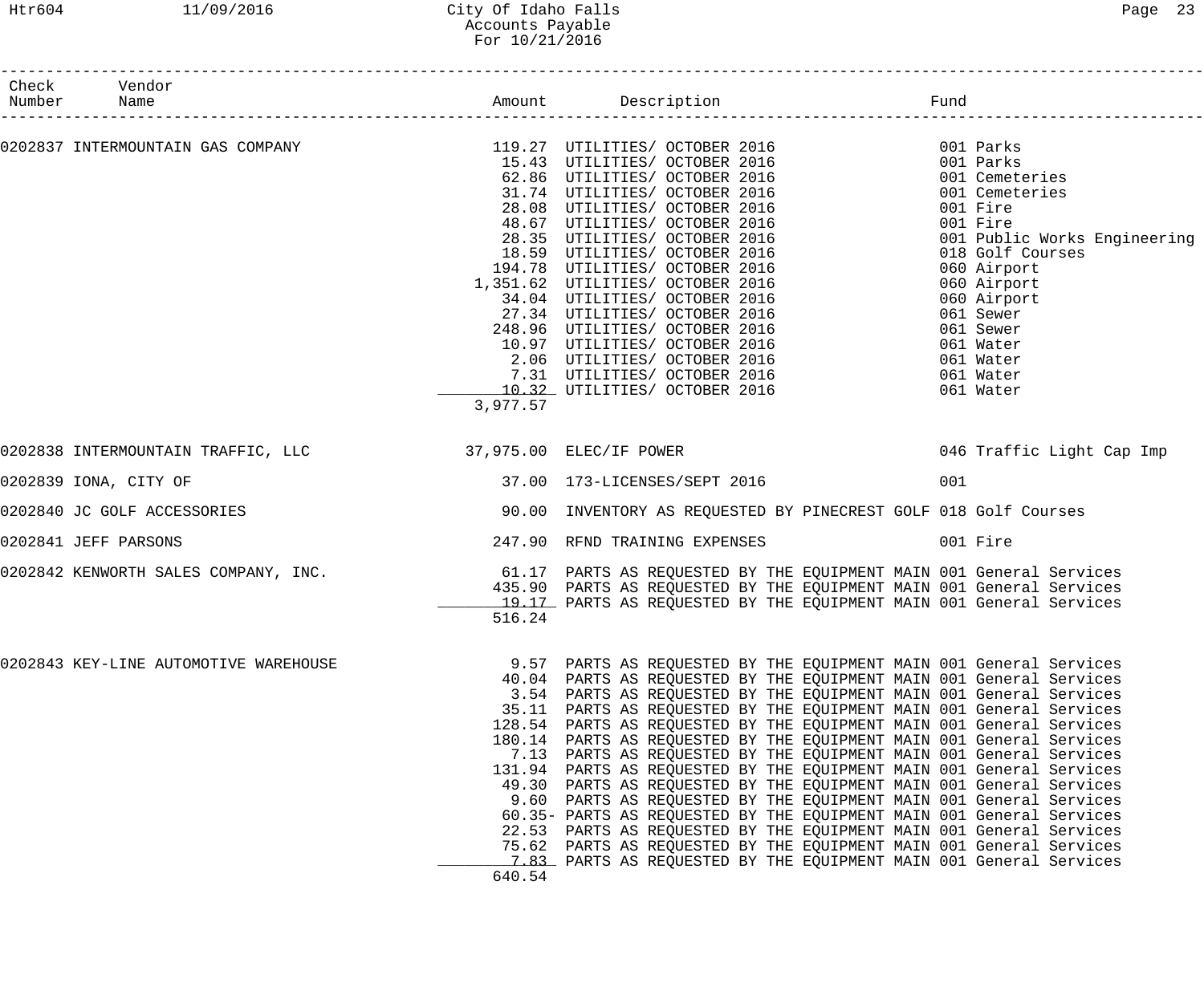### Htr604 11/09/2016 City Of Idaho Falls Page 23 Accounts Payable For 10/21/2016

| Check Vendor<br>Number Name                                         |                                                                                                |                                                                                                                                                                                                                                                                                                                                                                                                                                                                                                                                                                                                                                                                                                                                                                                                                                                                                                                                                                     |     |                                                                                                                                                                                                                                                                   |
|---------------------------------------------------------------------|------------------------------------------------------------------------------------------------|---------------------------------------------------------------------------------------------------------------------------------------------------------------------------------------------------------------------------------------------------------------------------------------------------------------------------------------------------------------------------------------------------------------------------------------------------------------------------------------------------------------------------------------------------------------------------------------------------------------------------------------------------------------------------------------------------------------------------------------------------------------------------------------------------------------------------------------------------------------------------------------------------------------------------------------------------------------------|-----|-------------------------------------------------------------------------------------------------------------------------------------------------------------------------------------------------------------------------------------------------------------------|
| 0202837 INTERMOUNTAIN GAS COMPANY     119.27 UTILITIES OCTOBER 2016 | 3,977.57                                                                                       | 15.43 UTILITIES/ OCTOBER 2016<br>62.86 UTILITIES/ OCTOBER 2016<br>31.74 UTILITIES/ OCTOBER 2016<br>31.74 UILLITIES/ OCTOBER 2016<br>28.08 UTILITIES/ OCTOBER 2016<br>48.67 UTILITIES/ OCTOBER 2016<br>28.35 UTILITIES/ OCTOBER 2016<br>18.59 UTILITIES/ OCTOBER 2016<br>194.78 UTILITIES/ OCTOBER 2016<br>1,351.62 UTILITIES/ OCTOBER 2016<br>34.04 UTILITIES/ OCTOBER 2016<br>27.34 UTILITIES/ OCTOBER 2016<br>248.96 UTILITIES/ OCTOBER 2016<br>10.97 UTILITIES/ OCTOBER 2016<br>2.06 UTILITIES/ OCTOBER 2016<br>7.31 UTILITIES/ OCTOBER 2016<br>10.32 UTILITIES/ OCTOBER 2016                                                                                                                                                                                                                                                                                                                                                                                    |     | 001 Parks<br>001 Parks<br>001 Cemeteries<br>001 Cemeteries<br>001 Fire<br>001 Fire<br>001 Public Works Engineering<br>018 Golf Courses<br>060 Airport<br>060 Airport<br>060 Airport<br>061 Sewer<br>061 Sewer<br>061 Water<br>061 Water<br>061 Water<br>061 Water |
| 0202838 INTERMOUNTAIN TRAFFIC, LLC 37,975.00 ELEC/IF POWER          |                                                                                                |                                                                                                                                                                                                                                                                                                                                                                                                                                                                                                                                                                                                                                                                                                                                                                                                                                                                                                                                                                     |     | 046 Traffic Light Cap Imp                                                                                                                                                                                                                                         |
| 0202839 IONA, CITY OF                                               |                                                                                                | 37.00 173-LICENSES/SEPT 2016                                                                                                                                                                                                                                                                                                                                                                                                                                                                                                                                                                                                                                                                                                                                                                                                                                                                                                                                        | 001 |                                                                                                                                                                                                                                                                   |
| 0202840 JC GOLF ACCESSORIES                                         |                                                                                                | 90.00 INVENTORY AS REQUESTED BY PINECREST GOLF 018 Golf Courses                                                                                                                                                                                                                                                                                                                                                                                                                                                                                                                                                                                                                                                                                                                                                                                                                                                                                                     |     |                                                                                                                                                                                                                                                                   |
| 0202841 JEFF PARSONS                                                |                                                                                                | 247.90 RFND TRAINING EXPENSES                                                                                                                                                                                                                                                                                                                                                                                                                                                                                                                                                                                                                                                                                                                                                                                                                                                                                                                                       |     | 001 Fire                                                                                                                                                                                                                                                          |
|                                                                     | 516.24                                                                                         | 435.90 PARTS AS REQUESTED BY THE EQUIPMENT MAIN 001 General Services<br>19.17 PARTS AS REQUESTED BY THE EQUIPMENT MAIN 001 General Services                                                                                                                                                                                                                                                                                                                                                                                                                                                                                                                                                                                                                                                                                                                                                                                                                         |     |                                                                                                                                                                                                                                                                   |
| 0202843 KEY-LINE AUTOMOTIVE WAREHOUSE                               | 9.57<br>40.04<br>3.54<br>35.11<br>128.54<br>180.14<br>7.13<br>9.60<br>22.53<br>75.62<br>640.54 | PARTS AS REQUESTED BY THE EQUIPMENT MAIN 001 General Services<br>PARTS AS REQUESTED BY THE EQUIPMENT MAIN 001 General Services<br>PARTS AS REQUESTED BY THE EQUIPMENT MAIN 001 General Services<br>PARTS AS REQUESTED BY THE EQUIPMENT MAIN 001 General Services<br>PARTS AS REQUESTED BY THE EQUIPMENT MAIN 001 General Services<br>PARTS AS REQUESTED BY THE EQUIPMENT MAIN 001 General Services<br>PARTS AS REQUESTED BY THE EQUIPMENT MAIN 001 General Services<br>131.94 PARTS AS REQUESTED BY THE EQUIPMENT MAIN 001 General Services<br>49.30 PARTS AS REQUESTED BY THE EQUIPMENT MAIN 001 General Services<br>PARTS AS REQUESTED BY THE EQUIPMENT MAIN 001 General Services<br>60.35- PARTS AS REQUESTED BY THE EQUIPMENT MAIN 001 General Services<br>PARTS AS REQUESTED BY THE EQUIPMENT MAIN 001 General Services<br>PARTS AS REQUESTED BY THE EQUIPMENT MAIN 001 General Services<br>7.83 PARTS AS REQUESTED BY THE EQUIPMENT MAIN 001 General Services |     |                                                                                                                                                                                                                                                                   |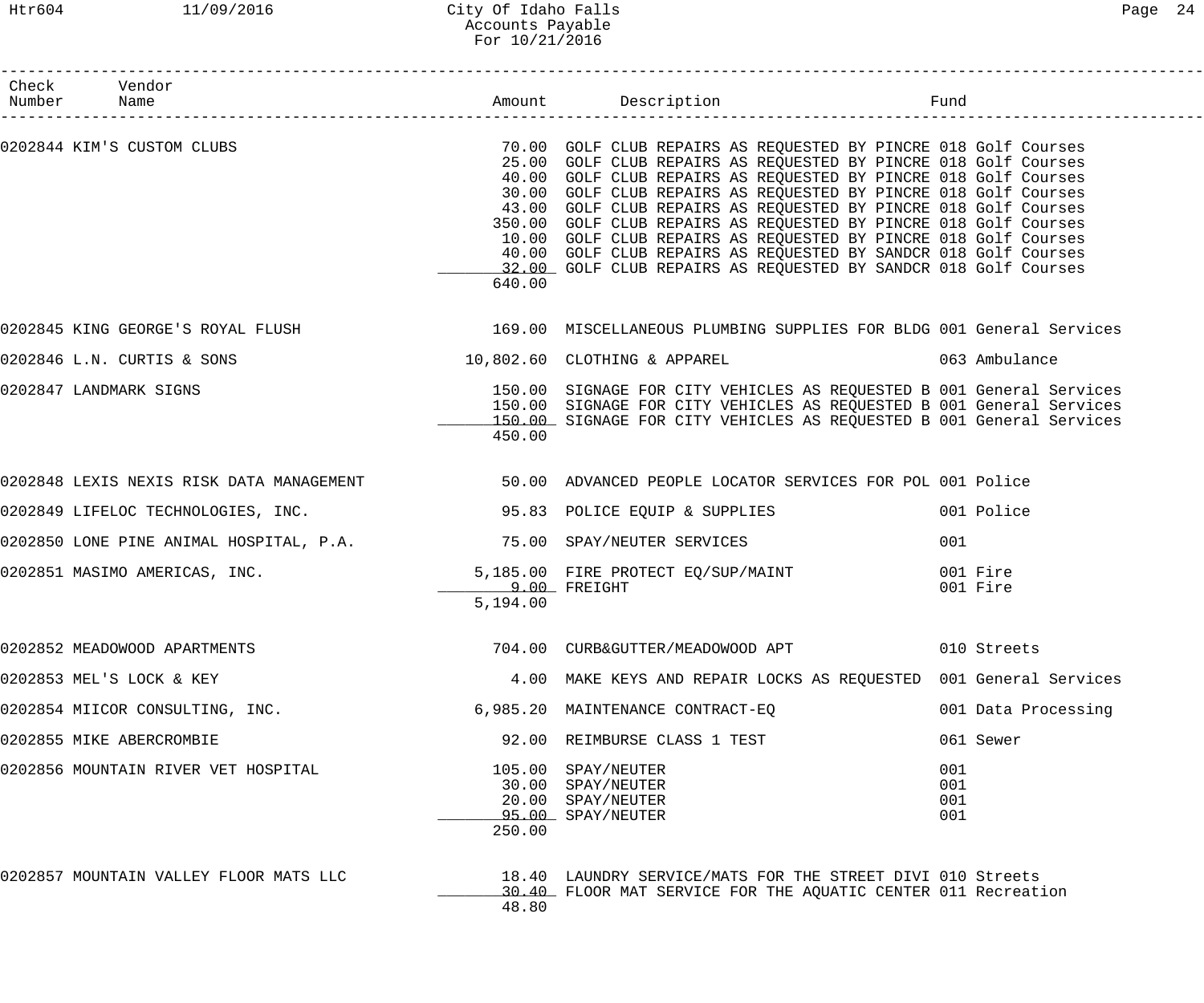| Check Vendor<br>Number Name                                           |                                 |                                                                                                                                                                                                                                                                                                                                                                                                                                                                                                                                                                                                                                                                       |                          |
|-----------------------------------------------------------------------|---------------------------------|-----------------------------------------------------------------------------------------------------------------------------------------------------------------------------------------------------------------------------------------------------------------------------------------------------------------------------------------------------------------------------------------------------------------------------------------------------------------------------------------------------------------------------------------------------------------------------------------------------------------------------------------------------------------------|--------------------------|
|                                                                       | 640.00                          | 0202844 KIM'S CUSTOM CLUBS (COLLECTIVE 2018) 70.00 GOLF CLUB REPAIRS AS REQUESTED BY PINCRE 018 Golf Courses<br>25.00 GOLF CLUB REPAIRS AS REQUESTED BY PINCRE 018 Golf Courses<br>40.00 GOLF CLUB REPAIRS AS REQUESTED BY PINCRE 018 Golf Courses<br>30.00 GOLF CLUB REPAIRS AS REQUESTED BY PINCRE 018 Golf Courses<br>43.00 GOLF CLUB REPAIRS AS REQUESTED BY PINCRE 018 Golf Courses<br>350.00 GOLF CLUB REPAIRS AS REQUESTED BY PINCRE 018 Golf Courses<br>10.00 GOLF CLUB REPAIRS AS REQUESTED BY PINCRE 018 Golf Courses<br>40.00 GOLF CLUB REPAIRS AS REQUESTED BY SANDCR 018 Golf Courses<br>32.00 GOLF CLUB REPAIRS AS REQUESTED BY SANDCR 018 Golf Courses |                          |
|                                                                       |                                 | 0202845 KING GEORGE'S ROYAL FLUSH 169.00 MISCELLANEOUS PLUMBING SUPPLIES FOR BLDG 001 General Services                                                                                                                                                                                                                                                                                                                                                                                                                                                                                                                                                                |                          |
| 0202846 L.N. CURTIS & SONS                                            |                                 | 10,802.60 CLOTHING & APPAREL 063 Ambulance                                                                                                                                                                                                                                                                                                                                                                                                                                                                                                                                                                                                                            |                          |
| 0202847 LANDMARK SIGNS                                                | 450.00                          | 150.00 SIGNAGE FOR CITY VEHICLES AS REQUESTED B 001 General Services<br>150.00 SIGNAGE FOR CITY VEHICLES AS REQUESTED B 001 General Services<br>150.00 SIGNAGE FOR CITY VEHICLES AS REQUESTED B 001 General Services                                                                                                                                                                                                                                                                                                                                                                                                                                                  |                          |
|                                                                       |                                 | 0202848 LEXIS NEXIS RISK DATA MANAGEMENT 50.00 ADVANCED PEOPLE LOCATOR SERVICES FOR POL 001 Police                                                                                                                                                                                                                                                                                                                                                                                                                                                                                                                                                                    |                          |
| 0202849 LIFELOC TECHNOLOGIES, INC.                                    |                                 | 95.83 POLICE EQUIP & SUPPLIES                                                                                                                                                                                                                                                                                                                                                                                                                                                                                                                                                                                                                                         | 001 Police               |
| 0202850 LONE PINE ANIMAL HOSPITAL, P.A. 30 75.00 SPAY/NEUTER SERVICES |                                 |                                                                                                                                                                                                                                                                                                                                                                                                                                                                                                                                                                                                                                                                       | 001                      |
|                                                                       | <b>9.00 FREIGHT</b><br>5,194.00 | 0202851 MASIMO AMERICAS, INC. THE STRING STRING SOMET AND FIRE PROTECT EQ/SUP/MAINT                                                                                                                                                                                                                                                                                                                                                                                                                                                                                                                                                                                   | 001 Fire<br>001 Fire     |
| 0202852 MEADOWOOD APARTMENTS                                          |                                 |                                                                                                                                                                                                                                                                                                                                                                                                                                                                                                                                                                                                                                                                       | 010 Streets              |
| 0202853 MEL'S LOCK & KEY                                              |                                 | 4.00 MAKE KEYS AND REPAIR LOCKS AS REQUESTED 001 General Services                                                                                                                                                                                                                                                                                                                                                                                                                                                                                                                                                                                                     |                          |
| 0202854 MIICOR CONSULTING, INC.                                       |                                 | 6,985.20 MAINTENANCE CONTRACT-EQ                                                                                                                                                                                                                                                                                                                                                                                                                                                                                                                                                                                                                                      | 001 Data Processing      |
| 0202855 MIKE ABERCROMBIE                                              |                                 | 92.00 REIMBURSE CLASS 1 TEST                                                                                                                                                                                                                                                                                                                                                                                                                                                                                                                                                                                                                                          | 061 Sewer                |
| 0202856 MOUNTAIN RIVER VET HOSPITAL                                   | 250.00                          | 105.00 SPAY/NEUTER<br>30.00 SPAY/NEUTER<br>20.00 SPAY/NEUTER<br>95.00 SPAY/NEUTER                                                                                                                                                                                                                                                                                                                                                                                                                                                                                                                                                                                     | 001<br>001<br>001<br>001 |
| 0202857 MOUNTAIN VALLEY FLOOR MATS LLC                                | 48.80                           | 18.40 LAUNDRY SERVICE/MATS FOR THE STREET DIVI 010 Streets<br>30.40 FLOOR MAT SERVICE FOR THE AQUATIC CENTER 011 Recreation                                                                                                                                                                                                                                                                                                                                                                                                                                                                                                                                           |                          |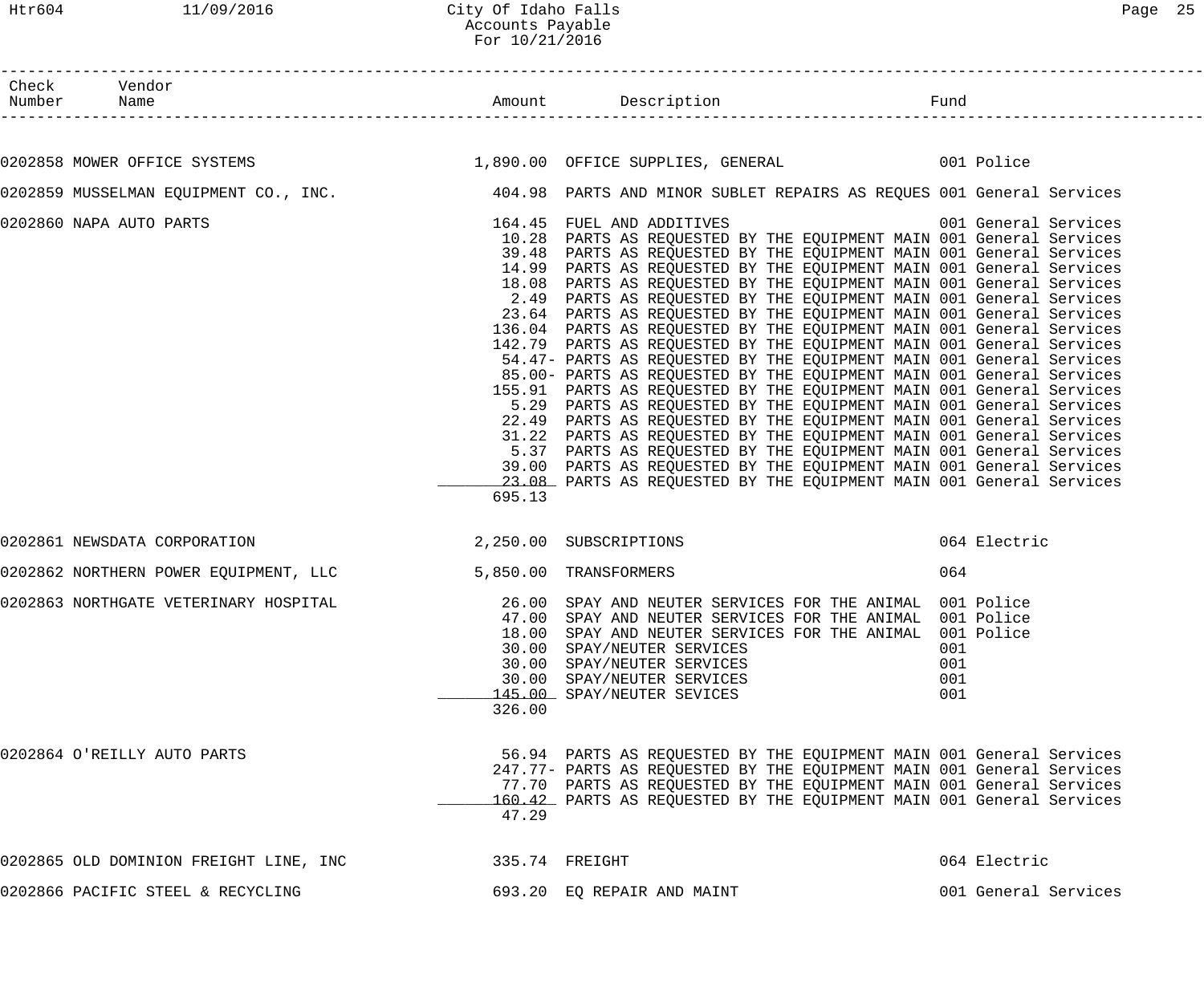### Htr604 11/09/2016 City Of Idaho Falls Page 25 Accounts Payable For 10/21/2016

| Check Vendor                                                                                               |        |                                                                                                                                                                                                                                                                                                                                                                                                                                                                                                                                                                                                                                                                                                                                                                                                                                                                                                                                                                                                                                                                                                                                                                                                                                                                                                          |                          |                      |
|------------------------------------------------------------------------------------------------------------|--------|----------------------------------------------------------------------------------------------------------------------------------------------------------------------------------------------------------------------------------------------------------------------------------------------------------------------------------------------------------------------------------------------------------------------------------------------------------------------------------------------------------------------------------------------------------------------------------------------------------------------------------------------------------------------------------------------------------------------------------------------------------------------------------------------------------------------------------------------------------------------------------------------------------------------------------------------------------------------------------------------------------------------------------------------------------------------------------------------------------------------------------------------------------------------------------------------------------------------------------------------------------------------------------------------------------|--------------------------|----------------------|
| 0202858 MOWER OFFICE SYSTEMS 601 CONTROL 1,890.00 OFFICE SUPPLIES, GENERAL 601 Police                      |        |                                                                                                                                                                                                                                                                                                                                                                                                                                                                                                                                                                                                                                                                                                                                                                                                                                                                                                                                                                                                                                                                                                                                                                                                                                                                                                          |                          |                      |
| 0202859 MUSSELMAN EQUIPMENT CO., INC. 404.98 PARTS AND MINOR SUBLET REPAIRS AS REQUES 001 General Services |        |                                                                                                                                                                                                                                                                                                                                                                                                                                                                                                                                                                                                                                                                                                                                                                                                                                                                                                                                                                                                                                                                                                                                                                                                                                                                                                          |                          |                      |
| 0202860 NAPA AUTO PARTS                                                                                    | 695.13 | 164.45 FUEL AND ADDITIVES 6001 General Services<br>10.28 PARTS AS REQUESTED BY THE EQUIPMENT MAIN 001 General Services<br>39.48 PARTS AS REQUESTED BY THE EQUIPMENT MAIN 001 General Services<br>14.99 PARTS AS REQUESTED BY THE EQUIPMENT MAIN 001 General Services<br>18.08 PARTS AS REQUESTED BY THE EQUIPMENT MAIN 001 General Services<br>2.49 PARTS AS REQUESTED BY THE EQUIPMENT MAIN 001 General Services<br>23.64 PARTS AS REQUESTED BY THE EQUIPMENT MAIN 001 General Services<br>136.04 PARTS AS REQUESTED BY THE EQUIPMENT MAIN 001 General Services<br>142.79 PARTS AS REQUESTED BY THE EQUIPMENT MAIN 001 General Services<br>54.47- PARTS AS REQUESTED BY THE EQUIPMENT MAIN 001 General Services<br>85.00- PARTS AS REQUESTED BY THE EQUIPMENT MAIN 001 General Services<br>155.91 PARTS AS REQUESTED BY THE EQUIPMENT MAIN 001 General Services<br>5.29 PARTS AS REQUESTED BY THE EQUIPMENT MAIN 001 General Services<br>22.49 PARTS AS REQUESTED BY THE EQUIPMENT MAIN 001 General Services<br>31.22 PARTS AS REQUESTED BY THE EQUIPMENT MAIN 001 General Services<br>5.37 PARTS AS REQUESTED BY THE EQUIPMENT MAIN 001 General Services<br>39.00 PARTS AS REQUESTED BY THE EQUIPMENT MAIN 001 General Services<br>23.08 PARTS AS REQUESTED BY THE EQUIPMENT MAIN 001 General Services |                          |                      |
| 0202861 NEWSDATA CORPORATION 2,250.00 SUBSCRIPTIONS                                                        |        |                                                                                                                                                                                                                                                                                                                                                                                                                                                                                                                                                                                                                                                                                                                                                                                                                                                                                                                                                                                                                                                                                                                                                                                                                                                                                                          |                          | 064 Electric         |
| 0202862 NORTHERN POWER EQUIPMENT, LLC 5,850.00 TRANSFORMERS                                                |        |                                                                                                                                                                                                                                                                                                                                                                                                                                                                                                                                                                                                                                                                                                                                                                                                                                                                                                                                                                                                                                                                                                                                                                                                                                                                                                          | 064                      |                      |
| 0202863 NORTHGATE VETERINARY HOSPITAL                                                                      | 326.00 | 26.00 SPAY AND NEUTER SERVICES FOR THE ANIMAL 001 Police<br>47.00 SPAY AND NEUTER SERVICES FOR THE ANIMAL, 001 Police<br>47.00 SPAY AND NEUTER SERVICES FOR THE ANIMAL 001 Police<br>18.00 SPAY AND NEUTER SERVICES FOR THE ANIMAL 001 Police<br>30.00 SPAY/NEUTER SERVICES<br>30.00 SPAY/NEUTER SERVICES<br>30.00 SPAY/NEUTER SERVICES<br>145.00 SPAY/NEUTER SEVICES                                                                                                                                                                                                                                                                                                                                                                                                                                                                                                                                                                                                                                                                                                                                                                                                                                                                                                                                    | 001<br>001<br>001<br>001 |                      |
| 0202864 O'REILLY AUTO PARTS                                                                                | 47.29  | 56.94 PARTS AS REQUESTED BY THE EQUIPMENT MAIN 001 General Services<br>247.77- PARTS AS REQUESTED BY THE EQUIPMENT MAIN 001 General Services<br>77.70 PARTS AS REQUESTED BY THE EQUIPMENT MAIN 001 General Services<br>160.42 PARTS AS REQUESTED BY THE EQUIPMENT MAIN 001 General Services                                                                                                                                                                                                                                                                                                                                                                                                                                                                                                                                                                                                                                                                                                                                                                                                                                                                                                                                                                                                              |                          |                      |
| 0202865 OLD DOMINION FREIGHT LINE, INC                                                                     |        | 335.74 FREIGHT                                                                                                                                                                                                                                                                                                                                                                                                                                                                                                                                                                                                                                                                                                                                                                                                                                                                                                                                                                                                                                                                                                                                                                                                                                                                                           |                          | 064 Electric         |
| 0202866 PACIFIC STEEL & RECYCLING                                                                          |        | 693.20 EQ REPAIR AND MAINT                                                                                                                                                                                                                                                                                                                                                                                                                                                                                                                                                                                                                                                                                                                                                                                                                                                                                                                                                                                                                                                                                                                                                                                                                                                                               |                          | 001 General Services |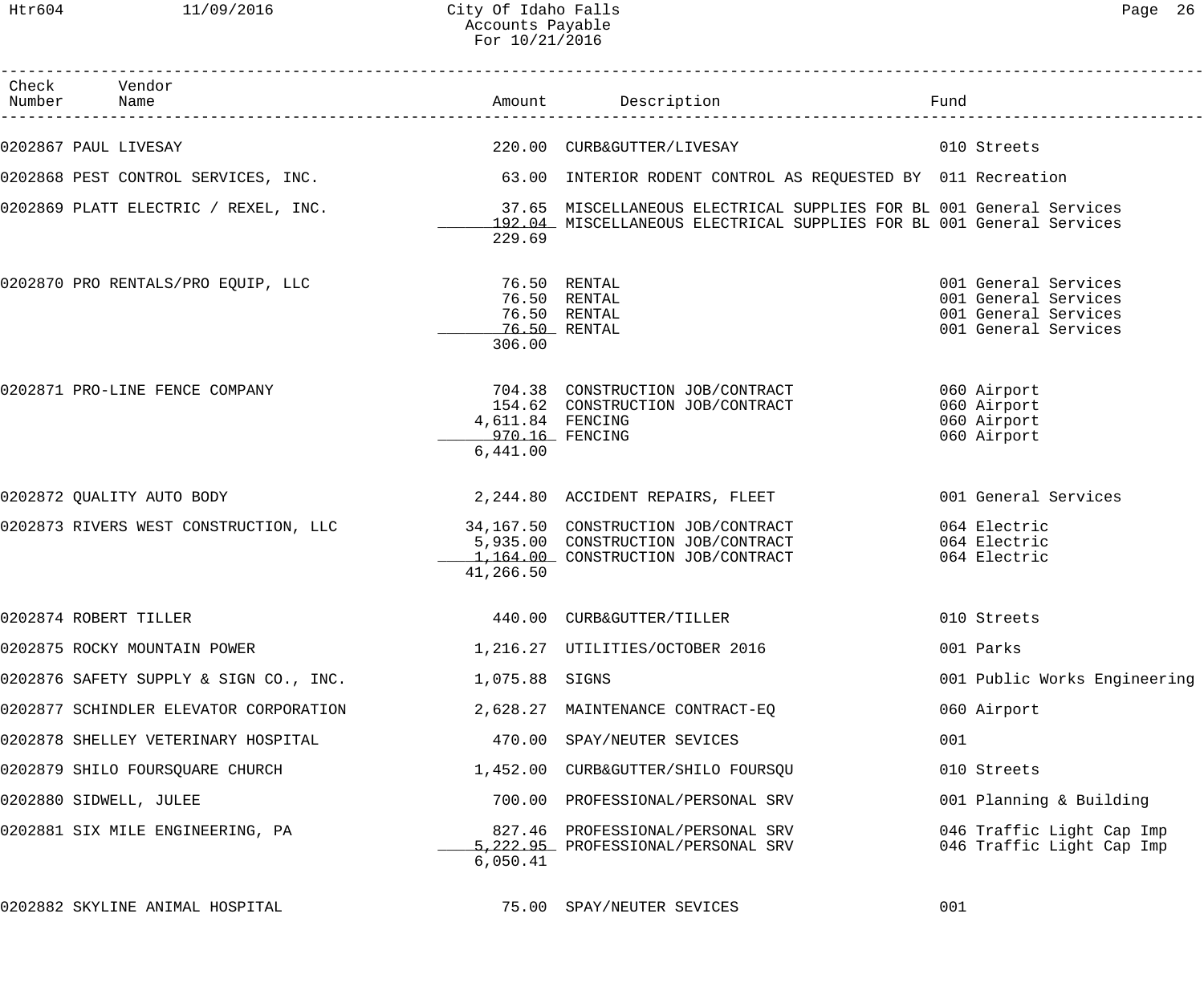Htr604 11/09/2016 City Of Idaho Falls Page 26 Accounts Payable For 10/21/2016

| Check Vendor<br>Number Name            |                                                |                                                                                                                                                                                                  | Fund |                                                                                              |
|----------------------------------------|------------------------------------------------|--------------------------------------------------------------------------------------------------------------------------------------------------------------------------------------------------|------|----------------------------------------------------------------------------------------------|
| 0202867 PAUL LIVESAY                   |                                                | 220.00 CURB&GUTTER/LIVESAY                                                                                                                                                                       |      | 010 Streets                                                                                  |
|                                        |                                                | 0202868 PEST CONTROL SERVICES, INC.                                 63.00 INTERIOR RODENT CONTROL AS REQUESTED BY 011 Recreation                                                                 |      |                                                                                              |
|                                        | 229.69                                         | 0202869 PLATT ELECTRIC / REXEL, INC.                 37.65 MISCELLANEOUS ELECTRICAL SUPPLIES FOR BL 001 General Services<br>192.04 MISCELLANEOUS ELECTRICAL SUPPLIES FOR BL 001 General Services |      |                                                                                              |
|                                        | 306.00                                         | 76.50 RENTAL<br>76.50 RENTAL<br>76.50 RENTAL                                                                                                                                                     |      | 001 General Services<br>001 General Services<br>001 General Services<br>001 General Services |
| 0202871 PRO-LINE FENCE COMPANY         | 4,611.84 FENCING<br>970.16 FENCING<br>6,441.00 | 704.38 CONSTRUCTION JOB/CONTRACT<br>154.62 CONSTRUCTION JOB/CONTRACT                                                                                                                             |      | 060 Airport<br>060 Airport<br>060 Airport<br>060 Airport                                     |
| 0202872 QUALITY AUTO BODY              |                                                | 2,244.80 ACCIDENT REPAIRS, FLEET                                                                                                                                                                 |      | 001 General Services                                                                         |
|                                        | 41,266.50                                      | 0202873 RIVERS WEST CONSTRUCTION, LLC 34,167.50 CONSTRUCTION JOB/CONTRACT<br>5,935.00 CONSTRUCTION JOB/CONTRACT<br>1,164.00 CONSTRUCTION JOB/CONTRACT                                            |      | 064 Electric<br>064 Electric<br>064 Electric                                                 |
| 0202874 ROBERT TILLER                  |                                                | 440.00 CURB&GUTTER/TILLER                                                                                                                                                                        |      | 010 Streets                                                                                  |
| 0202875 ROCKY MOUNTAIN POWER           |                                                | 1, 216.27 UTILITIES/OCTOBER 2016                                                                                                                                                                 |      | 001 Parks                                                                                    |
| 0202876 SAFETY SUPPLY & SIGN CO., INC. | 1,075.88 SIGNS                                 |                                                                                                                                                                                                  |      | 001 Public Works Engineering                                                                 |
| 0202877 SCHINDLER ELEVATOR CORPORATION |                                                | 2,628.27 MAINTENANCE CONTRACT-EQ                                                                                                                                                                 |      | 060 Airport                                                                                  |
| 0202878 SHELLEY VETERINARY HOSPITAL    |                                                | 470.00 SPAY/NEUTER SEVICES                                                                                                                                                                       | 001  |                                                                                              |
| 0202879 SHILO FOURSQUARE CHURCH        |                                                | 1,452.00 CURB&GUTTER/SHILO FOURSQU                                                                                                                                                               |      | 010 Streets                                                                                  |
| 0202880 SIDWELL, JULEE                 |                                                | 700.00 PROFESSIONAL/PERSONAL SRV                                                                                                                                                                 |      | 001 Planning & Building                                                                      |
| 0202881 SIX MILE ENGINEERING, PA       | 6,050.41                                       | 827.46 PROFESSIONAL/PERSONAL SRV<br>5,222.95 PROFESSIONAL/PERSONAL SRV                                                                                                                           |      | 046 Traffic Light Cap Imp<br>046 Traffic Light Cap Imp                                       |
| 0202882 SKYLINE ANIMAL HOSPITAL        |                                                | 75.00 SPAY/NEUTER SEVICES                                                                                                                                                                        | 001  |                                                                                              |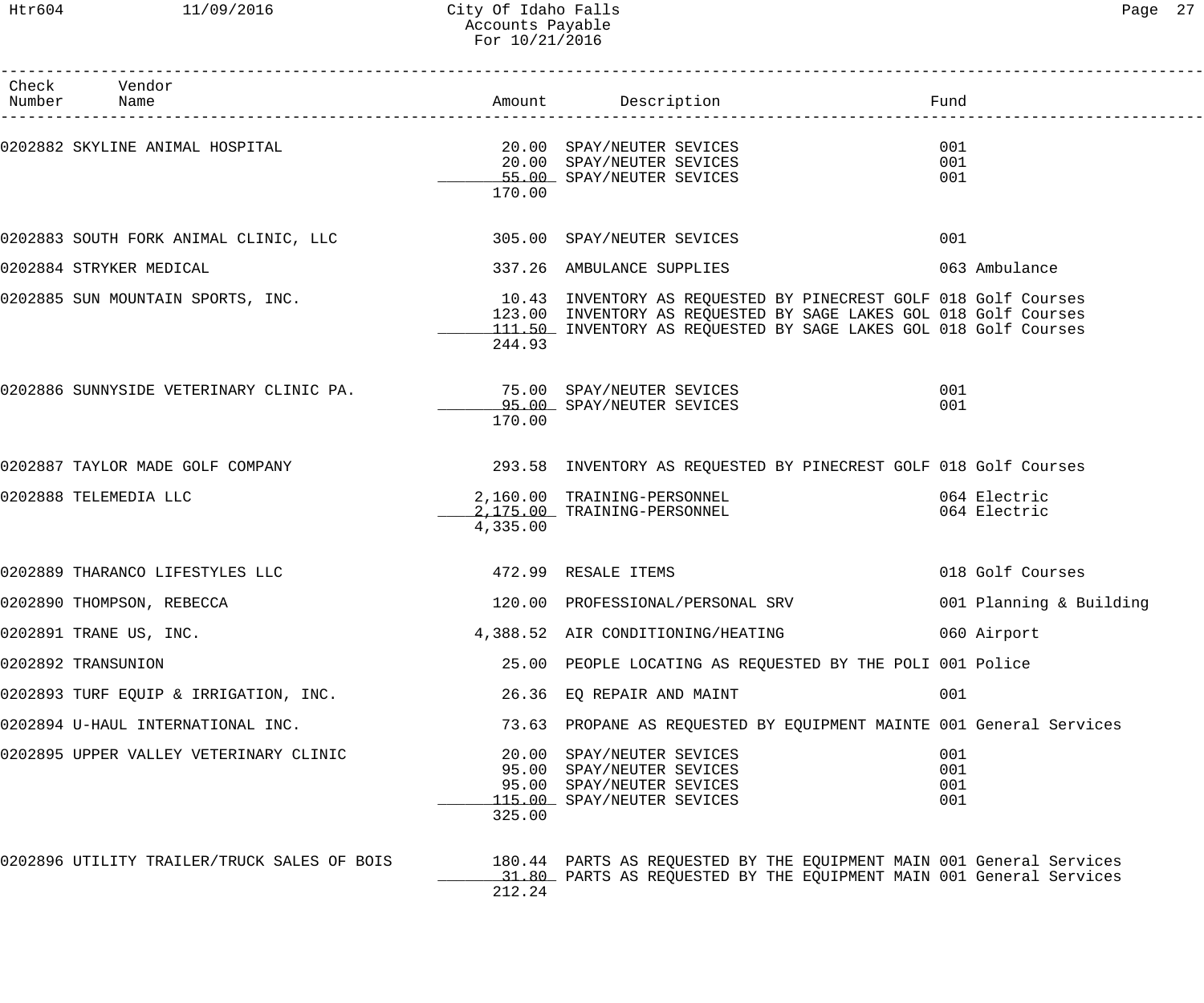# Htr604 11/09/2016 City Of Idaho Falls 27 Accounts Payable For 10/21/2016

------------------------------------------------------------------------------------------------------------------------------------

| Check<br>Number | Vendor<br>Name                                                    |          | Amount Description                                                                                                                                                                                      | Fund                         |
|-----------------|-------------------------------------------------------------------|----------|---------------------------------------------------------------------------------------------------------------------------------------------------------------------------------------------------------|------------------------------|
|                 | 0202882 SKYLINE ANIMAL HOSPITAL 6 (20.00 SPAY/NEUTER SEVICES      | 170.00   | 20.00 SPAY/NEUTER SEVICES<br>55.00 SPAY/NEUTER SEVICES                                                                                                                                                  | 001<br>001<br>001            |
|                 | 0202883 SOUTH FORK ANIMAL CLINIC, LLC 305.00 SPAY/NEUTER SEVICES  |          |                                                                                                                                                                                                         | 001                          |
|                 | 0202884 STRYKER MEDICAL                                           |          | 337.26 AMBULANCE SUPPLIES                                                                                                                                                                               | 063 Ambulance                |
|                 | 0202885 SUN MOUNTAIN SPORTS, INC.                                 | 244.93   | 10.43 INVENTORY AS REQUESTED BY PINECREST GOLF 018 Golf Courses<br>123.00 INVENTORY AS REQUESTED BY SAGE LAKES GOL 018 Golf Courses<br>111.50 INVENTORY AS REQUESTED BY SAGE LAKES GOL 018 Golf Courses |                              |
|                 | 0202886 SUNNYSIDE VETERINARY CLINIC PA. 25.00 SPAY/NEUTER SEVICES | 170.00   | 95.00 SPAY/NEUTER SEVICES                                                                                                                                                                               | 001<br>001                   |
|                 | 0202887 TAYLOR MADE GOLF COMPANY                                  |          | 293.58 INVENTORY AS REQUESTED BY PINECREST GOLF 018 Golf Courses                                                                                                                                        |                              |
|                 | 0202888 TELEMEDIA LLC                                             | 4,335.00 | 2,160.00 TRAINING-PERSONNEL<br>2,175.00 TRAINING-PERSONNEL                                                                                                                                              | 064 Electric<br>064 Electric |
|                 | 0202889 THARANCO LIFESTYLES LLC                                   |          | 472.99 RESALE ITEMS                                                                                                                                                                                     | 018 Golf Courses             |
|                 | 0202890 THOMPSON, REBECCA                                         |          | 120.00 PROFESSIONAL/PERSONAL SRV                                                                                                                                                                        | 001 Planning & Building      |
|                 | 0202891 TRANE US, INC.                                            |          | 4,388.52 AIR CONDITIONING/HEATING                                                                                                                                                                       | 060 Airport                  |
|                 | 0202892 TRANSUNION                                                |          | 25.00 PEOPLE LOCATING AS REQUESTED BY THE POLI 001 Police                                                                                                                                               |                              |
|                 | 0202893 TURF EQUIP & IRRIGATION, INC.                             |          | 26.36 EQ REPAIR AND MAINT                                                                                                                                                                               | 001                          |
|                 | 0202894 U-HAUL INTERNATIONAL INC.                                 |          | 73.63 PROPANE AS REQUESTED BY EQUIPMENT MAINTE 001 General Services                                                                                                                                     |                              |
|                 | 0202895 UPPER VALLEY VETERINARY CLINIC                            | 325.00   | 20.00 SPAY/NEUTER SEVICES<br>95.00 SPAY/NEUTER SEVICES<br>95.00 SPAY/NEUTER SEVICES<br>115.00 SPAY/NEUTER SEVICES                                                                                       | 001<br>001<br>001<br>001     |
|                 | 0202896 UTILITY TRAILER/TRUCK SALES OF BOIS                       | 212.24   | 180.44 PARTS AS REQUESTED BY THE EQUIPMENT MAIN 001 General Services<br>31.80 PARTS AS REQUESTED BY THE EQUIPMENT MAIN 001 General Services                                                             |                              |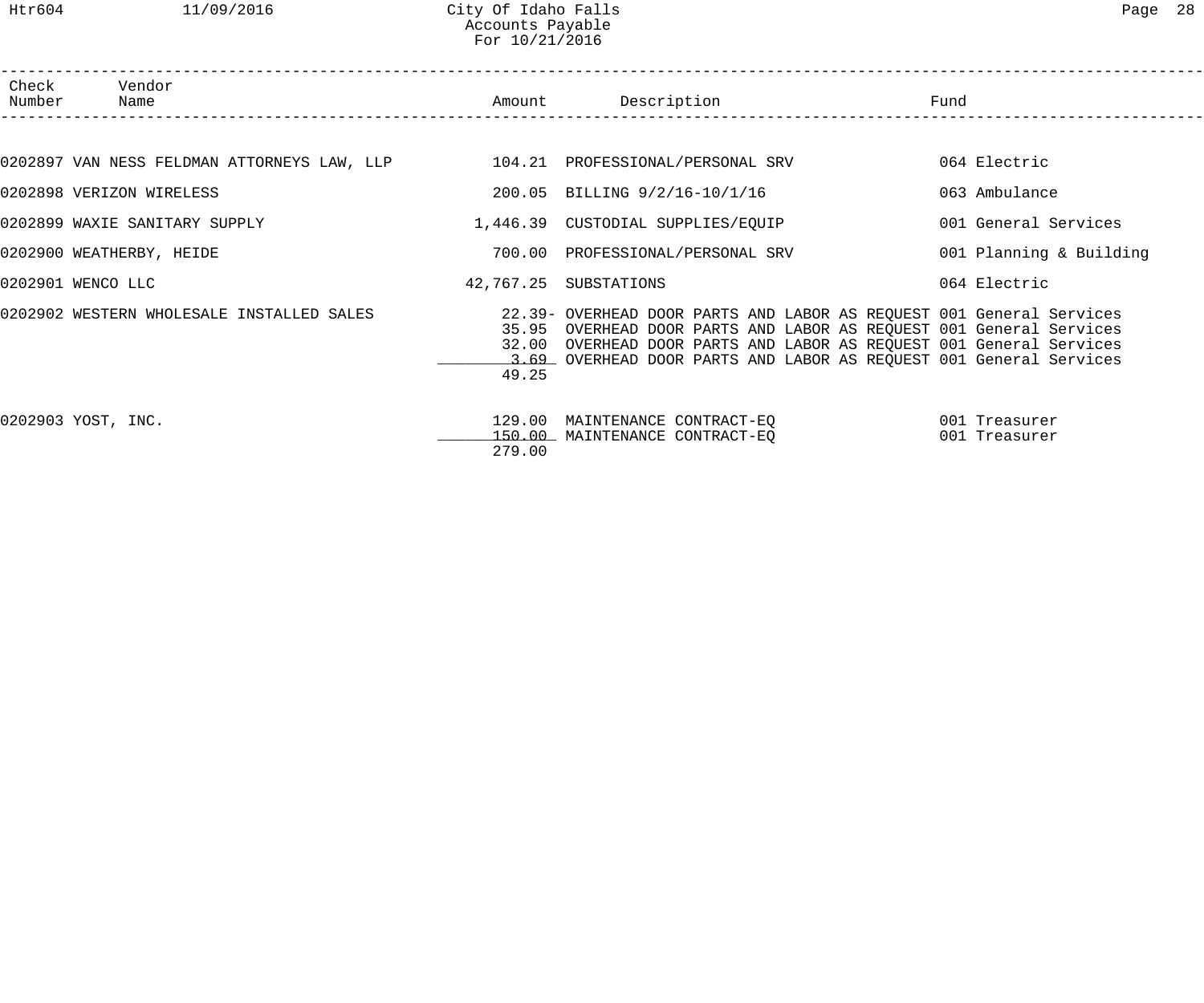Htr604 11/09/2016 City Of Idaho Falls Page 28 Accounts Payable For 10/21/2016

| Number Name        | Check Vendor                                                                       |        | Amount Description                                                                                                                                                                                                                                                                       | Fund                           |
|--------------------|------------------------------------------------------------------------------------|--------|------------------------------------------------------------------------------------------------------------------------------------------------------------------------------------------------------------------------------------------------------------------------------------------|--------------------------------|
|                    |                                                                                    |        |                                                                                                                                                                                                                                                                                          |                                |
|                    | 0202897 VAN NESS FELDMAN ATTORNEYS LAW, LLP       104.21 PROFESSIONAL/PERSONAL SRV |        |                                                                                                                                                                                                                                                                                          | 064 Electric                   |
|                    | 0202898 VERIZON WIRELESS                                                           |        | 200.05 BILLING 9/2/16-10/1/16                                                                                                                                                                                                                                                            | 063 Ambulance                  |
|                    | 0202899 WAXIE SANITARY SUPPLY                                                      |        | 1,446.39 CUSTODIAL SUPPLIES/EQUIP                                                                                                                                                                                                                                                        | 001 General Services           |
|                    | 0202900 WEATHERBY, HEIDE                                                           |        | 700.00 PROFESSIONAL/PERSONAL SRV                                                                                                                                                                                                                                                         | 001 Planning & Building        |
| 0202901 WENCO LLC  |                                                                                    |        | 42,767.25 SUBSTATIONS                                                                                                                                                                                                                                                                    | 064 Electric                   |
|                    | 0202902 WESTERN WHOLESALE INSTALLED SALES                                          | 49.25  | 22.39- OVERHEAD DOOR PARTS AND LABOR AS REQUEST 001 General Services<br>35.95 OVERHEAD DOOR PARTS AND LABOR AS REQUEST 001 General Services<br>32.00 OVERHEAD DOOR PARTS AND LABOR AS REQUEST 001 General Services<br>3.69 OVERHEAD DOOR PARTS AND LABOR AS REQUEST 001 General Services |                                |
| 0202903 YOST, INC. |                                                                                    | 279.00 | 129.00 MAINTENANCE CONTRACT-EQ<br>150.00 MAINTENANCE CONTRACT-EQ                                                                                                                                                                                                                         | 001 Treasurer<br>001 Treasurer |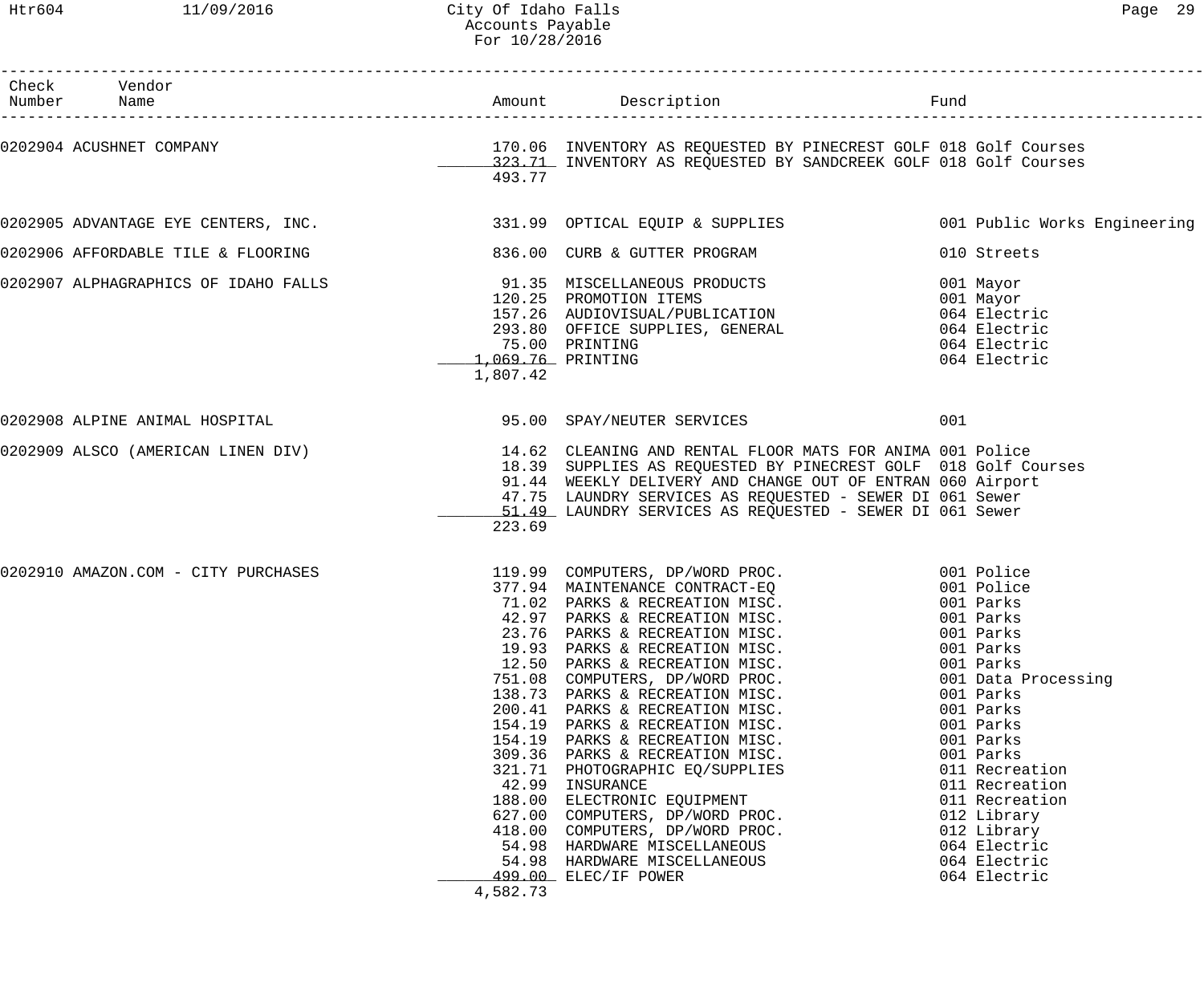| Check Vendor<br>Number Name                                         |                                                          |                                                                                                                                                                                                                                                                                                                                                                                                                                                                                                                                                                                                                                                                                                                                                                       |                                                                                                                                                                                                                                                                 |
|---------------------------------------------------------------------|----------------------------------------------------------|-----------------------------------------------------------------------------------------------------------------------------------------------------------------------------------------------------------------------------------------------------------------------------------------------------------------------------------------------------------------------------------------------------------------------------------------------------------------------------------------------------------------------------------------------------------------------------------------------------------------------------------------------------------------------------------------------------------------------------------------------------------------------|-----------------------------------------------------------------------------------------------------------------------------------------------------------------------------------------------------------------------------------------------------------------|
|                                                                     | 493.77                                                   |                                                                                                                                                                                                                                                                                                                                                                                                                                                                                                                                                                                                                                                                                                                                                                       |                                                                                                                                                                                                                                                                 |
|                                                                     |                                                          | 0202905 ADVANTAGE EYE CENTERS, INC. 331.99 OPTICAL EQUIP & SUPPLIES 001 Public Works Engineering                                                                                                                                                                                                                                                                                                                                                                                                                                                                                                                                                                                                                                                                      |                                                                                                                                                                                                                                                                 |
| 0202906 AFFORDABLE TILE & FLOORING 6206.00 CURB & GUTTER PROGRAM    |                                                          |                                                                                                                                                                                                                                                                                                                                                                                                                                                                                                                                                                                                                                                                                                                                                                       | 010 Streets                                                                                                                                                                                                                                                     |
|                                                                     | 1,069.76 PRINTING<br>1,807.42                            | 0202907 ALPHAGRAPHICS OF IDAHO FALLS<br>001 Mayor 120.25 PROMOTION ITEMS<br>157.26 AUDIOVISUAL/PUBLICATION 064 Electric<br>293.80 OFFICE SUPPLIES, GENERAL 064 Electric<br>293.80 OFFICE SUPPLIES, GENERAL 064 Electric<br>75.00 PRINTING                                                                                                                                                                                                                                                                                                                                                                                                                                                                                                                             | 064 Electric<br>064 Electric                                                                                                                                                                                                                                    |
| 0202908 ALPINE ANIMAL HOSPITAL CONTROL CONTROL DE SERVICES SERVICES |                                                          |                                                                                                                                                                                                                                                                                                                                                                                                                                                                                                                                                                                                                                                                                                                                                                       | 001                                                                                                                                                                                                                                                             |
|                                                                     | 223.69                                                   | 0202909 ALSCO (AMERICAN LINEN DIV) 14.62 CLEANING AND RENTAL FLOOR MATS FOR ANIMA 001 Police<br>18.39 SUPPLIES AS REQUESTED BY PINECREST GOLF 018 Golf Courses<br>91.44 WEEKLY DELIVERY AND CHANGE OUT OF ENTRAN 060 Airport<br>47.75 LAUNDRY SERVICES AS REQUESTED - SEWER DI 061 Sewer<br>51.49 LAUNDRY SERVICES AS REQUESTED - SEWER DI 061 Sewer                                                                                                                                                                                                                                                                                                                                                                                                                  |                                                                                                                                                                                                                                                                 |
| 0202910 AMAZON.COM - CITY PURCHASES                                 | 19.93<br>138.73<br>154.19<br>154.19<br>42.99<br>4,582.73 | 119.99 COMPUTERS, DP/WORD PROC. 001 Police<br>377.94 MAINTENANCE CONTRACT-EQ 001 Police<br>71.02 PARKS & RECREATION MISC. 001 Parks<br>42.97 PARKS & RECREATION MISC. 001 Parks<br>22.76 DARKS & RECREATION MISC. 001 Parks<br>23.76 PARKS & RECREATION MISC.<br>PARKS & RECREATION MISC.<br>12.50 PARKS & RECREATION MISC.<br>751.08 COMPUTERS, DP/WORD PROC.<br>PARKS & RECREATION MISC.<br>200.41 PARKS & RECREATION MISC.<br>PARKS & RECREATION MISC.<br>PARKS & RECREATION MISC.<br>309.36 PARKS & RECREATION MISC.<br>321.71 PHOTOGRAPHIC EQ/SUPPLIES<br>INSURANCE<br>188.00 ELECTRONIC EQUIPMENT<br>627.00 COMPUTERS, DP/WORD PROC.<br>418.00 COMPUTERS, DP/WORD PROC.<br>54.98 HARDWARE MISCELLANEOUS<br>54.98 HARDWARE MISCELLANEOUS<br>499.00 ELEC/IF POWER | 001 Parks<br>001 Parks<br>001 Parks<br>001 Data Processing<br>001 Parks<br>001 Parks<br>001 Parks<br>001 Parks<br>001 Parks<br>011 Recreation<br>011 Recreation<br>011 Recreation<br>012 Library<br>012 Library<br>064 Electric<br>064 Electric<br>064 Electric |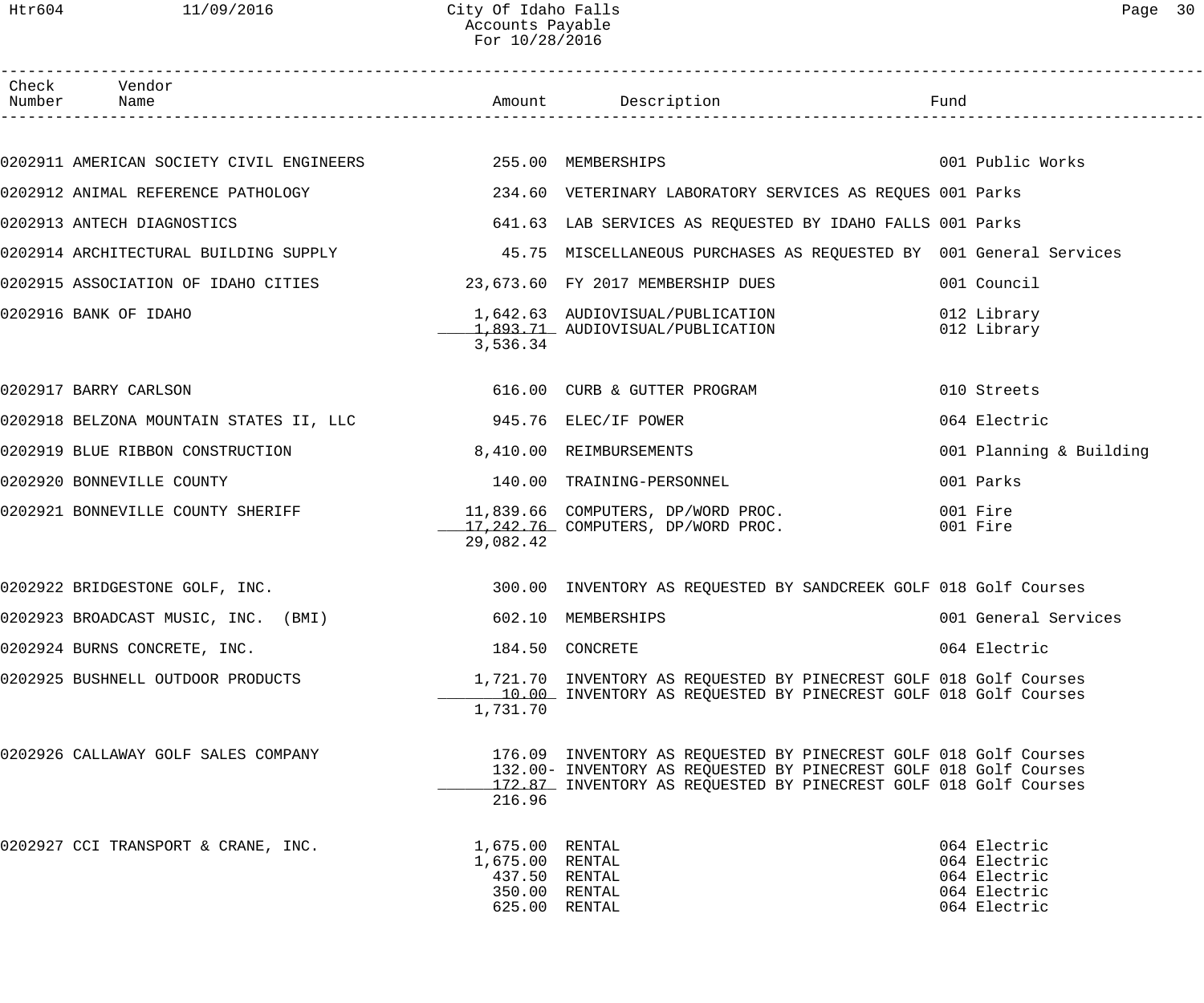Htr604 11/09/2016 City Of Idaho Falls Page 30 Accounts Payable For 10/28/2016

| Check Vendor<br>Number Name                                                                                        |                                                                                       |                                                                                                                                                                                                           |                                                                              |
|--------------------------------------------------------------------------------------------------------------------|---------------------------------------------------------------------------------------|-----------------------------------------------------------------------------------------------------------------------------------------------------------------------------------------------------------|------------------------------------------------------------------------------|
|                                                                                                                    |                                                                                       |                                                                                                                                                                                                           |                                                                              |
| 0202911 AMERICAN SOCIETY CIVIL ENGINEERS 255.00 MEMBERSHIPS 300 1 2001 Public Works                                |                                                                                       |                                                                                                                                                                                                           |                                                                              |
|                                                                                                                    |                                                                                       |                                                                                                                                                                                                           |                                                                              |
| 0202913 ANTECH DIAGNOSTICS                                                                                         |                                                                                       | 641.63 LAB SERVICES AS REQUESTED BY IDAHO FALLS 001 Parks                                                                                                                                                 |                                                                              |
| 0202914 ARCHITECTURAL BUILDING SUPPLY 1999 1999 45.75 MISCELLANEOUS PURCHASES AS REQUESTED BY 001 General Services |                                                                                       |                                                                                                                                                                                                           |                                                                              |
| 0202915 ASSOCIATION OF IDAHO CITIES 23,673.60 FY 2017 MEMBERSHIP DUES                                              |                                                                                       |                                                                                                                                                                                                           | 001 Council                                                                  |
| 0202916 BANK OF IDAHO                                                                                              | 3,536.34                                                                              | 1,642.63 AUDIOVISUAL/PUBLICATION<br>1,893.71 AUDIOVISUAL/PUBLICATION                                                                                                                                      | 012 Library<br>012 Library                                                   |
| 0202917 BARRY CARLSON                                                                                              |                                                                                       | 616.00 CURB & GUTTER PROGRAM                                                                                                                                                                              | 010 Streets                                                                  |
|                                                                                                                    |                                                                                       |                                                                                                                                                                                                           | 064 Electric                                                                 |
| 0202919 BLUE RIBBON CONSTRUCTION 6,410.00 REIMBURSEMENTS                                                           |                                                                                       |                                                                                                                                                                                                           | 001 Planning & Building                                                      |
| 0202920 BONNEVILLE COUNTY                                                                                          |                                                                                       | 140.00 TRAINING-PERSONNEL                                                                                                                                                                                 | 001 Parks                                                                    |
| 0202921 BONNEVILLE COUNTY SHERIFF                                                                                  | 29,082.42                                                                             | 11,839.66 COMPUTERS, DP/WORD PROC.<br>17,242.76 COMPUTERS, DP/WORD PROC.                                                                                                                                  | 001 Fire<br>001 Fire                                                         |
| 0202922 BRIDGESTONE GOLF, INC.                                                                                     |                                                                                       | 300.00 INVENTORY AS REQUESTED BY SANDCREEK GOLF 018 Golf Courses                                                                                                                                          |                                                                              |
| 0202923 BROADCAST MUSIC, INC. (BMI)                                                                                |                                                                                       | 602.10 MEMBERSHIPS                                                                                                                                                                                        | 001 General Services                                                         |
| 0202924 BURNS CONCRETE, INC.                                                                                       |                                                                                       | 184.50 CONCRETE                                                                                                                                                                                           | 064 Electric                                                                 |
| 0202925 BUSHNELL OUTDOOR PRODUCTS                                                                                  | 1,731.70                                                                              | 1,721.70 INVENTORY AS REQUESTED BY PINECREST GOLF 018 Golf Courses<br>10.00 INVENTORY AS REQUESTED BY PINECREST GOLF 018 Golf Courses                                                                     |                                                                              |
| 0202926 CALLAWAY GOLF SALES COMPANY                                                                                | 216.96                                                                                | 176.09 INVENTORY AS REQUESTED BY PINECREST GOLF 018 Golf Courses<br>132.00- INVENTORY AS REQUESTED BY PINECREST GOLF 018 Golf Courses<br>172.87 INVENTORY AS REQUESTED BY PINECREST GOLF 018 Golf Courses |                                                                              |
| 0202927 CCI TRANSPORT & CRANE, INC.                                                                                | 1,675.00 RENTAL<br>1,675.00 RENTAL<br>437.50 RENTAL<br>350.00 RENTAL<br>625.00 RENTAL |                                                                                                                                                                                                           | 064 Electric<br>064 Electric<br>064 Electric<br>064 Electric<br>064 Electric |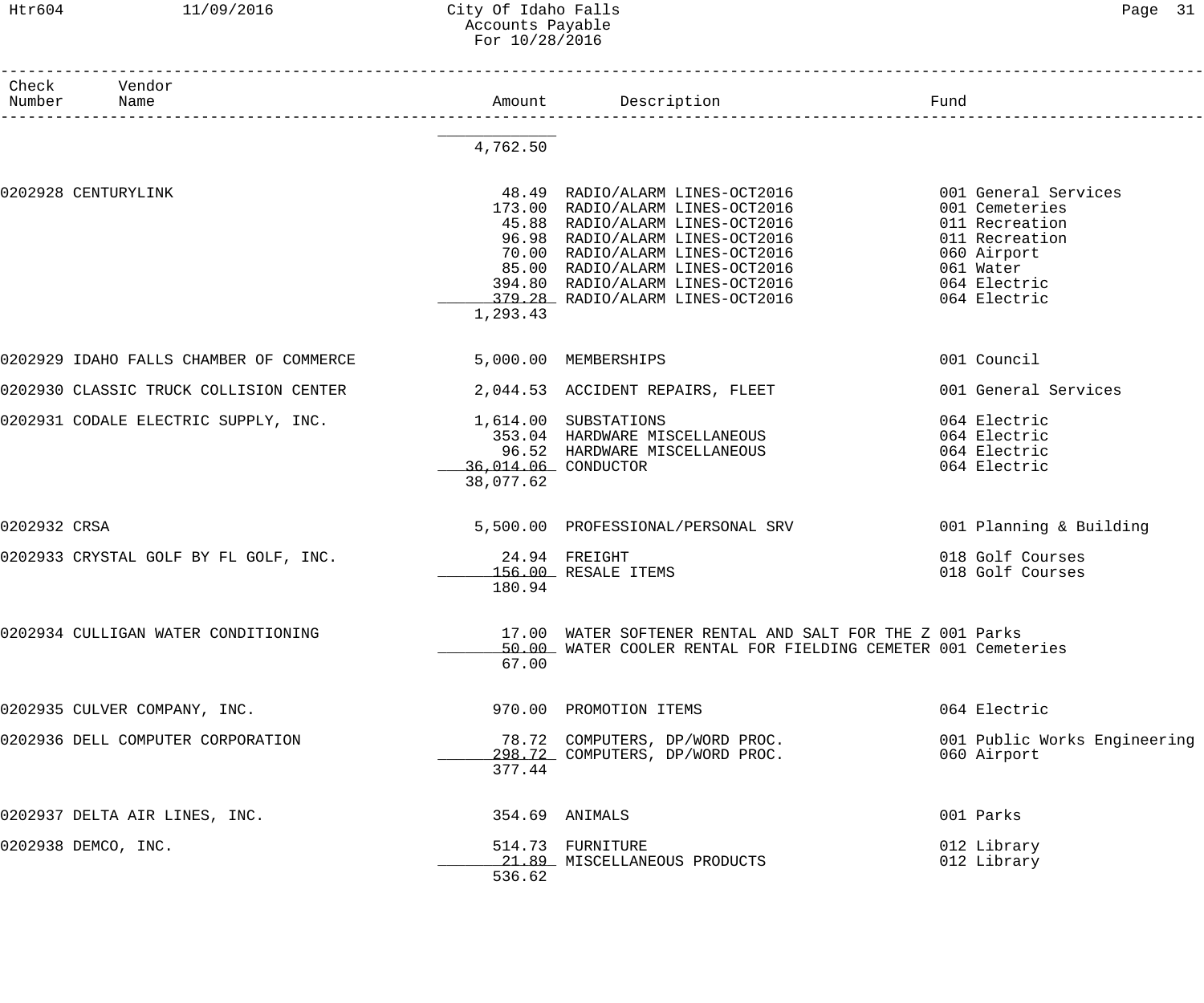### Htr604 11/09/2016 City Of Idaho Falls Page 31 Accounts Payable For 10/28/2016

| Check<br>Number | Vendor<br>Name                          |                      | Amount Description                                                                                                                                                                                                                               | Fund                         |
|-----------------|-----------------------------------------|----------------------|--------------------------------------------------------------------------------------------------------------------------------------------------------------------------------------------------------------------------------------------------|------------------------------|
|                 |                                         |                      | .<br>————————————————————                                                                                                                                                                                                                        |                              |
|                 |                                         | 4,762.50             |                                                                                                                                                                                                                                                  |                              |
|                 | 0202928 CENTURYLINK                     |                      | 48.49 RADIO/ALARM LINES-OCT2016                                                                                                                                                                                                                  | 001 General Services         |
|                 |                                         |                      |                                                                                                                                                                                                                                                  | 001 Cemeteries               |
|                 |                                         |                      |                                                                                                                                                                                                                                                  | 011 Recreation               |
|                 |                                         |                      |                                                                                                                                                                                                                                                  | 011 Recreation               |
|                 |                                         |                      | 173.00 RADIO/ALARM LINES-OCT2016<br>45.88 RADIO/ALARM LINES-OCT2016<br>96.98 RADIO/ALARM LINES-OCT2016<br>70.00 RADIO/ALARM LINES-OCT2016<br>85.00 RADIO/ALARM LINES-OCT2016<br>394.80 RADIO/ALARM LINES-OCT2016<br>394.80 RADIO/ALARM LINES-OCT | 060 Airport                  |
|                 |                                         |                      |                                                                                                                                                                                                                                                  | 061 Water                    |
|                 |                                         |                      |                                                                                                                                                                                                                                                  | 064 Electric                 |
|                 |                                         |                      | 379.28 RADIO/ALARM LINES-OCT2016                                                                                                                                                                                                                 | 064 Electric                 |
|                 |                                         | 1,293.43             |                                                                                                                                                                                                                                                  |                              |
|                 | 0202929 IDAHO FALLS CHAMBER OF COMMERCE | 5,000.00 MEMBERSHIPS |                                                                                                                                                                                                                                                  | 001 Council                  |
|                 | 0202930 CLASSIC TRUCK COLLISION CENTER  |                      | 2,044.53 ACCIDENT REPAIRS, FLEET                                                                                                                                                                                                                 | 001 General Services         |
|                 | 0202931 CODALE ELECTRIC SUPPLY, INC.    |                      | 1,614.00 SUBSTATIONS                                                                                                                                                                                                                             | 064 Electric                 |
|                 |                                         |                      | 353.04 HARDWARE MISCELLANEOUS                                                                                                                                                                                                                    | 064 Electric                 |
|                 |                                         |                      | 96.52 HARDWARE MISCELLANEOUS                                                                                                                                                                                                                     | 064 Electric                 |
|                 |                                         | 36,014.06 CONDUCTOR  |                                                                                                                                                                                                                                                  | 064 Electric                 |
|                 |                                         | 38,077.62            |                                                                                                                                                                                                                                                  |                              |
| 0202932 CRSA    |                                         |                      | 5,500.00 PROFESSIONAL/PERSONAL SRV                                                                                                                                                                                                               | 001 Planning & Building      |
|                 | 0202933 CRYSTAL GOLF BY FL GOLF, INC.   | $24.94$ FREIGHT      |                                                                                                                                                                                                                                                  | 018 Golf Courses             |
|                 |                                         |                      | 156.00 RESALE ITEMS                                                                                                                                                                                                                              | 018 Golf Courses             |
|                 |                                         | 180.94               |                                                                                                                                                                                                                                                  |                              |
|                 | 0202934 CULLIGAN WATER CONDITIONING     |                      | 17.00 WATER SOFTENER RENTAL AND SALT FOR THE Z 001 Parks                                                                                                                                                                                         |                              |
|                 |                                         |                      | 50.00 WATER COOLER RENTAL FOR FIELDING CEMETER 001 Cemeteries                                                                                                                                                                                    |                              |
|                 |                                         | 67.00                |                                                                                                                                                                                                                                                  |                              |
|                 | 0202935 CULVER COMPANY, INC.            |                      | 970.00 PROMOTION ITEMS                                                                                                                                                                                                                           | 064 Electric                 |
|                 | 0202936 DELL COMPUTER CORPORATION       |                      | 78.72 COMPUTERS, DP/WORD PROC.                                                                                                                                                                                                                   | 001 Public Works Engineering |
|                 |                                         |                      | 298.72 COMPUTERS, DP/WORD PROC.                                                                                                                                                                                                                  | 060 Airport                  |
|                 |                                         | 377.44               |                                                                                                                                                                                                                                                  |                              |
|                 | 0202937 DELTA AIR LINES, INC.           |                      | 354.69 ANIMALS                                                                                                                                                                                                                                   | 001 Parks                    |
|                 | 0202938 DEMCO, INC.                     |                      | 514.73 FURNITURE                                                                                                                                                                                                                                 | 012 Library                  |
|                 |                                         |                      | 21.89 MISCELLANEOUS PRODUCTS                                                                                                                                                                                                                     | 012 Library                  |
|                 |                                         | 536.62               |                                                                                                                                                                                                                                                  |                              |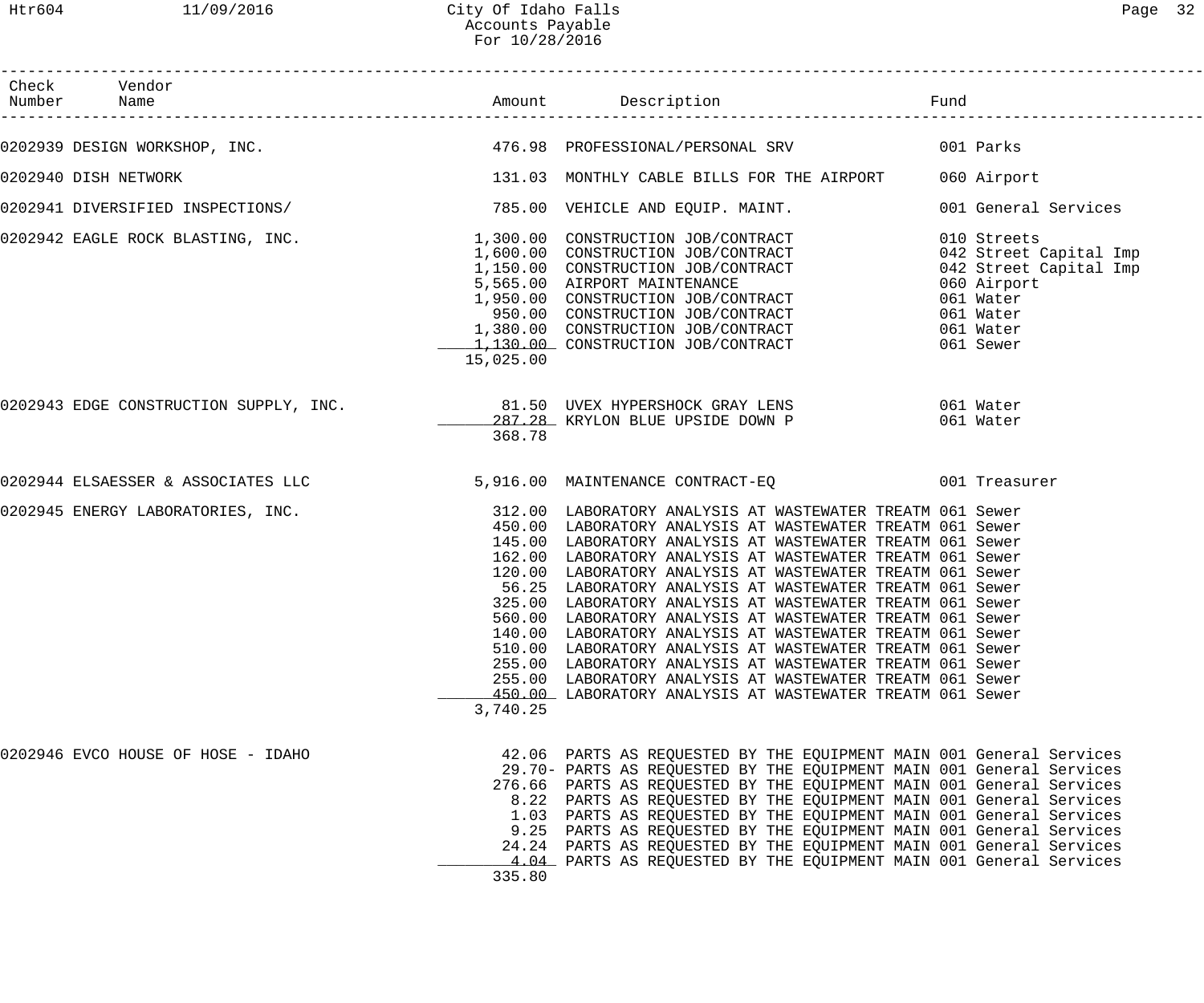3,740.25

| Htr604              | 11/09/2016                            | City Of Idaho Falls<br>Accounts Payable<br>For 10/28/2016 |                                                                                                                                                                                                                                                                                                                                                                                                                                                                                                     | Page 32                                                                                                                            |
|---------------------|---------------------------------------|-----------------------------------------------------------|-----------------------------------------------------------------------------------------------------------------------------------------------------------------------------------------------------------------------------------------------------------------------------------------------------------------------------------------------------------------------------------------------------------------------------------------------------------------------------------------------------|------------------------------------------------------------------------------------------------------------------------------------|
| Check<br>Number     | Vendor<br>Name                        | Amount                                                    | Description                                                                                                                                                                                                                                                                                                                                                                                                                                                                                         | Fund                                                                                                                               |
|                     | 202939 DESIGN WORKSHOP, INC.          |                                                           | 476.98 PROFESSIONAL/PERSONAL SRV                                                                                                                                                                                                                                                                                                                                                                                                                                                                    | 001 Parks                                                                                                                          |
| 202940 DISH NETWORK |                                       |                                                           | 131.03 MONTHLY CABLE BILLS FOR THE AIRPORT                                                                                                                                                                                                                                                                                                                                                                                                                                                          | 060 Airport                                                                                                                        |
|                     | 202941 DIVERSIFIED INSPECTIONS/       |                                                           | 785.00 VEHICLE AND EQUIP. MAINT.                                                                                                                                                                                                                                                                                                                                                                                                                                                                    | 001 General Services                                                                                                               |
|                     | 202942 EAGLE ROCK BLASTING, INC.      | 15,025.00                                                 | 1,300.00 CONSTRUCTION JOB/CONTRACT<br>1,600.00 CONSTRUCTION JOB/CONTRACT<br>1,150.00 CONSTRUCTION JOB/CONTRACT<br>5,565.00 AIRPORT MAINTENANCE<br>1,950.00 CONSTRUCTION JOB/CONTRACT<br>950.00 CONSTRUCTION JOB/CONTRACT<br>1,380.00 CONSTRUCTION JOB/CONTRACT<br>1,130.00 CONSTRUCTION JOB/CONTRACT                                                                                                                                                                                                | 010 Streets<br>042 Street Capital Imp<br>042 Street Capital Imp<br>060 Airport<br>061 Water<br>061 Water<br>061 Water<br>061 Sewer |
|                     | 202943 EDGE CONSTRUCTION SUPPLY, INC. | 368.78                                                    | 81.50 UVEX HYPERSHOCK GRAY LENS<br>287.28 KRYLON BLUE UPSIDE DOWN P                                                                                                                                                                                                                                                                                                                                                                                                                                 | 061 Water<br>061 Water                                                                                                             |
|                     | 202944 ELSAESSER & ASSOCIATES LLC     |                                                           | 5,916.00 MAINTENANCE CONTRACT-EQ                                                                                                                                                                                                                                                                                                                                                                                                                                                                    | 001 Treasurer                                                                                                                      |
|                     | 202945 ENERGY LABORATORIES, INC.      |                                                           | 312.00 LABORATORY ANALYSIS AT WASTEWATER TREATM 061 Sewer<br>450.00 LABORATORY ANALYSIS AT WASTEWATER TREATM 061 Sewer<br>145.00 LABORATORY ANALYSIS AT WASTEWATER TREATM 061 Sewer<br>162.00 LABORATORY ANALYSIS AT WASTEWATER TREATM 061 Sewer<br>120.00 LABORATORY ANALYSIS AT WASTEWATER TREATM 061 Sewer<br>56.25 LABORATORY ANALYSIS AT WASTEWATER TREATM 061 Sewer<br>325.00 LABORATORY ANALYSIS AT WASTEWATER TREATM 061 Sewer<br>560.00 LABORATORY ANALYSIS AT WASTEWATER TREATM 061 Sewer |                                                                                                                                    |
|                     |                                       |                                                           | 140.00 LABORATORY ANALYSIS AT WASTEWATER TREATM 061 Sewer<br>510.00 LABORATORY ANALYSIS AT WASTEWATER TREATM 061 Sewer                                                                                                                                                                                                                                                                                                                                                                              |                                                                                                                                    |

0202945 ENERGY LABORATORIES, INC.

0202946 EVCO HOUSE OF HOSE - IDAHO 42.06 PARTS AS REQUESTED BY THE EQUIPMENT MAIN 001 General Services 29.70- PARTS AS REQUESTED BY THE EQUIPMENT MAIN 001 General Services 276.66 PARTS AS REQUESTED BY THE EQUIPMENT MAIN 001 General Services 8.22 PARTS AS REQUESTED BY THE EQUIPMENT MAIN 001 General Services 1.03 PARTS AS REQUESTED BY THE EQUIPMENT MAIN 001 General Services 9.25 PARTS AS REQUESTED BY THE EQUIPMENT MAIN 001 General Services 24.24 PARTS AS REQUESTED BY THE EQUIPMENT MAIN 001 General Services \_\_\_\_\_\_\_\_\_\_\_\_\_ 4.04 PARTS AS REQUESTED BY THE EQUIPMENT MAIN 001 General Services 335.80

255.00 LABORATORY ANALYSIS AT WASTEWATER TREATM 061 Sewer 255.00 LABORATORY ANALYSIS AT WASTEWATER TREATM 061 Sewer \_\_\_\_\_\_\_\_\_\_\_\_\_ 450.00 LABORATORY ANALYSIS AT WASTEWATER TREATM 061 Sewer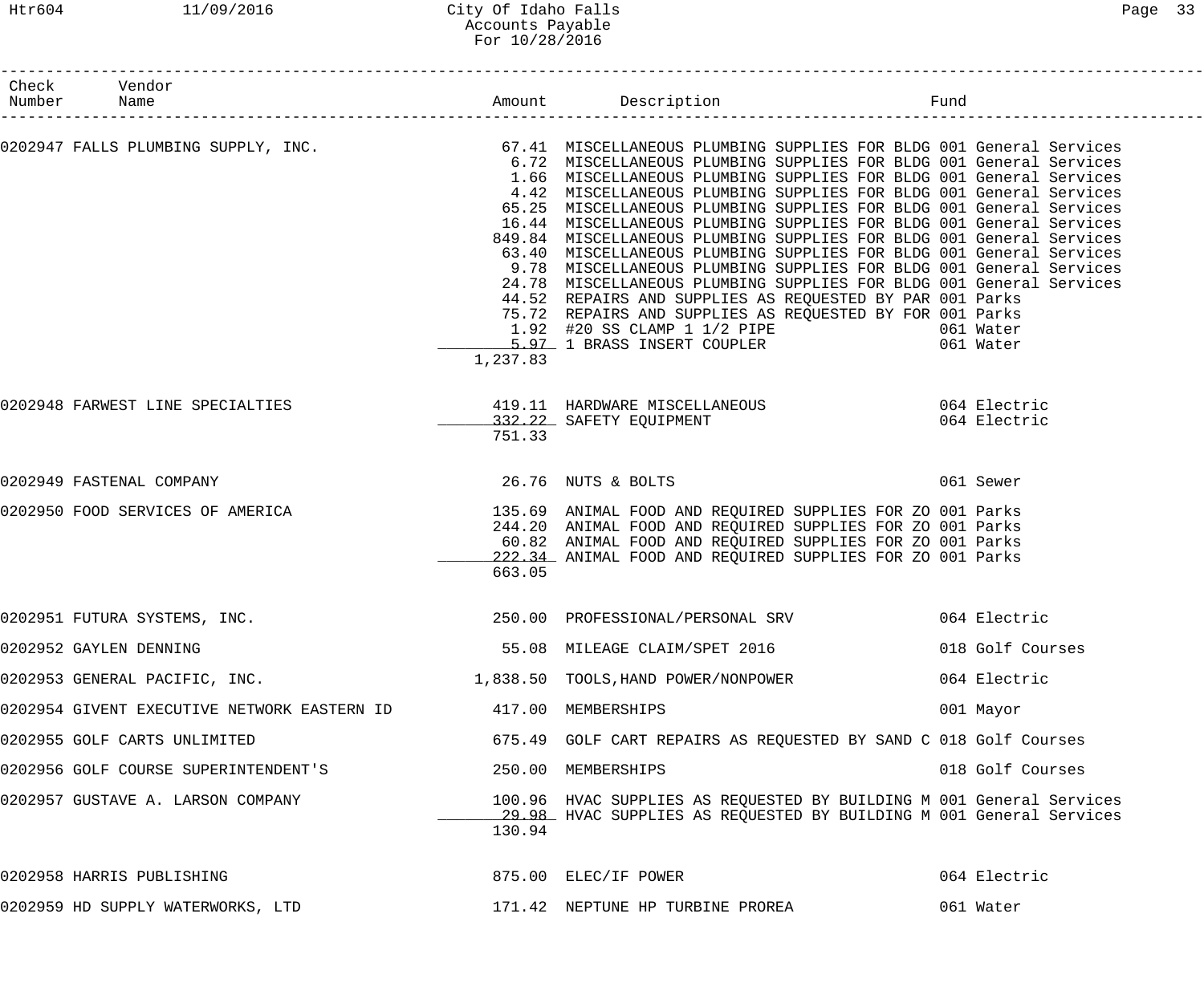### Htr604 11/09/2016 City Of Idaho Falls Page 33 Accounts Payable For 10/28/2016

| Check Vendor<br>Number Name                                                                                                                                                     |                    | Amount Description                                                                                                                                                                                                                                                                                                                                                                                                                                                                                                                                                                                                                                                                                                                                                                                                                                                  | Fund |                  |
|---------------------------------------------------------------------------------------------------------------------------------------------------------------------------------|--------------------|---------------------------------------------------------------------------------------------------------------------------------------------------------------------------------------------------------------------------------------------------------------------------------------------------------------------------------------------------------------------------------------------------------------------------------------------------------------------------------------------------------------------------------------------------------------------------------------------------------------------------------------------------------------------------------------------------------------------------------------------------------------------------------------------------------------------------------------------------------------------|------|------------------|
| 0202947 FALLS PLUMBING SUPPLY, INC.<br>6.72 MISCELLANEOUS PLUMBING SUPPLIES FOR BLDG 001 General Services<br>6.72 MISCELLANEOUS PLUMBING SUPPLIES FOR BLDG 001 General Services | 1,237.83           | 6.72 MISCELLANEOUS PLUMBING SUPPLIES FOR BLDG 001 General Services<br>1.66 MISCELLANEOUS PLUMBING SUPPLIES FOR BLDG 001 General Services<br>4.42 MISCELLANEOUS PLUMBING SUPPLIES FOR BLDG 001 General Services<br>65.25 MISCELLANEOUS PLUMBING SUPPLIES FOR BLDG 001 General Services<br>16.44 MISCELLANEOUS PLUMBING SUPPLIES FOR BLDG 001 General Services<br>849.84 MISCELLANEOUS PLUMBING SUPPLIES FOR BLDG 001 General Services<br>63.40 MISCELLANEOUS PLUMBING SUPPLIES FOR BLDG 001 General Services<br>9.78 MISCELLANEOUS PLUMBING SUPPLIES FOR BLDG 001 General Services<br>24.78 MISCELLANEOUS PLUMBING SUPPLIES FOR BLDG 001 General Services<br>44.52 REPAIRS AND SUPPLIES AS REQUESTED BY PAR 001 Parks<br>75.72 REPAIRS AND SUPPLIES AS REQUESTED BY FOR 001 Parks<br>1.92 #20 SS CLAMP 1 1/2 PIPE 661 Water<br>1.97 1 BRASS INSERT COUPLER 661 Water |      |                  |
| 0202948 FARWEST LINE SPECIALTIES                                                                                                                                                | 751.33             | 419.11 HARDWARE MISCELLANEOUS 064 Electric<br>332.22 SAFETY EQUIPMENT 064 Electric                                                                                                                                                                                                                                                                                                                                                                                                                                                                                                                                                                                                                                                                                                                                                                                  |      |                  |
| 0202949 FASTENAL COMPANY                                                                                                                                                        |                    | 26.76 NUTS & BOLTS                                                                                                                                                                                                                                                                                                                                                                                                                                                                                                                                                                                                                                                                                                                                                                                                                                                  |      | 061 Sewer        |
| 0202950 FOOD SERVICES OF AMERICA THE SERVICE SUPPLIES OF ANIMAL FOOD AND REQUIRED SUPPLIES FOR ZO 001 Parks                                                                     | 663.05             | 244.20 ANIMAL FOOD AND REQUIRED SUPPLIES FOR ZO 001 Parks<br>60.82 ANIMAL FOOD AND REQUIRED SUPPLIES FOR ZO 001 Parks<br>222.34 ANIMAL FOOD AND REQUIRED SUPPLIES FOR ZO 001 Parks                                                                                                                                                                                                                                                                                                                                                                                                                                                                                                                                                                                                                                                                                  |      |                  |
| 0202951 FUTURA SYSTEMS, INC.                                                                                                                                                    |                    | 250.00 PROFESSIONAL/PERSONAL SRV 664 Electric                                                                                                                                                                                                                                                                                                                                                                                                                                                                                                                                                                                                                                                                                                                                                                                                                       |      |                  |
| 0202952 GAYLEN DENNING                                                                                                                                                          |                    | 55.08 MILEAGE CLAIM/SPET 2016                                                                                                                                                                                                                                                                                                                                                                                                                                                                                                                                                                                                                                                                                                                                                                                                                                       |      | 018 Golf Courses |
|                                                                                                                                                                                 |                    |                                                                                                                                                                                                                                                                                                                                                                                                                                                                                                                                                                                                                                                                                                                                                                                                                                                                     |      | 064 Electric     |
| 0202954 GIVENT EXECUTIVE NETWORK EASTERN ID                                                                                                                                     | 417.00 MEMBERSHIPS |                                                                                                                                                                                                                                                                                                                                                                                                                                                                                                                                                                                                                                                                                                                                                                                                                                                                     |      | 001 Mayor        |
| 0202955 GOLF CARTS UNLIMITED                                                                                                                                                    |                    | 675.49 GOLF CART REPAIRS AS REQUESTED BY SAND C 018 Golf Courses                                                                                                                                                                                                                                                                                                                                                                                                                                                                                                                                                                                                                                                                                                                                                                                                    |      |                  |
| 0202956 GOLF COURSE SUPERINTENDENT'S                                                                                                                                            |                    | 250.00 MEMBERSHIPS                                                                                                                                                                                                                                                                                                                                                                                                                                                                                                                                                                                                                                                                                                                                                                                                                                                  |      | 018 Golf Courses |
| 0202957 GUSTAVE A. LARSON COMPANY                                                                                                                                               | 130.94             | 100.96 HVAC SUPPLIES AS REQUESTED BY BUILDING M 001 General Services<br>29.98 HVAC SUPPLIES AS REQUESTED BY BUILDING M 001 General Services                                                                                                                                                                                                                                                                                                                                                                                                                                                                                                                                                                                                                                                                                                                         |      |                  |
| 0202958 HARRIS PUBLISHING                                                                                                                                                       |                    | 875.00 ELEC/IF POWER                                                                                                                                                                                                                                                                                                                                                                                                                                                                                                                                                                                                                                                                                                                                                                                                                                                |      | 064 Electric     |
| 0202959 HD SUPPLY WATERWORKS, LTD                                                                                                                                               |                    | 171.42 NEPTUNE HP TURBINE PROREA                                                                                                                                                                                                                                                                                                                                                                                                                                                                                                                                                                                                                                                                                                                                                                                                                                    |      | 061 Water        |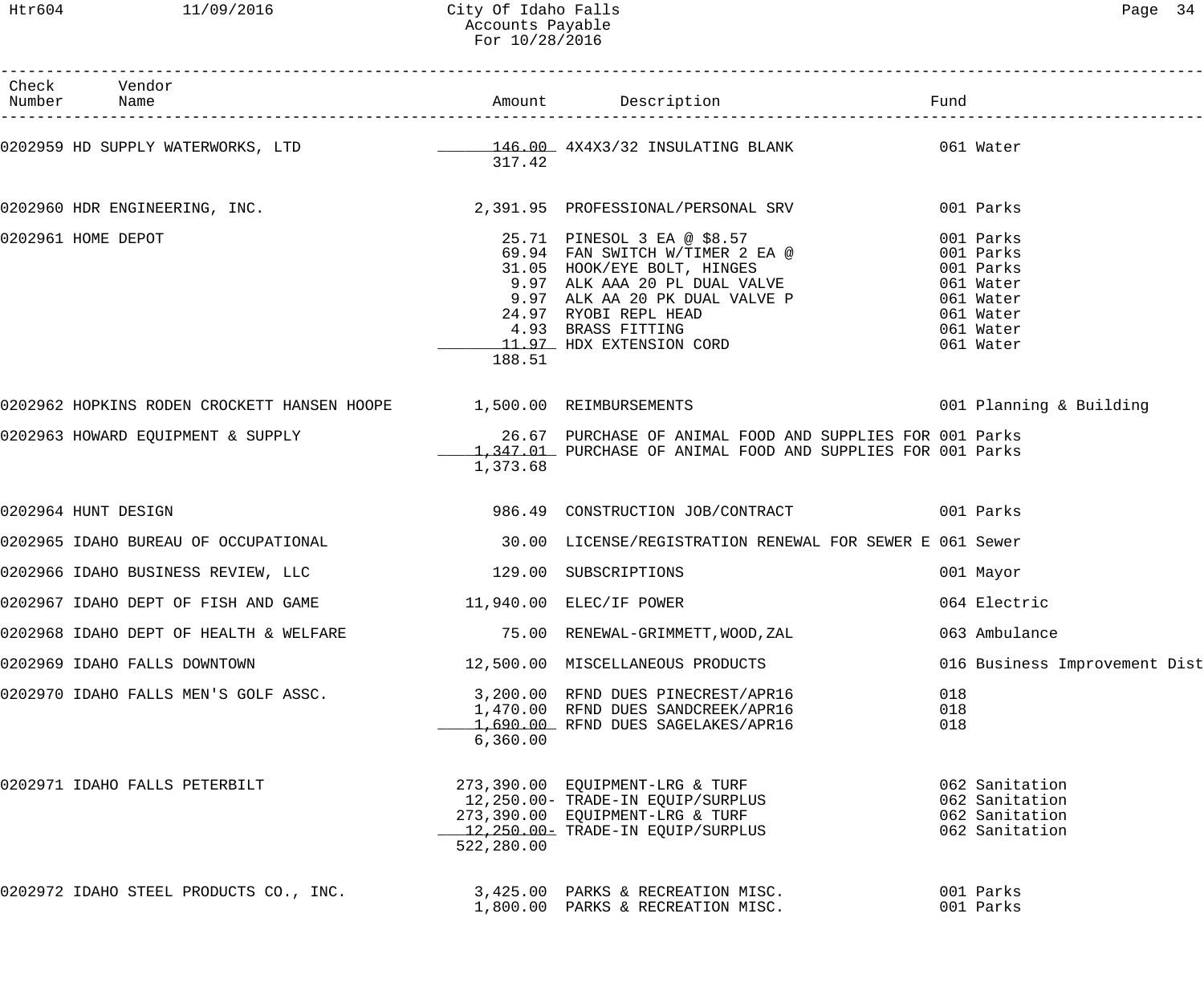Htr604 11/09/2016 City Of Idaho Falls Page 34 Accounts Payable For 10/28/2016

| Check Vendor<br>Number Name                                              |            |                                                                                                                                                                                                                                                                                                                                           |                   |                                                                      |
|--------------------------------------------------------------------------|------------|-------------------------------------------------------------------------------------------------------------------------------------------------------------------------------------------------------------------------------------------------------------------------------------------------------------------------------------------|-------------------|----------------------------------------------------------------------|
|                                                                          | 317.42     | 0202959 HD SUPPLY WATERWORKS, LTD 2002 146.00 4X4X3/32 INSULATING BLANK 6061 Water                                                                                                                                                                                                                                                        |                   |                                                                      |
|                                                                          |            | 0202960 HDR ENGINEERING, INC. 2,391.95 PROFESSIONAL/PERSONAL SRV 001 Parks                                                                                                                                                                                                                                                                |                   |                                                                      |
| 0202961 HOME DEPOT                                                       | 188.51     | 25.71 PINESOL 3 EA @ \$8.57<br>69.94 FAN SWITCH W/TIMER 2 EA @ 001 Parks<br>31.05 HOOK/EYE BOLT, HINGES 001 Parks<br>9.97 ALK AAA 20 PL DUAL VALVE 061 Water<br>9.97 ALK AA 20 PK DUAL VALVE P 061 Water<br>24.27 NICOL DED UTER<br>24.97 RYOBI REPL HEAD 061 Water<br>4.93 BRASS FITTING 061 Water<br>11.97 HDX EXTENSION CORD 061 Water |                   |                                                                      |
|                                                                          |            |                                                                                                                                                                                                                                                                                                                                           |                   |                                                                      |
|                                                                          | 1,373.68   | 0202963 HOWARD EQUIPMENT & SUPPLY 26.67 PURCHASE OF ANIMAL FOOD AND SUPPLIES FOR 001 Parks<br>1,347.01 PURCHASE OF ANIMAL FOOD AND SUPPLIES FOR 001 Parks                                                                                                                                                                                 |                   |                                                                      |
| 0202964 HUNT DESIGN                                                      |            | 986.49 CONSTRUCTION JOB/CONTRACT 001 Parks                                                                                                                                                                                                                                                                                                |                   |                                                                      |
|                                                                          |            | 0202965 IDAHO BUREAU OF OCCUPATIONAL (2000) NECENSE/REGISTRATION RENEWAL FOR SEWER E 061 Sewer                                                                                                                                                                                                                                            |                   |                                                                      |
| 0202966 IDAHO BUSINESS REVIEW, LLC 129.00 SUBSCRIPTIONS                  |            |                                                                                                                                                                                                                                                                                                                                           |                   | 001 Mayor                                                            |
| 0202967 IDAHO DEPT OF FISH AND GAME 11,940.00 ELEC/IF POWER              |            |                                                                                                                                                                                                                                                                                                                                           |                   | 064 Electric                                                         |
|                                                                          |            | 0202968 IDAHO DEPT OF HEALTH & WELFARE $75.00$ RENEWAL-GRIMMETT, WOOD, ZAL                                                                                                                                                                                                                                                                |                   | 063 Ambulance                                                        |
| 0202969 IDAHO FALLS DOWNTOWN                                             |            | 12,500.00 MISCELLANEOUS PRODUCTS                                                                                                                                                                                                                                                                                                          |                   | 016 Business Improvement Dist                                        |
| 0202970 IDAHO FALLS MEN'S GOLF ASSC.                                     | 6,360.00   | 3,200.00 RFND DUES PINECREST/APR16<br>1,470.00 RFND DUES SANDCREEK/APR16<br>1,690.00 RFND DUES SAGELAKES/APR16                                                                                                                                                                                                                            | 018<br>018<br>018 |                                                                      |
| 0202971 IDAHO FALLS PETERBILT                                            | 522,280.00 | 273,390.00 EQUIPMENT-LRG & TURF<br>12,250.00- TRADE-IN EQUIP/SURPLUS<br>273,390.00 EQUIPMENT-LRG & TURF<br>12,250.00- TRADE-IN EQUIP/SURPLUS                                                                                                                                                                                              |                   | 062 Sanitation<br>062 Sanitation<br>062 Sanitation<br>062 Sanitation |
| 0202972 IDAHO STEEL PRODUCTS CO., INC. 3,425.00 PARKS & RECREATION MISC. |            | 1,800.00 PARKS & RECREATION MISC.                                                                                                                                                                                                                                                                                                         |                   | 001 Parks<br>001 Parks                                               |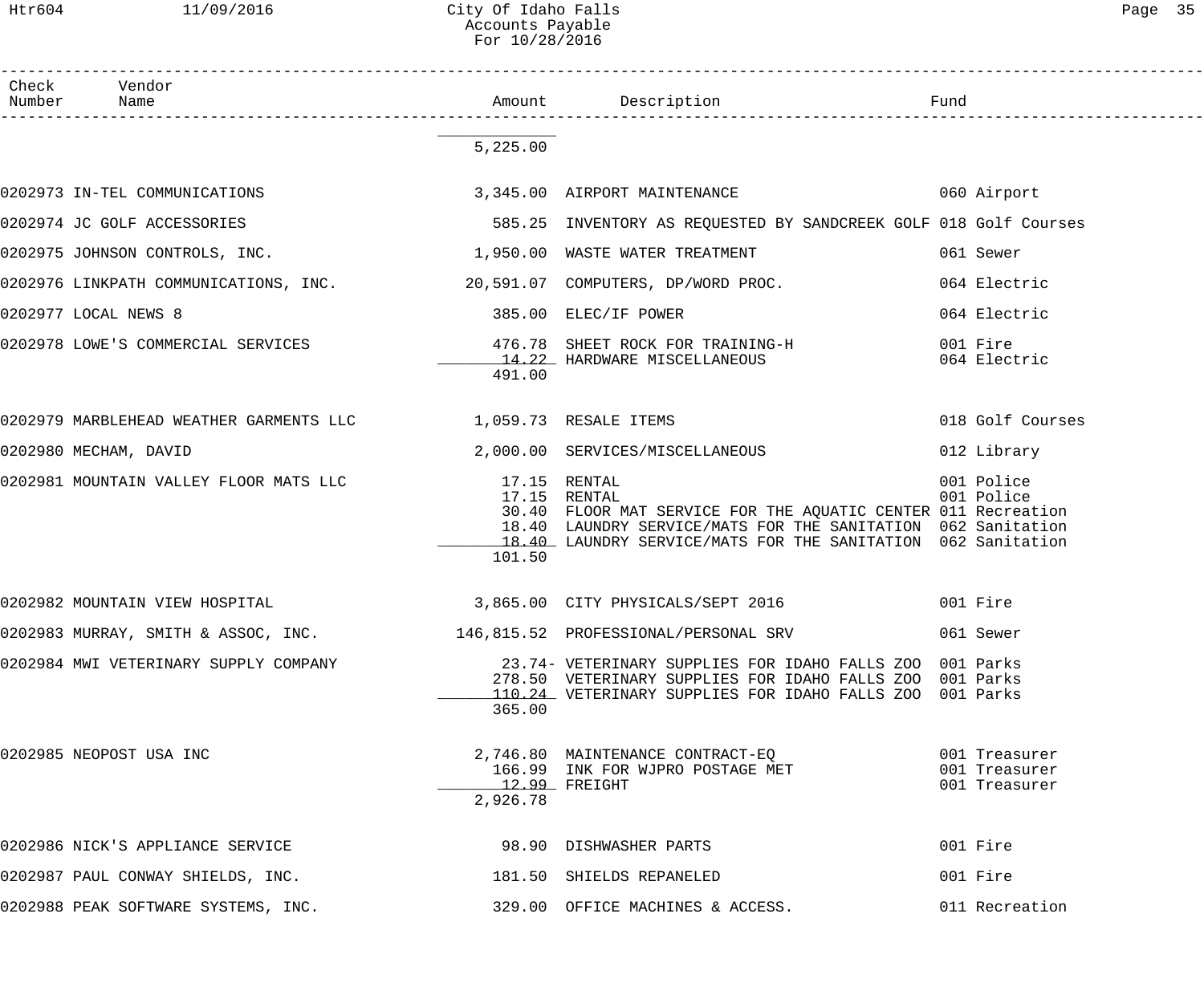Htr604 11/09/2016 City Of Idaho Falls 2006 Controlled the Page 35 Accounts Payable

|                 |                                                                         | For 10/28/2016 |                                                                                                                                                                                                                               |                          |  |
|-----------------|-------------------------------------------------------------------------|----------------|-------------------------------------------------------------------------------------------------------------------------------------------------------------------------------------------------------------------------------|--------------------------|--|
| Check<br>Number | Vendor<br>Name                                                          |                |                                                                                                                                                                                                                               |                          |  |
|                 |                                                                         | 5,225.00       |                                                                                                                                                                                                                               |                          |  |
|                 | 0202973 IN-TEL COMMUNICATIONS                                           |                | 3,345.00 AIRPORT MAINTENANCE                                                                                                                                                                                                  | 060 Airport              |  |
|                 | 0202974 JC GOLF ACCESSORIES                                             |                | 585.25 INVENTORY AS REQUESTED BY SANDCREEK GOLF 018 Golf Courses                                                                                                                                                              |                          |  |
|                 | 0202975 JOHNSON CONTROLS, INC.                                          |                | 1,950.00 WASTE WATER TREATMENT                                                                                                                                                                                                | 061 Sewer                |  |
|                 |                                                                         |                | 0202976 LINKPATH COMMUNICATIONS, INC. $20,591.07$ COMPUTERS, DP/WORD PROC.                                                                                                                                                    | 064 Electric             |  |
|                 | 0202977 LOCAL NEWS 8                                                    |                | 385.00 ELEC/IF POWER                                                                                                                                                                                                          | 064 Electric             |  |
|                 | 0202978 LOWE'S COMMERCIAL SERVICES                                      | 491.00         | 476.78 SHEET ROCK FOR TRAINING-H<br>14.22 HARDWARE MISCELLANEOUS                                                                                                                                                              | 001 Fire<br>064 Electric |  |
|                 | 0202979 MARBLEHEAD WEATHER GARMENTS LLC 1,059.73 RESALE ITEMS           |                |                                                                                                                                                                                                                               | 018 Golf Courses         |  |
|                 | 0202980 MECHAM, DAVID                                                   |                | 2,000.00 SERVICES/MISCELLANEOUS                                                                                                                                                                                               | 012 Library              |  |
|                 | 0202981 MOUNTAIN VALLEY FLOOR MATS LLC                                  | 101.50         | 17.15 RENTAL<br>17.15 RENTAL<br>30.40 FLOOR MAT SERVICE FOR THE AQUATIC CENTER 011 Recreation<br>18.40 LAUNDRY SERVICE/MATS FOR THE SANITATION 062 Sanitation<br>18.40 LAUNDRY SERVICE/MATS FOR THE SANITATION 062 Sanitation | 001 Police<br>001 Police |  |
|                 | 0202982 MOUNTAIN VIEW HOSPITAL                                          |                | 3,865.00 CITY PHYSICALS/SEPT 2016                                                                                                                                                                                             | 001 Fire                 |  |
|                 |                                                                         |                | 0202983 MURRAY, SMITH & ASSOC, INC.                     146,815.52  PROFESSIONAL/PERSONAL SRV                                                                                                                                 | 061 Sewer                |  |
|                 | 0202984 MWI VETERINARY SUPPLY COMPANY                                   | 365.00         | 23.74- VETERINARY SUPPLIES FOR IDAHO FALLS ZOO 001 Parks<br>278.50 VETERINARY SUPPLIES FOR IDAHO FALLS ZOO 001 Parks<br>110.24 VETERINARY SUPPLIES FOR IDAHO FALLS ZOO 001 Parks                                              |                          |  |
|                 | 0202985 NEOPOST USA INC                                                 | 2,926.78       | 2,746.80 MAINTENANCE CONTRACT-EQ<br>166.99 INK FOR WJPRO POSTAGE MET 6001 Treasurer<br>12.99 FREIGHT                                                                                                                          | 001 Treasurer            |  |
|                 | 0202986 NICK'S APPLIANCE SERVICE                                        |                | 98.90 DISHWASHER PARTS                                                                                                                                                                                                        | 001 Fire                 |  |
|                 | 0202987 PAUL CONWAY SHIELDS, INC.                                       |                | 181.50 SHIELDS REPANELED                                                                                                                                                                                                      | 001 Fire                 |  |
|                 | 0202988 PEAK SOFTWARE SYSTEMS, INC.<br>329.00 OFFICE MACHINES & ACCESS. |                |                                                                                                                                                                                                                               | 011 Recreation           |  |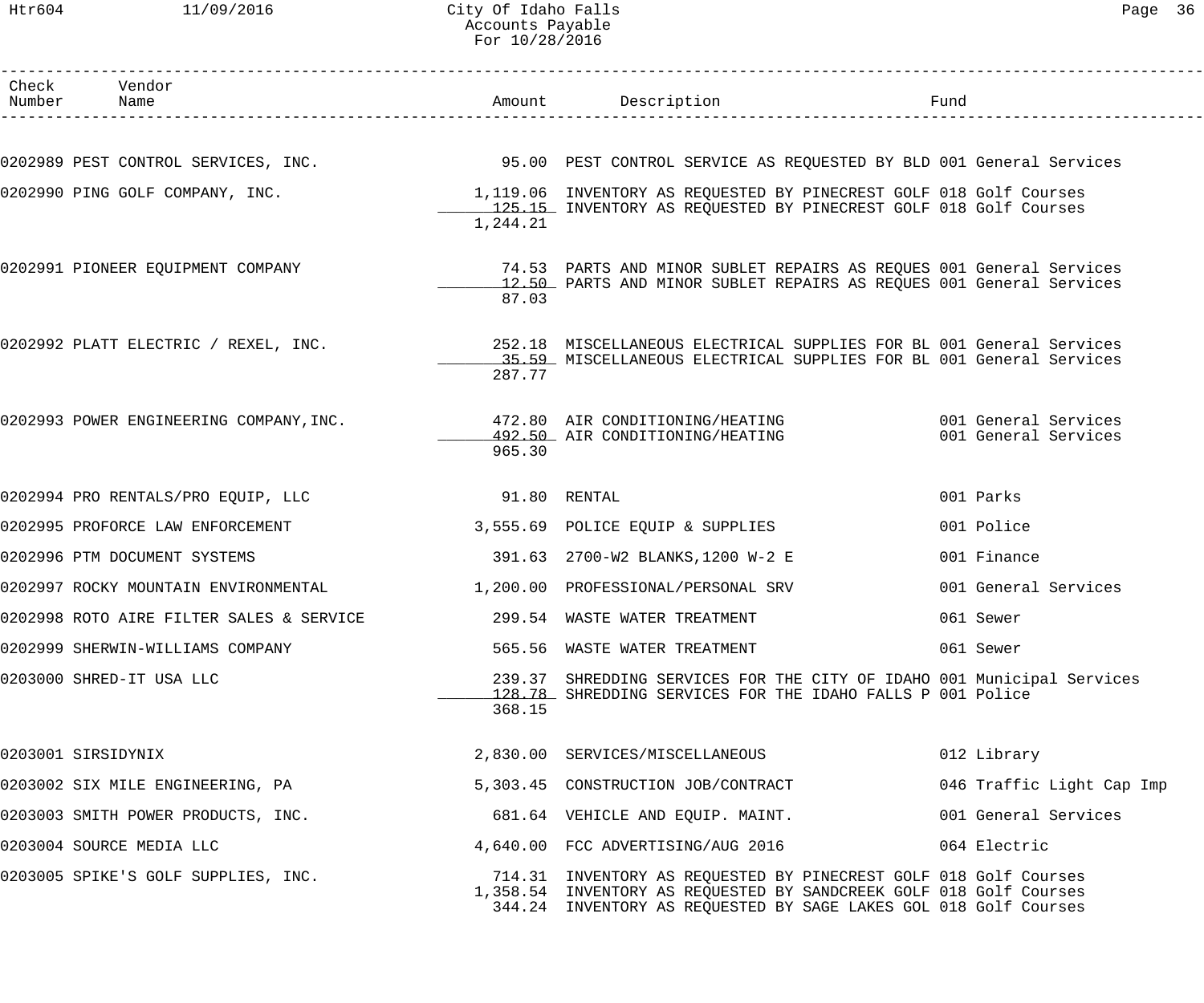### Htr604 11/09/2016 City Of Idaho Falls Page 36 Accounts Payable For 10/28/2016

| Check Vendor<br>Number Name                                                                                 |              | Amount Description                                                                                                                                                                                         | Fund                      |
|-------------------------------------------------------------------------------------------------------------|--------------|------------------------------------------------------------------------------------------------------------------------------------------------------------------------------------------------------------|---------------------------|
|                                                                                                             |              |                                                                                                                                                                                                            |                           |
| 0202989 PEST CONTROL SERVICES, INC. 40 195.00 PEST CONTROL SERVICE AS REQUESTED BY BLD 001 General Services |              |                                                                                                                                                                                                            |                           |
| 0202990 PING GOLF COMPANY, INC.                                                                             | 1,244.21     | 1,119.06 INVENTORY AS REQUESTED BY PINECREST GOLF 018 Golf Courses<br>125.15 INVENTORY AS REQUESTED BY PINECREST GOLF 018 Golf Courses                                                                     |                           |
| 0202991 PIONEER EQUIPMENT COMPANY                                                                           | 87.03        | 74.53 PARTS AND MINOR SUBLET REPAIRS AS REQUES 001 General Services<br>12.50 PARTS AND MINOR SUBLET REPAIRS AS REQUES 001 General Services                                                                 |                           |
| 0202992 PLATT ELECTRIC / REXEL, INC.                                                                        | 287.77       | 252.18 MISCELLANEOUS ELECTRICAL SUPPLIES FOR BL 001 General Services<br>15.59 MISCELLANEOUS ELECTRICAL SUPPLIES FOR BL 001 General Services                                                                |                           |
| 0202993 POWER ENGINEERING COMPANY, INC.                                                                     | 965.30       | 472.80 AIR CONDITIONING/HEATING 6001 General Services<br>492.50 AIR CONDITIONING/HEATING                                                                                                                   | 001 General Services      |
| 0202994 PRO RENTALS/PRO EQUIP, LLC                                                                          | 91.80 RENTAL |                                                                                                                                                                                                            | 001 Parks                 |
| 0202995 PROFORCE LAW ENFORCEMENT                                                                            |              | 3,555.69 POLICE EQUIP & SUPPLIES                                                                                                                                                                           | 001 Police                |
| 0202996 PTM DOCUMENT SYSTEMS                                                                                |              | 391.63 2700-W2 BLANKS, 1200 W-2 E                                                                                                                                                                          | 001 Finance               |
| 0202997 ROCKY MOUNTAIN ENVIRONMENTAL                                                                        |              | 1,200.00 PROFESSIONAL/PERSONAL SRV                                                                                                                                                                         | 001 General Services      |
| 0202998 ROTO AIRE FILTER SALES & SERVICE                                                                    |              | 299.54 WASTE WATER TREATMENT                                                                                                                                                                               | 061 Sewer                 |
| 0202999 SHERWIN-WILLIAMS COMPANY                                                                            |              | 565.56 WASTE WATER TREATMENT                                                                                                                                                                               | 061 Sewer                 |
| 0203000 SHRED-IT USA LLC                                                                                    | 368.15       | 239.37 SHREDDING SERVICES FOR THE CITY OF IDAHO 001 Municipal Services<br>128.78 SHREDDING SERVICES FOR THE IDAHO FALLS P 001 Police                                                                       |                           |
| 0203001 SIRSIDYNIX                                                                                          |              | 2,830.00 SERVICES/MISCELLANEOUS                                                                                                                                                                            | 012 Library               |
| 0203002 SIX MILE ENGINEERING, PA                                                                            |              | 5,303.45 CONSTRUCTION JOB/CONTRACT                                                                                                                                                                         | 046 Traffic Light Cap Imp |
| 0203003 SMITH POWER PRODUCTS, INC.                                                                          |              | 681.64 VEHICLE AND EQUIP. MAINT.                                                                                                                                                                           | 001 General Services      |
| 0203004 SOURCE MEDIA LLC                                                                                    |              | 4,640.00 FCC ADVERTISING/AUG 2016                                                                                                                                                                          | 064 Electric              |
| 0203005 SPIKE'S GOLF SUPPLIES, INC.                                                                         |              | 714.31 INVENTORY AS REQUESTED BY PINECREST GOLF 018 Golf Courses<br>1,358.54 INVENTORY AS REQUESTED BY SANDCREEK GOLF 018 Golf Courses<br>344.24 INVENTORY AS REQUESTED BY SAGE LAKES GOL 018 Golf Courses |                           |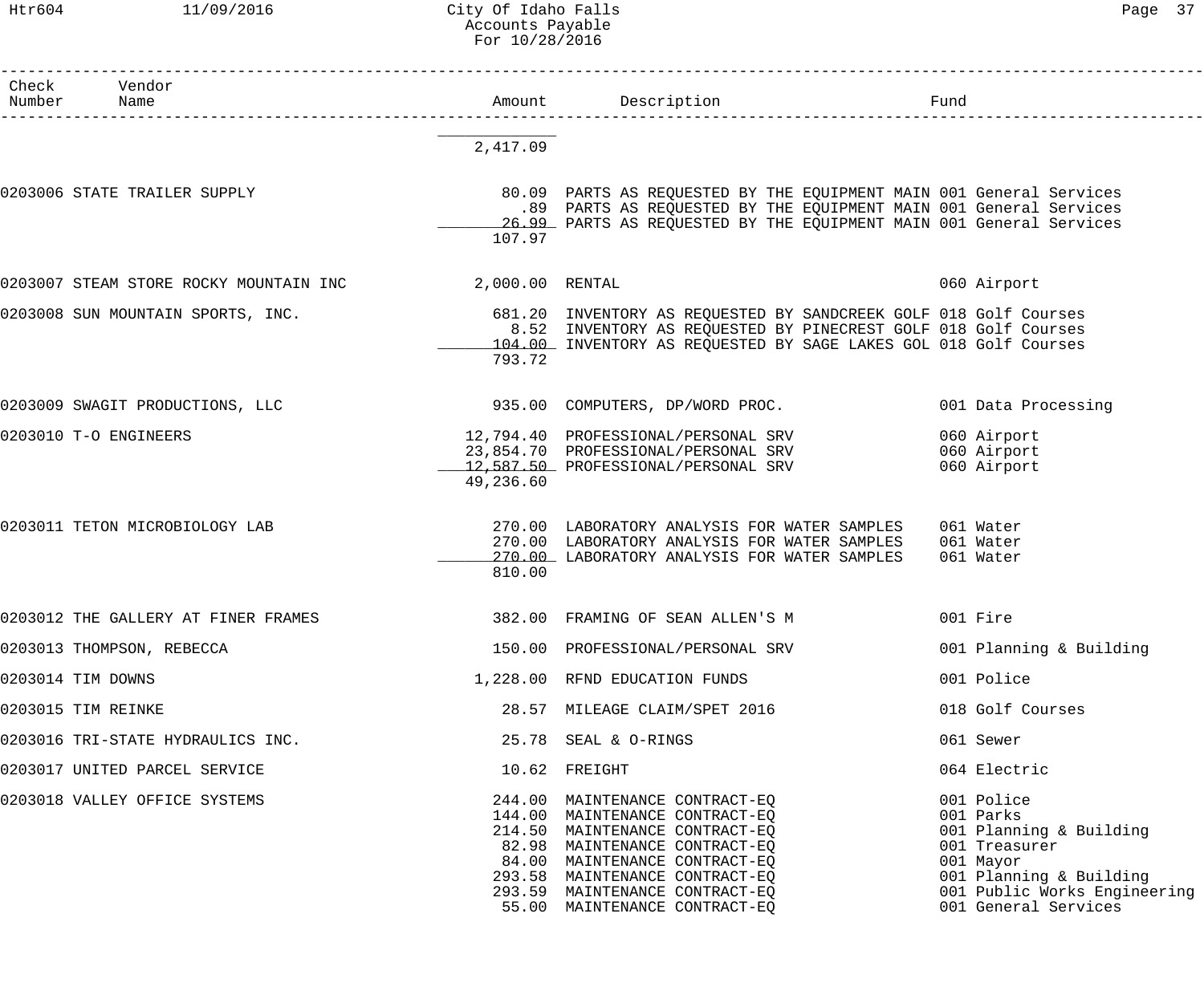### Htr604 11/09/2016 City Of Idaho Falls Page 37 Accounts Payable For 10/28/2016

| Check<br>Number | Vendor<br>Name                                         |           | Amount Description                                                                                                                                                                                                                                                        | Fund                                                                                                                                                                |
|-----------------|--------------------------------------------------------|-----------|---------------------------------------------------------------------------------------------------------------------------------------------------------------------------------------------------------------------------------------------------------------------------|---------------------------------------------------------------------------------------------------------------------------------------------------------------------|
|                 |                                                        | 2,417.09  |                                                                                                                                                                                                                                                                           |                                                                                                                                                                     |
|                 | 0203006 STATE TRAILER SUPPLY                           | 107.97    | 80.09 PARTS AS REQUESTED BY THE EQUIPMENT MAIN 001 General Services<br>.89 PARTS AS REQUESTED BY THE EQUIPMENT MAIN 001 General Services<br>26.99 PARTS AS REQUESTED BY THE EQUIPMENT MAIN 001 General Services                                                           |                                                                                                                                                                     |
|                 | 0203007 STEAM STORE ROCKY MOUNTAIN INC 2,000.00 RENTAL |           |                                                                                                                                                                                                                                                                           | 060 Airport                                                                                                                                                         |
|                 | 0203008 SUN MOUNTAIN SPORTS, INC.                      | 793.72    | 681.20 INVENTORY AS REQUESTED BY SANDCREEK GOLF 018 Golf Courses<br>8.52 INVENTORY AS REQUESTED BY PINECREST GOLF 018 Golf Courses<br>104.00 INVENTORY AS REQUESTED BY SAGE LAKES GOL 018 Golf Courses                                                                    |                                                                                                                                                                     |
|                 | 0203009 SWAGIT PRODUCTIONS, LLC                        |           | 935.00 COMPUTERS, DP/WORD PROC.                                                                                                                                                                                                                                           | 001 Data Processing                                                                                                                                                 |
|                 | 0203010 T-O ENGINEERS                                  | 49,236.60 | 12,794.40 PROFESSIONAL/PERSONAL SRV<br>23,854.70 PROFESSIONAL/PERSONAL SRV<br>12,587.50 PROFESSIONAL/PERSONAL SRV                                                                                                                                                         | 060 Airport<br>060 Airport<br>060 Airport                                                                                                                           |
|                 | 0203011 TETON MICROBIOLOGY LAB                         | 810.00    | 270.00 LABORATORY ANALYSIS FOR WATER SAMPLES<br>270.00 LABORATORY ANALYSIS FOR WATER SAMPLES<br>270.00 LABORATORY ANALYSIS FOR WATER SAMPLES                                                                                                                              | 061 Water<br>061 Water<br>061 Water                                                                                                                                 |
|                 | 0203012 THE GALLERY AT FINER FRAMES                    |           | 382.00 FRAMING OF SEAN ALLEN'S M                                                                                                                                                                                                                                          | 001 Fire                                                                                                                                                            |
|                 | 0203013 THOMPSON, REBECCA                              |           | 150.00 PROFESSIONAL/PERSONAL SRV                                                                                                                                                                                                                                          | 001 Planning & Building                                                                                                                                             |
|                 | 0203014 TIM DOWNS                                      |           | 1,228.00 RFND EDUCATION FUNDS                                                                                                                                                                                                                                             | 001 Police                                                                                                                                                          |
|                 | 0203015 TIM REINKE                                     |           | 28.57 MILEAGE CLAIM/SPET 2016                                                                                                                                                                                                                                             | 018 Golf Courses                                                                                                                                                    |
|                 | 0203016 TRI-STATE HYDRAULICS INC.                      |           | 25.78 SEAL & O-RINGS                                                                                                                                                                                                                                                      | 061 Sewer                                                                                                                                                           |
|                 | 0203017 UNITED PARCEL SERVICE                          |           | 10.62 FREIGHT                                                                                                                                                                                                                                                             | 064 Electric                                                                                                                                                        |
|                 | 0203018 VALLEY OFFICE SYSTEMS                          |           | 244.00 MAINTENANCE CONTRACT-EQ<br>144.00 MAINTENANCE CONTRACT-EQ<br>214.50 MAINTENANCE CONTRACT-EQ<br>82.98 MAINTENANCE CONTRACT-EQ<br>84.00 MAINTENANCE CONTRACT-EQ<br>293.58 MAINTENANCE CONTRACT-EQ<br>293.59 MAINTENANCE CONTRACT-EQ<br>55.00 MAINTENANCE CONTRACT-EQ | 001 Police<br>001 Parks<br>001 Planning & Building<br>001 Treasurer<br>001 Mayor<br>001 Planning & Building<br>001 Public Works Engineering<br>001 General Services |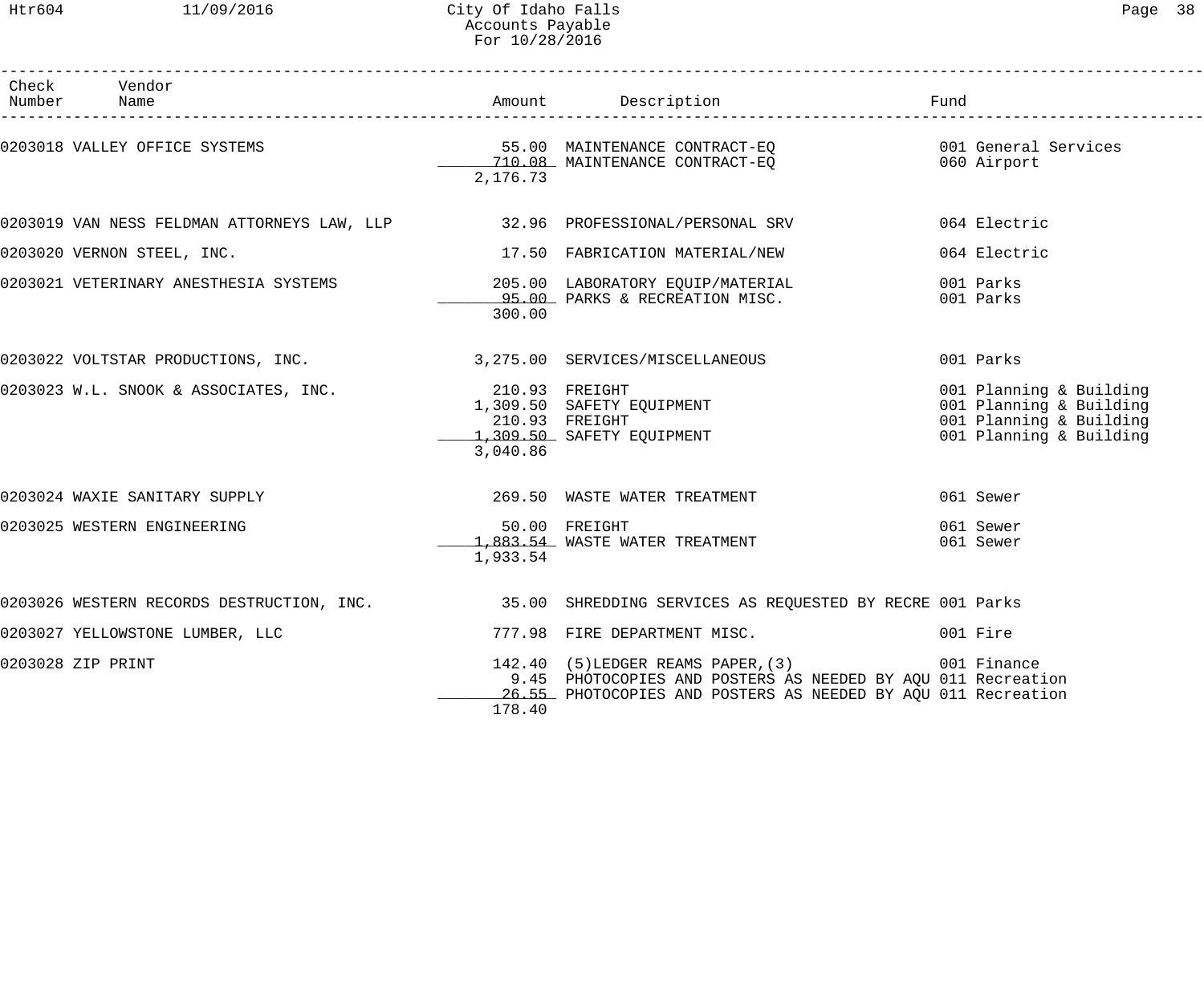------------------------------------------------------------------------------------------------------------------------------------

| Check<br>Number | Vendor<br>Name                                                              |          | Amount Description                                                                                                                                                  | Fund                                                                                                     |
|-----------------|-----------------------------------------------------------------------------|----------|---------------------------------------------------------------------------------------------------------------------------------------------------------------------|----------------------------------------------------------------------------------------------------------|
|                 | 0203018 VALLEY OFFICE SYSTEMS                                               | 2,176.73 | 55.00 MAINTENANCE CONTRACT-EQ<br>710.08 MAINTENANCE CONTRACT-EQ 660 Airport                                                                                         | 001 General Services                                                                                     |
|                 | 0203019 VAN NESS FELDMAN ATTORNEYS LAW, LLP 32.96 PROFESSIONAL/PERSONAL SRV |          |                                                                                                                                                                     | 064 Electric                                                                                             |
|                 | 0203020 VERNON STEEL, INC.                                                  |          | 17.50 FABRICATION MATERIAL/NEW                                                                                                                                      | 064 Electric                                                                                             |
|                 | 0203021 VETERINARY ANESTHESIA SYSTEMS                                       | 300.00   | 205.00 LABORATORY EQUIP/MATERIAL<br>95.00 PARKS & RECREATION MISC.                                                                                                  | 001 Parks<br>001 Parks                                                                                   |
|                 | 0203022 VOLTSTAR PRODUCTIONS, INC. 3, 275.00 SERVICES/MISCELLANEOUS         |          |                                                                                                                                                                     | 001 Parks                                                                                                |
|                 | 0203023 W.L. SNOOK & ASSOCIATES, INC. 210.93 FREIGHT                        | 3,040.86 | 210.93 FREIGHT<br>1,309.50 SAFETY EQUIPMENT<br>210.93 FREIGHT<br>1,309.50 SAFETY EQUIPMENT                                                                          | 001 Planning & Building<br>001 Planning & Building<br>001 Planning & Building<br>001 Planning & Building |
|                 | 0203024 WAXIE SANITARY SUPPLY <b>1998</b> 269.50 WASTE WATER TREATMENT      |          |                                                                                                                                                                     | 061 Sewer                                                                                                |
|                 | 0203025 WESTERN ENGINEERING                                                 | 1,933.54 | 50.00 FREIGHT<br>1,883.54 WASTE WATER TREATMENT                                                                                                                     | 061 Sewer<br>061 Sewer                                                                                   |
|                 |                                                                             |          | 0203026 WESTERN RECORDS DESTRUCTION, INC. 35.00 SHREDDING SERVICES AS REQUESTED BY RECRE 001 Parks                                                                  |                                                                                                          |
|                 | 0203027 YELLOWSTONE LUMBER, LLC                                             |          | 777.98 FIRE DEPARTMENT MISC.                                                                                                                                        | 001 Fire                                                                                                 |
|                 | 0203028 ZIP PRINT                                                           | 178.40   | 142.40 (5) LEDGER REAMS PAPER, (3)<br>9.45 PHOTOCOPIES AND POSTERS AS NEEDED BY AQU 011 Recreation<br>26.55 PHOTOCOPIES AND POSTERS AS NEEDED BY AQU 011 Recreation | 001 Finance                                                                                              |